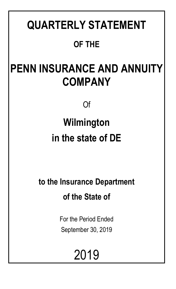# **QUARTERLY STATEMENT OF THE**

# **PENN INSURANCE AND ANNUITY COMPANY**

Of

# **Wilmington in the state of DE**

**to the Insurance Department of the State of**

> For the Period Ended September 30, 2019

> > 2019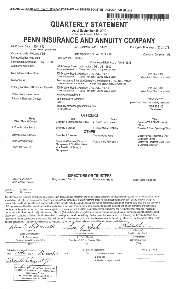# 11 9 9 3 2 6 2 2 0 1 9 2 0 1 0 1 0 1 0 **QUARTERLY STATEMENT**

As of September 30, 2019 of the Condition and Affairs of the

# PENN INSURANCE AND ANNUITY COMPANY

NAIC Group Code.....850. 850 NAIC Company Code..... 93262 Employer's ID Number..... 23-2142731 (Current Period) (Prior Period) Organized under the Laws of DE State of Domicile or Port of Entry DE Country of Domicile US Licensed as Business Type: Life, Accident & Health Incorporated/Organized..... July 3, 1980 Commenced Business..... April 9, 1981 **Statutory Home Office** 1209 Orange Street .. Wilmington .. DE .. US .. 19801 (Street and Number) (City or Town, State, Country and Zip Code) Main Administrative Office 600 Dresher Road .. Horsham .. PA .. US .. 19044 215-956-8000 (Street and Number) (City or Town, State, Country and Zip Code) (Area Code) (Telephone Number) **Mail Address** Penn Insurance & Annuity Company .. Philadelphia .. PA .. US .. 19172 (Street and Number or P. O. Box) (City or Town, State, Country and Zip Code) Primary Location of Books and Records 600 Dresher Road .. Horsham .. PA .. US .. 19044 215-956-8000 (Street and Number) (City or Town, State, Country and Zip Code) (Area Code) (Telephone Number) Internet Web Site Address www.pennmutual.com **Statutory Statement Contact** Bethanne Doyle Adamsky 215-956-8120 (Name) (Area Code) (Telephone Number) (Extension) adamsky.bethanne@pennmutual.com 215-956-8145 (E-Mail Address) (Fax Number) **OFFICERS Name** Title **Name Title** 1. Eileen Claire McDonnell Chairman & Chief Executive Officer 2. Susan Twine Deakins Executive VP & Chief Financial Officer 3. Franklin Luther Best Jr. Secretary & Counsel 4. David Michael O'Malley President & Chief Operating Officer **OTHER** Bethanne Doyle Adamsky Controller & Treasurer Thomas Henry Harris Executive Vice President & Chief **Distribution Officer** 

> Management & Chief Risk Officer Vice President of Financial Management

Senior Vice President, Financial

#### **DIRECTORS OR TRUSTEES** Thomas Henry Harris

Victoria Marie Robinson #

Senior Vice President, Chief Ethics

& Compliance Officer

Eileen Claire McDonnell

**Susan Twine Deakins** David Michael O'Malley

David Michael Raszeja

Steven W Linville #

Gregory Joseph Driscoll

Pennsylvania State of .. County of..... Montgomery

The officers of this reporting entity being duly sworn, each depose and say that they are the described officers of said reporting entity, and that on the reporting period stated above, all of the herein described assets were the absolute property of the said reporting entity, free and clear from any liens or claims thereon, except as herein stated, and that this statement, together with related exhibits, schedules and explanations therein contained, annexed or referred to, is a full and true statement of all the assets and liabilities and of the condition and affairs of the said reporting entity as of the reporting period stated above, and of its income and deductions therefrom for the period ended, and have been completed in accordance with the NAIC Annual Statement Instructions and Accounting Practices and Procedures manual except to the extent that: (1) state law may differ; or, (2) that state rules or regulations require differences in reporting not related to accounting practices and procedures, according to the best of their information, knowledge and belief, respectively. Furthermore, the scope of this attestation by the described officers also includes the related corresponding electronic filing with the NAIC, when required, that is an exact copy (except for formatting differences due to electronic filing) of the enclosed statement. The electronic filing may be requested by various regulators in lieu of or in addition to the enclosed statement.

| (Signature)<br>Eileen Claire McDonnell<br>and the control control<br>$\sqrt{\langle\gamma\gamma\gamma\rangle}$ with $\gamma\gamma$                                                                                                              | (Signature)<br><b>Susan Twine Deakins</b><br>医心包 法诉讼                                                                        | (Signature)<br>Franklin Luther Best Jr.  |                              |
|-------------------------------------------------------------------------------------------------------------------------------------------------------------------------------------------------------------------------------------------------|-----------------------------------------------------------------------------------------------------------------------------|------------------------------------------|------------------------------|
| 1. (Printed Name)<br>남자 아이들은 수업에<br>Chairman & Chief Executive Officer<br>カール・テーブ                                                                                                                                                               | 2. (Printed Name)<br>Executive VP & Chief Financial Officer                                                                 | 3. (Printed Name)<br>Secretary & Counsel |                              |
| (Title)<br>i bila                                                                                                                                                                                                                               | (Title)                                                                                                                     | (Title)                                  |                              |
| Subscribed and sworn to before me<br>2019<br>day of<br>This.<br>Commonwealth of Pennsylvania - Notary Seal<br>CHARLES JOSEPH INGULLI JR - Notary Public<br>Montgomery County<br>My Commission Expires May 13, 2023<br>Commission Number 1351602 | a. Is this an original filing?<br>1. State the amendment number<br>b. If no<br>2. Date filed<br>3. Number of pages attached | Yes $[X]$                                | $No$ $\vert$ $\vert$ $\vert$ |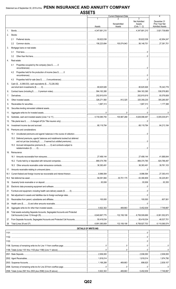|                | лочь і ч                                                                      |                             | <b>Current Statement Date</b>                     |                             | 4                             |
|----------------|-------------------------------------------------------------------------------|-----------------------------|---------------------------------------------------|-----------------------------|-------------------------------|
|                |                                                                               |                             | Nonadmitted                                       | 3<br>Net Admitted<br>Assets | December 31<br>Prior Year Net |
|                |                                                                               | Assets                      | Assets                                            | $(Cols. 1 - 2)$             | <b>Admitted Assets</b>        |
|                |                                                                               | $1.11$ , 4, 347, 681, 210   |                                                   | $1.11$ , 4, 347, 681, 210   | 3,921,739,669                 |
| 2.             | Stocks:                                                                       |                             |                                                   |                             |                               |
|                | 2.1                                                                           |                             |                                                   |                             |                               |
|                | 2.2                                                                           |                             | 100,074,943   56,148,751   27,381,701             |                             |                               |
| 3.             | Mortgage loans on real estate:                                                |                             |                                                   |                             |                               |
|                | 3.1                                                                           |                             |                                                   |                             |                               |
|                | 3.2                                                                           |                             |                                                   |                             |                               |
| 4.             | Real estate:                                                                  |                             |                                                   |                             |                               |
|                | Properties occupied by the company (less \$0<br>4.1                           |                             |                                                   |                             |                               |
|                | Properties held for the production of income (less \$0<br>4.2                 |                             |                                                   |                             |                               |
|                | 4.3                                                                           |                             |                                                   |                             |                               |
|                | Cash (\$8,399,533), cash equivalents (\$72,226,392)                           |                             |                                                   |                             |                               |
|                |                                                                               |                             |                                                   |                             |                               |
| 6.             |                                                                               |                             |                                                   |                             |                               |
| 7 <sub>1</sub> |                                                                               |                             |                                                   |                             |                               |
|                |                                                                               |                             | 912,325 325,359,235                               |                             | $\ldots$ 305,285,597          |
| 9.             |                                                                               |                             |                                                   |                             |                               |
|                |                                                                               |                             |                                                   |                             |                               |
| 11.            |                                                                               |                             |                                                   |                             |                               |
| 12.            |                                                                               |                             |                                                   |                             |                               |
| 13.            |                                                                               |                             |                                                   |                             |                               |
| 14.            |                                                                               |                             |                                                   |                             |                               |
| 15.            | Premiums and considerations:                                                  |                             |                                                   |                             |                               |
|                |                                                                               |                             |                                                   |                             |                               |
|                | 15.2 Deferred premiums, agents' balances and installments booked but deferred |                             |                                                   |                             |                               |
|                | and not vet due (including \$0 earned but unbilled premiums)                  |                             |                                                   | .0                          |                               |
|                | 15.3 Accrued retrospective premiums (\$0) and contracts subject to            |                             |                                                   |                             |                               |
| 16.            | Reinsurance:                                                                  |                             |                                                   |                             |                               |
|                |                                                                               |                             |                                                   |                             |                               |
|                |                                                                               |                             |                                                   |                             |                               |
|                |                                                                               |                             |                                                   |                             |                               |
| 17.            |                                                                               |                             |                                                   |                             |                               |
| 18.1           |                                                                               |                             | │……………………………… │…………………8.996.594 │………………27.393.410 |                             |                               |
| 18.2           |                                                                               |                             | 30,701,175 63,390,809 50,225,851                  |                             |                               |
| 19.            |                                                                               |                             |                                                   |                             |                               |
| 20.            |                                                                               |                             |                                                   |                             |                               |
| 21.            |                                                                               |                             |                                                   |                             |                               |
| 22.            |                                                                               |                             |                                                   |                             |                               |
| 23.            |                                                                               |                             |                                                   |                             |                               |
| 24.            |                                                                               |                             |                                                   |                             |                               |
| 25.            |                                                                               |                             |                                                   |                             |                               |
| 26.            | Total assets excluding Separate Accounts, Segregated Accounts and Protected   |                             |                                                   |                             |                               |
|                |                                                                               |                             |                                                   |                             |                               |
|                |                                                                               |                             |                                                   |                             |                               |
| 28.            |                                                                               |                             |                                                   |                             |                               |
|                |                                                                               | <b>DETAILS OF WRITE-INS</b> |                                                   |                             |                               |
|                |                                                                               |                             |                                                   |                             |                               |
|                |                                                                               |                             |                                                   |                             |                               |
|                |                                                                               |                             |                                                   |                             |                               |
|                |                                                                               |                             |                                                   |                             |                               |
|                |                                                                               |                             |                                                   |                             |                               |
|                |                                                                               |                             |                                                   |                             |                               |
|                |                                                                               |                             |                                                   |                             |                               |
|                |                                                                               |                             |                                                   |                             |                               |
|                |                                                                               |                             |                                                   |                             |                               |
|                |                                                                               |                             |                                                   |                             |                               |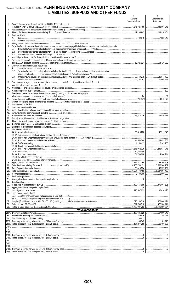# Statement as of September 30, 2019 of the PENN INSURANCE AND ANNUITY COMPANY **LIABILITIES, SURPLUS AND OTHER FUNDS**

|             |                                                                                                                               | $\mathbf{1}$<br>Current<br><b>Statement Date</b> | $\overline{2}$<br>December 31<br>Prior Year |
|-------------|-------------------------------------------------------------------------------------------------------------------------------|--------------------------------------------------|---------------------------------------------|
| $1_{\cdot}$ | Aggregate reserve for life contracts \$4,345,325,160 less \$0                                                                 |                                                  |                                             |
| 2.          |                                                                                                                               |                                                  |                                             |
| 3.<br>4.    | Contract claims:                                                                                                              |                                                  | 182,924,104                                 |
|             | 4.1                                                                                                                           |                                                  |                                             |
| 5.          | 4.2                                                                                                                           |                                                  |                                             |
| 6.          | Provision for policyholders' dividends/refunds to members and coupons payable in following calendar year - estimated amounts: |                                                  |                                             |
|             | 6.1<br>6.2                                                                                                                    |                                                  |                                             |
|             | 6.3                                                                                                                           |                                                  |                                             |
| 7.<br>8.    | Premiums and annuity considerations for life and accident and health contracts received in advance                            |                                                  |                                             |
|             |                                                                                                                               |                                                  |                                             |
| 9.          | Contract liabilities not included elsewhere:<br>9.1                                                                           |                                                  |                                             |
|             | Provision for experience rating refunds, including the liability of \$ O accident and health experience rating<br>9.2         |                                                  |                                             |
|             | 9.3                                                                                                                           |                                                  |                                             |
|             | 9.4                                                                                                                           |                                                  |                                             |
| 10.         | Commissions to agents due or accrued - life and annuity contracts \$0, accident and health \$0                                |                                                  |                                             |
| 11.         |                                                                                                                               |                                                  |                                             |
| 12.<br>13.  | Transfers to Separate Accounts due or accrued (net) (including \$84 accrued for expense                                       |                                                  |                                             |
|             |                                                                                                                               |                                                  |                                             |
| 14.<br>15.1 |                                                                                                                               |                                                  |                                             |
| 15.2        |                                                                                                                               |                                                  |                                             |
| 16.         |                                                                                                                               |                                                  |                                             |
| 17.<br>18.  |                                                                                                                               |                                                  |                                             |
| 19.         |                                                                                                                               |                                                  |                                             |
| 20.<br>21.  |                                                                                                                               |                                                  |                                             |
| 22.         |                                                                                                                               |                                                  |                                             |
| 23.<br>24.  | Miscellaneous liabilities:                                                                                                    |                                                  |                                             |
|             |                                                                                                                               |                                                  |                                             |
|             |                                                                                                                               |                                                  |                                             |
|             |                                                                                                                               |                                                  |                                             |
|             | 24.05 Drafts outstanding                                                                                                      |                                                  | 5,309,980                                   |
|             |                                                                                                                               |                                                  |                                             |
|             |                                                                                                                               |                                                  |                                             |
|             |                                                                                                                               |                                                  |                                             |
| 25.         |                                                                                                                               |                                                  | 28,160,598                                  |
| 26.         |                                                                                                                               |                                                  | 5,588,966,752                               |
| 27.<br>28.  |                                                                                                                               |                                                  | 48,537,701<br>5,637,504,453                 |
| 29.         |                                                                                                                               |                                                  | 2,500,000                                   |
| 30.<br>31.  |                                                                                                                               |                                                  |                                             |
| 32.         |                                                                                                                               |                                                  |                                             |
| 33.<br>34.  |                                                                                                                               |                                                  | 379.661.695                                 |
| 35.         |                                                                                                                               |                                                  | 90,424,426                                  |
| 36.         | Less treasury stock, at cost:<br>36.1                                                                                         |                                                  |                                             |
|             |                                                                                                                               |                                                  |                                             |
| 37.         |                                                                                                                               |                                                  | 470,086,121                                 |
| 38.<br>39.  |                                                                                                                               |                                                  |                                             |
|             | <b>DETAILS OF WRITE-INS</b>                                                                                                   |                                                  |                                             |
|             |                                                                                                                               |                                                  | 249,476                                     |
|             |                                                                                                                               |                                                  |                                             |
|             |                                                                                                                               |                                                  | 28,160.598                                  |
| 3101.       |                                                                                                                               |                                                  |                                             |
| 3103.       |                                                                                                                               |                                                  |                                             |
|             |                                                                                                                               |                                                  |                                             |
|             |                                                                                                                               |                                                  |                                             |
|             |                                                                                                                               |                                                  |                                             |
| 3403.       |                                                                                                                               |                                                  |                                             |
|             |                                                                                                                               |                                                  |                                             |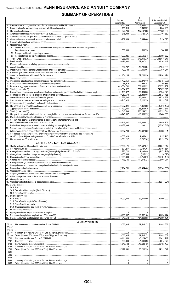# **SUMMARY OF OPERATIONS**

|                |                                                                                                                                | Current                     | 2<br>Prior                       | Prior Year Ended            |
|----------------|--------------------------------------------------------------------------------------------------------------------------------|-----------------------------|----------------------------------|-----------------------------|
| $\mathbf{1}$ . |                                                                                                                                | Year to Date<br>519,511,609 | Year to Date<br>547,331,922      | December 31<br>758,766,861  |
| 2.             |                                                                                                                                | 158.619                     |                                  | 1.648.236                   |
| 3.             |                                                                                                                                | 201,072,796                 |                                  | $\ldots$ 227,352,536        |
| 4.<br>5.       |                                                                                                                                |                             |                                  |                             |
| 6.             |                                                                                                                                |                             |                                  | 1.15, 194, 893              |
| 7.             |                                                                                                                                |                             |                                  |                             |
|                | 8. Miscellaneous Income:<br>8.1 Income from fees associated with investment management, administration and contract guarantees |                             |                                  |                             |
|                |                                                                                                                                |                             | 558,098 598,758                  | 784,277                     |
|                |                                                                                                                                |                             |                                  |                             |
|                |                                                                                                                                |                             |                                  | 1.11111.40,893,662          |
| 9.             |                                                                                                                                | 20,176,634                  | 29,327,533                       | 36,202,147                  |
|                |                                                                                                                                |                             |                                  |                             |
|                |                                                                                                                                |                             | 13,281,594                       | 17,240,399                  |
|                |                                                                                                                                |                             |                                  | 546,244                     |
|                |                                                                                                                                |                             |                                  | 101,982,494                 |
|                |                                                                                                                                |                             |                                  |                             |
|                |                                                                                                                                |                             |                                  |                             |
|                |                                                                                                                                |                             |                                  |                             |
|                |                                                                                                                                |                             | $\ldots$ 558,381,722             | 1.1747,627,015              |
|                |                                                                                                                                |                             | 39,364,850                       | 52,246,879                  |
|                |                                                                                                                                | 19,250,673                  | 25,848,668                       | 33.723.465                  |
|                |                                                                                                                                |                             | $\ldots$ 70,290,023              | $$ 92,734,258<br>11,333,017 |
| 25.            |                                                                                                                                |                             |                                  |                             |
|                |                                                                                                                                |                             |                                  |                             |
|                |                                                                                                                                |                             | $\ldots$ 57,192,641   65,206,530 | 84,512,547                  |
|                |                                                                                                                                |                             | 701,640,598 763,249,759          | 1016,559,044<br>18,486,303  |
|                |                                                                                                                                |                             |                                  |                             |
|                | 31. Net gain from operations after dividends to policyholders, refunds to members and                                          |                             |                                  |                             |
|                |                                                                                                                                |                             |                                  |                             |
|                | 33. Net gain from operations after dividends to policyholders, refunds to members and federal income taxes and                 |                             |                                  |                             |
|                |                                                                                                                                |                             |                                  |                             |
|                | 34. Net realized capital gains (losses) (excluding gains (losses) transferred to the IMR) less capital gains                   |                             |                                  |                             |
|                |                                                                                                                                |                             |                                  | 1, 157, 913                 |
|                |                                                                                                                                |                             | .(13,801,217)   (3,787,203).     | .40.191.564                 |
|                | <b>CAPITAL AND SURPLUS ACCOUNT</b>                                                                                             | $\ldots$ 472.586.121        |                                  |                             |
|                |                                                                                                                                |                             | 431,547,847   431,547,847        |                             |
|                |                                                                                                                                |                             |                                  |                             |
|                |                                                                                                                                |                             |                                  |                             |
|                |                                                                                                                                |                             |                                  |                             |
|                |                                                                                                                                |                             |                                  |                             |
|                |                                                                                                                                |                             |                                  |                             |
|                |                                                                                                                                |                             |                                  |                             |
|                |                                                                                                                                |                             |                                  |                             |
|                |                                                                                                                                |                             |                                  |                             |
|                |                                                                                                                                |                             |                                  |                             |
|                |                                                                                                                                |                             |                                  |                             |
|                | 50. Capital changes:                                                                                                           |                             |                                  |                             |
|                |                                                                                                                                |                             |                                  |                             |
|                |                                                                                                                                |                             |                                  |                             |
|                | 51. Surplus adjustment:                                                                                                        |                             |                                  |                             |
|                |                                                                                                                                |                             |                                  |                             |
|                |                                                                                                                                |                             |                                  |                             |
|                |                                                                                                                                |                             |                                  |                             |
|                |                                                                                                                                |                             |                                  |                             |
|                |                                                                                                                                |                             |                                  |                             |
|                |                                                                                                                                |                             |                                  |                             |
|                | <b>DETAILS OF WRITE-INS</b>                                                                                                    |                             |                                  |                             |
|                | 08.301.                                                                                                                        |                             | 33,033,325 29,505,273 40,893,662 |                             |
|                | 08.302.<br>08.303.                                                                                                             |                             |                                  |                             |
|                | 08.398.                                                                                                                        |                             |                                  |                             |
|                | 08.399.                                                                                                                        |                             |                                  |                             |
|                | 2701.                                                                                                                          |                             |                                  |                             |
|                | 2702.<br>2703.                                                                                                                 |                             |                                  |                             |
|                | 2798.                                                                                                                          |                             |                                  |                             |
|                | 2799.                                                                                                                          |                             |                                  |                             |
|                | 5301.<br>5302.                                                                                                                 |                             |                                  |                             |
|                | 5303.                                                                                                                          |                             |                                  |                             |
|                | 5398.                                                                                                                          |                             |                                  |                             |
|                | 5399.                                                                                                                          |                             |                                  |                             |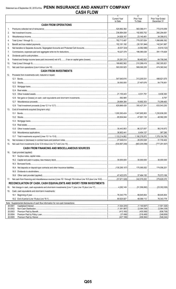|         |                                                                                    | $\mathbf{1}$<br><b>Current Year</b> | $\overline{2}$<br>Prior Year      | $\overline{3}$<br>Prior Year Ended |
|---------|------------------------------------------------------------------------------------|-------------------------------------|-----------------------------------|------------------------------------|
|         | <b>CASH FROM OPERATIONS</b>                                                        | to Date                             | To Date                           | December 31                        |
| 1.      |                                                                                    | 520,892,382                         | $\ldots$ 563,366,411              | 772.015.059                        |
| 2.      |                                                                                    | 236,894,938                         |                                   | $\ldots$ 260,294,691               |
| 3.      |                                                                                    |                                     | 23,140,461                        | 34,356,612                         |
| 4.      |                                                                                    |                                     | 1.1779,357,624                    | 1,066,666,362                      |
| 5.      |                                                                                    |                                     |                                   |                                    |
| 6.      |                                                                                    |                                     |                                   |                                    |
| 7.      |                                                                                    |                                     | 186,080,026                       | 391.175.929                        |
| 8.      |                                                                                    |                                     |                                   |                                    |
| 9.      |                                                                                    |                                     | $\ldots$ 58,462,923               | 64,706,048                         |
| 10.     |                                                                                    |                                     | 210,288,419                       |                                    |
| 11.     |                                                                                    |                                     | $\ldots$ 569,069,205              |                                    |
|         | <b>CASH FROM INVESTMENTS</b>                                                       |                                     |                                   |                                    |
| 12.     | Proceeds from investments sold, matured or repaid:                                 |                                     |                                   |                                    |
|         |                                                                                    |                                     |                                   | 498,821,675                        |
|         |                                                                                    |                                     | 27,497,676                        | 54,776,951                         |
|         | 12.3                                                                               |                                     |                                   |                                    |
|         |                                                                                    |                                     |                                   |                                    |
|         | 12.5                                                                               |                                     | 1, 4, 031, 791                    | 6,636,363                          |
|         | 12.6                                                                               |                                     |                                   | $\ldots$ 8,797                     |
|         | 12.7                                                                               |                                     | 10,692,303                        |                                    |
|         | 12.8                                                                               |                                     | $\ldots$ 355,427,301              | 633,543,250                        |
| 13.     | Cost of investments acquired (long-term only):                                     |                                     |                                   |                                    |
|         |                                                                                    |                                     | 1,047,695,953                     | 1, 230, 836, 283                   |
|         |                                                                                    | $\ldots$ 65,504,844                 | 47,901,135                        | 48,582,250                         |
|         | 13.3                                                                               |                                     |                                   |                                    |
|         | 13.4                                                                               |                                     |                                   |                                    |
|         | 13.5                                                                               |                                     | $\ldots$ 86.327.657               | 99,318,972                         |
|         | 13.6                                                                               |                                     | 3,454,127                         | 367,280                            |
|         | 13.7                                                                               |                                     | 1,190,378,872                     | 1,379,104,785                      |
| 14.     |                                                                                    |                                     | 28,253,528                        | $\ldots$ 31,730,402                |
| 15.     |                                                                                    |                                     |                                   |                                    |
|         |                                                                                    |                                     |                                   |                                    |
|         | <b>CASH FROM FINANCING AND MISCELLANEOUS SOURCES</b>                               |                                     |                                   |                                    |
| 16.     | Cash provided (applied):                                                           |                                     |                                   |                                    |
|         |                                                                                    |                                     |                                   |                                    |
|         |                                                                                    |                                     |                                   | $\ldots$ 30.000.000                |
|         | 16.3                                                                               |                                     |                                   |                                    |
|         | 16.4                                                                               |                                     |                                   | 174,056,201                        |
|         | 16.5                                                                               |                                     |                                   |                                    |
|         | 16.6                                                                               |                                     | 37,484,150                        | 75,573,169                         |
| 17.     |                                                                                    |                                     | 242,579,202                       | 279,629,370                        |
|         | RECONCILIATION OF CASH, CASH EQUIVALENTS AND SHORT-TERM INVESTMENTS                |                                     |                                   |                                    |
| 18.     |                                                                                    |                                     | (51,556,692)   (23,302,026)       |                                    |
| 19.     | Cash, cash equivalents and short-term investments:                                 |                                     |                                   |                                    |
|         | 19.1                                                                               |                                     | 99,645,804                        | 99,645,804                         |
|         |                                                                                    |                                     | 48,089,112                        | 76,343,778<br>.                    |
|         | Note: Supplemental disclosures of cash flow information for non-cash transactions: |                                     |                                   |                                    |
| 20.0001 | 20.0002                                                                            |                                     | (1, 140, 847)<br>(2,064,338)<br>. | (1,501,325)<br>(2,064,338)         |
| 20.0003 |                                                                                    |                                     |                                   | (836,738)                          |
| 20.0004 |                                                                                    |                                     | (218,406)                         | (248, 658)                         |
|         | 20.0005                                                                            | (427.188).                          | (406.064)                         | (546.244).                         |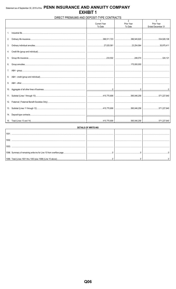#### DIRECT PREMIUMS AND DEPOSIT-TYPE CONTRACTS  $\overline{\phantom{a}}$  $\overline{3}$ Prior Year Prior Year Current Year To Date To Date Ended December 31 1. Industrial life.... 2. Ordinary life insurance. .388,511,723 .386,545,620 .534,928,108 3. Ordinary individual annuities. .27,025,581 ..23,254,564 ..35,975,411 4. Credit life (group and individual)... .233,502 .246,074 5. Group life insurance.... .324,121 175,000,000 6. Group annuities. 7. A&H - group.. 8. A&H - credit (group and individual)... 9. A&H - other...... 10. Aggregate of all other lines of business.  $\overline{\mathbf{0}}$  $\overline{\mathbf{0}}$  $\overline{0}$ 11. Subtotal (Lines 1 through 10).. .415,770,806 .585,046,258 .571,227,640 12. Fraternal (Fraternal Benefit Societies Only).. 13. Subtotal (Lines 11 through 12)... .415,770,806 .585,046,258 .571,227,640 14. Deposit-type contracts.. .415,770,806 .585,046,258 .571,227,640 15. Total (Lines 13 and 14).

|               | DETAILS OF WRITE-INS |  |
|---------------|----------------------|--|
| $100^{\circ}$ |                      |  |
| 1002          |                      |  |
| 100           |                      |  |
|               |                      |  |
|               |                      |  |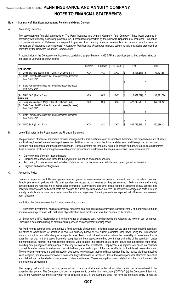#### **Note 1 – Summary of Significant Accounting Policies and Going Concern**

#### A. Accounting Practices

The accompanying financial statements of The Penn Insurance and Annuity Company ("the Company") have been prepared in conformity with statutory accounting practices (SAP) prescribed or permitted by the Delaware Department of Insurance. Insurance companies domiciled in Delaware are required to prepare their statutory financial statements in accordance with the National Association of Insurance Commissioners' *Accounting Practices and Procedures* manual, subject to any deviations prescribed or permitted by the Delaware Insurance Commissioner.

A reconciliation of the Company's net income and capital and surplus between NAIC SAP and practices prescribed and permitted by the State of Delaware is shown below:

|     |                                                                             | SSAP#      | F/S Page   | F/S Line # |    | 2019         |     | 2018        |
|-----|-----------------------------------------------------------------------------|------------|------------|------------|----|--------------|-----|-------------|
|     | <b>INET INCOME</b>                                                          |            |            |            |    |              |     |             |
| (1) | Company state basis (Page 4, Line 35, Columns 1 & 3)                        | XXX.       | <b>XXX</b> | <b>XXX</b> | S  | (13,801,217) | ß.  | 40,191,564  |
| (2) | State Prescribed Practices that are an increase/(decrease)<br>from NAIC SAP |            |            |            |    |              |     |             |
|     |                                                                             |            |            |            | \$ |              | \$  |             |
| (3) | State Permitted Practices that are an increase/(decrease)<br>from NAIC SAP  |            |            |            |    |              |     |             |
|     |                                                                             |            |            |            |    |              |     |             |
| (4) | NAIC SAP $(1 – 2 – 3 = 4)$                                                  | XXX        | <b>XXX</b> | <b>XXX</b> |    | (13,801,217) | I\$ | 40,191,564  |
|     | <b>ISURPLUS</b>                                                             |            |            |            |    |              |     |             |
| (5) | Company sate basis (Page 3, line 38, Columns 1 & 2)                         | <b>XXX</b> | <b>XXX</b> | <b>XXX</b> | \$ | 527,749,518  | \$  | 472,586,121 |
| (6) | State Prescribed Practices that are an increase/(decrease)<br>from NAIC SAP |            |            |            |    |              |     |             |
|     |                                                                             |            |            |            | \$ |              | \$  |             |
| (7) | State Permitted Practices that are an increase/(decrease)<br>from NAIC SAP  |            |            |            |    |              |     |             |
|     |                                                                             |            |            |            | \$ |              | \$  |             |
| (8) | NAIC SAP $(5 - 6 - 7 = 8)$                                                  | XXX.       | XXX        | XXX        |    | 527,749,518  | S   | 472,586,121 |

#### B. Use of Estimates in the Preparation of the Financial Statement

The preparation of financial statements requires management to make estimates and assumptions that impact the reported amounts of assets and liabilities, the disclosure of contingent assets and liabilities as of the date of the financial statements, and the reported amounts of revenues and expenses during the reporting periods. Those estimates are inherently subject to change and actual results could differ from those estimates. Included among the material reported amounts and disclosures that requires extensive use of estimates are:

- Carrying value of certain invested assets
- Liabilities for reserves and funds for the payment of insurance and annuity benefits
- Accounting for income taxes and valuation of deferred income tax assets and liabilities and unrecognized tax benefits
- Litigation and other contingencies

#### C. Accounting Policy

Premiums on products with life contingencies are recognized as revenue over the premium payment period of the related policies. Annuity premium on policies with life contingencies are recognized as revenue as they are received. Both premium and annuity considerations are recorded net of reinsurance premiums. Commissions and other costs related to issuance of new policies, and policy maintenance and settlement costs are charged to current operations when incurred. Surrender fee charges on certain life and annuity products are recorded as a reduction of benefits and expenses. Benefit payments are reported net of the amounts received from reinsurers.

In addition, the Company uses the following accounting policies:

(1) Short-term investments, which are carried at amortized cost and approximate fair value, consist primarily of money market funds and investments purchased with maturities of greater than three months and less than or equal to 12 months.

(2) Bonds with a NAIC designation of 1 to 5 are valued at amortized cost. All other bonds are valued at the lower of cost or market. Fair value is determined using an external pricing service or management's pricing model.

For fixed income securities that do not have a fixed schedule of payments, including asset-backed and mortgage-backed securities, the effect on amortization or accretion is revalued quarterly based on the current estimated cash flows, using the retrospective method, except for favorable changes in expected cash flows for structured securities where the possibility of non-interest loss is other than remote. In these cases, income is recognized on the prospective method over the remaining life of the securities. Under the retrospective method, the recalculated effective yield equates the present value of the actual and anticipated cash flows, including new prepayment assumptions, to the original cost of the investment. Prepayment assumptions are based on borrower constraints and economic incentives such as original term, age, and coupon of the loan as affected by the interest rate environment. The current carrying value is then increased or decreased to the amount that would have resulted had the revised yield been applied since inception, and investment income is correspondingly decreased or increased. Cash flow assumptions for structured securities are obtained from broker dealer survey values or internal estimates. These assumptions are consistent with the current interest rate and economic environment.

The carrying values of fixed income, preferred and common stocks are written down when a decline is considered to be other-than-temporary. The Company considers an impairment to be other than temporary ("OTTI") if: (a) the Company's intent is to sell, (b) the Company will more likely than not be required to sell, (c) the Company does not have the intent and ability to hold the

### **Q07**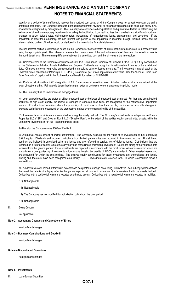security for a period of time sufficient to recover the amortized cost basis, or (d) the Company does not expect to recover the entire amortized cost basis. The Company conducts a periodic management review of all securities with a market to book ratio below 80%, or otherwise designated by management. The Company also considers other qualitative and quantitative factors in determining the existence of other-than-temporary impairments including, but not limited to, unrealized loss trend analysis and significant short-term changes in value, default rates, delinquency rates, percentage of nonperforming loans, prepayments, and severities. If the impairment is other-than-temporary, the non-interest loss portion of the impairment is recorded through realized losses and the interest related portion of the loss would be disclosed in the notes to the financial statements.

The non-interest portion is determined based on the Company's "best estimate" of future cash flows discounted to a present value using the appropriate yield. The difference between the present value of the best estimate of cash flows and the amortized cost is the non-interest loss. The remaining difference between the amortized cost and the fair value is the interest loss.

(3) Common Stock of the Company's insurance affiliate, PIA Reinsurance Company of Delaware I ("PIA Re I") is fully nonadmitted on the Statement of Admitted Assets, Liabilities, and Surplus. Dividends are recognized in net investment income on the ex-dividend date. Changes in the carrying value are recognized in unrealized gains or losses in surplus. The investment in capital stock of the Federal Home Loan Bank of Pittsburgh (FHLB-PGH) is carried at par, which approximates fair value. See the "Federal Home Loan Bank Borrowings" caption within this footnote for additional information on FHLB-PGH.

(4) Preferred stocks with a NAIC designation of 1 to 3 are valued at amortized cost. All other preferred stocks are valued at the lower of cost or market. Fair value is determined using an external pricing service or management's pricing model

(5) The Company has no investments in mortgage loans.

(6) Loan-backed securities are stated at either amortized cost or the lower of amortized cost or market. For loan and asset-backed securities of high credit quality, the impact of changes in expected cash flows are recognized on the retrospective adjustment method. For structured securities where the possibility of credit loss is other than remote, the impact of favorable changes in expected cash flows are recognized on the prospective method over the remaining life of the securities.

(7) Investments in subsidiaries are accounted for using the equity method. The Company's investments in Independence Square Properties LLC ("ISP") and Dresher Run I, LLC ("Dresher Run"), to the extent of the audited equity, are admitted assets, while the Company's investment in PIA Re I is a nonadmitted asset.

Additionally, the Company owns 100% of PIA Re I.

(8) Alternative Assets consist of limited partnerships. The Company accounts for the value of its investments at their underlying GAAP equity. Dividends and income distributions from limited partnerships are recorded in investment income. Undistributed earnings are included in unrealized gains and losses and are reflected in surplus, net of deferred taxes. Distributions that are recorded as a return of capital reduce the carrying value of the limited partnership investment. Due to the timing of the valuation data received from the general partner, these investments are reported in accordance with the most recent valuations received which are primarily on a one quarter lag. Investments in low income housing tax credits ("LIHTC") are included in Other Invested Assets and are accounted for under the cost method. The delayed equity contributions for these investments are unconditional and legally binding and, therefore, have been recognized as a liability. LIHTC investments are reviewed for OTTI, which is accounted for as a realized loss.

(9) All derivatives are carried at fair value except those designated as hedge accounting. Derivatives used in hedging transactions that meet the criteria of a highly effective hedge are reported at cost or in a manner that is consistent with the assets hedged. Derivatives with a positive fair value are reported as admitted assets. Derivatives with a negative fair value are reported in liabilities**.**

- (10) Not applicable
- (11) Not applicable
- (12) The Company has not modified its capitalization policy from the prior period.
- (13) Not applicable
- D. Going Concern

Not applicable

#### **Note 2 – Accounting Changes and Corrections of Errors**

No significant changes

#### **Note 3 – Business Combinations and Goodwill**

No significant changes

#### **Note 4 – Discontinued Operations**

No significant changes

#### **Note 5 – Investments**

D. Loan-Backed Securities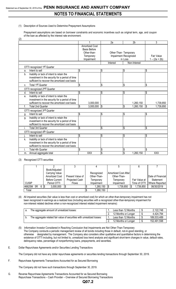(1) Description of Sources Used to Determine Prepayment Assumptions

 $(2)$ 

Prepayment assumptions are based on borrower constraints and economic incentives such as original term, age, and coupon of the loan as affected by the interest rate environment.

| (4)                                             |                          |                       |                       |                 |
|-------------------------------------------------|--------------------------|-----------------------|-----------------------|-----------------|
|                                                 |                          | 2a                    | 2 <sub>b</sub>        | 3               |
|                                                 | <b>Amortized Cost</b>    |                       |                       |                 |
|                                                 | <b>Basis Before</b>      |                       |                       |                 |
|                                                 | Other-than-              | Other-Than- Temporary |                       |                 |
|                                                 | Temporary                |                       | Impairment Recognized | Fair Value      |
|                                                 | Impairment               |                       | in Loss               | $1 - (2a + 2b)$ |
|                                                 |                          | Interest              | Non-Interest          |                 |
| OTTI recognized 1st Quarter                     |                          |                       |                       |                 |
| Intent to sell<br>a.                            | \$                       | S                     | \$                    | \$              |
| Inability or lack of intent to retain the<br>b. |                          |                       |                       |                 |
| investment in the security for a period of time |                          |                       |                       |                 |
| sufficient to recover the amortized cost basis  |                          |                       |                       |                 |
| Total 1st Quarter<br>C.                         | \$                       | \$                    | \$                    | \$              |
| OTTI recognized 2nd Quarter                     |                          |                       |                       |                 |
| Intent to sell<br>d.                            | \$                       | \$                    | \$                    | \$              |
| Inability or lack of intent to retain the<br>е. |                          |                       |                       |                 |
| investment in the security for a period of time |                          |                       |                       |                 |
| sufficient to recover the amortized cost basis  | 3,000,000                |                       | 1,260,150             | 1,739,850       |
| <b>Total 2nd Quarter</b><br>f.                  | \$<br>3,000,000          | $\sqrt{3}$            | \$<br>1,260,150       | \$<br>1,739,850 |
| OTTI recognized 3rd Quarter                     |                          |                       |                       |                 |
| Intent to sell<br>g.                            | \$                       | \$                    | \$                    | \$              |
| Inability or lack of intent to retain the<br>g. |                          |                       |                       |                 |
| investment in the security for a period of time |                          |                       |                       |                 |
| sufficient to recover the amortized cost basis  |                          |                       |                       |                 |
| <b>Total 3rd Quarter</b>                        | $\overline{\mathcal{S}}$ | \$                    | \$                    | \$              |
| OTTI recognized 4th Quarter                     |                          |                       |                       |                 |
| Intent to sell                                  | \$                       | \$                    | \$                    | \$              |
| Inability or lack of intent to retain the<br>k. |                          |                       |                       |                 |
| investment in the security for a period of time |                          |                       |                       |                 |
| sufficient to recover the amortized cost basis  |                          |                       |                       |                 |
| <b>Total 4th Quarter</b>                        | \$                       | \$                    | \$                    | \$              |
| Annual aggregate total<br>m.                    | <b>XXX</b>               | \$                    | \$<br>1,260,150       | XXX             |

#### (3) Recognized OTTI securities

|              |      | Book/Adjusted         |                  |             |                      |               |                   |
|--------------|------|-----------------------|------------------|-------------|----------------------|---------------|-------------------|
|              |      | Carrying Value        |                  | Recognized  | Amortized Cost After |               |                   |
|              |      | <b>Amortized Cost</b> | Present Value of | Other-Than- | Other-Than-          |               | Date of Financial |
|              |      | <b>Before Current</b> | Projected Cash   | Temporary   | Temporary            | Fair Value at | Statement         |
| <b>CUSIP</b> |      | Period OTTI           | <b>Flows</b>     | Impairment  | Impairment           | Time of OTTI  | Where Reported    |
| 46625M 5R    | 6 \$ | 3,000,000             |                  | 1,260,150   | 1,739,850            | 1,739,850     | 06/30/2019        |
| Total        |      |                       |                  | 1,260,150   |                      |               |                   |

(4) All impaired securities (fair value is less than cost or amortized cost) for which an other-than-temporary impairment has not been recognized in earnings as a realized loss (including securities with a recognized other-than-temporary impairment for non-interest related declines when a non-recognized interest related impairment remains):

| The aggregate amount of unrealized losses:                             | Less than 12 Months | 2,122,748   |
|------------------------------------------------------------------------|---------------------|-------------|
|                                                                        | 12 Months or Longer | 4,424,794   |
| The aggregate related fair value of securities with unrealized losses: | Less than 12 Months | 189,533,489 |
|                                                                        | 12 Months or Longer | 152,491,598 |

- (5) Information Investor Considered in Reaching Conclusion that Impairments are Not Other-Than-Temporary The Company conducts a periodic management review of all bonds including those in default, not-in-good standing, or otherwise designated by management. The Company also considers other qualitative and quantitative factors in determining the existence of OTTI including, but not limited to, unrealized loss trend analysis and significant short-term changes in value, default rates, delinquency rates, percentage of nonperforming loans, prepayments, and severities.
- E. Dollar Repurchase Agreements and/or Securities Lending Transactions

The Company did not have any dollar repurchase agreements or securities lending transactions through September 30, 2019.

F. Repurchase Agreements Transactions Accounted for as Secured Borrowing

The Company did not have such transactions through September 30, 2019.

G. Reverse Repurchase Agreements Transactions Accounted for as Secured Borrowing Repurchase Transactions – Cash Provider – Overview of Secured Borrowing Transactions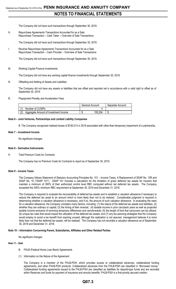The Company did not have such transactions through September 30, 2019.

H. Repurchase Agreements Transactions Accounted for as a Sale Repurchase Transaction – Cash Taker – Overview of Sale Transactions

The Company did not have such transactions through September 30, 2019.

I. Reverse Repurchase Agreements Transactions Accounted for as a Sale Repurchase Transaction – Cash Provider – Overview of Sale Transactions

The Company did not have such transactions through September 30, 2019.

M. Working Capital Finance Investments

The Company did not have any working capital finance investments through September 30, 2019.

#### N. Offsetting and Netting of Assets and Liabilities

The Company did not have any assets or liabilities that are offset and reported net in accordance with a valid right to offset as of September 30, 2019.

#### R. Prepayment Penalty and Acceleration Fees

|                                              | General Account | Separate Account |
|----------------------------------------------|-----------------|------------------|
| Number of CUSIPs                             |                 |                  |
| (2)<br>Aggregate Amount of Investment Income | 155,204<br>κIJ  |                  |

#### **Note 6 – Joint Ventures, Partnerships and Limited Liability Companies**

B. The Company recognized realized losses of \$740,013 in 2019 associated with other-than-temporary impairment of a partnership.

#### **Note 7 – Investment Income**

No significant changes

#### **Note 8 – Derivative Instruments**

H. Total Premium Costs for Contracts

The Company has no Premium Costs for Contracts to report as of September 30, 2019.

#### **Note 9 – Income Taxes**

The Company follows Statement of Statutory Accounting Principles No. 101 – Income Taxes, A Replacement of SSAP No. 10R and SSAP No. 10 ("SSAP 101"). SSAP 101 includes a calculation for the limitation of gross deferred tax assets for insurers that maintain a minimum of 300% of their authorized control level RBC computed without net deferred tax assets. The Company exceeded the 300% minimum RBC requirement at September 30, 2019 and December 31, 2018.

The Company is required to evaluate the recoverability of deferred tax assets and to establish a valuation allowance if necessary to reduce the deferred tax asset to an amount which is more likely than not to be realized. Considerable judgment is required in determining whether a valuation allowance is necessary, and if so, the amount of such valuation allowance. In evaluating the need for a valuation allowance, the Company considers many factors, including: (1) the nature of the deferred tax assets and liabilities; (2) whether they are ordinary or capital; (3) the timing of their reversal; (4) taxable income in prior carryback years as well as projected taxable income exclusive of reversing temporary differences and carryforwards; (5) the length of time that carryovers can be utilized; (6) unique tax rules that would impact the utilization of the deferred tax assets; and (7) any tax planning strategies that the Company would employ to avoid a tax benefit from expiring unused; although the realization is not assured, management believes it is more likely than not that the deferred tax assets, will be realized. The Company has not recorded a valuation allowance as of September 30, 2019 and December 31, 2018.

#### **Note 10 – Information Concerning Parent, Subsidiaries, Affiliates and Other Related Parties**

No significant changes

#### **Note 11 – Debt**

- B. FHLB (Federal Home Loan Bank) Agreements
- (1) Information on the Nature of the Agreement

The Company is a member of the FHLB-PGH, which provides access to collateralized advances, collateralized funding agreements, and other FHLB-PGH products. Collateralized advances from the FHLB-PGH are classified in "Borrowed money." Collateralized funding agreements issued to the FHLB-PGH are classified as liabilities for deposit-type funds and are recorded within Reserves and funds for payment of insurance and annuity benefits. FHLB-PGH is a first-priority secured creditor.

# **Q07.3**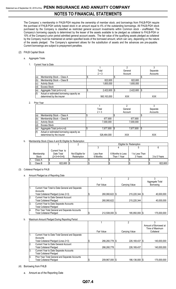The Company' s membership in FHLB-PGH requires the ownership of member stock, and borrowings from FHLB-PGH require the purchase of FHLB-PGH activity based stock in an amount equal to 4% of the outstanding borrowings. All FHLB-PGH stock purchased by the Company is classified as restricted general account investments within Common stock - unaffiliated. The Company's borrowing capacity is determined by the lesser of the assets available to be pledged as collateral to FHLB-PGH or 10% of the Company's prior period admitted general account assets. The fair value of the qualifying assets pledged as collateral by the Company must be maintained at certain specified levels of the borrowed amount, which can vary, depending on the nature of the assets pledged. The Company's agreement allows for the substitution of assets and the advances are pre-payable. Current borrowings are subject to prepayment penalties.

#### (2) FHLB Capital Stock

- a. Aggregate Totals
	- 1. Current Year to Date

|     |                                           | Total       | General          | Separate |
|-----|-------------------------------------------|-------------|------------------|----------|
|     |                                           | $2 + 3$     | Account          | Accounts |
| (a) | Membership Stock - Class A                |             |                  |          |
| (b) | Membership Stock - Class B                | 822,600     | 822.600          |          |
| (c) | <b>Activity Stock</b>                     | 1,600,000   | 1,600,000        |          |
|     | Excess Stock                              |             |                  |          |
| (e) | Aggregate Total (a+b+c+d)                 | 2,422,600   | 2,422,600<br>I S | -15      |
| (f) | Actual or estimated borrowing capacity as |             |                  |          |
|     | determined by the insurer                 | 560,163,000 | <b>XXX</b>       | XXX      |

2. Prior Year

|     |                                           | Total        | General    | Separate   |
|-----|-------------------------------------------|--------------|------------|------------|
|     |                                           | $2 + 3$      | Account    | Accounts   |
| (a) | Membership Stock - Class A                |              |            |            |
| (b) | Membership Stock - Class B                | 677,800      | 677,800    |            |
| (c) | <b>Activity Stock</b>                     | 7,000,000    | 7,000,000  |            |
| (d) | Excess Stock                              |              |            |            |
| (e) | Aggregate Total (a+b+c+d)                 | 7,677,800 \$ | 7,677,800  |            |
| (f) | Actual or estimated borrowing capacity as |              |            |            |
|     | determined by the insurer                 | 526,464,000  | <b>XXX</b> | <b>XXX</b> |

b. Membership Stock (Class A and B) Eligible for Redemption

|    |            |                 |                  |           | Eligible for Redemption |                  |                |  |              |  |  |  |
|----|------------|-----------------|------------------|-----------|-------------------------|------------------|----------------|--|--------------|--|--|--|
|    |            |                 |                  |           |                         |                  |                |  |              |  |  |  |
|    |            | Current Year to |                  |           |                         |                  |                |  |              |  |  |  |
|    | Membership | Date Total      | Not Eligible for | Less than |                         | 6 Months to Less | 1 to Less Than |  |              |  |  |  |
|    | Stock      | (2+3+4+5+6)     | Redemption       | 6 Months  |                         | Than 1 Year      | 3 Years        |  | 3 to 5 Years |  |  |  |
|    | Class A    |                 |                  |           |                         |                  |                |  |              |  |  |  |
| 2. | Class B    | 822,600 \$      |                  |           |                         |                  |                |  | 822.600      |  |  |  |

- (3) Collateral Pledged to FHLB
	- a. Amount Pledged as of Reporting Date

|                |                                                 |                |                  | Aggregate Total |
|----------------|-------------------------------------------------|----------------|------------------|-----------------|
|                |                                                 | Fair Value     | Carrying Value   | Borrowing       |
|                | Current Year Total to Date General and Separate |                |                  |                 |
|                | Accounts                                        |                |                  |                 |
|                | Total Collateral Pledged (Lines 2+3)            | 260,060,622 \$ | 215,220,344   \$ | 40,000,000      |
| <sup>2</sup> . | Current Year to Date General Account            |                |                  |                 |
|                | <b>Total Collateral Pledged</b>                 | 260,060,622    | 215,220,344      | 40,000,000      |
| ΙЗ.            | <b>Current Year to Date Separate Accounts</b>   |                |                  |                 |
|                | <b>Total Collateral Pledged</b>                 |                |                  |                 |
| Ι4.            | Prior Year Total General and Separate Accounts  |                |                  |                 |
|                | <b>Total Collateral Pledged</b>                 | 212,508,000 \$ | 185,950,000   \$ | 175,000,000     |

b. Maximum Amount Pledged During Reporting Period

|    |                                                                                   |                |                    | Amount of Borrowed at |
|----|-----------------------------------------------------------------------------------|----------------|--------------------|-----------------------|
|    |                                                                                   |                |                    | Time of Maximum       |
|    |                                                                                   | Fair Value     | Carrying Value     | Collateral            |
|    | Current Year to Date Total General and Separate<br>Accounts                       |                |                    |                       |
|    | Total Collateral Pledged (Lines 2+3)                                              | 266,260,778 \$ | 226, 169, 437   \$ | 140,000,000           |
| 2. | Current Year to Date General Account<br><b>Total Collateral Pledged</b>           | 266,260,778    | 226, 169, 437      | 140,000,000           |
| 3. | Current Year to Date Separate Accounts<br><b>Total Collateral Pledged</b>         |                |                    |                       |
| 4. | Prior Year Total General and Separate Accounts<br><b>Total Collateral Pledged</b> | 209,967,000 \$ | 186,136,000   \$   | 175,000,000           |

- (4) Borrowing from FHLB
	- a. Amount as of the Reporting Date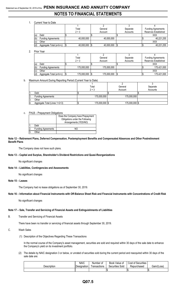# Statement as of September 30, 2019 of the **PENN INSURANCE AND ANNUITY COMPANY NOTES TO FINANCIAL STATEMENTS**

#### 1. Current Year to Date

|     |                           | Total           | General    | Separate | <b>Funding Agreements</b> |
|-----|---------------------------|-----------------|------------|----------|---------------------------|
|     |                           | $2 + 3$         | Account    | Accounts | Reserves Established      |
|     | Debt                      |                 |            |          | XXX                       |
| (b) | <b>Funding Agreements</b> | 40,000,000      | 40,000,000 |          | 40,221,255                |
|     | Other                     |                 |            |          | XXX                       |
| (d) | Aggregate Total (a+b+c)   | 40,000,000   \$ | 40,000,000 |          | 40,221,255                |

2. Prior Year

|     |                           | Total                 | General     | Separate | <b>Funding Agreements</b> |  |  |
|-----|---------------------------|-----------------------|-------------|----------|---------------------------|--|--|
|     |                           | $2 + 3$               | Account     | Accounts | Reserves Established      |  |  |
| (a  | Debt                      |                       |             |          | XXX                       |  |  |
| (b) | <b>Funding Agreements</b> | 175,000,000           | 175,000,000 |          | 175,421,000               |  |  |
| (c) | Other                     |                       |             |          | XXX                       |  |  |
| (d) | Aggregate Total (a+b+c)   | 175,000,000 \$<br>1\$ | 175,000,000 |          | 175,421,000               |  |  |

#### b. Maximum Amount During Reporting Period (Current Year to Date)

|      |                               | Total          | General        | Separate |
|------|-------------------------------|----------------|----------------|----------|
|      |                               | $2 + 3$        | Account        | Accounts |
|      | Debt                          |                |                |          |
| 12.  | <b>Funding Agreements</b>     | 175.000.000    | 175,000,000    |          |
| IJ.  | Other                         |                |                |          |
| -14. | Aggregate Total (Lines 1+2+3) | 175,000,000 \$ | 175,000,000 \$ |          |

#### c. FHLB – Prepayment Obligations

|    |                           | Does the Company have Prepayment<br>Obligations under the Following<br>Arrangements (YES/NO) |
|----|---------------------------|----------------------------------------------------------------------------------------------|
|    | Debt                      |                                                                                              |
| 2. | <b>Funding Agreements</b> |                                                                                              |
| Β. | Other                     |                                                                                              |

#### **Note 12 – Retirement Plans, Deferred Compensation, Postemployment Benefits and Compensated Absences and Other Postretirement Benefit Plans**

The Company does not have such plans.

#### **Note 13 – Capital and Surplus, Shareholder's Dividend Restrictions and Quasi-Reorganizations**

No significant changes

#### **Note 14 – Liabilities, Contingencies and Assessments**

No significant changes

#### **Note 15 – Leases**

The Company had no lease obligations as of September 30, 2019.

#### **Note 16 – Information about Financial Instruments with Off-Balance Sheet Risk and Financial Instruments with Concentrations of Credit Risk**

No significant changes

#### **Note 17 – Sale, Transfer and Servicing of Financial Assets and Extinguishments of Liabilities**

B. Transfer and Servicing of Financial Assets

There have been no transfer or servicing of financial assets through September 30, 2019.

- C. Wash Sales
	- (1) Description of the Objectives Regarding These Transactions

In the normal course of the Company's asset management, securities are sold and required within 30 days of the sale date to enhance the Company's yield on its investment portfolio.

(2) The details by NAIC designation 3 or below, or unrated of securities sold during the current period and reacquired within 30 days of the sale date are:

|             | <b>NAIC</b> | Number of   | Book Value of      | <b>Cost of Securities</b> |             |
|-------------|-------------|-------------|--------------------|---------------------------|-------------|
| Description | Designation | ransactions | Sold<br>Securities | Repurchased               | Gain/(Loss) |
|             |             |             |                    |                           | ۰D          |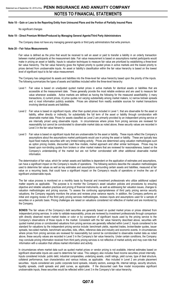#### **Note 18 – Gain or Loss to the Reporting Entity from Uninsured Plans and the Portion of Partially Insured Plans**

No significant changes

#### **Note 19 – Direct Premium Written/Produced by Managing General Agents/Third Party Administrators**

The Company does not have any managing general agents or third party administrators that write premium.

#### **Note 20 – Fair Value Measurements**

Fair value is defined as the price that would be received to sell an asset or paid to transfer a liability in an orderly transaction between market participants at the measurement date. Fair value measurement is based on assumptions market participants would make in pricing an asset or liability. Inputs to valuation techniques to measure fair value are prioritized by establishing a three-level fair value hierarchy. The fair value hierarchy gives the highest priority to quoted prices in active markets and the lowest priority to prices derived from unobservable inputs. An asset or liability's classification within the fair value hierarchy is based on the lowest level of significant input to its fair value measurement.

The Company has categorized its assets and liabilities into the three-level fair value hierarchy based upon the priority of the inputs. The following summarizes the types of assets and liabilities included within the three-level hierarchy:

- Level 1 Fair value is based on unadjusted quoted market prices in active markets for identical assets or liabilities that are accessible at the measurement date. These generally provide the most reliable evidence and are used to measure fair value whenever available. Active markets are defined as having the following for the measured asset/liability: i) many transactions, ii) current prices, iii) price quotes not varying substantially among market makers, iv) narrow bid/ask spreads and v) most information publicly available. Prices are obtained from readily available sources for market transactions involving identical assets and liabilities.
- Level 2 Fair value is based on significant inputs, other than quoted prices included in Level 1, that are observable for the asset or liability, either directly or indirectly, for substantially the full term of the asset or liability through corroboration with observable market data. Prices for assets classified as Level 2 are primarily provided by an independent pricing service or are internally priced using observable inputs. In circumstances where prices from pricing services are reviewed for reasonability but cannot be corroborated to observable market data as noted above, these security values are recorded in Level 3 in the fair value hierarchy.
- Level 3 Fair value is based on significant inputs that are unobservable for the asset or liability. These inputs reflect the Company's assumptions about the assumptions market participants would use in pricing the asset or liability. These are typically less liquid fixed maturity securities with very limited trading activity. Prices are determined using valuation methodologies such as option pricing models, discounted cash flow models, market approach and other similar techniques. Prices may be based upon non-binding quotes from brokers or other market makers that are reviewed for reasonableness, based on the Company's understanding of the market but are not further corroborated with other additional observable market information.

The determination of fair value, which for certain assets and liabilities is dependent on the application of estimates and assumptions, can have a significant impact on the Company's results of operations. The following sections describe the valuation methodologies used to determine fair values as well as key estimates and assumptions surrounding certain assets and liabilities, measured at fair value on a recurring basis, that could have a significant impact on the Company's results of operations or involve the use of significant unobservable inputs.

The fair value process is monitored on a monthly basis by financial and investment professionals who utilize additional subject matter experts as applicable. The purpose is to monitor the Company's asset valuation policies and procedures by ensuring objective and reliable valuation practices and pricing of financial instruments, as well as addressing fair valuation issues, changes to valuation methodologies and pricing sources. To assess the continuing appropriateness of third party pricing service security valuations, the Company regularly monitors the prices and reviews price variance reports. In addition, the Company performs an initial and ongoing review of the third party pricing services methodologies, reviews inputs and assumptions used for a sample of securities on a periodic basis. Pricing challenges are raised on valuations considered not reflective of market and are monitored by the Company.

**BONDS** The fair values of the Company's debt securities are generally based on quoted market prices or prices obtained from independent pricing services. In order to validate reasonability, prices are reviewed by investment professionals through comparison with directly observed recent market trades or color or by comparison of significant inputs used by the pricing service to the Company's observations of those inputs in the market. Consistent with the fair value hierarchy described above, securities with quoted market prices or corroborated valuations from pricing services are generally reflected within Level 2. Inputs considered to be standard for valuations by the independent pricing service include: benchmark yields, reported trades, broker/dealer quotes, issuer spreads, two-sided markets, benchmark securities, bids, offers, reference data and industry and economic events. In circumstances where prices from pricing services are reviewed for reasonability but cannot be corroborated to observable market data as noted above, these security values are recorded in Level 3 in the Company's fair value hierarchy. Under certain conditions, the Company may conclude pricing information received from third party pricing services is not reflective of market activity and may over-ride that information with a valuation that utilizes market information and activity.

In circumstances where market data such as quoted market prices or vendor pricing is not available, internal estimates based on significant observable inputs are used to determine fair value. This category also includes fixed income securities priced internally. Inputs considered include: public debt, industrial comparables, underlying assets, credit ratings, yield curves, type of deal structure, collateral performance, loan characteristics and various indices, as applicable. Also included in Level 2 are private placement securities. Inputs considered are: public corporate bond spreads, industry sectors, average life, internal ratings, security structure, liquidity spreads, credit spreads and yield curves, as applicable. If the discounted cash flow model incorporates significant unobservable inputs, these securities would be reflected within Level 3 in the Company's fair value hierarchy.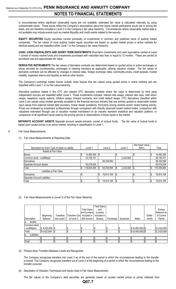In circumstances where significant observable inputs are not available, estimated fair value is calculated internally by using unobservable inputs. These inputs reflect the Company's assumptions about the inputs market participants would use in pricing the asset, and are therefore included in Level 3 in the Company's fair value hierarchy. Circumstances where observable market data is not available may include events such as market illiquidity and credit events related to the security.

**EQUITY SECURITIES** Equity securities consist principally of investments in common and preferred stock of publicly traded companies. The fair values of most publicly traded equity securities are based on quoted market prices in active markets for identical assets and are classified within Level 1 in the Company's fair value hierarchy.

**CASH, CASH EQUIVALENTS AND SHORT-TERM INVESTMENTS** Short-term investments and cash equivalents carried at Level 1 consist of money market funds and investments purchased with maturities less than or equal to 12 months. These are carried at amortized cost and approximate fair value.

**DERIVATIVE INSTRUMENTS** The fair values of derivative contracts are determined based on quoted prices in active exchanges or prices provided by counterparties, exchanges or clearing members as applicable, utilizing valuation models. The fair values of derivative contracts can be affected by changes in interest rates, foreign exchange rates, commodity prices, credit spreads, market volatility, expected returns and liquidity as well as other factors.

The Company's exchange traded futures include index futures that are valued using quoted prices in active markets and are classified within Level 1 in our fair value hierarchy.

Derivative positions traded in the OTC and cleared OTC derivative markets where fair value is determined by third party independent sources are classified within Level 2. These investments included: interest rate swaps, interest rate caps, total return swaps, swaptions, equity options, inflation swaps, forward contracts, and credit default swaps. OTC derivatives classified within Level 2 are valued using models generally accepted in the financial services industry that use actively quoted or observable market input values from external market data providers, broker dealer quotations, third-party pricing vendors and/or recent trading activity. Prices are reviewed by investment professionals through comparison with directly observed recent market trades, comparison with valuations estimated through use of valuation models maintained on an industry standard analytical and valuation platform, or comparison of all significant inputs used by the pricing service to observations of those inputs in the market.

**SEPARATE ACCOUNT ASSETS** Separate account assets primarily consist of mutual funds. The fair value of mutual funds is based upon quoted prices in an active market, resulting in classification in Level 1.

- A. Fair Value Measurements
	- (1) Fair Value Measurements at Reporting Date

|                                                 |    |             |    |            |    |           | Net Asset Value |     |             |
|-------------------------------------------------|----|-------------|----|------------|----|-----------|-----------------|-----|-------------|
| Description for Each Type of Asset or Liability |    | Level 1     |    | Level 2    |    | Level 3   | (NAV)           |     | Total       |
| Assets at Fair Value                            |    |             |    |            |    |           |                 |     |             |
| <b>Bonds</b>                                    | S  | 14,490,300  | \$ |            |    |           |                 | l\$ | 14,490,300  |
| Common stock - unaffiliated                     |    | 53,726,151  |    |            |    | 2,422,600 |                 |     | 56,148,751  |
| Derivatives                                     |    |             |    | 58,338,599 |    |           |                 |     | 58,338,599  |
| Separate Account Assets                         |    | 50,418,034  |    |            |    |           |                 |     | 50,418,034  |
| Total                                           | \$ | 118,634,485 | \$ | 58,338,599 | Ŝ. | 2,422,600 | l\$             | \$  | 179,395,684 |
| Liabilities at Fair Value                       |    |             |    |            |    |           |                 |     |             |
| Derivatives                                     | C  |             | S  | 19,814,169 | \$ |           |                 | l\$ | 19,814,169  |
| Separate Account Liabilities                    |    |             |    |            |    |           |                 |     |             |
| Total                                           | \$ |             | \$ | 19,814,169 | \$ |           |                 | l\$ | 19,814,169  |

(2) Fair Value Measurements in (Level 3) of the Fair Value Hierarchy

|                    |                  |                  |               |                    | <b>Total Gains</b> |           |                  |                    |         |             |
|--------------------|------------------|------------------|---------------|--------------------|--------------------|-----------|------------------|--------------------|---------|-------------|
|                    |                  |                  |               | <b>Total Gains</b> | and                |           |                  |                    |         | Ending      |
|                    |                  |                  |               | and (Losses)       | (Losses)           |           |                  |                    |         | Balance as  |
|                    | Beginning        | <b>Transfers</b> | Transfers Out | Included in        | Included in        |           |                  |                    | Settle- | of Current  |
| Description        | Balance          | Into Level 3     | of Level 3    | Net Income         | Surplus            | Purchases | <b>Issuances</b> | Sales              | ments   | Period      |
| Assets<br>la.      |                  |                  |               |                    |                    |           |                  |                    |         |             |
| Common stock       |                  |                  |               |                    |                    |           |                  |                    |         |             |
| - unaffiliated     | $$8,422,600$ \\$ |                  |               |                    |                    |           |                  | $$ (6,000,000)$ \$ |         | \$2,422,600 |
| Total              | \$8,422,600      |                  |               |                    |                    |           |                  | $$ (6,000,000)$ \$ |         | \$2,422,600 |
| Liabilities<br>Ib. |                  |                  |               |                    |                    |           |                  |                    |         |             |
|                    |                  |                  |               |                    |                    |           |                  |                    |         |             |
| Total              |                  |                  |               |                    |                    |           |                  |                    |         |             |

(3) Policies when Transfers Between Levels are Recognized

The Company recognizes transfers into Level 3 as of the end of the period in which the circumstances leading to the transfer occurred. The Company recognizes transfers out of Level 3 at the beginning of a period in which the circumstances leading to the transfer occurred.

(4) Description of Valuation Techniques and Inputs Used in Fair Value Measurement

The fair values of the Company's debt securities are generally based on quoted market prices or prices obtained from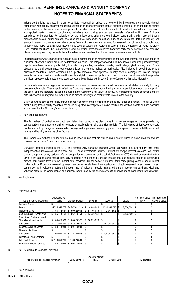independent pricing services. In order to validate reasonability, prices are reviewed by investment professionals through comparison with directly observed recent market trades or color or by comparison of significant inputs used by the pricing service to the Company's observations of those inputs in the market. Consistent with the fair value hierarchy described above, securities with quoted market prices or corroborated valuations from pricing services are generally reflected within Level 2. Inputs considered to be standard for valuations by the independent pricing service include: benchmark yields, reported trades, broker/dealer quotes, issuer spreads, two-sided markets, benchmark securities, bids, offers, reference data and industry and economic events. In circumstances where prices from pricing services are reviewed for reasonability but cannot be corroborated to observable market data as noted above, these security values are recorded in Level 3 in the Company's fair value hierarchy. Under certain conditions, the Company may conclude pricing information received from third party pricing services is not reflective of market activity and may over-ride that information with a valuation that utilizes market information and activity.

In circumstances where market data such as quoted market prices or vendor pricing is not available, internal estimates based on significant observable inputs are used to determine fair value. This category also includes fixed income securities priced internally. Inputs considered include: public debt, industrial comparables, underlying assets, credit ratings, yield curves, type of deal structure, collateral performance, loan characteristics and various indices, as applicable. Also included in Level 2 are private placement securities. Inputs considered are: public corporate bond spreads, industry sectors, average life, internal ratings, security structure, liquidity spreads, credit spreads and yield curves, as applicable. If the discounted cash flow model incorporates significant unobservable inputs, these securities would be reflected within Level 3 in the Company's fair value hierarchy.

In circumstances where significant observable inputs are not available, estimated fair value is calculated internally by using unobservable inputs. These inputs reflect the Company's assumptions about the inputs market participants would use in pricing the asset, and are therefore included in Level 3 in the Company's fair value hierarchy. Circumstances where observable market data is not available may include events such as market illiquidity and credit events related to the security.

Equity securities consist principally of investments in common and preferred stock of publicly traded companies. The fair values of most publicly traded equity securities are based on quoted market prices in active markets for identical assets and are classified within Level 1 in the Company's fair value hierarchy.

#### (5) Fair Value Disclosures

The fair values of derivative contracts are determined based on quoted prices in active exchanges or prices provided by counterparties, exchanges or clearing members as applicable, utilizing valuation models. The fair values of derivative contracts can be affected by changes in interest rates, foreign exchange rates, commodity prices, credit spreads, market volatility, expected returns and liquidity as well as other factors.

The Company's exchange traded futures include index futures that are valued using quoted prices in active markets and are classified within Level 1 in our fair value hierarchy.

Derivative positions traded in the OTC and cleared OTC derivative markets where fair value is determined by third party independent sources are classified within Level 2. These investments included: interest rate swaps, interest rate caps, total return swaps, swaptions, equity options, inflation swaps, forward contracts, and credit default swaps. OTC derivatives classified within Level 2 are valued using models generally accepted in the financial services industry that use actively quoted or observable market input values from external market data providers, broker dealer quotations, third-party pricing vendors and/or recent trading activity. Prices are reviewed by investment professionals through comparison with directly observed recent market trades, comparison with valuations estimated through use of valuation models maintained on an industry standard analytical and valuation platform, or comparison of all significant inputs used by the pricing service to observations of those inputs in the market.

#### B. Not Applicable

#### C. Fair Value Level

|                              | Aggregate Fair  |                        |          |            |                 |   |           | Net Asset Value | Not Practicable  |
|------------------------------|-----------------|------------------------|----------|------------|-----------------|---|-----------|-----------------|------------------|
| Type of Financial Instrument | Value           | <b>Admitted Assets</b> |          | (Level 1)  | (Level 2)       |   | (Level 3) | (NAV)           | (Carrying Value) |
| <b>Financial Assets:</b>     |                 |                        |          |            |                 |   |           |                 |                  |
| <b>Bonds</b>                 | \$4,749,057,763 | \$4,347,681,210        | 1\$      | 14,655,544 | \$4,731,381,715 | S | 3.020.504 |                 |                  |
| <b>Preferred Stock</b>       | 53.852.647      | 50.622.038<br>\$       |          | 51,104,085 | 2,748,562       |   |           |                 |                  |
| Common Stock - Unaffiliated  | 56,148,751      | 56,148,751<br>S        |          | 53,726,151 |                 |   | 2,422,600 | I\$             |                  |
| Cash, Cash Equivalents and   |                 |                        |          |            |                 |   |           |                 |                  |
| Short-Term Investments       | 80,625,926      | 80,625,926<br>\$       | l\$      | 80,625,926 |                 |   |           |                 |                  |
| Derivatives                  | 277,554,351     | \$202,810,619          |          |            | 277,554,351     | S |           |                 |                  |
| Separate Account Assets      | 50,418,034      | \$<br>50.418.034       |          |            |                 |   |           | ሶ               |                  |
| Financial Liabilities:       |                 |                        |          |            |                 |   |           |                 |                  |
| Derivatives                  | 108,093,391     | 72.222.938<br>\$       |          |            | 108,093,391     |   |           |                 |                  |
| Investment-Type Contracts:   |                 |                        |          |            |                 |   |           |                 |                  |
| Individual Annuities         | 173,639,209     | \$170,628,801          | <b>S</b> |            |                 |   |           |                 |                  |
| Separate Account Liabilities | 50,418,034      | 50,418,034<br>S        | l\$      |            |                 |   |           | l\$             |                  |

#### D. Not Practicable to Estimate Fair Value

|                                          |                   | <b>Effective Interest</b> |                      |            |
|------------------------------------------|-------------------|---------------------------|----------------------|------------|
| Type of Class or<br>Financial Instrument | Value<br>Carrving | Rate                      | <b>Maturity Date</b> | xplanation |
|                                          | ال ا              |                           |                      |            |

E. Not Applicable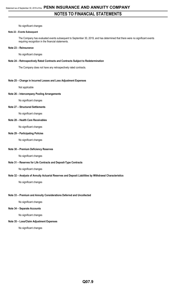No significant changes

#### **Note 22 – Events Subsequent**

The Company has evaluated events subsequent to September 30, 2019, and has determined that there were no significant events requiring recognition in the financial statements.

#### **Note 23 – Reinsurance**

No significant changes

#### **Note 24 – Retrospectively Rated Contracts and Contracts Subject to Redetermination**

The Company does not have any retrospectively rated contracts.

#### **Note 25 – Change in Incurred Losses and Loss Adjustment Expenses**

Not applicable

#### **Note 26 – Intercompany Pooling Arrangements**

No significant changes

#### **Note 27 – Structured Settlements**

No significant changes

#### **Note 28 – Health Care Receivables**

No significant changes

#### **Note 29 – Participating Policies**

No significant changes

#### **Note 30 – Premium Deficiency Reserves**

No significant changes

#### **Note 31 – Reserves for Life Contracts and Deposit-Type Contracts**

No significant changes

#### **Note 32 – Analysis of Annuity Actuarial Reserves and Deposit Liabilities by Withdrawal Characteristics**

No significant changes

#### **Note 33 – Premium and Annuity Considerations Deferred and Uncollected**

No significant changes

#### **Note 34 – Separate Accounts**

No significant changes

#### **Note 35 – Loss/Claim Adjustment Expenses**

No significant changes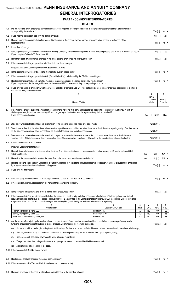# Statement as of September 30, 2019 of the **PENN INSURANCE AND ANNUITY COMPANY GENERAL INTERROGATORIES**

## **PART 1 - COMMON INTERROGATORIES**

|     | <b>GENERAL</b>                                                                                                                                                                                                                                                                                                                                                                                                                               |                                 |                 |                        |                       |                   |
|-----|----------------------------------------------------------------------------------------------------------------------------------------------------------------------------------------------------------------------------------------------------------------------------------------------------------------------------------------------------------------------------------------------------------------------------------------------|---------------------------------|-----------------|------------------------|-----------------------|-------------------|
| 1.1 | Did the reporting entity experience any material transactions requiring the filing of Disclosure of Material Transactions with the State of Domicile,<br>as required by the Model Act?                                                                                                                                                                                                                                                       |                                 |                 |                        | Yes [ 1               |                   |
|     |                                                                                                                                                                                                                                                                                                                                                                                                                                              |                                 |                 |                        |                       | No[X]             |
| 2.1 | 1.2 If yes, has the report been filed with the domiciliary state?<br>Has any change been made during the year of this statement in the charter, by-laws, articles of incorporation, or deed of settlement of the                                                                                                                                                                                                                             |                                 |                 |                        | Yes $[ \ ]$           | No [ ]            |
|     | reporting entity?                                                                                                                                                                                                                                                                                                                                                                                                                            |                                 |                 |                        | Yes[ ]                | No[X]             |
|     | 2.2 If yes, date of change:                                                                                                                                                                                                                                                                                                                                                                                                                  |                                 |                 |                        |                       |                   |
| 3.1 | Is the reporting entity a member of an Insurance Holding Company System consisting of two or more affiliated persons, one or more of which is an insurer?<br>If yes, complete Schedule Y, Parts 1 and 1A.                                                                                                                                                                                                                                    |                                 |                 |                        | Yes[X]                | No[ ]             |
| 3.2 | Have there been any substantial changes in the organizational chart since the prior quarter end?                                                                                                                                                                                                                                                                                                                                             |                                 |                 |                        | Yes[X]                | No[]              |
| 3.3 | If the response to 3.2 is yes, provide a brief description of those changes.                                                                                                                                                                                                                                                                                                                                                                 |                                 |                 |                        |                       |                   |
|     | Longevity Insurance Company was sold on September 12, 2019                                                                                                                                                                                                                                                                                                                                                                                   |                                 |                 |                        |                       |                   |
| 3.4 | Is the reporting entity publicly traded or a member of a publicly traded group?                                                                                                                                                                                                                                                                                                                                                              |                                 |                 |                        | Yes $\lceil \ \rceil$ | No[X]             |
| 3.5 | If the response to 3.4 is yes, provide the CIK (Central Index Key) code issued by the SEC for the entity/group.                                                                                                                                                                                                                                                                                                                              |                                 |                 |                        |                       |                   |
| 4.1 | Has the reporting entity been a party to a merger or consolidation during the period covered by this statement?<br>If yes, complete and file the merger history data file with the NAIC for the annual filing corresponding to this period.                                                                                                                                                                                                  |                                 |                 |                        | Yes[ ]                | No[X]             |
| 4.2 | If yes, provide name of entity, NAIC Company Code, and state of domicile (use two letter state abbreviation) for any entity that has ceased to exist as a<br>result of the merger or consolidation.                                                                                                                                                                                                                                          |                                 |                 |                        |                       |                   |
|     |                                                                                                                                                                                                                                                                                                                                                                                                                                              |                                 |                 | $\overline{2}$         |                       | 3                 |
|     |                                                                                                                                                                                                                                                                                                                                                                                                                                              |                                 |                 | <b>NAIC</b><br>Company |                       | State of          |
|     | Name of Entity                                                                                                                                                                                                                                                                                                                                                                                                                               |                                 |                 | Code                   |                       | Domicile          |
| 5.  | If the reporting entity is subject to a management agreement, including third-party administrator(s), managing general agent(s), attorney-in-fact, or<br>similar agreement, have there been any significant changes regarding the terms of the agreement or principals involved?                                                                                                                                                             |                                 |                 |                        |                       |                   |
|     | If yes, attach an explanation.                                                                                                                                                                                                                                                                                                                                                                                                               |                                 |                 | Yes $[ \ ]$            | No [X ]               | N/A [ ]           |
|     |                                                                                                                                                                                                                                                                                                                                                                                                                                              |                                 |                 |                        |                       |                   |
| 6.1 | State as of what date the latest financial examination of the reporting entity was made or is being made.                                                                                                                                                                                                                                                                                                                                    |                                 |                 |                        | 12/31/2015            |                   |
| 6.2 | State the as of date that the latest financial examination report became available from either the state of domicile or the reporting entity. This date should<br>be the date of the examined balance sheet and not the date the report was completed or released.                                                                                                                                                                           |                                 |                 |                        | 12/31/2015            |                   |
| 6.3 | State as of what date the latest financial examination report became available to other states or the public from either the state of domicile or the<br>reporting entity. This is the release date or completion date of the examination report and not the date of the examination (balance sheet date).                                                                                                                                   |                                 |                 |                        | 10/07/2016            |                   |
| 6.4 | By what department or departments?                                                                                                                                                                                                                                                                                                                                                                                                           |                                 |                 |                        |                       |                   |
|     | Delaware Department of Insurance                                                                                                                                                                                                                                                                                                                                                                                                             |                                 |                 |                        |                       |                   |
| 6.5 | Have all financial statement adjustments within the latest financial examination report been accounted for in a subsequent financial statement filed<br>with Departments?                                                                                                                                                                                                                                                                    |                                 |                 | Yes $\lceil$ 1         | No[]                  | N/A[X]            |
| 6.6 | Have all of the recommendations within the latest financial examination report been complied with?                                                                                                                                                                                                                                                                                                                                           |                                 |                 | Yes $[ ]$              | No [ ]                | N/A[X]            |
| 7.1 | Has this reporting entity had any Certificates of Authority, licenses or registrations (including corporate registration, if applicable) suspended or revoked                                                                                                                                                                                                                                                                                |                                 |                 |                        |                       |                   |
|     | by any governmental entity during the reporting period?                                                                                                                                                                                                                                                                                                                                                                                      |                                 |                 |                        | Yes [ ]               | No[X]             |
| 7.2 | If yes, give full information:                                                                                                                                                                                                                                                                                                                                                                                                               |                                 |                 |                        |                       |                   |
| 8.1 | Is the company a subsidiary of a bank holding company regulated with the Federal Reserve Board?                                                                                                                                                                                                                                                                                                                                              |                                 |                 |                        | Yes $\lceil$ 1        | No[X]             |
| 8.2 | If response to 8.1 is yes, please identify the name of the bank holding company.                                                                                                                                                                                                                                                                                                                                                             |                                 |                 |                        |                       |                   |
|     |                                                                                                                                                                                                                                                                                                                                                                                                                                              |                                 |                 |                        |                       |                   |
| 8.3 | Is the company affiliated with one or more banks, thrifts or securities firms?                                                                                                                                                                                                                                                                                                                                                               |                                 |                 |                        | Yes $[X]$             | No[ ]             |
| 8.4 | If the response to 8.3 is yes, please provide below the names and location (city and state of the main office) of any affiliates regulated by a federal<br>regulatory services agency [i.e. the Federal Reserve Board (FRB), the Office of the Comptroller of the Currency (OCC), the Federal Deposit Insurance<br>Corporation (FDIC) and the Securities Exchange Commission (SEC)] and identify the affiliate's primary federal regulator]. |                                 |                 |                        |                       |                   |
|     |                                                                                                                                                                                                                                                                                                                                                                                                                                              |                                 | 3               | 4                      | 5                     | 6                 |
|     | Affiliate Name                                                                                                                                                                                                                                                                                                                                                                                                                               | Location (City, State)          | <b>FRB</b>      | OCC                    | <b>FDIC</b>           | <b>SEC</b>        |
|     | Hornor, Townsend & Kent, LLC<br>Janney Montgomery Scott, LLC                                                                                                                                                                                                                                                                                                                                                                                 | Horsham, PA<br>Philadelphia, PA | NO<br><b>NO</b> | NO<br>NO               | NO<br><b>NO</b>       | YES<br><b>YES</b> |
|     | Penn Mutual Asset Management, LLC                                                                                                                                                                                                                                                                                                                                                                                                            | Horsham, PA                     | N <sub>O</sub>  | N <sub>O</sub>         | NO                    | <b>YES</b>        |
| 9.1 | Are the senior officers (principal executive officer, principal financial officer, principal accounting officer or controller, or persons performing similar<br>functions) of the reporting entity subject to a code of ethics, which includes the following standards?                                                                                                                                                                      |                                 |                 |                        | Yes[X]                | No[]              |
|     | Honest and ethical conduct, including the ethical handling of actual or apparent conflicts of interest between personal and professional relationships;<br>(a)                                                                                                                                                                                                                                                                               |                                 |                 |                        |                       |                   |
|     | Full, fair, accurate, timely and understandable disclosure in the periodic reports required to be filed by the reporting entity;<br>(b)                                                                                                                                                                                                                                                                                                      |                                 |                 |                        |                       |                   |
|     | Compliance with applicable governmental laws, rules and regulations;<br>(c)                                                                                                                                                                                                                                                                                                                                                                  |                                 |                 |                        |                       |                   |
|     | The prompt internal reporting of violations to an appropriate person or persons identified in the code; and<br>(d)                                                                                                                                                                                                                                                                                                                           |                                 |                 |                        |                       |                   |
|     | Accountability for adherence to the code.<br>(e)                                                                                                                                                                                                                                                                                                                                                                                             |                                 |                 |                        |                       |                   |
|     |                                                                                                                                                                                                                                                                                                                                                                                                                                              |                                 |                 |                        |                       |                   |
|     | 9.11 If the response to 9.1 is No, please explain:                                                                                                                                                                                                                                                                                                                                                                                           |                                 |                 |                        |                       |                   |

9.2 Has the code of ethics for senior managers been amended? Yes [ ] No [ X ] 9.21 If the response to 9.2 is Yes, provide information related to amendment(s).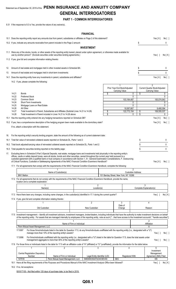# Statement as of September 30, 2019 of the **PENN INSURANCE AND ANNUITY COMPANY GENERAL INTERROGATORIES**

#### **PART 1 - COMMON INTERROGATORIES**

9.31 If the response to 9.3 is Yes, provide the nature of any waiver(s).

# **FINANCIAL**

|      |                |                                                                                                                                                                                                                                                                                                                                                                                                                                                                                                                                                                   |                                                                                                                                                                                                                                          |                            | <b>FINANCIAL</b>                                      |          |                                                |                         |                                                 |              |
|------|----------------|-------------------------------------------------------------------------------------------------------------------------------------------------------------------------------------------------------------------------------------------------------------------------------------------------------------------------------------------------------------------------------------------------------------------------------------------------------------------------------------------------------------------------------------------------------------------|------------------------------------------------------------------------------------------------------------------------------------------------------------------------------------------------------------------------------------------|----------------------------|-------------------------------------------------------|----------|------------------------------------------------|-------------------------|-------------------------------------------------|--------------|
|      |                | 10.1 Does the reporting entity report any amounts due from parent, subsidiaries or affiliates on Page 2 of this statement?                                                                                                                                                                                                                                                                                                                                                                                                                                        |                                                                                                                                                                                                                                          |                            |                                                       |          |                                                |                         | Yes[X]                                          | No[ ]        |
|      |                | 10.2 If yes, indicate any amounts receivable from parent included in the Page 2 amount:                                                                                                                                                                                                                                                                                                                                                                                                                                                                           |                                                                                                                                                                                                                                          |                            |                                                       |          |                                                | S                       |                                                 | 0            |
|      |                |                                                                                                                                                                                                                                                                                                                                                                                                                                                                                                                                                                   |                                                                                                                                                                                                                                          |                            | <b>INVESTMENT</b>                                     |          |                                                |                         |                                                 |              |
|      |                | 11.1 Were any of the stocks, bonds, or other assets of the reporting entity loaned, placed under option agreement, or otherwise made available for<br>use by another person? (Exclude securities under securities lending agreements.)                                                                                                                                                                                                                                                                                                                            |                                                                                                                                                                                                                                          |                            |                                                       |          |                                                |                         | Yes $\lceil \; \rceil$                          | No[X]        |
|      |                | 11.2 If yes, give full and complete information relating thereto:                                                                                                                                                                                                                                                                                                                                                                                                                                                                                                 |                                                                                                                                                                                                                                          |                            |                                                       |          |                                                |                         |                                                 |              |
| 12.  |                | Amount of real estate and mortgages held in other invested assets in Schedule BA:                                                                                                                                                                                                                                                                                                                                                                                                                                                                                 |                                                                                                                                                                                                                                          |                            |                                                       |          |                                                | \$                      |                                                 | 0            |
| 13.  |                | Amount of real estate and mortgages held in short-term investments:                                                                                                                                                                                                                                                                                                                                                                                                                                                                                               |                                                                                                                                                                                                                                          |                            |                                                       |          |                                                | \$                      |                                                 | 0            |
| 14.1 |                | Does the reporting entity have any investments in parent, subsidiaries and affiliates?                                                                                                                                                                                                                                                                                                                                                                                                                                                                            |                                                                                                                                                                                                                                          |                            |                                                       |          |                                                |                         | Yes[X]                                          | No [ ]       |
|      |                | 14.2 If yes, please complete the following:                                                                                                                                                                                                                                                                                                                                                                                                                                                                                                                       |                                                                                                                                                                                                                                          |                            |                                                       |          |                                                |                         |                                                 |              |
|      |                |                                                                                                                                                                                                                                                                                                                                                                                                                                                                                                                                                                   |                                                                                                                                                                                                                                          |                            |                                                       |          | 1                                              |                         | $\overline{2}$                                  |              |
|      |                |                                                                                                                                                                                                                                                                                                                                                                                                                                                                                                                                                                   |                                                                                                                                                                                                                                          |                            |                                                       |          | Prior Year End Book/Adjusted<br>Carrying Value |                         | Current Quarter Book/Adjusted<br>Carrying Value |              |
|      | 14.21          | <b>Bonds</b>                                                                                                                                                                                                                                                                                                                                                                                                                                                                                                                                                      |                                                                                                                                                                                                                                          |                            |                                                       | \$       |                                                | 0<br>\$                 |                                                 | 0            |
|      | 14.22<br>14.23 | <b>Preferred Stock</b><br>Common Stock                                                                                                                                                                                                                                                                                                                                                                                                                                                                                                                            |                                                                                                                                                                                                                                          |                            |                                                       |          | 103,184,487                                    | $\Omega$                | 100,074,943                                     | 0            |
|      | 14.24          | Short-Term Investments                                                                                                                                                                                                                                                                                                                                                                                                                                                                                                                                            |                                                                                                                                                                                                                                          |                            |                                                       |          |                                                | 0                       |                                                 | 0            |
|      | 14.25          | Mortgage Loans on Real Estate                                                                                                                                                                                                                                                                                                                                                                                                                                                                                                                                     |                                                                                                                                                                                                                                          |                            |                                                       |          |                                                | 0                       |                                                 | 0            |
|      | 14.26<br>14.27 | All Other                                                                                                                                                                                                                                                                                                                                                                                                                                                                                                                                                         |                                                                                                                                                                                                                                          |                            |                                                       |          | 19,587,667                                     |                         | 8,480,094                                       |              |
|      | 14.28          | Total Investment in Parent, Subsidiaries and Affiliates (Subtotal Lines 14.21 to 14.26)<br>Total Investment in Parent included in Lines 14.21 to 14.26 above                                                                                                                                                                                                                                                                                                                                                                                                      |                                                                                                                                                                                                                                          |                            |                                                       | \$<br>\$ | 122,772,154                                    | \$<br>\$<br>0           | 108,555,037                                     | 0            |
|      |                | 15.1 Has the reporting entity entered into any hedging transactions reported on Schedule DB?                                                                                                                                                                                                                                                                                                                                                                                                                                                                      |                                                                                                                                                                                                                                          |                            |                                                       |          |                                                |                         | Yes[X]                                          | No [ ]       |
|      |                | 15.2 If yes, has a comprehensive description of the hedging program been made available to the domiciliary state?                                                                                                                                                                                                                                                                                                                                                                                                                                                 |                                                                                                                                                                                                                                          |                            |                                                       |          |                                                |                         | Yes[X]                                          | No [ ]       |
|      |                | If no, attach a description with this statement.                                                                                                                                                                                                                                                                                                                                                                                                                                                                                                                  |                                                                                                                                                                                                                                          |                            |                                                       |          |                                                |                         |                                                 |              |
|      |                |                                                                                                                                                                                                                                                                                                                                                                                                                                                                                                                                                                   |                                                                                                                                                                                                                                          |                            |                                                       |          |                                                |                         |                                                 |              |
| 16.  |                | For the reporting entity's security lending program, state the amount of the following as of current statement date:                                                                                                                                                                                                                                                                                                                                                                                                                                              |                                                                                                                                                                                                                                          |                            |                                                       |          |                                                |                         |                                                 |              |
|      |                |                                                                                                                                                                                                                                                                                                                                                                                                                                                                                                                                                                   |                                                                                                                                                                                                                                          |                            |                                                       |          |                                                |                         |                                                 |              |
|      |                | 16.1 Total fair value of reinvested collateral assets reported on Schedule DL, Parts 1 and 2:                                                                                                                                                                                                                                                                                                                                                                                                                                                                     |                                                                                                                                                                                                                                          |                            |                                                       |          |                                                | \$                      |                                                 | 0            |
|      |                | 16.2 Total book adjusted/carrying value of reinvested collateral assets reported on Schedule DL, Parts 1 and 2:                                                                                                                                                                                                                                                                                                                                                                                                                                                   |                                                                                                                                                                                                                                          |                            |                                                       |          |                                                | \$                      |                                                 | 0            |
|      |                | 16.3 Total payable for securities lending reported on the liability page:                                                                                                                                                                                                                                                                                                                                                                                                                                                                                         |                                                                                                                                                                                                                                          |                            |                                                       |          |                                                | \$                      |                                                 | $\mathbf{0}$ |
| 17.  |                | Excluding items in Schedule E-Part 3-Special Deposits, real estate, mortgage loans and investments held physically in the reporting entity's<br>offices, vaults or safety deposit boxes, were all stocks, bonds and other securities, owned throughout the current year held pursuant to a<br>custodial agreement with a qualified bank or trust company in accordance with Section 1, III - General Examination Considerations, F. Outsourcing<br>of Critical Functions, Custodial or Safekeeping Agreements of the NAIC Financial Condition Examiners Handbook? |                                                                                                                                                                                                                                          |                            |                                                       |          |                                                |                         | Yes[X] No[]                                     |              |
|      |                | 17.1 For all agreements that comply with the requirements of the NAIC Financial Condition Examiners Handbook, complete the following:                                                                                                                                                                                                                                                                                                                                                                                                                             |                                                                                                                                                                                                                                          |                            |                                                       |          |                                                |                         |                                                 |              |
|      |                |                                                                                                                                                                                                                                                                                                                                                                                                                                                                                                                                                                   |                                                                                                                                                                                                                                          |                            |                                                       |          |                                                | $\overline{2}$          |                                                 |              |
|      |                | <b>BNY Mellon</b>                                                                                                                                                                                                                                                                                                                                                                                                                                                                                                                                                 | Name of Custodian(s)                                                                                                                                                                                                                     |                            |                                                       |          | 101 Barclay Street, New York, NY 10286         | Custodian Address       |                                                 |              |
|      |                | 17.2 For all agreements that do not comply with the requirements of the NAIC Financial Condition Examiners Handbook, provide the name,<br>location and a complete explanation:                                                                                                                                                                                                                                                                                                                                                                                    |                                                                                                                                                                                                                                          |                            |                                                       |          |                                                |                         |                                                 |              |
|      |                |                                                                                                                                                                                                                                                                                                                                                                                                                                                                                                                                                                   |                                                                                                                                                                                                                                          |                            | $\overline{2}$                                        |          |                                                | 3                       |                                                 |              |
|      |                | Name(s)                                                                                                                                                                                                                                                                                                                                                                                                                                                                                                                                                           |                                                                                                                                                                                                                                          |                            | Location(s)                                           |          |                                                | Complete Explanation(s) |                                                 |              |
|      |                | 17.3 Have there been any changes, including name changes, in the custodian(s) identified in 17.1 during the current quarter?                                                                                                                                                                                                                                                                                                                                                                                                                                      |                                                                                                                                                                                                                                          |                            |                                                       |          |                                                |                         | Yes[ ]                                          | No[X]        |
|      |                | 17.4 If yes, give full and complete information relating thereto:                                                                                                                                                                                                                                                                                                                                                                                                                                                                                                 |                                                                                                                                                                                                                                          |                            |                                                       |          |                                                |                         |                                                 |              |
|      |                |                                                                                                                                                                                                                                                                                                                                                                                                                                                                                                                                                                   |                                                                                                                                                                                                                                          |                            | $\overline{2}$                                        |          | 3                                              |                         | Δ                                               |              |
|      |                | Old Custodian                                                                                                                                                                                                                                                                                                                                                                                                                                                                                                                                                     |                                                                                                                                                                                                                                          |                            | New Custodian                                         |          | Date of<br>Change                              |                         | Reason                                          |              |
|      |                |                                                                                                                                                                                                                                                                                                                                                                                                                                                                                                                                                                   |                                                                                                                                                                                                                                          |                            |                                                       |          |                                                |                         |                                                 |              |
|      |                | 17.5 Investment management - Identify all investment advisors, investment managers, broker/dealers, including individuals that have the authority to make investment decisions on behalf<br>of the reporting entity. For assets that are managed internally by employees of the reporting entity, note as such ["that have access to the investment accounts", "handle securities"]                                                                                                                                                                               |                                                                                                                                                                                                                                          |                            |                                                       |          |                                                |                         |                                                 |              |
|      |                |                                                                                                                                                                                                                                                                                                                                                                                                                                                                                                                                                                   |                                                                                                                                                                                                                                          | Name of Firm or Individual |                                                       |          |                                                |                         | 2<br>Affiliation                                |              |
|      |                | Penn Mutual Asset Management, LLC                                                                                                                                                                                                                                                                                                                                                                                                                                                                                                                                 |                                                                                                                                                                                                                                          |                            |                                                       |          |                                                |                         | A                                               |              |
|      |                | 17.5097                                                                                                                                                                                                                                                                                                                                                                                                                                                                                                                                                           | For those firms/individuals listed in the table for Question 17.5, do any firms/individuals unaffiliated with the reporting entity (i.e., designated with a "U")<br>manage more than 10% of the reporting entity's assets?               |                            |                                                       |          |                                                |                         | Yes $\lceil$ 1                                  | No [ ]       |
|      |                | 17.5098                                                                                                                                                                                                                                                                                                                                                                                                                                                                                                                                                           | For firms/individuals unaffiliated with the reporting entity (i.e., designated with a "U") listed in the table for Question 17.5, does the total assets under<br>management aggregate to more than 50% of the reporting entity's assets? |                            |                                                       |          |                                                |                         | Yes $\lceil \ \rceil$                           | No[]         |
|      |                |                                                                                                                                                                                                                                                                                                                                                                                                                                                                                                                                                                   |                                                                                                                                                                                                                                          |                            |                                                       |          |                                                |                         |                                                 |              |
|      |                | 17.6 For those firms or individuals listed in the table for 17.5 with an affiliation code of "A" (affiliated) or "U" (unaffiliated), provide the information for the table below.                                                                                                                                                                                                                                                                                                                                                                                 |                                                                                                                                                                                                                                          |                            |                                                       |          |                                                |                         |                                                 |              |
|      |                | 1                                                                                                                                                                                                                                                                                                                                                                                                                                                                                                                                                                 | 2                                                                                                                                                                                                                                        |                            | 3                                                     |          | 4                                              |                         | 5                                               |              |
|      |                | <b>Central Registration Depository</b>                                                                                                                                                                                                                                                                                                                                                                                                                                                                                                                            |                                                                                                                                                                                                                                          |                            |                                                       |          |                                                |                         | Investment<br>Management                        |              |
|      |                | Number<br>107518                                                                                                                                                                                                                                                                                                                                                                                                                                                                                                                                                  | Name of Firm or Individual<br>Penn Mutual Asset Management, LLC                                                                                                                                                                          |                            | Legal Entity Identifier (LEI)<br>549300O3G37UC4C5EV40 |          | <b>Registered With</b><br><b>SEC</b>           |                         | Agreement (IMA) Filed<br>DS                     |              |

18.2 If no, list exceptions:

08181T100 - Not filed within 120 days of purchase date, to be filed in 2019.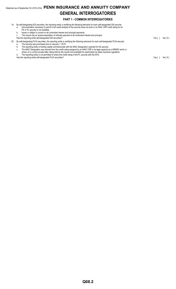# Statement as of September 30, 2019 of the **PENN INSURANCE AND ANNUITY COMPANY GENERAL INTERROGATORIES**

#### **PART 1 - COMMON INTERROGATORIES**

- 19. By self-designating 5GI securities, the reporting entity is certifying the following elements for each self-designated 5GI security: a. Documentation necessary to permit a full credit analysis of the security does not exist or an NAIC CRP credit rating for an FE or PL security is not available.
	- b. Issuer or obligor is current on all contracted interest and principal payments.
	- c. The insurer has an actual expectation of ultimate payment of all contracted interest and principal.

Has the reporting entity self-designated 5GI securities? Yes [ ] No [ X ]

- 20. By self-designating PLGI securities, the reporting entity is certifying the following elements for each self-designated PLGI security:
	- a. The security was purchased prior to January 1, 2018.
	- b. The reporting entity is holding capital commensurate with the NAIC Designation reported for the security. c. The NAIC Designation was derived from the credit rating assigned by an NAIC CRP in its legal capacity as a NRSRO which is
	- shown on a current private letter rating held by the insurer and available for examination by state insurance regulators.
	- d. The reporting entity is not permitted to share this credit rating of the PL security with the SVO.

Has the reporting entity self-designated PLGI securities?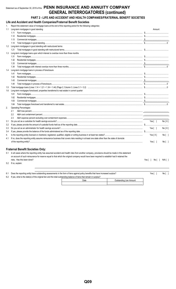# Statement as of September 30, 2019 of the PENN INSURANCE AND ANNUITY COMPANY **GENERAL INTERROGATORIES (continued)**

## PART 2 - LIFE AND ACCIDENT AND HEALTH COMPANIES/FRATERNAL BENEFIT SOCIETIES

Life and Accident and Health Companies/Fraternal Benefit Societies

 $\sim$  cotographs Donast the etatement

|     | Report the statement value of mortgage loans at the end of this reporting period for the following categories:                                                                                                                                                                                                                                                                                                                                                                    |           |           |
|-----|-----------------------------------------------------------------------------------------------------------------------------------------------------------------------------------------------------------------------------------------------------------------------------------------------------------------------------------------------------------------------------------------------------------------------------------------------------------------------------------|-----------|-----------|
| 1.1 | Long-term mortgages in good standing                                                                                                                                                                                                                                                                                                                                                                                                                                              | Amount    |           |
|     | 1.11                                                                                                                                                                                                                                                                                                                                                                                                                                                                              |           |           |
|     | 1.12                                                                                                                                                                                                                                                                                                                                                                                                                                                                              |           |           |
|     | 1.13                                                                                                                                                                                                                                                                                                                                                                                                                                                                              |           |           |
|     | 1.14                                                                                                                                                                                                                                                                                                                                                                                                                                                                              |           |           |
| 1.2 | Long-term mortgages in good standing with restructured terms                                                                                                                                                                                                                                                                                                                                                                                                                      |           |           |
|     | 1.21                                                                                                                                                                                                                                                                                                                                                                                                                                                                              |           |           |
| 1.3 | Long-term mortgage loans upon which interest is overdue more than three months                                                                                                                                                                                                                                                                                                                                                                                                    |           |           |
|     | 1.31                                                                                                                                                                                                                                                                                                                                                                                                                                                                              |           |           |
|     | 1.32                                                                                                                                                                                                                                                                                                                                                                                                                                                                              |           |           |
|     | 1.33                                                                                                                                                                                                                                                                                                                                                                                                                                                                              |           |           |
|     | 1.34                                                                                                                                                                                                                                                                                                                                                                                                                                                                              |           |           |
| 1.4 | Long-term mortgage loans in process of foreclosure                                                                                                                                                                                                                                                                                                                                                                                                                                |           |           |
|     | 1.41                                                                                                                                                                                                                                                                                                                                                                                                                                                                              |           |           |
|     | 1.42                                                                                                                                                                                                                                                                                                                                                                                                                                                                              |           |           |
|     | 1.43                                                                                                                                                                                                                                                                                                                                                                                                                                                                              |           |           |
|     | 1.44                                                                                                                                                                                                                                                                                                                                                                                                                                                                              |           |           |
| 1.5 |                                                                                                                                                                                                                                                                                                                                                                                                                                                                                   |           |           |
| 1.6 | Long-term mortgages foreclosed, properties transferred to real estate in current quarter                                                                                                                                                                                                                                                                                                                                                                                          |           |           |
|     | 1.61                                                                                                                                                                                                                                                                                                                                                                                                                                                                              |           |           |
|     | 1.62                                                                                                                                                                                                                                                                                                                                                                                                                                                                              |           |           |
|     | 1.63<br>$\textbf{Commercial} \ \textbf{mortgages} \ \textcolor{red}{\textbf{mortgages} \ \textcolor{red}{\textbf{mott} \ \textbf{mott} \ \textbf{mott} \ \textbf{mott} \ \textbf{mott} \ \textbf{mott} \ \textbf{mott} \ \textbf{mott} \ \textbf{mott} \ \textbf{mott} \ \textbf{mott} \ \textbf{mott} \ \textbf{mott} \ \textbf{mott} \ \textbf{mott} \ \textbf{mott} \ \textbf{mott} \ \textbf{mott} \ \textbf{mott} \ \textbf{mott} \ \textbf{mott} \ \textbf{mott} \ \textbf$ |           |           |
|     | 1.64                                                                                                                                                                                                                                                                                                                                                                                                                                                                              |           |           |
| 2.  | Operating Percentages:                                                                                                                                                                                                                                                                                                                                                                                                                                                            |           |           |
|     | 2.1                                                                                                                                                                                                                                                                                                                                                                                                                                                                               |           |           |
|     | 2.2                                                                                                                                                                                                                                                                                                                                                                                                                                                                               |           |           |
|     | 2.3                                                                                                                                                                                                                                                                                                                                                                                                                                                                               |           |           |
| 3.1 |                                                                                                                                                                                                                                                                                                                                                                                                                                                                                   | Yes[ ]    | No[X]     |
| 3.2 |                                                                                                                                                                                                                                                                                                                                                                                                                                                                                   |           |           |
| 3.3 |                                                                                                                                                                                                                                                                                                                                                                                                                                                                                   | Yes[ ]    | No[X]     |
| 3.4 |                                                                                                                                                                                                                                                                                                                                                                                                                                                                                   |           |           |
| 4.  |                                                                                                                                                                                                                                                                                                                                                                                                                                                                                   | Yes [ X ] | $No[$ $]$ |
| 4.1 | If no, does the reporting entity assume reinsurance business that covers risks residing in at least one state other than the state of domicile                                                                                                                                                                                                                                                                                                                                    |           |           |
|     |                                                                                                                                                                                                                                                                                                                                                                                                                                                                                   | Yes $[$ ] | No [ ]    |
|     |                                                                                                                                                                                                                                                                                                                                                                                                                                                                                   |           |           |
|     | <b>Fraternal Benefit Societies Only:</b>                                                                                                                                                                                                                                                                                                                                                                                                                                          |           |           |

5.1 In all cases where the reporting entity has assumed accident and health risks from another company, provisions should be made in this statement on account of such reinsurance for reserve equal to that which the original company would have been required to establish had it retained the risks. Has this been done?

5.2 If no, explain:

Yes[ ] No[ ] N/A[ ]

6.1 Does the reporting entity have outstanding assessments in the form of liens against policy benefits that have increased surplus? Yes $[ ]$  $No [ ]$ 6.2 If yes, what is the date(s) of the original lien and the total outstanding balance of liens that remain in surplus?

| ndina Lien<br>Amoun |
|---------------------|
|                     |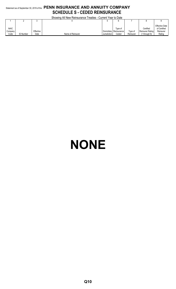# Statement as of September 30, 2019 of the **PENN INSURANCE AND ANNUITY COMPANY SCHEDULE S - CEDED REINSURANCE**

Showing All New Reinsurance Treaties - Current Year to Date

|             |                  |           | <b>ONOWING / WEITHOW I NOTIFICATION I HUGHLOG</b> | <b>OUTION TOUR TO DUIV</b> |                         |           |                         |                                       |
|-------------|------------------|-----------|---------------------------------------------------|----------------------------|-------------------------|-----------|-------------------------|---------------------------------------|
|             |                  |           |                                                   |                            |                         |           |                         |                                       |
| <b>NAIC</b> |                  |           |                                                   |                            | Type of                 |           | Certified               | <b>Effective Date</b><br>of Certified |
| Company     |                  | Effective |                                                   |                            | Domiciliary Reinsurance | Type of   | <b>Reinsurer Rating</b> | Reinsurer                             |
| Code        | <b>ID Number</b> | Date      | Name of Reinsurer                                 | Jurisdiction               | Ceded                   | Reinsurer | through 6)              | Rating                                |

# **NONE**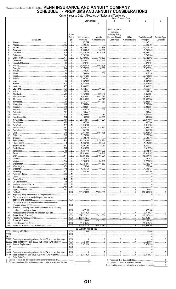# Statement as of September 30, 2019 of the PENN INSURANCE AND ANNUITY COMPANY<br>SCHEDULE T - PREMIUMS AND ANNUITY CONSIDERATIONS

|                |                                                                      |                |                         |                                  |                        | Current Year to Date - Allocated by States and Territories              |                                                                                                                                                                                                                                                                                                                                |                                 |              |
|----------------|----------------------------------------------------------------------|----------------|-------------------------|----------------------------------|------------------------|-------------------------------------------------------------------------|--------------------------------------------------------------------------------------------------------------------------------------------------------------------------------------------------------------------------------------------------------------------------------------------------------------------------------|---------------------------------|--------------|
|                |                                                                      |                |                         |                                  | <b>Life Contracts</b>  | <b>Direct Business Only</b>                                             |                                                                                                                                                                                                                                                                                                                                | 6                               |              |
|                |                                                                      |                |                         | $\overline{\phantom{a}}$         | 3                      |                                                                         |                                                                                                                                                                                                                                                                                                                                |                                 |              |
|                |                                                                      |                | Active<br><b>Status</b> | Life Insurance                   | Annuity                | A&H Insurance<br>Premiums.<br><b>Including Policy</b><br>Membership and | Other                                                                                                                                                                                                                                                                                                                          | <b>Total Columns 2</b>          | Deposit-Type |
| 1.             | States, Etc.                                                         | $\overline{A}$ | (a)<br>L.               | Premiums<br>1,167,529            | Considerations         | Other Fees                                                              | Considerations                                                                                                                                                                                                                                                                                                                 | through 5<br>1,167,529          | Contracts    |
| 2.             |                                                                      |                | L                       | .699,703                         |                        |                                                                         |                                                                                                                                                                                                                                                                                                                                | 699,703                         |              |
| 3.             |                                                                      |                | L                       | 13,429,871                       | 41,358                 |                                                                         |                                                                                                                                                                                                                                                                                                                                | 13.471.229                      |              |
| 4.             |                                                                      |                | L                       | 1,606,349                        | 150,000                |                                                                         |                                                                                                                                                                                                                                                                                                                                | 1,756,349                       |              |
| 5.             |                                                                      |                | L                       | 42,835,145                       | 3,826,128              |                                                                         |                                                                                                                                                                                                                                                                                                                                | 46,661,273                      |              |
| 6.             |                                                                      |                | L                       | 3,782,386                        | .                      |                                                                         |                                                                                                                                                                                                                                                                                                                                | 3.782.386                       |              |
| 7.             |                                                                      |                | . L                     | 10,020,002<br>$\ldots$ 2,320,537 | 102,500                |                                                                         |                                                                                                                                                                                                                                                                                                                                | 10,122,502                      |              |
| 8.<br>9.       |                                                                      |                | . L<br>. L              | 378,107                          | 1,147,145              |                                                                         |                                                                                                                                                                                                                                                                                                                                | 3,467,682<br>378,107            |              |
| 10.            |                                                                      |                | L                       | 24,923,410                       | $\ldots$ 1,052,625     |                                                                         |                                                                                                                                                                                                                                                                                                                                | 35.976.035                      |              |
| 11.            |                                                                      |                | . L                     | 5,778,933                        | 150,000                |                                                                         |                                                                                                                                                                                                                                                                                                                                | 3.5, 928, 933                   |              |
| 12.            |                                                                      |                | .                       | 433,263                          |                        |                                                                         |                                                                                                                                                                                                                                                                                                                                | 433,263                         |              |
| 13.            |                                                                      |                |                         | 793,996                          | $\ldots$ 21.362        |                                                                         |                                                                                                                                                                                                                                                                                                                                | 815,358                         |              |
| 14.            |                                                                      |                | L                       | 33.761.253                       |                        |                                                                         |                                                                                                                                                                                                                                                                                                                                | 33,761,253                      |              |
| 15.            |                                                                      |                | . L                     | 3,967,943                        |                        |                                                                         |                                                                                                                                                                                                                                                                                                                                | 3,967,943                       |              |
| 16.            |                                                                      |                | . L                     | .2,037,059                       |                        |                                                                         |                                                                                                                                                                                                                                                                                                                                | $\ldots$ 2,037,059              |              |
| 17.            |                                                                      |                | L                       | 3,244,445                        |                        |                                                                         |                                                                                                                                                                                                                                                                                                                                | 3,244,445                       |              |
| 18.            |                                                                      |                | L<br>L                  | .2,308,975                       | 206,937                |                                                                         |                                                                                                                                                                                                                                                                                                                                | $\ldots$ 2,308,975<br>1,669,311 |              |
| 19.<br>20.     |                                                                      |                | . L                     | 1,462,374<br>244,294             |                        |                                                                         |                                                                                                                                                                                                                                                                                                                                | 244,294                         |              |
| 21.            |                                                                      |                | L                       | .2.757.652                       | 602,332                |                                                                         |                                                                                                                                                                                                                                                                                                                                | 3,359,984                       |              |
| 22.            |                                                                      |                | L                       | 8,010,841                        | 1,087,083              |                                                                         |                                                                                                                                                                                                                                                                                                                                | 3097,924                        |              |
| 23.            |                                                                      |                | . L                     | 17,915,022                       | 40,678                 |                                                                         |                                                                                                                                                                                                                                                                                                                                | 17,955,700                      |              |
| 24.            |                                                                      |                | L                       | 9,131,211                        | 951.767                |                                                                         |                                                                                                                                                                                                                                                                                                                                | $\ldots$ 10,082,978             |              |
| 25.            |                                                                      |                | . L                     | .3,755,604                       |                        |                                                                         |                                                                                                                                                                                                                                                                                                                                | 3,755,604                       |              |
| 26.            |                                                                      |                | L                       | 3,283,364                        |                        |                                                                         |                                                                                                                                                                                                                                                                                                                                | 3,283,364                       |              |
| 27.            |                                                                      |                | . L                     | 943,730                          | 172,557                |                                                                         |                                                                                                                                                                                                                                                                                                                                | 1,116,287                       |              |
| 28.            |                                                                      |                | L                       |                                  |                        |                                                                         |                                                                                                                                                                                                                                                                                                                                |                                 |              |
| 29.            |                                                                      |                | L                       | .3,859,698                       | 378,187                |                                                                         |                                                                                                                                                                                                                                                                                                                                | 4,237,885                       |              |
| 30.            |                                                                      |                | L                       | 165,988                          | 165,018<br>3,348,221   |                                                                         |                                                                                                                                                                                                                                                                                                                                | 331,006                         |              |
| 31.<br>32.     |                                                                      |                | L<br>. L                | 25,668,847<br>307,264            |                        |                                                                         |                                                                                                                                                                                                                                                                                                                                | 29,017,068<br>307,264           |              |
| 33.            |                                                                      |                | N                       | 9,016,125                        |                        |                                                                         |                                                                                                                                                                                                                                                                                                                                | 3016,125                        |              |
| 34.            |                                                                      |                | L                       | .6,626,338                       | 424.832                |                                                                         |                                                                                                                                                                                                                                                                                                                                | 7,051,170                       |              |
| 35.            |                                                                      |                | L                       | 651,193                          |                        |                                                                         |                                                                                                                                                                                                                                                                                                                                | 651,193                         |              |
| 36.            |                                                                      |                | L                       | 9,071,050                        | 1.893.775              |                                                                         |                                                                                                                                                                                                                                                                                                                                | $\ldots$ 10,964,825             |              |
| 37.            |                                                                      |                | L                       | 3,278,766                        |                        |                                                                         |                                                                                                                                                                                                                                                                                                                                | 3,278,766                       |              |
| 38.            |                                                                      |                | L                       | 3,593,718                        |                        |                                                                         |                                                                                                                                                                                                                                                                                                                                | 3,593,718                       |              |
| 39.            |                                                                      |                | L                       | 1.11124,713,108                  | 374,984                |                                                                         |                                                                                                                                                                                                                                                                                                                                | 30,088,092                      |              |
| 40.            |                                                                      |                | L                       | 1,066,180                        | 63,506                 |                                                                         |                                                                                                                                                                                                                                                                                                                                | 1,129,686                       |              |
| 41.            |                                                                      |                | L                       | .4,597,264                       | 742.967                |                                                                         |                                                                                                                                                                                                                                                                                                                                | 5,340,231                       |              |
| 42.            |                                                                      |                | L                       | .1,419,798                       |                        |                                                                         |                                                                                                                                                                                                                                                                                                                                | 1,419,798                       |              |
| 43.            |                                                                      |                | . L                     | 4,331,119                        | 1,803,039              |                                                                         |                                                                                                                                                                                                                                                                                                                                |                                 |              |
| 44.            |                                                                      |                | L                       | .47,528,969                      | 790,218<br>.           |                                                                         |                                                                                                                                                                                                                                                                                                                                | 48,319,187                      |              |
| 45.<br>46.     |                                                                      |                | L<br>L                  | 17,201,952<br>467,914            | 1,495,231              |                                                                         |                                                                                                                                                                                                                                                                                                                                | 18,697,183<br>467,914           |              |
| 47.            |                                                                      |                | L                       | .3,234,610                       | 35,468                 |                                                                         |                                                                                                                                                                                                                                                                                                                                | 3,270,078                       |              |
| 48.            |                                                                      |                | L                       | 12,621,607                       | 807.663                |                                                                         |                                                                                                                                                                                                                                                                                                                                | 13,429,270                      |              |
| 49.            |                                                                      |                | L                       | 223,940                          |                        |                                                                         |                                                                                                                                                                                                                                                                                                                                | $\ldots$ 223,940                |              |
| 50.            |                                                                      |                | L                       | 4,486,138                        | 150,000                |                                                                         |                                                                                                                                                                                                                                                                                                                                |                                 |              |
| 51.            |                                                                      |                | L                       | 320,164                          |                        |                                                                         |                                                                                                                                                                                                                                                                                                                                | 320,164                         |              |
| 52.            |                                                                      |                | N                       |                                  |                        |                                                                         |                                                                                                                                                                                                                                                                                                                                | 0                               |              |
| 53.            | Guam                                                                 |                | N                       |                                  |                        |                                                                         |                                                                                                                                                                                                                                                                                                                                |                                 |              |
| 54.            |                                                                      |                | N                       |                                  |                        |                                                                         |                                                                                                                                                                                                                                                                                                                                |                                 |              |
| 55.<br>56.     |                                                                      |                | N<br>N                  |                                  |                        |                                                                         |                                                                                                                                                                                                                                                                                                                                |                                 |              |
| 57.            |                                                                      |                | N                       |                                  |                        |                                                                         |                                                                                                                                                                                                                                                                                                                                |                                 |              |
| 58.            |                                                                      |                | . XXX.                  | 21,988                           | 0                      | 0 <u></u>                                                               | 0                                                                                                                                                                                                                                                                                                                              | 21,988                          |              |
| 59.            |                                                                      |                | .XXX                    | .385,373,295                     | 27,025,581             | 0                                                                       | 0                                                                                                                                                                                                                                                                                                                              | 412,398,876                     |              |
| 90.            | Reporting entity contributions for employee benefit plans            |                | .XXX.                   |                                  |                        |                                                                         |                                                                                                                                                                                                                                                                                                                                | $\ldots 0$                      |              |
| 91.            | Dividends or refunds applied to purchase paid-up                     |                |                         |                                  |                        |                                                                         |                                                                                                                                                                                                                                                                                                                                |                                 |              |
|                |                                                                      |                | .XXX.                   |                                  |                        |                                                                         |                                                                                                                                                                                                                                                                                                                                |                                 |              |
| 92.            | Dividends or refunds applied to shorten endowment or                 |                |                         |                                  |                        |                                                                         |                                                                                                                                                                                                                                                                                                                                |                                 |              |
|                | premium paying period                                                |                | .XXX.                   |                                  |                        |                                                                         |                                                                                                                                                                                                                                                                                                                                |                                 |              |
| 93.            | Premium or annuity considerations waived under disability            |                | .XXX.                   |                                  |                        |                                                                         |                                                                                                                                                                                                                                                                                                                                | 427,188                         |              |
| 94.            |                                                                      |                | .XXX.                   | 427,188<br>3,371,928             |                        |                                                                         | $\begin{array}{l} \rule{0.2cm}{0.15mm} \ldots \end{array} \qquad \begin{array}{ll} \rule{0.2cm}{0.15mm} \ldots \end{array} \qquad \begin{array}{ll} \rule{0.2cm}{0.15mm} \ldots \end{array} \qquad \begin{array}{ll} \rule{0.2cm}{0.15mm} \ldots \end{array} \qquad \begin{array}{ll} \rule{0.2cm}{0.15mm} \ldots \end{array}$ | 3,371,928                       |              |
| 95.            | Totals (Direct Business)                                             |                | $.$ $XXX$               | .389,172,411                     | $\frac{1}{27,025,581}$ |                                                                         | 0                                                                                                                                                                                                                                                                                                                              | 416,197,992                     |              |
| 96.            |                                                                      |                | XXX.                    | .167,054,277                     |                        |                                                                         |                                                                                                                                                                                                                                                                                                                                | 167,054,277                     |              |
| 97.            | Totals (All Business)                                                |                | $\overline{.$ XXX       | .556,226,688                     | 27,025,581             |                                                                         | 0                                                                                                                                                                                                                                                                                                                              | 583,252,269                     |              |
| 98.            |                                                                      |                | $\mathsf{XXX}$ .        | .63,313,474                      |                        |                                                                         |                                                                                                                                                                                                                                                                                                                                | 63,313,474                      |              |
| 99.            |                                                                      |                | .XXX                    | 492,913,214                      | 127,025,581            |                                                                         | 0                                                                                                                                                                                                                                                                                                                              | 519,938,795                     |              |
|                |                                                                      |                |                         | <b>DETAILS OF WRITE-INS</b>      |                        |                                                                         |                                                                                                                                                                                                                                                                                                                                |                                 |              |
|                |                                                                      |                | $.$ XXX $.$             | 1.1.21.988                       |                        |                                                                         |                                                                                                                                                                                                                                                                                                                                | .21,988<br>.                    |              |
| 58002.         |                                                                      |                | .XXX                    |                                  |                        |                                                                         |                                                                                                                                                                                                                                                                                                                                |                                 |              |
| 58003.         |                                                                      |                | $.$ $XXX$               |                                  |                        |                                                                         |                                                                                                                                                                                                                                                                                                                                |                                 |              |
|                | 58998. Summary of remaining write-ins for line 58 from overflow page |                | XXX                     | 0                                | 0                      | 0                                                                       | 0                                                                                                                                                                                                                                                                                                                              | 0                               | . 0          |
|                | 58999. Total (Lines 58001 thru 58003 plus 58998) (Line 58 above)     |                | XXX.                    | 21,988                           | 0                      |                                                                         | 0                                                                                                                                                                                                                                                                                                                              | $\ldots$ 21,988                 | . 0          |
| 9401.          |                                                                      |                | .XXX                    | .3.371.928<br>.                  |                        |                                                                         |                                                                                                                                                                                                                                                                                                                                | 3.371.928                       |              |
| 9402.<br>9403. |                                                                      |                | XXX<br>$.$ $XXX$        |                                  |                        |                                                                         |                                                                                                                                                                                                                                                                                                                                | 0                               |              |
|                | 9498. Summary of remaining write-ins for line 94 from overflow page  |                | XXX                     | 0                                | 0                      |                                                                         | 0                                                                                                                                                                                                                                                                                                                              | $\dots$ 0<br>.                  | $\sim$ 0     |
|                | 9499. Total (Lines 9401 thru 9403 plus 9498) (Line 94 above)         |                | .XXX                    | .3,371,928                       | 0                      |                                                                         | 0                                                                                                                                                                                                                                                                                                                              | $\ldots$ 3,371,928              |              |
| (n)            | Activo Status Count                                                  |                |                         |                                  |                        |                                                                         |                                                                                                                                                                                                                                                                                                                                |                                 |              |

 $\overline{0}$ 

 $\overline{0}$  $\overline{7}$ 

 $50$ 

 $\overline{0}$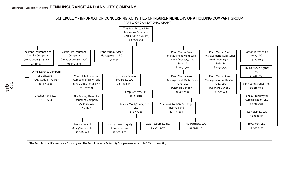**SCHEDULE Y - INFORMATION CONCERNING ACTIVITIES OF INSURER MEMBERS OF A HOLDING COMPANY GROUP** PART 1- ORGANIZATIONAL CHART



\*The Penn Mutual Life Insurance Company and The Penn Insurance & Annuity Company each control 46.3% of the entity.

**Q12 Q12**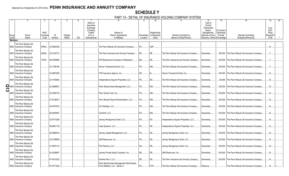# **SCHEDULE Y**

PART 1A - DETAIL OF INSURANCE HOLDING COMPANY SYSTEM

|            |                                                  | <b>NAIC</b> |             |             |            | Name of<br>Securities<br>Exchange<br>if Publicly<br>Traded | Names of                                                                   |                  | 10<br>Relationship       | 11                                      | 12<br>Type of<br>Control<br>(Ownership<br>Board,<br>Management. | 13<br>If Control is<br>Ownership |                                                  | 15<br>Is an<br><b>SCA</b><br>Filing |  |
|------------|--------------------------------------------------|-------------|-------------|-------------|------------|------------------------------------------------------------|----------------------------------------------------------------------------|------------------|--------------------------|-----------------------------------------|-----------------------------------------------------------------|----------------------------------|--------------------------------------------------|-------------------------------------|--|
| Group      | Group                                            | Compan      | ID          | Federal     |            | (U.S. or                                                   | Parent. Subsidiaries                                                       |                  | Domiciliary to Reporting | Directly Controlled by                  | Attorney-in-Fact,                                               | Provide                          | Ultimate Controlling                             | Required?                           |  |
| Code       | Name                                             | Code        | Number      | <b>RSSD</b> | <b>CIK</b> | International                                              | or Affiliates                                                              | Location         | Entity                   | (Name of Entity/Person)                 | Influence, Other) Percentage                                    |                                  | Entity(ies)/Person(s)                            | (Y/N)                               |  |
| Members    |                                                  |             |             |             |            |                                                            |                                                                            |                  |                          |                                         |                                                                 |                                  |                                                  |                                     |  |
|            | The Penn Mutual Life<br>0850 Insurance Company   | 67644       | 23-0952300  |             |            |                                                            | The Penn Mutual Life Insurance Company.                                    | PA.              | UDP.                     |                                         |                                                                 |                                  |                                                  | N                                   |  |
|            |                                                  |             |             |             |            |                                                            |                                                                            |                  |                          |                                         |                                                                 |                                  |                                                  |                                     |  |
|            | The Penn Mutual Life<br>0850 Insurance Company   | 93262.      | 23-2142731. |             |            |                                                            | The Penn Insurance and Annuity Company                                     | DE.              | RE.                      | The Penn Mutual Life Insurance Company. | Ownership.                                                      | .100.000                         | The Penn Mutual Life Insurance Company           | Y                                   |  |
|            | The Penn Mutual Life<br>0850 Insurance Company   | 15370.      | 46-4355668. |             |            |                                                            | PIA Reinsurance Company of Delaware I.                                     | <b>DE</b>        | <b>DS</b>                | The Penn Insurance and Annuity Company  | Ownership.                                                      | .100.000                         | The Penn Mutual Life Insurance Company           | Y                                   |  |
|            | The Penn Mutual Life<br>0850 Insurance Company   |             | 23-1706189  |             |            |                                                            | Hornor Townsend & Kent, LLC.                                               | <b>PA</b>        | NIA.                     | The Penn Mutual Life Insurance Company. | Ownership.                                                      | .100.000                         | The Penn Mutual Life Insurance Company           | Y                                   |  |
|            |                                                  |             |             |             |            |                                                            |                                                                            |                  |                          |                                         |                                                                 |                                  |                                                  |                                     |  |
|            | The Penn Mutual Life<br>0850 Insurance Company   |             | 23-2667559. |             |            |                                                            | HTK Insurance Agency, Inc                                                  | DF               |                          | Hornor Townsend & Kent, Inc             | Ownership.                                                      | .100.000                         | The Penn Mutual Life Insurance Company           | .N                                  |  |
|            | The Penn Mutual Life<br>0850 Insurance Company   |             | 23-1918844. |             |            |                                                            | Independence Square Properties, LLC.                                       | <b>PA</b>        | DS.                      | The Penn Mutual Life Insurance Company. | Ownership.                                                      | 94.480                           | The Penn Mutual Life Insurance Company.          | N                                   |  |
| $2^{0850}$ | The Penn Mutual Life<br><b>Insurance Company</b> |             | 23-2566941  |             |            |                                                            | Penn Mutual Asset Management, LLC                                          | <b>PA</b>        | NIA.                     | The Penn Mutual Life Insurance Company. | Ownership.                                                      | .100.000                         | The Penn Mutual Life Insurance Company           | N <sub>1</sub>                      |  |
| 0850       | The Penn Mutual Life<br><b>Insurance Company</b> |             | 23-2209178. |             |            |                                                            | Penn Series Fund. Inc                                                      | $PA$ <sub></sub> | $NIA$                    | The Penn Mutual Life Insurance Company. | Ownership.                                                      | .100.000                         | The Penn Mutual Life Insurance Company           | N                                   |  |
|            | The Penn Mutual Life                             |             |             |             |            |                                                            |                                                                            |                  |                          |                                         |                                                                 |                                  |                                                  |                                     |  |
|            | 0850 Insurance Company                           |             | 27-5126301. |             |            |                                                            | Penn Mutual Payroll Administration, LLC                                    | <b>PA</b>        | NIA                      | The Penn Mutual Life Insurance Company. | Ownership.                                                      | .100.000                         | The Penn Mutual Life Insurance Company.          | N                                   |  |
|            | The Penn Mutual Life<br>0850 Insurance Company   |             | 45-4797815. |             |            |                                                            | ILS Holdings, LLC                                                          | PA               | NIA.                     | The Penn Mutual Life Insurance Company. | Ownership.                                                      | .100.000                         | The Penn Mutual Life Insurance Company           | .N                                  |  |
|            | The Penn Mutual Life<br>0850 Insurance Company   |             | 82-5050907. |             |            |                                                            |                                                                            | <b>PA</b>        | $NIA$                    | The Penn Mutual Life Insurance Company. | Ownership.                                                      | .100.000                         | The Penn Mutual Life Insurance Company           | .N                                  |  |
|            | The Penn Mutual Life                             |             |             |             |            |                                                            |                                                                            |                  |                          |                                         |                                                                 |                                  |                                                  |                                     |  |
|            | 0850 Insurance Company                           |             | 23-0731260. |             |            |                                                            | Janney Montgomery Scott, LLC                                               | <b>PA</b>        | <b>DS</b>                | Independence Square Properties, LLC.    | Ownership.                                                      | .100.000                         | The Penn Mutual Life Insurance Company.          | N                                   |  |
|            | The Penn Mutual Life<br>0850 Insurance Company   |             | 46-0961118. |             |            |                                                            | Leap Systems, LLC                                                          | <b>PA</b>        | <b>DS</b>                | Independence Square Properties, LLC.    | Ownership.                                                      | .100.000                         | The Penn Mutual Life Insurance Company           | N                                   |  |
|            | The Penn Mutual Life                             |             |             |             |            |                                                            |                                                                            |                  |                          |                                         |                                                                 |                                  |                                                  |                                     |  |
|            | 0850 Insurance Company                           |             | 45-5066619. |             |            |                                                            | Janney Capital Management, LLC                                             | . I PA           | <b>DS</b>                | Janney Montgomery Scott, LLC.           | Ownership.                                                      | .100.000                         | The Penn Mutual Life Insurance Company           | .N                                  |  |
|            | The Penn Mutual Life<br>0850 Insurance Company   |             | 23-2159959. |             |            |                                                            | <b>JMS Resources</b> , Inc                                                 | <b>PA</b>        | <b>DS</b>                | Janney Montgomery Scott, LLC.           | Ownership.                                                      | .100.000                         | The Penn Mutual Life Insurance Company.          | .N                                  |  |
|            | The Penn Mutual Life<br>0850 Insurance Company   |             | 01-0670110. |             |            |                                                            | FIG Partners, LLC                                                          | GA               | <b>DS</b>                | Janney Montgomery Scott, LLC.           | Ownership.                                                      | .100.000                         | The Penn Mutual Life Insurance Company           | N                                   |  |
|            | The Penn Mutual Life<br>0850 Insurance Company   |             | 23-3028607. |             |            |                                                            | Janney Private Equity Company, Inc                                         | <b>DE</b>        | DS.                      | JMS Resources, Inc                      | Ownership.                                                      | .100.000                         | The Penn Mutual Life Insurance Company           | .N                                  |  |
|            |                                                  |             |             |             |            |                                                            |                                                                            |                  |                          |                                         |                                                                 |                                  |                                                  |                                     |  |
| 0850       | The Penn Mutual Life<br>Insurance Company        |             | 47-5413232. |             |            |                                                            | Dresher Run I. LLC                                                         | DE               | <b>DS</b>                | The Penn Insurance and Annuity Company  | Ownership.                                                      |                                  | .100.000 The Penn Mutual Life Insurance Company. | N                                   |  |
|            | The Penn Mutual Life<br>0850 Insurance Company   |             | 81-0771540. |             |            |                                                            | Penn Mutual Asset Management Multi-Series<br>Fund (Master), LLC - Series A | <b>PA</b>        | OTH.                     | The Penn Mutual Life Insurance Company  | Influence.                                                      |                                  | The Penn Mutual Life Insurance Company           | .N                                  |  |
|            |                                                  |             |             |             |            |                                                            |                                                                            |                  |                          |                                         |                                                                 |                                  |                                                  |                                     |  |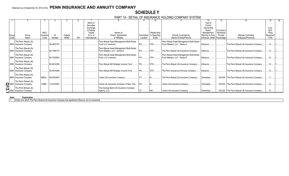#### **SCHEDULE Y** PART 1A - DETAIL OF INSURANCE HOLDING COMPANY SYSTEM

|               |                                                                        |             |             |             |            |                | .                                         |           |                          |                                           |                   |               |                                                  |            |    |
|---------------|------------------------------------------------------------------------|-------------|-------------|-------------|------------|----------------|-------------------------------------------|-----------|--------------------------|-------------------------------------------|-------------------|---------------|--------------------------------------------------|------------|----|
|               |                                                                        |             |             |             |            |                |                                           |           | 10                       |                                           |                   | 13            |                                                  | 15         | 16 |
|               |                                                                        |             |             |             |            | Name of        |                                           |           |                          |                                           | Type of           |               |                                                  |            |    |
|               |                                                                        |             |             |             |            | Securities     |                                           |           |                          |                                           | Control           |               |                                                  |            |    |
|               |                                                                        |             |             |             |            | Exchange       |                                           |           |                          |                                           | (Ownership        |               |                                                  | Is an      |    |
|               |                                                                        |             |             |             |            | if Publicly    |                                           |           |                          |                                           | Board.            | If Control is |                                                  | <b>SCA</b> |    |
|               |                                                                        | <b>NAIC</b> |             |             |            | Traded         | Names of                                  |           | Relationship             |                                           | Management        | Ownership     |                                                  | Filing     |    |
| Group         | Group                                                                  | Company     | ID          | Federal     |            | (U.S. or       | Parent, Subsidiaries                      |           | Domiciliary to Reporting | Directly Controlled by                    | Attorney-in-Fact, | Provide       | <b>Ultimate Controlling</b>                      | Required?  |    |
| Code          | Name                                                                   | Code        | Number      | <b>RSSD</b> | <b>CIK</b> | International) | or Affiliates                             | Location  | Entity                   | (Name of Entity/Person)                   | Influence, Other) | Percentage    | Entity(ies)/Person(s)                            | (Y/N)      |    |
|               | The Penn Mutual Life                                                   |             |             |             |            |                | Penn Mutual Asset Management Multi-Series |           |                          | Penn Mutual Asset Management Multi-Series |                   |               |                                                  |            |    |
|               |                                                                        |             | 36-4822707. |             |            |                | Fund LLC (onshore)                        | IPA.      |                          | Fund (Master), LLC - Series A             | Influence         |               | The Penn Mutual Life Insurance Company.          |            |    |
|               | 0850 Insurance Company                                                 |             |             |             |            |                |                                           |           |                          |                                           |                   |               |                                                  |            |    |
|               | The Penn Mutual Life                                                   |             |             |             |            |                | Penn Mutual Asset Management Multi-Series |           |                          |                                           |                   |               |                                                  |            |    |
|               | 0850 Insurance Company                                                 |             | 82-1995175. |             |            |                | Fund (Master), LLC - Series B             | <b>PA</b> | OTH.                     | The Penn Mutual Life Insurance Company    | Influence.        |               | The Penn Mutual Life Insurance Company.          |            |    |
|               |                                                                        |             |             |             |            |                |                                           |           |                          |                                           |                   |               |                                                  |            |    |
|               | The Penn Mutual Life                                                   |             |             |             |            |                | Penn Mutual Asset Management Multi-Series |           |                          | Penn Mutual Asset Management Multi-Series |                   |               |                                                  |            |    |
|               | 0850 Insurance Company                                                 |             | 82-1533643  |             |            |                | Fund, LLC (onshore)                       |           | OTH                      | Fund (Master), LLC - Series B             | Influence         |               | The Penn Mutual Life Insurance Company.          |            |    |
|               | The Penn Mutual Life                                                   |             |             |             |            |                |                                           |           |                          |                                           |                   |               |                                                  |            |    |
|               | 0850 Insurance Company                                                 |             | 82-4914289. |             |            |                | Penn Mutual AM Strategic Income Fund      | <b>PA</b> | <b>OTH</b>               | The Penn Mutual Life Insurance Company.   | Influence         |               | The Penn Mutual Life Insurance Company.          |            |    |
|               |                                                                        |             |             |             |            |                |                                           |           |                          |                                           |                   |               |                                                  |            |    |
|               | The Penn Mutual Life                                                   |             |             |             |            |                |                                           |           |                          |                                           |                   |               |                                                  |            |    |
|               | 0850   Insurance Company                                               |             | 82-4914289. |             |            |                | Penn Mutual AM Strategic Income Fund      |           |                          | The Penn Insurance & Annuity Company      | Influence         |               | The Penn Mutual Life Insurance Company.          |            |    |
|               | The Penn Mutual Life                                                   |             |             |             |            |                |                                           |           |                          |                                           |                   |               |                                                  |            |    |
|               | 0850 Insurance Company                                                 | 68632       | 06-0523876. |             |            |                | Vantis Life Insurance Company             |           |                          | The Penn Mutual Life Insurance Company    | Ownership         |               | .100.000 The Penn Mutual Life Insurance Company  |            |    |
|               |                                                                        |             |             |             |            |                |                                           |           |                          |                                           |                   |               |                                                  |            |    |
|               | The Penn Mutual Life                                                   |             |             |             |            |                |                                           |           |                          |                                           |                   |               |                                                  |            |    |
| <b>O 0850</b> | Insurance Company                                                      | 13588       | 13-4337991  |             |            |                | Vantis Life Insurance Company of New York |           |                          | Vantis Life Insurance Company.            | Ownership         |               | .100.000 The Penn Mutual Life Insurance Company. |            |    |
|               | The Penn Mutual Life<br>0850 Insurance Company<br>The Penn Mutual Life |             |             |             |            |                | The Savings Bank Life Insurance Company   |           |                          |                                           |                   |               |                                                  |            |    |
|               |                                                                        |             |             |             |            |                | Agency, LLC                               | ICT.      | <b>NIA</b>               | Vantis Life Insurance Company.            | Ownership.        | .100.000      | The Penn Mutual Life Insurance Company.          |            |    |
|               |                                                                        |             |             |             |            |                |                                           |           |                          |                                           |                   |               |                                                  |            |    |

#### **Aster Explanation**

1 Entity over which The Penn Mutual Life Insurance Company has significant influence, but no ownership.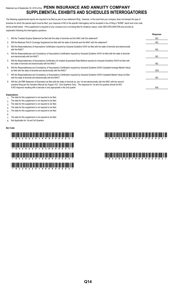# Statement as of September 30, 2019 of the **PENN INSURANCE AND ANNUITY COMPANY SUPPLEMENTAL EXHIBITS AND SCHEDULES INTERROGATORIES**

The following supplemental reports are required to be filed as part of your statement filing. However, in the event that your company does not transact the type of business for which the special report must be filed, your response of NO to the specific interrogatory will be accepted in lieu of filing a "NONE" report and a bar code will be printed below. If the supplement is required of your company but is not being filed for whatever reason, enter SEE EXPLANATION and provide an explanation following the interrogatory questions.

|    |                                                                                                                                                                                                                                                                                   | Response       |
|----|-----------------------------------------------------------------------------------------------------------------------------------------------------------------------------------------------------------------------------------------------------------------------------------|----------------|
|    | Will the Trusteed Surplus Statement be filed with the state of domicile and the NAIC with this statement?                                                                                                                                                                         | N <sub>O</sub> |
| 2. | Will the Medicare Part D Coverage Supplement be filed with the state of domicile and the NAIC with this statement?                                                                                                                                                                | NO.            |
| 3. | Will the Reasonableness of Assumptions Certification required by Actuarial Guideline XXXV be filed with the state of domicile and electronically<br>with the NAIC?                                                                                                                | N <sub>O</sub> |
| 4. | Will the Reasonableness and Consistency of Assumptions Certification required by Actuarial Guideline XXXV be filed with the state of domicile<br>and electronically with the NAIC?                                                                                                | N <sub>O</sub> |
| 5. | Will the Reasonableness of Assumptions Certification for Implied Guaranteed Rate Method required by Actuarial Guideline XXXVI be filed with<br>the state of domicile and electronically with the NAIC?                                                                            | N <sub>O</sub> |
| 6. | Will the Reasonableness and Consistency of Assumptions Certification required by Actuarial Guideline XXXVI (Updated Average Market Value)<br>be filed with the state of domicile and electronically with the NAIC?                                                                | <b>YES</b>     |
| 7. | Will the Reasonableness and Consistency of Assumptions Certification required by Actuarial Guideline XXXVI (Updated Market Value) be filed<br>with the state of domicile and electronically with the NAIC?                                                                        | N <sub>O</sub> |
| 8. | Will the Life PBR Statement of Exemption be filed with the state of domicile by July 1st and electronically with the NAIC with the second<br>quarterly filing per the Valuation Manual (by August 15)? (2nd Quarterly Only). The response for 1st and 3rd quarters should be N/A. |                |
|    | A NO response resulting with a barcode is only appropriate in the 2nd quarter.                                                                                                                                                                                                    | N/A            |

#### **Explanations:**

- 1. The data for this supplement is not required to be filed.
- 2. The data for this supplement is not required to be filed.
- 3 The data for this supplement is not required to be filed.
- 4. The data for this supplement is not required to be filed.
- 5. The data for this supplement is not required to be filed.

6.

- 7. The data for this supplement is not required to be filed.
- 8. Not Applicable for 1st and 3rd Quarters

#### **Bar Code:**

# \* \* The same final final final final final final final final final final final final final final final final f<br>The same final final final final final final final final final final final final final final final final final \*93262201944500003\* \*93262201944900003\*  $\frac{1}{2}$  . Thus find that find that find that find that find the find find find that  $\frac{1}{2}$  .

# \*93262201949000003\* \*93262201944700003\*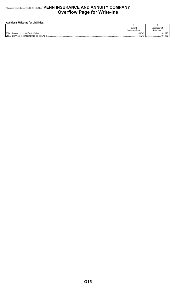# Statement as of September 30, 2019 of the **PENN INSURANCE AND ANNUITY COMPANY Overflow Page for Write-Ins**

| <b>Additional Write-ins for Liabilities:</b> |                       |             |  |  |  |  |  |  |  |  |
|----------------------------------------------|-----------------------|-------------|--|--|--|--|--|--|--|--|
|                                              |                       |             |  |  |  |  |  |  |  |  |
|                                              | Current               | December 31 |  |  |  |  |  |  |  |  |
|                                              | <b>Statement Date</b> | Prior Year  |  |  |  |  |  |  |  |  |
| 2504.<br>Interest on Unpaid Death Claims     | 146.343               | 176         |  |  |  |  |  |  |  |  |
|                                              | 146.343               |             |  |  |  |  |  |  |  |  |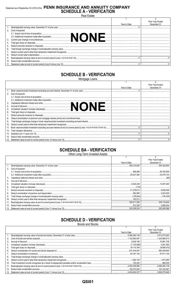# Statement as of September 30, 2019 of the PENN INSURANCE AND ANNUITY COMPANY<br>SCHEDULE A - VERIFICATION

**Real Estate** 

|     |                      |              | <b>Prior Year Ended</b> |
|-----|----------------------|--------------|-------------------------|
|     |                      | Year to Date | December 31             |
|     |                      |              |                         |
|     | 2. Cost of acquired: |              |                         |
|     |                      |              |                         |
|     |                      |              |                         |
| 3.  |                      |              |                         |
|     |                      |              |                         |
| 5.  |                      |              |                         |
| 6.  |                      |              |                         |
|     |                      |              |                         |
| 8.  |                      |              |                         |
|     |                      |              |                         |
| 10. |                      |              |                         |
|     |                      |              |                         |

# **SCHEDULE B - VERIFICATION**

Mortgage Loans

|     |                                                                                                                 |              | <b>Prior Year Ended</b> |
|-----|-----------------------------------------------------------------------------------------------------------------|--------------|-------------------------|
|     |                                                                                                                 | Year to Date | December 31             |
|     |                                                                                                                 |              |                         |
| 2.  | Cost of acquired:                                                                                               |              |                         |
|     |                                                                                                                 |              |                         |
|     |                                                                                                                 |              |                         |
| 3.  |                                                                                                                 |              |                         |
|     |                                                                                                                 |              |                         |
| 5.  |                                                                                                                 |              |                         |
| 6.  |                                                                                                                 |              |                         |
|     |                                                                                                                 |              |                         |
| 8.  |                                                                                                                 |              |                         |
| 9.  |                                                                                                                 |              |                         |
| 10. |                                                                                                                 |              |                         |
| 11. | Book value/recorded investment excluding accrued interest at end of current period (Lines 1+2+3+4+5+6-7-8+9-10) |              |                         |
| 12. |                                                                                                                 |              |                         |
| 13. |                                                                                                                 |              |                         |
| 14. |                                                                                                                 |              |                         |
| 15. |                                                                                                                 |              |                         |

# **SCHEDULE BA - VERIFICATION**

Other Long-Term Invested Assets

|     |                   |              | Prior Year Ended |
|-----|-------------------|--------------|------------------|
|     |                   | Year to Date | December 31      |
|     |                   |              | 205.323.654      |
| 2.  | Cost of acquired: |              |                  |
|     |                   |              |                  |
|     |                   |              |                  |
| 3.  |                   |              |                  |
|     |                   |              |                  |
| 5.  |                   |              |                  |
| 6.  |                   |              |                  |
|     |                   |              |                  |
| 8.  |                   |              |                  |
| 9.  |                   |              |                  |
| 10. |                   |              |                  |
| 11. |                   |              | 309,133,830      |
| 12. |                   |              |                  |
| 13. |                   |              | 305,285,586      |

# **SCHEDULE D - VERIFICATION**

**Bonds and Stocks** 

|     |                                                                                                                                                                                                                                     |              | Prior Year Ended |
|-----|-------------------------------------------------------------------------------------------------------------------------------------------------------------------------------------------------------------------------------------|--------------|------------------|
|     |                                                                                                                                                                                                                                     | Year to Date | December 31      |
|     |                                                                                                                                                                                                                                     |              | 3,413,573,922    |
| 2.  |                                                                                                                                                                                                                                     |              |                  |
| 3.  |                                                                                                                                                                                                                                     |              |                  |
| 4.  |                                                                                                                                                                                                                                     |              |                  |
| 5.  |                                                                                                                                                                                                                                     |              |                  |
| 6.  | Deduct consideration for bonds and stocks disposed of <i>maching construction and stocks</i> disposed of maching and stocks and stocks disposed of manufacture and consideration and stocks disposed of manufacture and considerati |              |                  |
| 7.  |                                                                                                                                                                                                                                     |              |                  |
| 8.  |                                                                                                                                                                                                                                     |              |                  |
| 9.  |                                                                                                                                                                                                                                     |              |                  |
| 10. |                                                                                                                                                                                                                                     |              |                  |
| 11. |                                                                                                                                                                                                                                     |              |                  |
| 12. |                                                                                                                                                                                                                                     |              |                  |
| 13. |                                                                                                                                                                                                                                     |              |                  |

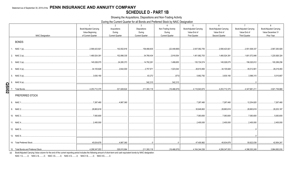# **SCHEDULE D - PART 1B**

Showing the Acquisitions, Dispositions and Non-Trading Activity

During the Current Quarter for all Bonds and Preferred Stock by NAIC Designation

|                           | $\overline{1}$         | 2                      | $\mathbf{3}$           | $\mathbf{\Lambda}$     | 5                      | 6                      | $\overline{7}$                                                                                | 8                      |
|---------------------------|------------------------|------------------------|------------------------|------------------------|------------------------|------------------------|-----------------------------------------------------------------------------------------------|------------------------|
|                           | Book/Adjusted Carrying | Acquisitions           | Dispositions           | Non-Trading Activity   | Book/Adjusted Carrying | Book/Adjusted Carrying | Book/Adjusted Carrying                                                                        | Book/Adjusted Carrying |
|                           | Value Beginning        | During                 | During                 | During                 | Value End of           | Value End of           | Value End of                                                                                  | Value December 31      |
| <b>NAIC Designation</b>   | of Current Quarter     | <b>Current Quarter</b> | <b>Current Quarter</b> | <b>Current Quarter</b> | First Quarter          | Second Quarter         | <b>Third Quarter</b>                                                                          | Prior Year             |
| <b>BONDS</b>              |                        |                        |                        |                        |                        |                        |                                                                                               |                        |
| 1. NAIC 1 (a)             | 2,590,423,921          | 142,002,916            | 158,468,835            | (22, 449, 665)         | 2,547,082,755          | 2,590,423,921          | 2,551,508,337                                                                                 | 2,567,293,929          |
| 2. NAIC 2 (a)             | 1,480,524,391          | .152,898,335           | 34,768,434             | 2,918,554              | 1,401,862,703          | 1,480,524,391          | 1,601,572,846                                                                                 | .1,220,926,324         |
| 3. NAIC 3 (a)             | 145,028,075            | 24,285,373             | 14,792,291             | .1,499,655             | 135,724,574            | 145,028,075            | 156,020,812                                                                                   | 100,289,256            |
| 4. NAIC 4 (a)             | 34,105,828             | 2,642,000              | 2,757,971              | 1,023,044              | 26,610,850             | 34,105,828             | 35,012,901                                                                                    | 28,219,493             |
| 5. NAIC 5 (a)             | ,3,630,160             |                        | 63,272                 | (573)                  | 5,662,792              | 3,630,160              | 3,566,315                                                                                     | 5,010,667              |
| 6. NAIC 6 (a)             |                        |                        | 542,315                | 542,315                |                        |                        |                                                                                               |                        |
|                           | 4,253,712,375          | 321,828,624            | 211,393,118            | (16, 466, 670)         | .4,116,943,674         | .4,253,712,375         | .4,347,681,211                                                                                | 3,921,739,669          |
| PREFERRED STOCK           |                        |                        |                        |                        |                        |                        |                                                                                               |                        |
| 8. NAIC 1                 | 7,267,460              | 4,987,360              |                        |                        | 7,267,460              | 7,267,460              | .12,254,820                                                                                   | 7,267,460              |
| 9. NAIC 2                 | 28,883,618             |                        |                        |                        | 30,649,802             | 28,883,618             | 28,883,618                                                                                    | .28,203,187            |
| 10. NAIC 3                | 7,083,600              |                        |                        |                        | 7,083,600              | 7,083,600              | 7,083,600                                                                                     | 5,083,600              |
| 11. NAIC 4.               | 2,400,000              |                        |                        |                        | 0.2,400,000            | 0.2,400,000            | .2,400,000                                                                                    | .2,400,000             |
| 12. NAIC 5                |                        |                        |                        |                        |                        |                        |                                                                                               |                        |
| 13. NAIC 6                |                        |                        |                        |                        |                        |                        |                                                                                               |                        |
| 14. Total Preferred Stock | 45,634,678             | 4,987,360              |                        | $.0 \cdot$             | 47,400,862             | 45,634,678             | 50,622,038                                                                                    | 42,954,247             |
|                           |                        |                        | 211,393,118            |                        |                        |                        | ……(16,466,670)│………………………4,164,344,536 │……………………4,299,347,053 │………………………4,398,303,249 │………………… | 3,964,693,916          |

(a) Book/Adjusted Carrying Value column for the end of the current reporting period includes the following amount of short-term and cash equivalent bonds by NAIC designation:

NAIC 1 \$..........0; NAIC 2 \$..........0; NAIC 3 \$..........0; NAIC 4 \$..........0; NAIC 5 \$..........0; NAIC 6 \$..........0.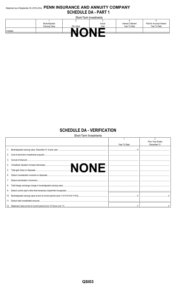# Statement as of September 30, 2019 of the PENN INSURANCE AND ANNUITY COMPANY **SCHEDULE DA - PART 1**

| Short-Term Investments                            |                |           |        |                           |                           |  |  |  |  |  |
|---------------------------------------------------|----------------|-----------|--------|---------------------------|---------------------------|--|--|--|--|--|
|                                                   |                |           |        |                           |                           |  |  |  |  |  |
|                                                   | Book/Adjusted  |           | Actual | <b>Interest Collected</b> | Paid for Accrued Interest |  |  |  |  |  |
|                                                   | Carrying Value | Par Value | Cost   | Year To Date              | Year To Date              |  |  |  |  |  |
| 9199999<br>,,,,,,,,,,,,,,,,,,,,,,,,,,,,,,,,,,,,,, |                |           | <br>,  | <br>                      |                           |  |  |  |  |  |
|                                                   |                |           |        |                           |                           |  |  |  |  |  |

#### **SCHEDULE DA - VERIFICATION**  $Q_{\text{total}}$

|     | Short-Term Investments |              |                  |
|-----|------------------------|--------------|------------------|
|     |                        |              |                  |
|     |                        |              | Prior Year Ended |
|     |                        | Year To Date | December 31      |
|     |                        |              |                  |
|     |                        |              |                  |
| 3.  |                        |              |                  |
|     |                        |              |                  |
| 5.  |                        |              |                  |
| 6.  |                        |              |                  |
|     |                        |              |                  |
| 8.  |                        |              |                  |
| 9.  |                        |              |                  |
| 10. |                        |              |                  |
|     |                        |              |                  |
|     |                        |              |                  |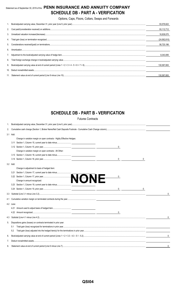# Statement as of September 30, 2019 of the **PENN INSURANCE AND ANNUITY COMPANY SCHEDULE DB - PART A - VERIFICATION**

Options, Caps, Floors, Collars, Swaps and Forwards

|     | 93.576.622     |
|-----|----------------|
|     | 93,112,712     |
|     | 16,838,070     |
| 4.  | (24, 562, 610) |
| 5.  | 56.720.196     |
| 6   |                |
|     | 8.343.095      |
| 8.  |                |
| 9.  | 130.587.693    |
| 10. |                |
|     | 130.587.693    |

# **SCHEDULE DB - PART B - VERIFICATION**

Futures Contracts

| 1.  |           |                                                                         |              |
|-----|-----------|-------------------------------------------------------------------------|--------------|
| 2.  |           |                                                                         |              |
|     | 3.1 Add:  |                                                                         |              |
|     |           | Change in variation margin on open contracts - Highly Effective Hedges: |              |
|     |           |                                                                         |              |
|     |           | 0                                                                       |              |
|     |           | Change in variation margin on open contracts - All Other:               |              |
|     |           |                                                                         |              |
|     |           | 0                                                                       |              |
|     | 3.2 Add:  |                                                                         |              |
|     |           | Change in adjustment to basis of hedged item:                           |              |
|     | 3.21      |                                                                         |              |
|     |           | 0                                                                       |              |
|     |           |                                                                         |              |
|     |           | 3.23 Section 1, Column 19, current year to date minus                   |              |
|     |           | $\mathbf{0}$<br>0                                                       |              |
|     |           |                                                                         | 0            |
| 4.1 |           |                                                                         |              |
|     | 4.2 Less: |                                                                         |              |
|     |           |                                                                         |              |
|     |           | $\mathsf{0}$                                                            |              |
|     |           |                                                                         | 0            |
| 5.  |           | Dispositions gains (losses) on contracts terminated in prior year:      |              |
|     | 5.1       |                                                                         |              |
|     | 5.2       |                                                                         |              |
| 6.  |           |                                                                         | $\mathbf{0}$ |
| 7.  |           |                                                                         |              |
| 8.  |           |                                                                         | 0            |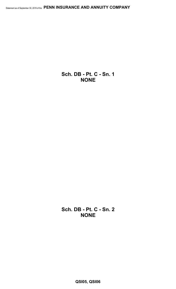**Sch. DB - Pt. C - Sn. 1 NONE**

**Sch. DB - Pt. C - Sn. 2 NONE**

**QSI05, QSI06**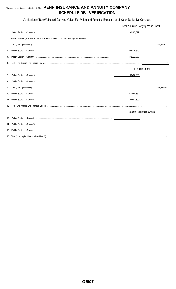# Statement as of September 30, 2019 of the PENN INSURANCE AND ANNUITY COMPANY **SCHEDULE DB - VERIFICATION**

Verification of Book/Adjusted Carrying Value, Fair Value and Potential Exposure of all Open Derivative Contracts

|    | Book/Adjusted Carrying Value Check |             |
|----|------------------------------------|-------------|
|    | 130,587,679                        |             |
| 2. |                                    |             |
| 3. |                                    | 130,587,679 |
| 4. | 202,810,620                        |             |
| 5. | (72,222,939)                       |             |
| 6. |                                    | (2)         |
|    | <b>Fair Value Check</b>            |             |
| 7. | 169,460,960                        |             |
| 8. |                                    |             |
| 9. |                                    | 169,460,960 |
|    | 277,554,352                        |             |
|    | (108,093,390)                      |             |
|    |                                    | (2)         |
|    | Potential Exposure Check           |             |
|    |                                    |             |
|    |                                    |             |
|    |                                    |             |
|    |                                    | 0           |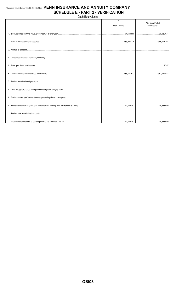# Statement as of September 30, 2019 of the PENN INSURANCE AND ANNUITY COMPANY **SCHEDULE E - PART 2 - VERIFICATION**

Cash Equivalents

|  | Year To Date | $\overline{2}$<br><b>Prior Year Ended</b><br>December 31 |
|--|--------------|----------------------------------------------------------|
|  |              |                                                          |
|  |              |                                                          |
|  |              |                                                          |
|  |              |                                                          |
|  |              |                                                          |
|  |              |                                                          |
|  |              |                                                          |
|  |              |                                                          |
|  |              |                                                          |
|  |              |                                                          |
|  |              |                                                          |
|  |              |                                                          |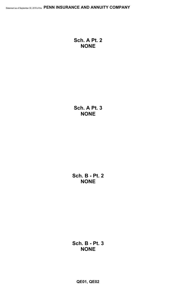**Sch. A Pt. 2 NONE**

**Sch. A Pt. 3 NONE**

**Sch. B - Pt. 2 NONE**

**Sch. B - Pt. 3 NONE**

**QE01, QE02**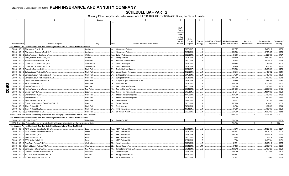# **SCHEDULE BA - PART 2**

Showing Other Long-Term Invested Assets ACQUIRED AND ADDITIONS MADE During the Current Quarter

|          |                             | $\overline{2}$                                                                                                               | Location       | 5                                             | 6           | 8                      | 9                      | 10                           | 11           | 12                    | 13            |
|----------|-----------------------------|------------------------------------------------------------------------------------------------------------------------------|----------------|-----------------------------------------------|-------------|------------------------|------------------------|------------------------------|--------------|-----------------------|---------------|
|          |                             |                                                                                                                              | $\mathbf{3}$   | $\overline{4}$                                |             |                        |                        |                              |              |                       |               |
|          |                             |                                                                                                                              |                |                                               |             |                        |                        |                              |              |                       |               |
|          |                             |                                                                                                                              |                |                                               |             |                        |                        |                              |              |                       |               |
|          |                             |                                                                                                                              |                |                                               | <b>NAIC</b> |                        |                        |                              |              |                       |               |
|          |                             |                                                                                                                              |                |                                               | Desig-      |                        |                        |                              |              |                       |               |
|          |                             |                                                                                                                              |                |                                               | nation and  |                        |                        |                              |              |                       |               |
|          |                             |                                                                                                                              |                |                                               | Admini-     |                        |                        |                              |              |                       |               |
|          |                             |                                                                                                                              |                |                                               | strative    |                        |                        |                              |              |                       |               |
|          |                             |                                                                                                                              |                |                                               | Symbol/     | Date                   |                        |                              |              |                       |               |
|          |                             |                                                                                                                              |                |                                               | Market      | Originally<br>Type and | Actual Cost at Time of | <b>Additional Investment</b> | Amount of    | Commitment for        | Percentage of |
|          | <b>CUSIP</b> Identification | Name or Description                                                                                                          | City           | State<br>Name of Vendor or General Partner    | Indicator   | Strategy<br>Acquired   | Acquisition            | Made after Acquisition       | Encumbrances | Additional Investment | Ownership     |
|          |                             | Joint Venture or Partnership Interests That Have Underlying Characteristics of Common Stocks - Unaffiliated                  |                |                                               |             |                        |                        |                              |              |                       |               |
|          |                             | 000000 00 0 Atlas Venture Fund XI, L.P.                                                                                      | Cambridge      | MA Atlas Venture Partners                     |             | 06/30/2017.            |                        | 102,857                      |              | 2,060,512             | .1.000        |
|          | 000000                      | 00 0 Atlas Venture Opportunity Fund I, L.P.                                                                                  | Cambridge      | MA<br>Atlas Venture Partners                  |             | 01/01/2019.            |                        | 160,000                      |              | 1,779,435             | 1.000         |
|          | 000000                      | 00 0 Battery Ventures XI Side Fund, L.P.                                                                                     | Waltham.       | MA<br><b>Battery Ventures.</b>                |             | 02/22/2016             |                        | .35,000                      |              | .225,750              | .1.167        |
|          |                             |                                                                                                                              |                |                                               |             |                        |                        |                              |              |                       |               |
|          | 000000                      | 00 0 Battery Ventures XII Side Fund, L.P.                                                                                    | Waltham.       | MA<br><b>Battery Ventures.</b>                |             | 01/31/2018.            |                        | .812,500                     |              | 1,942,850             | .1.625        |
|          | 000000                      | 0 Bessemer Venture Partners X, L.P.<br>$00\,$                                                                                | Larchmont      | <b>NY</b><br><b>Bessemer Venture Partners</b> |             | 09/30/2018             |                        | .88,703                      |              | 1,514,619             | .0.125        |
|          | 000000                      | 0 Cross Creek Capital Partners II, L.P<br>$00\,$                                                                             | Salt Lake City | UT<br>Cross Creek Capital                     |             | 02/03/2011.            |                        | 166,898                      |              | .195,556              | .5.000        |
|          | 000000                      | 0 Cross Creek Capital Partners IV, L.P<br>$00\,$                                                                             | Salt Lake City | <b>UT</b><br>Cross Creek Capital.             |             | 03/31/2016             |                        | .94,100                      |              | 658,700               | .1.882        |
|          | 000000                      | 00 0 Frazier Life Sciences IX, L.P.                                                                                          | Menlo Park.    | CA<br><b>Frazier Healthcare Partners</b>      |             | 10/31/2017             |                        | .320,000                     |              | .2,690,000            | .1.250        |
|          | 000000                      | 00 0 Jackson Square Ventures I, L.P.                                                                                         | Menlo Park.    | CA<br><b>Jackson Square Ventures</b>          |             | 11/28/2011             |                        | .32,215                      |              | .153,792              | .1.611        |
|          |                             |                                                                                                                              |                |                                               |             |                        |                        |                              |              |                       |               |
|          | 000000                      | 00 0 Lightspeed Venture Partners Select II, L.P.                                                                             | Menlo Park.    | CA<br>Lightspeed Ventures.                    |             | 03/10/2016             |                        | .50,000                      |              | .150,000              | .0.500        |
|          | 000000                      | 00 0 Lightspeed Venture Partners Select III, L.P                                                                             | Menlo Park.    | CA<br>Lightspeed Ventures.                    |             | 03/31/2018             |                        | 137,909                      |              | .862,092              | .0.278        |
|          | 000000                      | 00 0 Longitude Venture Partners III, L.P.                                                                                    | Menlo Park     | CA.<br>Longitude Capital Management Co., LLC. |             | 03/31/2016             |                        | .26,865                      |              | .868,706              | .0.381        |
|          | 000000                      | 00 0 Menlo Ventures XIV, L.P.                                                                                                | Menlo Park     | CA<br>Menlo Ventures.                         |             | 05/31/2017             |                        | 150,000                      |              | 1,350,000             | .0.667        |
| <u>ရ</u> | 000000                      | $00\,$<br>0 New Leaf Ventures III. L.P.                                                                                      | New York.      | NY<br><b>New Leaf Venture Partners</b>        |             | 11/30/2014             |                        | .300.000                     |              | .300,000              | .1.600        |
|          |                             |                                                                                                                              |                | NY                                            |             |                        |                        |                              |              |                       |               |
| ဥ        | 000000                      | 00 0 New Leaf Ventures IV, L.P.                                                                                              | New York.      | <b>New Leaf Venture Partners</b>              |             | 03/31/2018             |                        | .341,343                     |              | .3,269,960            | 1.455         |
|          | 000000                      | 00 0 Omega Fund V, L.P.                                                                                                      | Boston.        | MA<br>Omega Fund Management                   |             | 04/30/2015             |                        | .25,611                      |              | 1,201,555             | .1.600        |
|          | 000000                      | 00 0 Shasta Ventures IV, L.P.                                                                                                | Menlo Park.    | CA<br>Shasta Ventures Management              |             | 10/10/2014             |                        | 150,000                      |              | .300,000              | .1.132        |
|          |                             | 000000 00 0 Shasta Ventures V, L.P.                                                                                          | Menlo Park.    | CA<br>Shasta Ventures Management              |             | 06/27/2016             |                        | 100,000                      |              | .540,000              | .0.667        |
|          | 000000                      | 00 0 Sigma Prime Partners IX, L.P.                                                                                           | Menlo Park     | CA<br>Sigma Partners                          |             | 05/29/2012             |                        | .58,812                      |              | .161,306              | .2.941        |
|          | 000000                      | 00 0 Summit Partners Venture Capital Fund IV-A, L.P.                                                                         | Boston.        | MA.<br>Summit Partners.                       |             | 09/30/2015.            |                        | 157,200                      |              | .814,065              | 0.333         |
|          |                             |                                                                                                                              |                |                                               |             |                        |                        |                              |              |                       |               |
|          | 000000                      | 00 0 Trinity Ventures XI, L.P.                                                                                               | Menlo Park     | CA<br><b>Trinity Ventures.</b>                |             | 04/04/2013             |                        | .30,000                      |              | 292,500               | 0.914         |
|          |                             | 000000 00 0 Trinity Ventures XII, L.P.                                                                                       | Menlo Park     | CA<br>Trinity Ventures.                       |             | 10/31/2015             |                        | .40,000                      |              | 585,000               | .0.500        |
|          |                             | 000000 00 0 US Venture Partners XI, L.P.                                                                                     | Menlo Park     | CA.<br>US Venture Partners.                   |             | 05/20/2015.            |                        | .250.000                     |              | .1,200,000            | .1.818        |
|          |                             | 1599999. Total - Joint Venture or Partnership Interests That Have Underlying Characteristics of Common Stocks - Unaffiliated |                |                                               |             |                        |                        | 3.630.013                    |              | .23.116.398           | XXX           |
|          |                             | Joint Venture or Partnership Interests That Have Underlying Characteristics of Common Stocks - Affiliated                    |                |                                               |             |                        |                        |                              |              |                       |               |
|          |                             | 000000 00 0 Dresher Run LLC.                                                                                                 | Philadelphia.  | PA Dresher Run LLC.                           |             |                        |                        | 1,500,000                    |              |                       | .100.000      |
|          |                             |                                                                                                                              |                |                                               |             |                        |                        |                              |              |                       |               |
|          |                             | 1699999. Total - Joint Venture or Partnership Interests That Have Underlying Characteristics of Common Stocks - Affiliatec   |                |                                               |             |                        | $\cap$                 | 1.500.000                    |              |                       | XXX           |
|          |                             | Joint Venture or Partnership Interests That Have Underlying Characteristics of Other - Unaffiliated                          |                |                                               |             |                        |                        |                              |              |                       |               |
|          |                             | 000000 00 0 ABRY Advanced Securities Fund II, L.P.                                                                           | Boston.        | <b>MA</b><br>ABRY Partners, LLC.              |             | 05/04/2011             |                        | .2,979                       |              | .1,322,133            | .0.237        |
|          | 000000                      | 00 0 ABRY Advanced Securities Fund IV, L.P.                                                                                  | Boston.        | MA.<br><b>ABRY Partners, LLC.</b>             |             | 07/31/2018             |                        | .111,307                     |              | .4,024,374            | .0.300        |
|          | 000000                      | 00 0 ABRY Partners IX, L.P.                                                                                                  | Boston.        | MA<br>ABRY Partners, LLC.                     |             | 01/31/2019             |                        | 596,062                      |              | .3,403,938            | .0.191        |
|          | 000000                      | 00 0 ABRY Partners VII, L.P.                                                                                                 | Boston.        | MA.<br>ABRY Partners, LLC.                    |             | 08/10/2011.            |                        | .5,923                       |              | .152,818              | .0.184        |
|          |                             |                                                                                                                              |                |                                               |             |                        |                        |                              |              |                       |               |
|          | 000000                      | 00 0 ABRY Senior Equity V, L.P.                                                                                              | Boston.        | MA.<br>ABRY Partners, LLC.                    |             | 12/01/2016             |                        | .7,500                       |              | .1,438,764            | .0.191        |
|          | 000000                      | 00 0 Acon Equity Partners IV, L.P.                                                                                           | Washington     | DC.<br>Acon Investments.                      |             | 04/22/2016             |                        | 42,321                       |              | .2,385,512            | .0.865        |
|          | 000000                      | 00 0 Carlyle Strategic Partners IV, L.P.                                                                                     | Wilmington     | DE<br>Carlyle Group, L.P.                     |             | 03/31/2016             | $.1^{\circ}$           | .87,466                      |              | 2,982,910             | .0.200        |
|          | 000000                      | 00 0 Centre Lane Partners V, L.P.                                                                                            | New York.      | <b>NY</b><br>Centre Lane Partners, LLC        |             | 01/31/2019             |                        | 102,372                      |              | .2,897,628            | $0.600$ .     |
|          | 000000                      | 00 0 Columbia Capital Equity Partners VI, L.P.                                                                               | Alexandria     | <b>VA</b><br>Columbia Capital                 |             | 07/31/2015             |                        | .210,059                     |              | .470.585              | 0.600         |
|          | 000000                      | 00 0 EIF United States Power Fund IV, L.P.                                                                                   | Needham        | <b>MA</b><br><b>Energy Investors Funds</b>    |             | 11/28/2011             |                        | 142,881                      |              |                       | .0.234        |
|          |                             |                                                                                                                              |                |                                               |             |                        |                        |                              |              |                       |               |
|          |                             | 000000 00 0 EnCap Energy Capital Fund VIII, L.P                                                                              | Houston.       | TX EnCap Investments, L.P.                    |             | 11/30/2010             |                        | 12.222                       |              | 131.846               | .0.083        |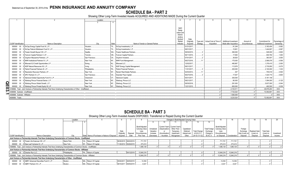# **SCHEDULE BA - PART 2**

Showing Other Long-Term Invested Assets ACQUIRED AND ADDITIONS MADE During the Current Quarter

|                                   |                                                                                                                     | Location       |       |                                   |                      |                        |          |                                   | 10 <sup>1</sup>              |              | 12                    | 13            |
|-----------------------------------|---------------------------------------------------------------------------------------------------------------------|----------------|-------|-----------------------------------|----------------------|------------------------|----------|-----------------------------------|------------------------------|--------------|-----------------------|---------------|
|                                   |                                                                                                                     |                |       |                                   |                      |                        |          |                                   |                              |              |                       |               |
|                                   |                                                                                                                     |                |       |                                   |                      |                        |          |                                   |                              |              |                       |               |
|                                   |                                                                                                                     |                |       |                                   | <b>NAIC</b>          |                        |          |                                   |                              |              |                       |               |
|                                   |                                                                                                                     |                |       |                                   | Desig-<br>nation and |                        |          |                                   |                              |              |                       |               |
|                                   |                                                                                                                     |                |       |                                   | Admini-              |                        |          |                                   |                              |              |                       |               |
|                                   |                                                                                                                     |                |       |                                   | strative             |                        |          |                                   |                              |              |                       |               |
|                                   |                                                                                                                     |                |       |                                   | Symbol/<br>Market    | Date                   |          | Type and   Actual Cost at Time of | <b>Additional Investment</b> | Amount of    | Commitment for        | Percentage of |
| <b>CUSIP</b> Identification       | Name or Description                                                                                                 | City           | State | Name of Vendor or General Partner | Indicator            | Originally<br>Acquired | Strategy | Acquisition                       | Made after Acquisition       | Encumbrances | Additional Investment | Ownership     |
|                                   | 000000 00 0 EnCap Energy Capital Fund XI, L.P                                                                       | Houston.       |       | TX EnCap Investments, L.P         |                      | 01/31/2017.            |          |                                   | .91,249                      |              | .3,183,454            | .0.062        |
|                                   | 000000 00 0 EnCap Flatrock Midstream Fund IV, L.P.                                                                  | Houston.       |       | TX EnCap Investments, L.P.        |                      | 08/31/2017.            |          |                                   | 15.801                       |              | 1.444.807             | .0.067        |
|                                   | 000000 00 0 Frazier Growth Buyout VIII, L.P.                                                                        | Seattle        |       | WA Frazier Healthcare Partners.   |                      | 09/30/2015.            |          |                                   | .360,000                     |              | 528,000               | .0.800        |
|                                   | 000000 00 0 Fulcrum Capital Partners V, LP                                                                          | Toronto.       |       | ON Fulcrum Capital Partners.      |                      | 06/11/2015.            |          |                                   | 17.650                       |              | .930.794              | .1.000        |
|                                   | 000000 00 0 Gryphon Mezzanine Partners, L.P.                                                                        | San Francisco. |       | CA Gryphon Investors              |                      | 07/01/2017.            |          |                                   | 38,820                       |              | 383,507               | .3.000        |
|                                   | 000000 00 0 MHR Institutional Partners IV, L.P.                                                                     | New York.      |       | NY MHR Fund Management            |                      | 06/27/2016.            |          |                                   | .175,000                     |              | .2,568,076            | .0.556        |
|                                   | 000000 00 0 Miravast ILS Credit Opportunities L.P.                                                                  | Ewing          |       | NJ Miravast LLC                   |                      | 12/02/2017.            |          |                                   | 480.967                      |              | .1.376.415            | .2.000        |
|                                   | 000000 00 0 NGP Natural Resources XII. L.P.                                                                         | Irvina         |       | TX NGP Energy Capital Management. |                      | 08/31/2017.            |          |                                   | 113.978                      |              | .2,735,850            | .0.075        |
|                                   | 000000 00 0 Patriot Financial Partners III. L.P.                                                                    | Philadelphia   |       | PA Patriot Financial Partners.    |                      | 11/01/2017.            |          |                                   | 200,000                      |              | .2.100.000            | .1.333        |
|                                   | 000000 00 0 Resolution Recovery Partners, LP.                                                                       | New York       |       | NY Ranieri Real Estate Partners   |                      | 02/03/2012.            |          |                                   | .307                         |              | 705.519               | .0.500        |
|                                   | 000000 00 0 SPC Partners VI. L.P.                                                                                   | San Francisco. |       | CA Swander Pace Capital.          |                      | 06/27/2016.            |          |                                   | .17.647                      |              | 1,424,715             | .0.600        |
|                                   | 000000 00 0 Starwood Global Opportunity Fund XI, L.P.                                                               | Greenwich.     |       | CT Starwood Capital               |                      | 05/31/2017.            |          |                                   | .300.000                     |              | .5,161,148            |               |
|                                   | 000000 00 0 Warburg Pincus Financial Sector, L.P.                                                                   | New York.      |       | NY Warburg, Pincus LLC            |                      | 09/21/2017.            |          |                                   | 80,000                       |              | .1,094,000            | 0.125         |
| <u>ဂ</u>                          | 000000 00 0 Warburg Pincus Global Growth, L.P.                                                                      | New York.      |       | NY Warburg, Pincus LLC.           |                      | 09/30/2018.            |          |                                   | 291,000                      |              | .5,637,000            | .0.044        |
|                                   | 000000 00 0 Warburg Pincus Private Equity XII, LP                                                                   | New York.      |       | NY Warburg, Pincus LLC            |                      | 12/21/2015.            |          |                                   | 600.000                      |              | .492.500              | .0.039        |
| င္ထ                               | 199999. Total - Joint Venture or Partnership Interests That Have Underlying Characteristics of Other - Unaffiliated |                |       |                                   |                      |                        |          |                                   | .4.103.511                   |              | .48.976.293           | .XXX          |
| 4499999. Subtotal - Unaffiliated. |                                                                                                                     |                |       |                                   |                      |                        |          |                                   | .7.733.524                   |              | .72,092,691           | .XXX          |
| 4599999. Subtotal - Affiliated    |                                                                                                                     |                |       |                                   |                      |                        |          |                                   | .1.500.000                   |              |                       | XXX           |
| 4699999. Totals                   |                                                                                                                     |                |       |                                   |                      |                        |          |                                   | .9.233.524                   |              | 72,092,691            | .XXX          |

## **SCHEDULE BA - PART 3**

Showing Other Long-Term Invested Assets DISPOSED, Transferred or Repaid During the Current Quarter

|                             |                                                                                                                               | Location      |                         |                                               |                       |            |                                                          |                                     |                                        | Changes in Book/Adjusted Carrying Value                                 |                                         |                                     |                                               | 15                                                      |               |                                       |                                   | 19                             |            |
|-----------------------------|-------------------------------------------------------------------------------------------------------------------------------|---------------|-------------------------|-----------------------------------------------|-----------------------|------------|----------------------------------------------------------|-------------------------------------|----------------------------------------|-------------------------------------------------------------------------|-----------------------------------------|-------------------------------------|-----------------------------------------------|---------------------------------------------------------|---------------|---------------------------------------|-----------------------------------|--------------------------------|------------|
|                             |                                                                                                                               |               |                         |                                               |                       |            |                                                          |                                     | 10                                     |                                                                         |                                         |                                     |                                               |                                                         |               |                                       |                                   |                                |            |
|                             |                                                                                                                               |               |                         |                                               | Date<br>Originally    | Disposal   | Book/Adjusted<br>Carrying Value<br>Less<br>Encumbrances, | Unrealized<br>Valuation<br>Increase | (Depreciation)<br>or<br>(Amortization) | Current Year's Current Year's<br>Other-Than-<br>Temporary<br>Impairment | Capitalized<br>Deferred<br>Interest and | <b>Total Change</b><br>in B./A.C.V. | <b>Total Foreign</b><br>Exchange<br>Change in | Book/Adjusted<br>Carrying Value<br>Less<br>Encumbrances |               | Foreign<br>Exchange<br>Gain (Loss) on | <b>Realized Gain</b><br>(Loss) on | <b>Total Gain</b><br>(Loss) on | Investment |
| <b>CUSIP</b> Identification | Name or Description                                                                                                           |               |                         | State Name of Purchaser or Nature of Disposal | Acquired              | Date       | Prior Year                                               | (Decrease)                          | Accretion                              | Recognized                                                              | Other                                   | $(9+10-11+12)$                      | B./A.C.V                                      | on Disposal                                             | Consideration | Disposal                              | Disposa                           | Disposa                        | Income     |
|                             | Joint Venture or Partnership Interests That Have Underlying Characteristics of Common Stocks - Unaffiliated                   |               |                         |                                               |                       |            |                                                          |                                     |                                        |                                                                         |                                         |                                     |                                               |                                                         |               |                                       |                                   |                                |            |
|                             | 000000 00 0 Frazier Life Sciences VIII, L.P.,                                                                                 | Menlo Park    | CA Return Of Capital    |                                               | 09/30/2015 08/02/2019 |            | .711.721                                                 |                                     |                                        |                                                                         |                                         |                                     |                                               | .711,721                                                | 711.721       |                                       |                                   |                                |            |
|                             | 000000 00 0 New Leaf Ventures III. L.P.                                                                                       | New York.     | NY Return Of Capital    |                                               | 11/30/2014 09/26/2019 |            | 373.414                                                  |                                     |                                        |                                                                         |                                         |                                     |                                               | .373.414                                                | .373.414      |                                       |                                   |                                |            |
|                             | 1599999. Total - Joint Venture or Partnership Interests That Have Underlying Characteristics of Common Stocks - Unaffiliated. |               |                         |                                               |                       |            | 1.085.135                                                |                                     |                                        |                                                                         |                                         |                                     |                                               | ,085,135                                                | .1,085,135    |                                       |                                   |                                |            |
|                             | Joint Venture or Partnership Interests That Have Underlying Characteristics of Common Stocks - Affiliated                     |               |                         |                                               |                       |            |                                                          |                                     |                                        |                                                                         |                                         |                                     |                                               |                                                         |               |                                       |                                   |                                |            |
| 000000 00 0 Dresher Run LLC |                                                                                                                               | Philadlephia. | PA., Return of Capital. |                                               |                       | 09/12/2019 | .12.840.216                                              |                                     |                                        |                                                                         |                                         |                                     |                                               | 12,840,216                                              | .12.840.216   |                                       |                                   |                                |            |
|                             | 1699999. Total - Joint Venture or Partnership Interests That Have Underlying Characteristics of Common Stocks - Affiliated.   |               |                         |                                               |                       |            | .12.840.216                                              |                                     |                                        |                                                                         |                                         |                                     |                                               | 12,840,216                                              | 12,840,216    |                                       |                                   |                                |            |
|                             | Joint Venture or Partnership Interests That Have Underlying Characteristics of Other - Unaffiliated                           |               |                         |                                               |                       |            |                                                          |                                     |                                        |                                                                         |                                         |                                     |                                               |                                                         |               |                                       |                                   |                                |            |
| 000000                      | 0 ABRY Advanced Securities Fund II, L.P.                                                                                      | Boston.       | MA., Return Of Capital  |                                               | 05/04/2011 08/05/2019 |            | 14.354                                                   |                                     |                                        |                                                                         |                                         |                                     |                                               | .14,354                                                 | 14.354        |                                       |                                   |                                |            |
| 000000                      | 00 0 ABRY Partners VII, L.P.                                                                                                  | Boston.       | MA Return Of Capital    |                                               | 08/10/2011 09/05/2019 |            | .8.441                                                   |                                     |                                        |                                                                         |                                         |                                     |                                               | .8.441                                                  | 8.441         |                                       |                                   |                                |            |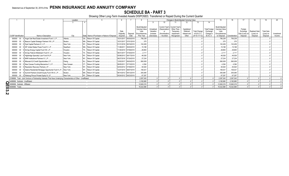**SCHEDULE BA - PART 3**<br>Showing Other Long-Term Invested Assets DISPOSED, Transferred or Repaid During the Current Quarter

|                           |                                   |                                                                                                                      | Location    |                                               |            |                       |                                        |            |                                                 |             | Changes in Book/Adjusted Carrying Value |                     |                      | 15                                     |               |                |                      | 19                | 20         |
|---------------------------|-----------------------------------|----------------------------------------------------------------------------------------------------------------------|-------------|-----------------------------------------------|------------|-----------------------|----------------------------------------|------------|-------------------------------------------------|-------------|-----------------------------------------|---------------------|----------------------|----------------------------------------|---------------|----------------|----------------------|-------------------|------------|
|                           |                                   |                                                                                                                      |             |                                               |            |                       |                                        |            | 10                                              |             |                                         | 13                  | 14                   |                                        |               |                |                      |                   |            |
|                           |                                   |                                                                                                                      |             |                                               |            |                       |                                        |            |                                                 |             |                                         |                     |                      |                                        |               |                |                      |                   |            |
|                           |                                   |                                                                                                                      |             |                                               |            |                       | Book/Adiusted<br><b>Carrying Value</b> | Unrealized | Current Year's Current Year's<br>(Depreciation) | Other-Than- | Capitalized                             |                     | <b>Total Foreign</b> | Book/Adjusted<br><b>Carrying Value</b> |               | Foreign        |                      |                   |            |
|                           |                                   |                                                                                                                      |             |                                               | Date       |                       | Less                                   | Valuation  | or                                              | Temporary   | Deferred                                | <b>Total Change</b> | Exchange             | Less                                   |               | Exchange       | <b>Realized Gain</b> | <b>Total Gain</b> |            |
|                           |                                   |                                                                                                                      |             |                                               | Originally | Disposal              | Encumbrances                           | Increase   | (Amortization)                                  | Impairment  | Interest and                            | in B./A.C.V.        | Change in            | Encumbrances                           |               | Gain (Loss) on | (Loss) on            | (Loss) on         | Investment |
|                           | <b>CUSIP</b> Identification       | Name or Description                                                                                                  | City        | State Name of Purchaser or Nature of Disposal | Acquired   | Date                  | Prior Year                             | (Decrease) | / Accretion                                     | Recognized  | Other                                   | $(9+10-11+12)$      | <b>B./A.C.V.</b>     | on Disposal                            | Consideration | Disposal       | Disposal             | Disposal          | Income     |
|                           | 000000<br>$00\,$                  | Angel Oak Real Estate Investment Fund I, L.P.                                                                        | Atlanta.    | GA Return Of Capital                          |            | 10/31/2017 09/30/2019 | 756,238                                |            |                                                 |             |                                         |                     |                      | 756,238                                | 756,238       |                |                      |                   |            |
|                           | 000000<br>$00\,$                  | 0 Beacon Capital Strategic Partners VIII, L.P.                                                                       | Boston.     | MA Return Of Capital                          |            | 10/31/2017 07/01/2019 | 375                                    |            |                                                 |             |                                         |                     |                      | .375                                   | .375          |                |                      |                   |            |
|                           | 000000<br>00                      | 0 Dval Capital Partners IV, L.P.                                                                                     | New York.   | NY Return Of Capital                          |            | 01/31/2018 08/16/2019 | .102.459                               |            |                                                 |             |                                         |                     |                      | .102,459                               | .102.459      |                |                      |                   |            |
|                           | 000000<br>$00\,$                  | 0 EIF United States Power Fund IV, L.P.                                                                              | Needham     | MA Return Of Capital.                         | 11/28/2011 | 09/30/2019            | .15,188                                |            |                                                 |             |                                         |                     |                      | .15,188                                | 15,188        |                |                      |                   |            |
|                           | 000000<br>00                      | 0 EnCap Energy Capital Fund VIII, L.P                                                                                | Houston.    | TX Return Of Capital                          |            | 11/30/2010 07/09/2019 | 28,893                                 |            |                                                 |             |                                         |                     |                      | 28,893                                 | .28,893       |                |                      |                   |            |
|                           | 000000<br>$00\,$                  | 0 EnCap Flatrock Midstream Fund IV, L.P.                                                                             | Houston.    | TX Return Of Capital                          |            | 08/31/2017 07/25/2019 | .2,111                                 |            |                                                 |             |                                         |                     |                      | .2.111                                 | .2.111        |                |                      |                   |            |
|                           | 000000<br>00                      | 0 Highbridge Specialty Loan Fund III LP.                                                                             | New York.   | NY. Return Of Capital.                        |            | 05/06/2013 09/17/2019 | .46,526                                |            |                                                 |             |                                         |                     |                      | .46,526                                | .46.526       |                |                      |                   |            |
|                           | 000000<br>$00\,$                  | 0 MHR Institutional Partners IV. L.P.,                                                                               | New York.   | NY. Return Of Capital                         |            | 06/27/2016 07/24/2019 | .27,234                                |            |                                                 |             |                                         |                     |                      | .27,234                                | 27,234        |                |                      |                   |            |
|                           | 000000<br>$00\,$                  | 0 Miravast ILS Credit Opportunities L.P.                                                                             | Ewing       | NJ Return Of Capital                          |            | 12/02/2017 09/24/2019 | 560,009                                |            |                                                 |             |                                         |                     |                      | 560,009                                | 560,009       |                |                      |                   |            |
|                           | 000000<br>$00\,$                  | 0 New Canaan Funding Mezzanine V, L.P.                                                                               | New Canaan. | CT. Return Of Capital                         |            | 08/05/2011 07/15/2019 | 4,394                                  |            |                                                 |             |                                         |                     |                      | 4,394                                  | .4,394        |                |                      |                   |            |
|                           | 000000<br>$00\,$                  | 0 Resolution Recovery Partners, LP.                                                                                  | New York.   | NY. Return Of Capital.                        |            | 02/03/2012 07/09/2019 | .50,520                                |            |                                                 |             |                                         |                     |                      | .50,520                                | 50,520        |                |                      |                   |            |
|                           | 000000                            | 00 0 Selene Residential Mortgage Opportunity Fund II L.P                                                             | New York.   | NY Return Of Capital.                         |            | 12/27/2010 08/07/2019 | .108,421                               |            |                                                 |             |                                         |                     |                      | .108,421                               | .108.421      |                |                      |                   |            |
|                           | 000000                            | 00 0 Summit Partners Growth Equity Fund VIII-A, L.P.                                                                 | Boston.     | MA Return Of Capital.                         |            | 06/14/2012 09/12/2019 | .305,085                               |            |                                                 |             |                                         |                     |                      | 305,085                                | 305,085       |                |                      |                   |            |
|                           |                                   | 000000 00 0 Warburg Pincus Private Equity XI, LP.                                                                    | New York.   | NY Return Of Capital.                         |            | 05/24/2012 09/23/2019 | .67,297                                |            |                                                 |             |                                         |                     |                      | 67,297                                 | .67,297       |                |                      |                   |            |
|                           |                                   | 2199999. Total - Joint Venture or Partnership Interests That Have Underlying Characteristics of Other - Unaffiliated |             |                                               |            |                       | 2,097,545                              |            |                                                 |             |                                         |                     |                      | .2,097,545                             | .2,097,545    |                |                      |                   |            |
|                           | 4499999. Subtotal - Unaffiliated. |                                                                                                                      |             |                                               |            |                       | 3.182.680                              |            |                                                 |             |                                         |                     |                      | .3.182.680                             | .3.182.680    |                |                      |                   |            |
| <u>ရ</u>                  | 4599999. Subtotal - Affiliated.   |                                                                                                                      |             |                                               |            |                       | .12.840.216                            |            |                                                 |             |                                         |                     |                      | .12.840.21                             | .12.840.216   |                |                      |                   |            |
|                           | 4699999. Totals.                  |                                                                                                                      |             |                                               |            |                       | .16,022,896                            |            |                                                 |             |                                         |                     |                      | 16,022,896                             | .16,022,896   |                |                      |                   |            |
| o                         |                                   |                                                                                                                      |             |                                               |            |                       |                                        |            |                                                 |             |                                         |                     |                      |                                        |               |                |                      |                   |            |
| ယ                         |                                   |                                                                                                                      |             |                                               |            |                       |                                        |            |                                                 |             |                                         |                     |                      |                                        |               |                |                      |                   |            |
| $\boldsymbol{\mathsf{N}}$ |                                   |                                                                                                                      |             |                                               |            |                       |                                        |            |                                                 |             |                                         |                     |                      |                                        |               |                |                      |                   |            |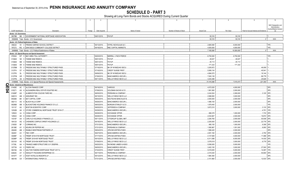**SCHEDULE D - PART 3**<br>Showing all Long-Term Bonds and Stocks ACQUIRED During Current Quarter

|                          | $\overline{2}$<br>$\overline{1}$                                      | $\overline{3}$ | $\overline{4}$ |                                | - 5            | 6                         | $\overline{7}$     | 8           | 9                                       | 10                                           |
|--------------------------|-----------------------------------------------------------------------|----------------|----------------|--------------------------------|----------------|---------------------------|--------------------|-------------|-----------------------------------------|----------------------------------------------|
|                          |                                                                       |                |                |                                |                |                           |                    |             |                                         |                                              |
|                          |                                                                       |                |                |                                |                |                           |                    |             |                                         | NAIC Designation and                         |
|                          |                                                                       |                |                |                                |                |                           |                    |             |                                         | Administrative<br>Symbol/Market Indicator    |
|                          | CUSIP Identification<br>Description                                   | Foreign        | Date Acquired  |                                | Name of Vendor | Number of Shares of Stock | <b>Actual Cost</b> | Par Value   | Paid for Accrued Interest and Dividends |                                              |
|                          | Bonds - U.S. Government                                               |                |                |                                |                |                           |                    |             |                                         |                                              |
|                          | 38378B M6 3 GOVERNMENT NATIONAL MORTGAGE ASSOCIATION.                 |                | 09/01/2019.    | PAYUP.                         |                |                           | 50,316             | .50,316     |                                         |                                              |
|                          | 0599999. Total - Bonds - U.S. Government.                             |                |                |                                |                |                           | .50.316            | .50.316     | 0 <sup>1</sup>                          | XXX.                                         |
|                          | Bonds - U.S. Political Subdivisions of States                         |                |                |                                |                |                           |                    |             |                                         |                                              |
| 358232                   | 5V 4   FRESNO UNIFIED SCHOOL DISTRICT                                 |                | 09/13/2019.    | STIFEL NICHOLAUS & C.          |                |                           | .2,665,080         | .6,000,000  |                                         | 1FE.                                         |
|                          | 797272 RG 8 SAN DIEGO COMMUNITY COLLEGE DISTRICT.                     |                | 09/18/2019.    | RBC CAPITAL MARKETS.           |                |                           | .4,500,000         | .4,500,000  |                                         | 1FE.                                         |
|                          | 2499999. Total - Bonds - U.S. Political Subdivisions of States        |                |                |                                |                |                           | .7,165,080         | .10.500.000 | 0 <sup>1</sup>                          | $\overline{X}$ $\overline{X}$ $\overline{X}$ |
|                          | Bonds - U.S. Special Revenue and Special Assessment                   |                |                |                                |                |                           |                    |             |                                         |                                              |
| 072024                   | WT 5 BAY AREA TOLL AUTHORITY.                                         |                | 09/20/2019.    | <b>MERRILL LYNCH PIERCE</b>    |                |                           | .6,750,000         | .6,750,000  |                                         | 1FE.                                         |
| 3136A8                   | N5 5 FANNIE MAE REMICS                                                |                | 08/01/2019.    | PAYUP.                         |                |                           | 49,027             | .49,027     |                                         |                                              |
| 3136A8                   | 3 FANNIE MAE REMICS<br>SM                                             |                | 08/01/2019.    | PAYUP.                         |                |                           | .45,113            | .45,113     |                                         |                                              |
| 3136A8                   | <b>FANNIE MAE REMICS.</b><br>XR<br>- 6                                |                | 09/01/2019.    | PAYUP.                         |                |                           | .171,333           | .171,333    |                                         |                                              |
| 3137BM                   | FREDDIE MAC MULTIFAMILY STRUCTURED PASS.<br>7D<br>2                   |                | 07/19/2019.    | BK OF NY/MIZUHO SECU           |                |                           | .3,205,872         |             | .49,059                                 |                                              |
| 3137F4                   | FREDDIE MAC MULTIFAMILY STRUCTURED PASS.<br>D7                        |                | 07/16/2019.    | CREDIT SUISSE FIRST.           |                |                           | .5,956,134         |             | .40,541                                 |                                              |
| 3137FK                   | <b>SL</b><br>FREDDIE MAC MULTIFAMILY STRUCTURED PASS.                 |                | 09/06/2019.    | BK OF NY/MIZUHO SECU.          |                |                           | .4,994,570         |             | .19,144                                 |                                              |
| 3137FM                   | UR<br>FREDDIE MAC MULTIFAMILY STRUCTURED PASS.                        |                | 07/26/2019.    | <b>BANC/AMERICA SECUR.L</b>    |                |                           | 7,000,139          |             | .86,778                                 |                                              |
| 3137FN                   | X8 8   FREDDIE MAC MULTIFAMILY STRUCTURED PASS.                       |                | 09/11/2019.    | WELLS FARGO SECS LLC.          |                |                           | .3,244,298         |             | .25,828                                 |                                              |
|                          | 3199999. Total - Bonds - U.S. Special Revenue and Special Assessments |                |                |                                |                |                           | .31,416,486        | 7,015,473   | .221,350                                | XXX.                                         |
|                          | <b>Bonds - Industrial and Miscellaneous</b>                           |                |                |                                |                |                           |                    |             |                                         |                                              |
| Ш<br>01400E              | AC 7 ALCON FINANCE CORP.                                              |                | 09/19/2019.    | VARIOUS.                       |                |                           | .4,072,020         | .4,000,000  |                                         | 2FE.                                         |
| $\overline{9}$<br>015271 | ALEXANDRIA REAL ESTATE EQUITIES INC.<br>AS<br>- 8                     |                | 07/08/2019.    | <b>GOLDMAN SACHS &amp; CO.</b> |                |                           | .1,991,560         | .2,000,000  |                                         | 2FE.                                         |
| 01626P                   | AG<br>ALIMENTATION COUCHE-TARD INC.                                   |                | 08/05/2019.    | PERSHING & COMPANY.            |                |                           | .2,434,524         | .2,269,000  | .3,120 2FE.                             |                                              |
| 04621X                   | AM 0<br><b>ASSURANT INC.</b>                                          |                | 08/15/2019.    | WELLS FARGO SECS LLC           |                |                           | .2,998,950         | .3,000,000  |                                         | 2FE.                                         |
| 05526D                   | BK<br><b>BAT CAPITAL CORP</b>                                         |                | 09/03/2019.    | DEUTSCHE BANC/ALEX B.          |                |                           | .2,000,000         | .2,000,000  |                                         | 2FE.                                         |
| 092113                   | AS 8<br><b>BLACK HILLS CORP.</b>                                      |                | 09/26/2019.    | <b>BANC/AMERICA SECUR.L</b>    |                |                           | .1,996,100         | .2,000,000  |                                         | 2FE.                                         |
| 09256B                   | BLACKSTONE HOLDINGS FINANCE CO LLC.<br>AM<br>-9                       |                | 09/03/2019.    | MORGAN STANLEY & CO.           |                |                           | .1,979,440         | .2,000,000  |                                         | 1FE.                                         |
| 101137                   | <b>BOSTON SCIENTIFIC CORP.</b><br>AU                                  |                | 09/05/2019.    | JEFFERIES & COMPANY.           |                |                           | .3,672,210         | .3,000,000  | .3,133 2FE.                             |                                              |
| 12532B                   | CFCRE COMMERCIAL MORTGAGE TRUST 2016-C7.<br>AH                        |                | 05/29/2019.    | <b>BANC/AMERICA SECUR.L</b>    |                |                           |                    |             | .4,701 1FE.                             |                                              |
| 125523                   | AJ<br>CIGNA CORP.<br><b>q</b>                                         |                | 08/28/2019.    | <b>EXCHANGE OFFER.</b>         |                |                           | .998,378           | .1,000,000  | .1,733 2FE.                             |                                              |
| 125523                   | AK 6<br>CIGNA CORP.                                                   |                | 08/28/2019.    | <b>EXCHANGE OFFER</b>          |                |                           | .2,034,667         | .2,000,000  | .19,872 2FE.                            |                                              |
| 14310F                   | CARLYLE HOLDINGS II FINANCE LLC.<br>AA                                |                | 09/11/2019.    | CITIGROUP GLOBAL MKT           |                |                           | .2,294,760         | .2,000,000  | .50,938 2FE.                            |                                              |
| 16412X                   | AG<br>CHENIERE CORPUS CHRISTI HOLDINGS LLC<br>$\Omega$                |                | 09/18/2019.    | WELLS FARGO SECS LLC.          |                |                           | .2,200,000         | .2,000,000  | .22,778 3FE.                            |                                              |
| 219350                   | <b>BF</b><br><b>CORNING INC.</b>                                      |                | 07/31/2019.    | <b>BANC/AMERICA SECUR.L</b>    |                |                           | .995,150           | .1,000,000  | .9,358 2FE.                             |                                              |
| 26138E                   | KEURIG DR PEPPER INC<br>AY<br>- 5                                     |                | 07/31/2019.    | PERSHING & COMPANY.            |                |                           | .1,580,967         | .1,551,000  | .8,950 2FE.                             |                                              |
| 292480                   | AM <sub>2</sub><br>ENABLE MIDSTREAM PARTNERS LP.                      |                | 09/04/2019.    | JPM SECURITIES-FIXED           |                |                           | .1,996,420         | .2,000,000  |                                         | 2FE.                                         |
| 302491                   | AV 7 FMC CORP.                                                        |                | 09/27/2019.    | <b>BANC/AMERICA SECUR.L</b>    |                |                           | .2,091,160         | .2,000,000  | .2,750 2FE.                             |                                              |
| 30298F                   | AJ<br>FREMF 2019-K735 MORTGAGE TRUST<br>3                             |                | 07/17/2019.    | JPM SECURITIES-FIXED           |                |                           | .4,147,608         | .4,000,000  | .11,086 2FE.                            |                                              |
| 30298P                   | AS<br>FREMF 2019-K97 MORTGAGE TRUST                                   |                | 09/10/2019.    | WELLS FARGO SECS LLC.          |                |                           | .6,311,088         | .6,000,000  | 14,430 2FE                              |                                              |
| 30310X                   | AE 9<br>FREMF 2019-K94 MORTGAGE TRUST                                 |                | 07/09/2019.    | WELLS FARGO SECS LLC.          |                |                           | .3,578,519         | .3,500,000  | .6,779 2FE.                             |                                              |
| 31739L                   | AA<br>FINANCE AMER STRUCTURE 0.01 25SEP69.                            |                | 09/20/2019.    | RAYMOND JAMES & ASSO           |                |                           | .5,056,005         | .5,000,000  |                                         | IFE.                                         |
| 337738                   | AV 0<br>FISERV INC.                                                   |                | 09/05/2019.    | <b>BANC/AMERICA SECUR.L</b>    |                |                           | 3,402,150          | .3,000,000  | .27,500 2FE.                            |                                              |
| 36418A                   | GALTON FUNDING MORTGAGE TRUST 2017-2.<br>AQ<br>$\Omega$               |                | 07/24/2019.    | <b>CREDIT SUISSE FIRST</b>     |                |                           | .5,018,005         | .5,000,000  | .14,097 1FE.                            |                                              |
| 42824C                   | AY<br>HEWLETT PACKARD ENTERPRISE CO.                                  |                | 09/17/2019.    | PERSHING & COMPANY.            |                |                           | .2,319,340         | .2,000,000  | .50,800                                 | 2FE                                          |
| 44107T                   | AY 2 HOST HOTELS & RESORTS LP.                                        |                | 09/12/2019.    | WELLS FARGO SECS LLC           |                |                           | .1,984,360         | .2,000,000  |                                         | 2FE                                          |
| 460146                   | CK 7   INTERNATIONAL PAPER CO.                                        |                | 07/31/2019.    | JPM SECURITIES-FIXED           |                |                           | .2,101,860         | .2,000,000  | .12,533 2FE.                            |                                              |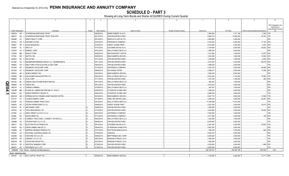**SCHEDULE D - PART 3**<br>Showing all Long-Term Bonds and Stocks ACQUIRED During Current Quarter

|     | $\overline{1}$       | $\overline{2}$                                                         | -3      | $\overline{4}$             | $5\overline{5}$                              | 6                         | $\overline{7}$           | -8                       | 9                                       | 10                                     |
|-----|----------------------|------------------------------------------------------------------------|---------|----------------------------|----------------------------------------------|---------------------------|--------------------------|--------------------------|-----------------------------------------|----------------------------------------|
|     |                      |                                                                        |         |                            |                                              |                           |                          |                          |                                         |                                        |
|     |                      |                                                                        |         |                            |                                              |                           |                          |                          |                                         | NAIC Designation and<br>Administrative |
|     |                      |                                                                        |         |                            |                                              |                           |                          |                          |                                         | Symbol/Market Indicator                |
|     | CUSIP Identification | Description                                                            | Foreign | Date Acquired              | Name of Vendor                               | Number of Shares of Stock | <b>Actual Cost</b>       | Par Value                | Paid for Accrued Interest and Dividends |                                        |
|     | 46651B               | AR 1 JP MORGAN MORTGAGE TRUST.                                         |         | 09/09/2019.                | BAIRD ROBERT W & CO.                         |                           | .7,589,063               | 7,371,185                | 7,292 1FE.                              |                                        |
|     | 46651F               | AQ<br>JP MORGAN MORTGAGE TRUST 2019-HYB1                               |         | 08/13/2019.                | JPM SECURITIES-FIXED                         |                           | .9,992,519               | 10,000,000               | .23,333                                 | 1FE.                                   |
|     | 49446R               | KIMCO REALTY CORP.<br>AV                                               |         | 08/15/2019.                | <b>BARCLAYS CAPITAL FIX</b>                  |                           | .2,964,960               | .3,000,000               |                                         | 2FE.                                   |
|     | 501044               | <b>CN</b><br><b>KROGER CO/THE.</b><br><b>q</b>                         |         | 09/10/2019.                | PERSHING & COMPANY                           |                           | .2,233,820               | .2,000,000               | .17,100 2FE.                            |                                        |
|     | 524901               | AR 6<br><b>LEGG MASON INC.</b>                                         |         | 07/26/2019.                | <b>CREDIT SUISSE FIRST</b>                   |                           | .2,515,280               | .2,300,000               | .5,391 2FE.                             |                                        |
|     | 55336V               | <b>AL</b><br>MPLX LP<br>$\mathbf{A}$                                   |         | 07/31/2019.                | <b>GOLDMAN SACHS &amp; CO.</b>               |                           | .2,138,480               | .2,000,000               | .43,622 2FE.                            |                                        |
|     | 570535               | AV<br><b>MARKEL CORP.</b><br>- 6                                       |         | 09/12/2019.                | WELLS FARGO SECS LLC                         |                           | .1,995,500               | .2,000,000               |                                         | 2FE.                                   |
|     | 574599               | <b>BM</b><br>MASCO CORP<br>$\overline{7}$                              |         | 08/26/2019.                | <b>BNY/SUNTRUST CAPITAL</b>                  |                           | 1,031,680                | .1,000,000               | .12,875 2FE.                            |                                        |
|     | 577081               | <b>BB</b><br><b>MATTEL INC</b><br>$\overline{7}$                       |         | 08/09/2019.                | <b>BANC/AMERICA SECUR.L</b>                  |                           | 1,622,000                | .1,600,000               | .12,900 4FE.                            |                                        |
|     | 628530               | BC<br>MYLAN INC.<br>$\overline{0}$                                     |         | 07/31/2019.                | JPM SECURITIES-FIXED                         |                           | 1,040,600                | .1,000,000               | .9,450 2FE.                             |                                        |
|     | 64128X               | AE<br>NEUBERGER BERMAN GROUP LLC / NEUBERGER B                         |         | 09/11/2019.                | JPM SECURITIES-FIXED                         |                           | .3,474,035               | .3,342,000               | .66,979 2FE.                            |                                        |
|     | 649840               | NEW YORK STATE ELECTRIC & GAS CORP.<br><b>CR</b>                       |         | 09/03/2019.                | JPM SECURITIES-FIXED                         |                           | .1,989,020               | .2,000,000               |                                         | IFE.                                   |
|     | 651639               | AP<br>NEWMONT GOLDCORP CORP.                                           |         | 07/16/2019.                | JEFFERIES & COMPANY                          |                           | .3,330,150               | .3,000,000               | .49,969 2FE                             |                                        |
|     | 651639               | NEWMONT GOLDCORP CORP.<br>AV                                           |         | 08/06/2019.                | <b>EXCHANGE OFFER</b>                        |                           | .2,296,817               | .2,000,000               | .17,258 2FE                             |                                        |
|     | 655044               | AR<br><b>NOBLE ENERGY INC</b><br>- 6                                   |         | 09/24/2019.                | <b>BANC/AMERICA SECUR.L</b>                  |                           | .7,994,400               | .8,000,000               |                                         | 2FE.                                   |
|     | 678858               | BN<br><b>OKLAHOMA GAS &amp; ELECTRIC CO.</b><br>. വ                    |         | 09/23/2019.                | WELLS FARGO SECS LLC.                        |                           | .5,403,493               | .5,125,000               | .79,950 1FE.                            |                                        |
|     | 680665               | AL<br><b>OLIN CORP.</b>                                                |         | 07/17/2019.                | JPM SECURITIES-FIXED                         |                           | .1,018,750               | .1,000,000               |                                         | .469 3FE.                              |
|     | 681936               | OMEGA HEALTHCARE INVESTORS INC.<br><b>BI</b>                           |         | 09/17/2019.                | <b>WELLS FARGO SECS LLC</b>                  |                           | .985,420                 | .1,000,000               |                                         | 2FE.                                   |
| Q   | 682680               | AZ<br><b>ONEOK INC.</b><br>- 6                                         |         | 08/12/2019.                | JPM SECURITIES-FIXED                         |                           | .4,975,250               | .5,000,000               |                                         | 2FE.                                   |
| m   | 690742               | <b>OWENS CORNING.</b><br>AJ.                                           |         | 07/29/2019.                | <b>WELLS FARGO SECS LLC</b>                  |                           | .997,870                 | .1,000,000               |                                         | 3FE.                                   |
| 94. | 72650R               | PLAINS ALL AMERICAN PIPELINE LP / PAA FI.<br><b>BM</b><br>$\mathbf{3}$ |         | 09/09/2019.                | CITIGROUP GLOBAL MKT                         |                           | 1,996,020                | .2,000,000               |                                         | 3FE.                                   |
|     | 828807               | SIMON PROPERTY GROUP LP.<br><b>DH</b>                                  |         | 09/04/2019.                | CITIGROUP GLOBAL MKT                         |                           | .2,988,030               | .3,000,000               |                                         | 1FE.                                   |
|     | 85022W               | SPRINGCASTLE FUNDING ASSET-BACKED NOTES.<br>AM                         |         | 08/19/2019.                | <b>BANC/AMERICA SECUR.L</b>                  |                           | .5,061,719               | .5,000,000               | .12,928                                 | 1FE.                                   |
|     | 91913Y               | AT<br>VALERO ENERGY CORP.                                              |         | 07/19/2019.                | HSBC SECURITIES (USA.                        |                           | .3,280,320               | .3,000,000               | .52,267                                 | 2FE.                                   |
|     | 92349F               | VERIZON OWNER TRUST 2018-1<br>AA                                       |         | 09/18/2019.                | <b>WELLS FARGO SECS LLC</b>                  |                           | 17,364,899               | .17,247,000              |                                         | IFE.                                   |
|     | 92840V               | AE<br><b>VISTRA OPERATIONS CO LLC</b>                                  |         | 08/08/2019.                | <b>CREDIT SUISSE FIRST</b>                   |                           | .2,523,325               | .2,500,000               | .18,215 2FE.                            |                                        |
|     | 59151K               | METHANEX CORP.<br>AL<br>$\overline{2}$                                 |         | 09/09/2019.                | JPM SECURITIES-FIXED                         |                           | .1,999,380               | .2,000,000               |                                         | 2FE.                                   |
|     | 878742               | AS<br><b>TECK RESOURCES LTD.</b>                                       |         | 07/16/2019.                | JPM SECURITIES-FIXED                         |                           | .3,244,860               | .3,000,000               | .76,500 2FE.                            |                                        |
|     | 03755C               | AJ<br>APEX CREDIT CLO 2017-II LLC.<br>- 3                              |         | 09/27/2019.                | JEFFERIES & COMPANY.                         |                           | .7,000,000               | .7,000,000               |                                         | FE.                                    |
|     | 03938L               | <b>BC</b><br>ARCELORMITTAL                                             |         | 07/16/2019.                | JEFFERIES & COMPANY.                         |                           | .2,971,080               | .3,000,000               | 708                                     | 2FE.                                   |
|     | 20752T               | CONNECT FINCO SARL / CONNECT US FINCO LL<br>AA<br>$\overline{2}$       |         | 09/25/2019.                | WELLS FARGO SECS LLC                         |                           | 1,020,000                | .1,000,000               |                                         | 4FE.                                   |
|     | 22846B               | AC.<br>CROWN POINT CLO 8 LTD                                           |         | 08/09/2019.                | JPM SECURITIES-FIXED                         |                           | .5,000,000               | .5,000,000               |                                         | IFE.                                   |
|     | 268317               | AQ<br>ELECTRICITE DE FRANCE SA                                         |         | 08/14/2019.                | GOLDMAN SACHS & CO.                          |                           | .2,391,340               | .2,000,000               | .33,825                                 | 1FE.                                   |
|     | 40052V               | AG<br><b>GRUPO BIMBO SAB DE CV.</b><br>-9                              |         | 09/04/2019.                | JP MORGAN CHASE/JP M.                        |                           | .2,967,300               | .3,000,000               |                                         | 2FE.                                   |
|     | 45262B               | AC<br><b>IMPERIAL BRANDS FINANCE PLC</b>                               |         | 07/31/2019.                | DEUTSCHE BANC/ALEX B.                        |                           | 995,320                  | .1,000,000               | 646                                     | 2FE.                                   |
|     | 632525               | NATIONAL AUSTRALIA BANK LTD.<br>AS<br>$\Omega$                         |         | 07/29/2019.                | VARIOUS                                      |                           | 5,005,750                | .5,000,000               |                                         | 2FE.                                   |
|     | 92329N               | AQ<br>3 VENTURE XIII CLO LTD.                                          |         | 09/06/2019.                | BNP PARIBAS SEC CORP.                        |                           | .6,000,000               | 0.6,000,000              |                                         | 1FE.                                   |
|     | 92557W               | AS<br>2 VIBRANT CLO IV LTD.                                            |         | 08/07/2019.                | <b>MORGAN STANLEY &amp; CO.</b>              |                           | 7,500,000                | .7,500,000               |                                         | IFE.                                   |
|     | 92857W               | <b>BU</b><br>3 VODAFONE GROUP PLC.                                     |         | 09/10/2019.                | MORGAN STANLEY & CO.                         |                           | .1,992,480               | .2,000,000               |                                         | 2FE.                                   |
|     |                      | EF.                                                                    |         |                            |                                              |                           |                          |                          |                                         |                                        |
|     | 961214<br>96467F     | 6   WESTPAC BANKING CORP<br>AC 4 WHITEBOX CLO I LTD.                   |         | 07/30/2019.<br>07/25/2019. | JPM SECURITIES-FIXED<br>JPM SECURITIES-FIXED |                           | .2,038,260<br>.8.000.000 | .2,000,000<br>.8,000,000 | .1,598                                  | 2FE.<br>IFE.                           |
|     |                      | 3899999. Total - Bonds - Industrial and Miscellaneous                  |         |                            |                                              |                           | .226,184,431             | .220,305,185             | .807.833                                | XXX                                    |
|     |                      |                                                                        |         |                            |                                              |                           |                          |                          |                                         |                                        |
|     |                      | <b>Bonds - Hybrid Securities</b><br>05518V AA 3 BAC CAPITAL TRUST XIV. |         | 08/09/2019.                | <b>BANC/AMERICA SECUR.L</b>                  |                           | 1.725.000                | .2.000.000               | .13.111 2FE.                            |                                        |
|     |                      |                                                                        |         |                            |                                              |                           |                          |                          |                                         |                                        |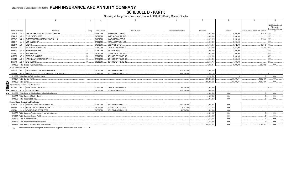# **SCHEDULE D - PART 3**

Showing all Long-Term Bonds and Stocks ACQUIRED During Current Quarter

|                           |                                     | $\mathcal{D}$                                                                               |         | $\sqrt{4}$    | $5 -$                          | 6                         |                    |             |                                         | 10                                     |
|---------------------------|-------------------------------------|---------------------------------------------------------------------------------------------|---------|---------------|--------------------------------|---------------------------|--------------------|-------------|-----------------------------------------|----------------------------------------|
|                           |                                     |                                                                                             |         |               |                                |                           |                    |             |                                         |                                        |
|                           |                                     |                                                                                             |         |               |                                |                           |                    |             |                                         | NAIC Designation and<br>Administrative |
|                           | CUSIP Identification                | Description                                                                                 | Foreign | Date Acquired | Name of Vendor                 | Number of Shares of Stock | <b>Actual Cost</b> | Par Value   | Paid for Accrued Interest and Dividends | Symbol/Market Indicator                |
|                           | 249670                              | AA 8 DEPOSITORY TRUST & CLEARING CORP/THE                                                   |         | 08/13/2019    | PERSHING & COMPANY.            |                           | 5,037,500          | .5,000,000  | .40,625 1FE.                            |                                        |
|                           | 26441C                              | BG 9 DUKE ENERGY CORP.                                                                      |         | 09/09/2019.   | <b>BARCLAYS CAPITAL FIX.</b>   |                           | .3,000,000         | 3.000.000   |                                         | 2FE.                                   |
|                           | 29379V                              | BN 2 ENTERPRISE PRODUCTS OPERATING LLC.                                                     |         | 08/12/2019.   | <b>BANC/AMERICA SECUR.</b>     |                           | .3,427,125         | 3,515,000   | .91.244 2FE.                            |                                        |
|                           | 55261F                              | AL 8 M&T BANK CORP.                                                                         |         | 07/23/2019.   | MORGAN STANLEY & CO.           |                           | .3,000,000         | 3.000.000   |                                         | 2FE.                                   |
|                           | 55336V                              | AU 4 MPLX LP.                                                                               |         | 07/31/2019.   | <b>EXCHANGE OFFER.</b>         |                           | 3,406,355          | 3,402,000   | .107.848                                | 3FF                                    |
|                           | 69352P                              | AC 7 PPL CAPITAL FUNDING INC.                                                               |         | 07/15/2019.   | <b>CANTOR FITZGERALD &amp;</b> |                           | 4,533,500          | .4,941,000  | .11.140                                 | 2FF                                    |
|                           | 06368B                              | 5P 9 BANK OF MONTREAL                                                                       |         | 07/23/2019.   | BMOCM/BONDS.                   |                           | .2,000,000         | 2.000.000   |                                         | 2FE.                                   |
|                           | 456837                              | AR 4 ING GROEP NV.                                                                          |         | 09/04/2019.   | CITIGROUP GLOBAL MKT           |                           | .3,010,500         | .3,000,000  |                                         | 3FE.                                   |
|                           | G07980                              | AF 5 BARCLAYS BANK PLC.                                                                     |         | 07/24/2019.   | NON-BROKER TRADE, BO.          |                           | 4,166,140          | 5,800,000   |                                         | 3FE.                                   |
|                           | G63812                              | AG 9 NATIONAL WESTMINSTER BANK PLC.                                                         |         | 07/31/2019.   | NON-BROKER TRADE, BO.          |                           | 5.032.544          | 6.380.000   |                                         | 2FE.                                   |
|                           |                                     | R57779 AG 6 DNB BANK ASA.                                                                   |         | 08/30/2019.   | NON-BROKER TRADE, BO.          |                           | .2,486,750         | .4.060.000  |                                         | 2FE.                                   |
|                           |                                     | 4899999. Total - Bonds - Hybrid Securities                                                  |         |               |                                |                           | 40.825.414         | .46.098.000 | .263.968                                | .XXX.                                  |
|                           | <b>Bonds - SVO Identified Funds</b> |                                                                                             |         |               |                                |                           |                    |             |                                         |                                        |
|                           |                                     | 46431W 50 7 ISHARES SHORT MATURITY BOND ETF.                                                |         | 08/02/2019.   | WELLS FARGO SECS LLC.          | 173,032.000               | 8,697,159          |             |                                         |                                        |
|                           |                                     | 92189H 30 0 VANECK VECTORS J.P. MORGAN EM LOCAL CURR.                                       |         | 07/19/2019.   | <b>WELLS FARGO SECS LLC</b>    | 215.000.000               | 7.489.738          |             |                                         |                                        |
|                           |                                     | 8199999. Total - Bonds - SVO Identified Funds.                                              |         |               |                                |                           | 16.186.897         |             |                                         | XXX.                                   |
|                           |                                     | 8399997. Total - Bonds - Part 3.                                                            |         |               |                                |                           | 321,828,624        | 283,968,974 | .1,293,151                              | $\mathsf{XXX}$ .                       |
| $\Omega_{\overline{\Pi}}$ | 8399999. Total - Bonds.             |                                                                                             |         |               |                                |                           | 321,828,624        | 283,968,974 | 1,293,151                               | XXX.                                   |
|                           |                                     | <b>Preferred Stocks - Industrial and Miscellaneous</b><br>43010E 50 3 HIGHLAND INCOME FUND. |         | 07/30/2019.   | CANTOR FITZGERALD &            | .80,000.000               | .1,987,360         |             |                                         | P1FEL                                  |
| $\overline{Q}$            |                                     | 74460W 62 8 PUBLIC STORAGE                                                                  |         | 09/05/2019.   | <b>MORGAN STANLEY &amp; CO</b> | .120.000.000              | 3,000,000          |             |                                         | P1FEL                                  |
|                           |                                     | 8499999. Total - Preferred Stocks - Industrial and Miscellaneous.                           |         |               |                                |                           | .4.987.360         | <b>XXX</b>  | $\Omega$                                | $\mathsf{L}$ XXX.                      |
| N                         |                                     | 8999997. Total - Preferred Stocks - Part 3                                                  |         |               |                                |                           | .4.987.360         | <b>XXX</b>  | $\cap$                                  | $\mathsf{L}$ XXX.                      |
|                           |                                     | 8999999. Total - Preferred Stocks.                                                          |         |               |                                |                           | .4.987.360         | XXX         | $\cap$                                  | $\mathsf{.XXX}$                        |
|                           |                                     | <b>Common Stocks - Industrial and Miscellaneous</b>                                         |         |               |                                |                           |                    |             |                                         |                                        |
|                           |                                     | 035710 40 9 ANNALY CAPITAL MANAGEMENT INC                                                   |         | 07/15/2019.   | WELLS FARGO SECS LLC.          | 216,000.000               | 2,001,931          | <b>XXX</b>  |                                         |                                        |
|                           | 462260                              | 10 0   IOVANCE BIOTHERAPEUTICS INC                                                          |         | 08/02/2019.   | <b>MERRILL LYNCH PIERCE.</b>   | 5,011.000                 | .123,170           | <b>XXX</b>  |                                         |                                        |
|                           | 651639                              | 10 6 NEWMONT GOLDCORP CORP.                                                                 |         | 08/02/2019    | WELLS FARGO SECS LLC.          | .40.600.000               | .1.524.036         | <b>XXX</b>  |                                         |                                        |
|                           |                                     | 9099999. Total - Common Stocks - Industrial and Miscellaneous.                              |         |               |                                |                           | 3.649.137          | <b>XXX</b>  | $\sim$                                  | .XXX.                                  |
|                           |                                     | 9799997. Total - Common Stocks - Part 3.                                                    |         |               |                                |                           | 3,649,137          | <b>XXX</b>  |                                         | $\mathsf{L}$ XXX.                      |
|                           |                                     | 9799999. Total - Common Stocks.                                                             |         |               |                                |                           | 3.649.137          | <b>XXX</b>  |                                         | $\mathsf{XXX}$                         |
|                           |                                     | 9899999. Total - Preferred and Common Stocks.                                               |         |               |                                |                           | 8.636.497          | XXX         |                                         | $\mathsf{L}$ XXX.                      |
|                           |                                     | 9999999. Total - Bonds, Preferred and Common Stocks.                                        |         |               |                                |                           | 330.465.121        | <b>XXX</b>  | 1,293,151                               | .XXX.                                  |

 $(a)$ For all common stock bearing NAIC market indicator "U" provide the number of such issues:................0.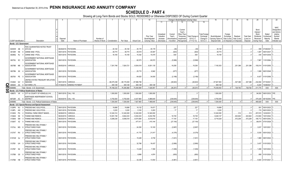# **SCHEDULE D - PART 4**

|           |           |                                 | $\overline{2}$                                         |                      | 5                           |                 |               | 8           | -9                 | 10             |            |              | Change in Book/Adjusted Carrying Value |                 |                      | 16                          | 17          | 18          | 19                | 20          | 21                       | 22            |
|-----------|-----------|---------------------------------|--------------------------------------------------------|----------------------|-----------------------------|-----------------|---------------|-------------|--------------------|----------------|------------|--------------|----------------------------------------|-----------------|----------------------|-----------------------------|-------------|-------------|-------------------|-------------|--------------------------|---------------|
|           |           |                                 |                                                        |                      |                             |                 |               |             |                    |                | 11         | 12           | 13                                     | 14              | 15                   |                             |             |             |                   |             |                          |               |
|           |           |                                 |                                                        |                      |                             |                 |               |             |                    |                |            |              |                                        |                 |                      |                             |             |             |                   |             |                          |               |
|           |           |                                 |                                                        |                      |                             |                 |               |             |                    |                |            |              |                                        |                 |                      |                             |             |             |                   |             |                          | <b>NAIC</b>   |
|           |           |                                 |                                                        |                      |                             |                 |               |             |                    |                |            |              | Current                                |                 |                      |                             |             |             |                   | Bond        |                          | Designation   |
|           |           |                                 |                                                        |                      |                             |                 |               |             |                    |                |            |              | Year's                                 |                 |                      |                             |             |             |                   | Interest/   |                          | and Admini-   |
|           |           |                                 |                                                        |                      |                             |                 |               |             |                    |                | Unrealized |              | Other-Than-                            |                 | <b>Total Foreign</b> |                             |             |             |                   | Stock       | Stated                   | strative      |
|           |           |                                 |                                                        |                      |                             |                 |               |             |                    |                |            | Current      |                                        |                 |                      |                             | Foreign     |             |                   |             |                          |               |
|           |           |                                 |                                                        |                      |                             |                 |               |             |                    | Prior Year     | Valuation  | Year's       | Temporary                              | Total Change in | Exchange             | Book/Adjusted               | Exchange    | Realized    | <b>Total Gain</b> | Dividends   | Contractua               | Symbol/       |
|           |           |                                 |                                                        | Disposal             |                             | Number of       |               |             |                    | Book/Adjusted  | Increase   | Amortization | Impairment                             | B./A.C.V.       | Change in            | Carrying Value at           | Gain (Loss) | Gain (Loss) | (Loss) on         | Received    | Maturity                 | Market        |
|           |           | <b>CUSIP</b> Identification     | Description                                            | Date                 | Name of Purchaser           | Shares of Stock | Consideration | Par Value   | <b>Actual Cost</b> | Carrying Value | (Decrease) | / Accretion  | Recognized                             | $(11+12-13)$    | <b>B./A.C.V.</b>     | Disposal Date   on Disposal |             | on Disposal | Disposal          | During Year | Date                     | Indicator (a) |
|           |           | Bonds - U.S. Government         |                                                        |                      |                             |                 |               |             |                    |                |            |              |                                        |                 |                      |                             |             |             |                   |             |                          |               |
|           |           |                                 | FDIC GUARANTEED NOTES TRUST                            |                      |                             |                 |               |             |                    |                |            |              |                                        |                 |                      |                             |             |             |                   |             |                          |               |
|           | 30250W AB | -9                              | 2010-S2                                                |                      | 08/29/2019. PAYDOWN.        |                 | .35.140       | .35,140     | .35,179            | .35,178        |            | (38)         |                                        | (38)            |                      | .35,140                     |             |             |                   |             | 599 07/29/2047           |               |
|           | 36183R    | <b>N6</b>                       | <b>GINNIE MAE I POOL</b>                               | 09/01/2019           | PAYDOWN.                    |                 | .39,774       | .39,774     |                    | .40,597        |            |              |                                        |                 |                      | .39,774                     |             |             |                   | .1,087      | 09/01/2037               |               |
|           |           |                                 |                                                        |                      |                             |                 |               |             | .40,619            |                |            | (824)        |                                        | (824)           |                      |                             |             |             |                   |             |                          |               |
|           | 36296Q RJ |                                 | <b>GINNIE MAE I POOL</b>                               |                      | 09/01/2019. PAYDOWN.        |                 | 16.105        | 16.105      | .15,342            | .15,475        |            | .630         |                                        | .630            |                      | .16.105                     |             |             |                   | .435        | 04/01/2039               |               |
|           |           |                                 | <b>GOVERNMENT NATIONAL MORTGAGE</b>                    |                      |                             |                 |               |             |                    |                |            |              |                                        |                 |                      |                             |             |             |                   |             |                          |               |
|           | 38375U SC |                                 | ASSOCIATION                                            |                      | 09/01/2019. PAYDOWN         |                 |               |             | .82,573            | .60,572        |            | (5,568)      |                                        | (5,568)         |                      |                             |             |             |                   | .7.967      | 11/01/2064.              |               |
|           |           |                                 |                                                        |                      |                             |                 |               |             |                    |                |            |              |                                        |                 |                      |                             |             |             |                   |             |                          |               |
|           |           |                                 | GOVERNMENT NATIONAL MORTGAGE                           |                      |                             |                 |               |             |                    |                |            |              |                                        |                 |                      |                             |             |             |                   |             |                          |               |
|           | 38378B M6 |                                 | <b>ASSOCIATION</b>                                     | 09/05/2019. VARIOUS. |                             |                 | 7,301,748     | 7,824,721   | .6,934,018         | .6,931,135     |            | .19,258      |                                        | .19,258         |                      | 7,100,353                   |             | 201,396     | 201,396           | 155,014     | 01/01/2055.              |               |
|           |           |                                 | GOVERNMENT NATIONAL MORTGAGE                           |                      |                             |                 |               |             |                    |                |            |              |                                        |                 |                      |                             |             |             |                   |             |                          |               |
|           | 38378N XK |                                 | <b>ASSOCIATION</b>                                     |                      | 09/01/2019. PAYDOWN.        |                 |               |             | .25,715            | .8,942         |            | (677)        |                                        | (677)           |                      |                             |             |             |                   |             | .1,908  06/01/2048.      |               |
|           |           |                                 |                                                        |                      |                             |                 |               |             |                    |                |            |              |                                        |                 |                      |                             |             |             |                   |             |                          |               |
|           |           |                                 | <b>GOVERNMENT NATIONAL MORTGAGE</b>                    |                      |                             |                 |               |             |                    |                |            |              |                                        |                 |                      |                             |             |             |                   |             |                          |               |
|           | 38378X PE |                                 | <b>ASSOCIATION</b>                                     |                      | 09/01/2019. PAYDOWN.        |                 |               |             | 64,620             | .34,930        |            | (2, 189)     |                                        | (2,189)         |                      |                             |             |             |                   |             | 6,427 01/01/2056.        |               |
|           |           |                                 | UNITED STATES TREASURY INFLATION                       |                      |                             |                 |               |             |                    |                |            |              |                                        |                 |                      |                             |             |             |                   |             |                          |               |
|           | 912828 QV |                                 | <b>INDEXED</b>                                         |                      | 08/01/2019. VARIOUS.        |                 | .68,475,338   | .68,170,000 | 67,996,796         |                |            | (48, 843)    |                                        | (48, 843)       |                      | .67,947,953                 |             | .527.386    | 527,386           | .232,094    | 07/15/2021               |               |
| Q         |           |                                 |                                                        |                      |                             |                 |               |             |                    |                |            |              |                                        |                 |                      |                             |             |             |                   |             |                          |               |
|           | 805649    | AA                              | 8 SAYARRA LTD                                          |                      | 07/29/2019. SINKING PAYMENT |                 | .300,128      | 300,128     | 300,128            | 300,128        |            |              |                                        |                 |                      | .300,128                    |             |             |                   | .6.244      | 10/29/2021               |               |
| Ш         | 0599999   |                                 | Total - Bonds - U.S. Government                        |                      |                             |                 | .76,168,233   | .76,385,868 | .75,494,990        | .7,426,957     | $\cap$     | (38, 251)    | $\Omega$                               | (38.251)        |                      | .75,439,453                 |             | .728,782    | 728.782           | .411.775    | <b>XXX</b>               | XXX           |
| $\bullet$ |           |                                 | Bonds - U.S. Political Subdivisions of States          |                      |                             |                 |               |             |                    |                |            |              |                                        |                 |                      |                             |             |             |                   |             |                          |               |
| 0         | 438670    | <b>VK</b><br>$\mathbf{\Lambda}$ | CITY & COUNTY OF HONOLULU HI.                          | 09/01/2019. CALL 100 |                             |                 | 1,500,000     | 1.500.000   | .1,500,000         | 1,500,000      |            |              |                                        |                 |                      | .1,500,000                  |             |             |                   |             | .94,500 09/01/2033. 1FE. |               |
|           |           |                                 |                                                        |                      |                             |                 |               |             |                    |                |            |              |                                        |                 |                      |                             |             |             |                   |             |                          |               |
|           |           |                                 | NORTHSIDE INDEPENDENT SCHOOL                           |                      |                             |                 |               |             |                    |                |            |              |                                        |                 |                      |                             |             |             |                   |             |                          |               |
|           | 66702R AC |                                 | <b>DISTRICT</b>                                        | 09/24/2019. CALL 100 |                             |                 | 5,750,000     | .5,750,000  | .6,427,983         | 5,989,645      |            | (239, 645)   |                                        | (239,645)       |                      | 5,750,000                   |             |             |                   | .375,429    | 08/15/2040. 1FE.         |               |
|           | 2499999.  |                                 | Total - Bonds - U.S. Political Subdivisions of States. |                      |                             |                 | .7.250.000    | .7,250,000  | .7,927,983         | .7,489,645     | $\cap$     | (239, 645)   | $\Omega$                               | (239, 645)      | $\Omega$             | .7,250,000                  |             |             |                   | .469,929    | <b>XXX</b>               | <b>XXX</b>    |
|           |           |                                 | Bonds - U.S. Special Revenue and Special Assessment    |                      |                             |                 |               |             |                    |                |            |              |                                        |                 |                      |                             |             |             |                   |             |                          |               |
|           |           |                                 |                                                        |                      |                             |                 |               |             |                    |                |            |              |                                        |                 |                      |                             |             |             |                   |             |                          |               |
|           | 3128PK    | WJ<br>-9                        | FREDDIE MAC GOLD POOI                                  |                      |                             |                 |               |             |                    |                |            |              |                                        |                 |                      |                             |             |             |                   |             |                          |               |
|           | 3128PL AW | $\overline{2}$                  |                                                        | 09/01/2019.          | PAYDOWN.                    |                 | .19,699       | .19,699     | 19,132             | 19,471         |            | .227         |                                        | .227            |                      | .19,699                     |             |             | 0                 |             | .591 05/01/2023.         |               |
|           | 3133EH    |                                 | <b>FREDDIE MAC GOLD POOL</b>                           | 09/01/2019.          | PAYDOWN.                    |                 | .5,220        | .5,220      | .5,183             | .5,203         |            | .17          |                                        |                 |                      | .5,220                      |             |             |                   |             | 174 06/01/2023.          |               |
|           |           | $\overline{2}$                  |                                                        |                      |                             |                 |               |             |                    |                |            |              |                                        |                 |                      |                             |             |             |                   |             |                          |               |
|           |           | PG                              | FEDERAL FARM CREDIT BANKS                              | 08/08/2019           | VARIOUS                     |                 | .12,340,314   | 12,340,000  | 12,340,000         | 12,340,000     |            |              |                                        |                 |                      | 12,340,000                  |             | 314         | .314              | .257,815    | 12/22/2031.              |               |
|           | 3136A8    | N5                              | <b>FANNIE MAE REMICS.</b>                              | 08/20/2019           | <b>/ARIOUS</b>              |                 | .10.091.749   | .9.842.233  | .9,302,233         | 9,234,769      |            | .18,729      |                                        | .18,729         |                      | .9,448,147                  |             | 643,602     | .643,602          | .212,693    | 10/01/2042.              |               |
|           | 3136A8    | <b>SM</b>                       | <b>FANNIE MAE REMICS.</b>                              | 08/20/2019           | <b>/ARIOUS</b>              |                 | 9,288,238     | 9,056,518   | .8,574,580         | .8,519,816     |            | .17,104      |                                        | .17,104         |                      | .8,716,029                  |             | 572,208     | 572,208           | .195,713    | 09/01/2042.              |               |
|           | 3136AT X2 |                                 | FANNIE MAE-ACES.                                       | 09/01/2019           | PAYDOWN.                    |                 |               |             | .477,411           | .415,144       |            | (27, 154)    |                                        | (27, 154)       |                      |                             |             |             |                   | .68,674     | 07/01/2028.              |               |
|           |           |                                 |                                                        |                      |                             |                 |               |             |                    |                |            |              |                                        |                 |                      |                             |             |             |                   |             |                          |               |
|           |           |                                 | FREDDIE MAC MULTIFAMILY                                |                      |                             |                 |               |             |                    |                |            |              |                                        |                 |                      |                             |             |             |                   |             |                          |               |
|           | 3137AJ MG |                                 | <b>STRUCTURED PASS</b>                                 |                      | 09/01/2019. PAYDOWN.        |                 |               |             | 24,350             | .10,183        |            | (2,697)      |                                        | (2,697)         |                      |                             |             |             |                   | 3.037       | 10/01/2021.              |               |
|           |           |                                 | FREDDIE MAC MULTIFAMILY                                |                      |                             |                 |               |             |                    |                |            |              |                                        |                 |                      |                             |             |             |                   |             |                          |               |
|           | 3137AT RX |                                 | <b>STRUCTURED PASS</b>                                 |                      | 09/01/2019. PAYDOWN.        |                 |               |             | .41,770            | .21,917        |            | (4,379)      |                                        | (4,379)         |                      |                             |             |             |                   | .5.530      | 05/01/2022.              |               |
|           |           |                                 |                                                        |                      |                             |                 |               |             |                    |                |            |              |                                        |                 |                      |                             |             |             |                   |             |                          |               |
|           |           |                                 | FREDDIE MAC MULTIFAMILY                                |                      |                             |                 |               |             |                    |                |            |              |                                        |                 |                      |                             |             |             |                   |             |                          |               |
|           | 3137AW QJ |                                 | STRUCTURED PASS                                        |                      | 09/01/2019. PAYDOWN.        |                 |               |             | 15,428             | .8,739         |            | (1,631)      |                                        | (1,631)         |                      |                             |             |             |                   | .1,969      | 08/01/2022.              |               |
|           |           |                                 | FREDDIE MAC MULTIFAMILY                                |                      |                             |                 |               |             |                    |                |            |              |                                        |                 |                      |                             |             |             |                   |             |                          |               |
|           | 3137B1 UH |                                 | STRUCTURED PASS                                        |                      | 09/01/2019. PAYDOWN.        |                 |               |             | .32,766            | .16,437        |            | (2,806)      |                                        | (2,806)         |                      |                             |             |             |                   |             | 3,437 01/01/2023.        |               |
|           |           |                                 |                                                        |                      |                             |                 |               |             |                    |                |            |              |                                        |                 |                      |                             |             |             |                   |             |                          |               |
|           |           |                                 | FREDDIE MAC MULTIFAMILY                                |                      |                             |                 |               |             |                    |                |            |              |                                        |                 |                      |                             |             |             |                   |             |                          |               |
|           | 3137B7 N2 |                                 | <b>STRUCTURED PASS</b>                                 |                      | 09/01/2019. PAYDOWN.        |                 |               |             | 13,428             | .7,359         |            | (1,009)      |                                        | (1,009)         |                      |                             |             |             |                   | .1,289      | 10/01/2023.              |               |
|           |           |                                 | FREDDIE MAC MULTIFAMILY                                |                      |                             |                 |               |             |                    |                |            |              |                                        |                 |                      |                             |             |             |                   |             |                          |               |
|           | 3137B8 G5 |                                 | <b>STRUCTURED PASS</b>                                 |                      | 09/01/2019. PAYDOWN.        |                 |               |             | .8,896             | .4,974         |            | (650)        |                                        | (650)           |                      |                             |             |             |                   | .858        | 01/01/2024               |               |
|           |           |                                 |                                                        |                      |                             |                 |               |             |                    |                |            |              |                                        |                 |                      |                             |             |             |                   |             |                          |               |
|           | 3137BA HB |                                 | FREDDIE MAC MULTIFAMILY<br><b>STRUCTURED PASS</b>      |                      | 09/01/2019. PAYDOWN         |                 |               |             | .32.236            | 13.554         |            | (4,861)      |                                        | (4,861)         |                      |                             |             |             |                   |             | .5,920 01/01/2021        |               |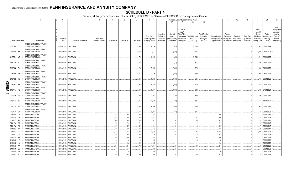# **SCHEDULE D - PART 4**

|       |                             |           | 2                                                 |             | 5                    |                 |               |           | 9                  | 10                          |                       |                         | Change in Book/Adjusted Carrying Value |                                    |                       | 16                                 | 17                      | 18                      | 19                             | 20                          | 21                     | 22                                                    |
|-------|-----------------------------|-----------|---------------------------------------------------|-------------|----------------------|-----------------|---------------|-----------|--------------------|-----------------------------|-----------------------|-------------------------|----------------------------------------|------------------------------------|-----------------------|------------------------------------|-------------------------|-------------------------|--------------------------------|-----------------------------|------------------------|-------------------------------------------------------|
|       |                             |           |                                                   |             |                      |                 |               |           |                    |                             | 11                    | 12                      | 13                                     | 14                                 | 15                    |                                    |                         |                         |                                |                             |                        |                                                       |
|       |                             |           |                                                   |             |                      |                 |               |           |                    |                             | Unrealized            | Current                 | Current<br>Year's<br>Other-Than-       |                                    | Total Foreign         |                                    | Foreign                 |                         |                                | Bond<br>Interest /<br>Stock | Stated                 | <b>NAIC</b><br>Designation<br>and Admini-<br>strative |
|       |                             |           |                                                   | Disposal    |                      | Number of       |               |           |                    | Prior Year<br>Book/Adjusted | Valuation<br>Increase | Year's<br>Amortization) | Temporary<br>Impairment                | Total Change i<br><b>B./A.C.V.</b> | Exchange<br>Change in | Book/Adjusted<br>Carrying Value at | Exchange<br>Gain (Loss) | Realized<br>Gain (Loss) | <b>Total Gain</b><br>(Loss) on | Dividends<br>Received       | Contractua<br>Maturity | Symbol/<br>Market                                     |
|       | <b>CUSIP</b> Identification |           | Description                                       | Date        | Name of Purchaser    | Shares of Stock | Consideration | Par Value | <b>Actual Cost</b> | <b>Carrying Value</b>       | (Decrease)            | Accretion               | Recognized                             | $(11+12-13)$                       | B./A.C.V.             | Disposal Date                      | on Disposal             | on Disposal             | Disposal                       | During Year                 | Date                   | Indicator (a)                                         |
|       | 3137BB BE                   | - q       | FREDDIE MAC MULTIFAMILY<br><b>STRUCTURED PASS</b> |             | 09/01/2019. PAYDOWN. |                 |               |           | 14,308             | .8,214                      |                       | (1,015)                 |                                        | (1,015                             |                       |                                    |                         |                         | . 0                            |                             | .1,343  03/01/2024.    |                                                       |
|       | 3137BH XK                   |           | FREDDIE MAC MULTIFAMILY<br><b>STRUCTURED PASS</b> |             | 09/01/2019. PAYDOWN. |                 |               |           | 10,619             | .7,632                      |                       | (815)                   |                                        | (815                               |                       |                                    |                         |                         |                                |                             | 1,079 01/01/2025.      |                                                       |
|       | 3137BL ME                   |           | FREDDIE MAC MULTIFAMILY<br><b>STRUCTURED PASS</b> |             | 09/01/2019. PAYDOWN. |                 |               |           | 12,709             | .9,205                      |                       | (1,349)                 |                                        | (1,349)                            |                       |                                    |                         |                         |                                |                             | .1,781  08/01/2025.    |                                                       |
|       | 3137BM 7D                   |           | FREDDIE MAC MULTIFAMILY<br><b>STRUCTURED PASS</b> |             | 09/01/2019. PAYDOWN. |                 |               |           | 5,435              |                             |                       | . (71                   |                                        | (71)                               |                       |                                    |                         |                         |                                |                             | 166 09/01/2025         |                                                       |
|       | 3137BN GU                   |           | FREDDIE MAC MULTIFAMILY<br><b>STRUCTURED PASS</b> |             | 09/01/2019. PAYDOWN. |                 |               |           | 10,260             | .7,595                      |                       | (623)                   |                                        | (623)                              |                       |                                    |                         |                         |                                |                             | .923 01/01/2026.       |                                                       |
|       | 3137BS 5P                   |           | FREDDIE MAC MULTIFAMILY<br><b>STRUCTURED PASS</b> |             | 09/01/2019. PAYDOWN. |                 |               |           | .9,178             | .7,736                      |                       | (635)                   |                                        | (635                               |                       |                                    |                         |                         |                                |                             | 955 08/01/2026.        |                                                       |
|       | 3137BS P9                   | - 8       | FREDDIE MAC MULTIFAMILY<br><b>STRUCTURED PASS</b> |             | 09/01/2019. PAYDOWN. |                 |               |           | 8,334              | .6,635                      |                       | (505)                   |                                        | (505)                              |                       |                                    |                         |                         |                                |                             | .745 08/01/2026.       |                                                       |
|       | 3137BY                      | <b>PS</b> | FREDDIE MAC MULTIFAMILY<br><b>STRUCTURED PASS</b> |             | 09/01/2019. PAYDOWN. |                 |               |           | 5,989              | .4,538                      |                       | (575)                   |                                        | (575)                              |                       |                                    |                         |                         |                                |                             | 768 04/01/2024.        |                                                       |
| QE05. | 3137FA RG                   | - 5       | FREDDIE MAC MULTIFAMILY<br><b>STRUCTURED PASS</b> |             | 09/01/2019. PAYDOWN. |                 |               |           | .8,476             | .6,731                      |                       | (846)                   |                                        | (846)                              |                       |                                    |                         |                         | ſ                              |                             | .1,193 07/01/2024.     |                                                       |
|       | 3137FA WU                   |           | FREDDIE MAC MULTIFAMILY<br><b>STRUCTURED PASS</b> |             | 09/01/2019. PAYDOWN. |                 |               |           | 2,386              | .2,085                      |                       | (138)                   |                                        | (138)                              |                       |                                    |                         |                         |                                |                             | 204 07/01/2027         |                                                       |
|       | 3137FC JM                   |           | FREDDIE MAC MULTIFAMILY<br>STRUCTURED PASS        |             | 09/01/2019. PAYDOWN. |                 |               |           | .1,458             | .1,319                      |                       | (85)                    |                                        | (85)                               |                       |                                    |                         |                         |                                |                             | 124 11/01/2027         |                                                       |
|       | 3137FG ZV                   |           | FREDDIE MAC MULTIFAMILY<br><b>STRUCTURED PASS</b> |             | 09/01/2019. PAYDOWN. |                 |               |           | 6,366              | .6,164                      |                       | (330)                   |                                        | (330)                              |                       |                                    |                         |                         | - 0                            |                             | 503 06/01/2028.        |                                                       |
|       | 3137FJ EK                   |           | FREDDIE MAC MULTIFAMILY<br><b>STRUCTURED PASS</b> | 09/01/2019. | PAYDOWN.             |                 |               |           | .2,167             | .2,083                      |                       | (91)                    |                                        | (91                                |                       |                                    |                         |                         | . . 0                          |                             | 183 08/01/2028.        |                                                       |
|       | 31412B DS                   |           | <b>FANNIE MAE POOL</b>                            | 09/01/2019  | PAYDOWN.             |                 | .302          | .302      | 301                | .301                        |                       |                         |                                        |                                    |                       | .302                               |                         |                         |                                | .12                         | 10/01/2047             |                                                       |
|       | 31412M                      | 2X        | FANNIE MAE POOL                                   | 09/01/2019. | PAYDOWN.             |                 | .1,397        | 1,397     | .1,359             | .1,381                      |                       | .17                     |                                        | .17                                |                       | .1,397                             |                         |                         |                                | 44                          | 07/01/2023.            |                                                       |
|       | 31412T                      | AZ        | <b>FANNIE MAE POOL</b>                            | 09/01/2019  | PAYDOWN.             |                 | .1,074        | 1,074     | .1,045             | .1,061                      |                       | .14                     |                                        | .14                                |                       | .1,074                             |                         |                         |                                | 32                          | 05/01/2023             |                                                       |
|       | 31412W                      | WB        | <b>ANNIE MAE POOL</b>                             | 09/01/2019  | PAYDOWN.             |                 | .213          | .213      | 211                | .211                        |                       |                         |                                        |                                    |                       | 213                                |                         |                         |                                |                             | 05/01/2047             |                                                       |
|       | 31412W                      | <b>WC</b> | <b>FANNIE MAE POOL</b>                            | 09/01/2019. | PAYDOWN.             |                 | .427          | .427      | .423               | .424                        |                       | -3                      |                                        | $\cdot$ 3                          |                       | .427                               |                         |                         | - 0                            | 17                          | 05/01/2047             |                                                       |
|       | 31412X                      | K4        | <b>ANNIE MAE POOL</b>                             | 09/01/2019  | PAYDOWN.             |                 | .636          | .636      | .631               | .632                        |                       |                         |                                        |                                    |                       | .636                               |                         |                         | . . 0                          | .25                         | 06/01/2047             |                                                       |
|       | 31414E                      | 2V        | FANNIE MAE POOL                                   | 09/01/2019  | PAYDOWN.             |                 | .31,734       | .31,734   | 31,549             | .31,640                     |                       | .94                     |                                        | .94                                |                       | .31,734                            |                         |                         | 0                              | .1,025                      | 07/01/2023.            |                                                       |
|       | 31414L                      | C4        | <b>ANNIE MAE POOL</b>                             | 09/01/2019  | PAYDOWN.             |                 | .379          | 379       | .369               | 375                         |                       |                         |                                        |                                    |                       | 379                                |                         |                         | . (                            | 12                          | 04/01/2023.            |                                                       |
|       | 31414M                      | BH        | FANNIE MAE POOL                                   | 09/01/201   | PAYDOWN.             |                 | .1,398        | 1,398     | 1,360              | .1,385                      |                       | .13                     |                                        | .13                                |                       | .1,398                             |                         |                         | . (                            | .42                         | 03/01/2023.            |                                                       |
|       | 31414R                      | LG.       | <b>ANNIE MAE POOL</b>                             | 09/01/20    | PAYDOWN.             |                 | 32            | .32       | .3 <sup>′</sup>    | .32                         |                       |                         |                                        |                                    |                       | .32                                |                         |                         |                                |                             | 03/01/2023             |                                                       |
|       | 31414R NV                   |           | <b>ANNIE MAE POOL</b>                             | 09/01/2019  | PAYDOWN.             |                 | .135          | .135      | 131                | .133                        |                       |                         |                                        |                                    |                       | .135                               |                         |                         |                                |                             | 04/01/2023.            |                                                       |
|       | 31414S                      | AA        | <b>FANNIE MAE POOL</b>                            | 09/01/2019  | PAYDOWN.             |                 | .1,814        | 1,814     | .1,764             | 1,794                       |                       | .19                     |                                        | .19                                |                       | 1,814                              |                         |                         |                                | 56                          | 04/01/2023.            |                                                       |
|       | 31414U                      | G3        | FANNIE MAE POOL                                   | 09/01/2019  | <b>PAYDOWN</b>       |                 | .571          | .571      | .555               | .565                        |                       |                         |                                        |                                    |                       | .571                               |                         |                         |                                |                             | 03/01/2023             |                                                       |
|       | 31415B                      | AE        | <b>FANNIE MAE POOL</b>                            | 09/01/2019  | PAYDOWN.             |                 | 91            | 91        | .88                | .90                         |                       |                         |                                        |                                    |                       | 91                                 |                         |                         |                                |                             | 06/01/2023.            |                                                       |
|       | 31415C ND                   | -5        | <b>FANNIE MAE POOL</b>                            | 09/01/2019. | PAYDOWN.             |                 | 874           | .874      | 850                | .864                        |                       | 10                      |                                        | 10                                 |                       | .874                               |                         |                         |                                | 25                          | 05/01/2023             |                                                       |
|       |                             |           |                                                   |             |                      |                 |               |           |                    |                             |                       |                         |                                        |                                    |                       |                                    |                         |                         |                                |                             |                        |                                                       |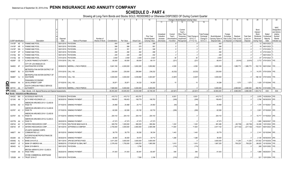# **SCHEDULE D - PART 4**

|   |                              |           |                                                                                 |                       | 5                                                               |                 |                       |                       |                       | 10                    |            |                   | Change in Book/Adjusted Carrying Value |                   |                      | 16                    |             | 18          |                   | 20                | 21                                         | 22                                        |
|---|------------------------------|-----------|---------------------------------------------------------------------------------|-----------------------|-----------------------------------------------------------------|-----------------|-----------------------|-----------------------|-----------------------|-----------------------|------------|-------------------|----------------------------------------|-------------------|----------------------|-----------------------|-------------|-------------|-------------------|-------------------|--------------------------------------------|-------------------------------------------|
|   |                              |           |                                                                                 |                       |                                                                 |                 |                       |                       |                       |                       | 11         | 12                | 13                                     |                   | 15                   |                       |             |             |                   |                   |                                            |                                           |
|   |                              |           |                                                                                 |                       |                                                                 |                 |                       |                       |                       |                       |            |                   | Current<br>Year's                      |                   |                      |                       |             |             |                   | Bond<br>Interest/ |                                            | <b>NAIC</b><br>Designation<br>and Admini- |
|   |                              |           |                                                                                 |                       |                                                                 |                 |                       |                       |                       |                       | Unrealized | Current           | Other-Than-                            |                   | <b>Total Foreign</b> |                       | Foreign     |             |                   | Stock             | Stated                                     | strative                                  |
|   |                              |           |                                                                                 |                       |                                                                 |                 |                       |                       |                       | Prior Year            | Valuation  | Year's            | Temporary                              | Total Change i    | Exchange             | Book/Adjusted         | Exchange    | Realized    | <b>Total Gain</b> | <b>Dividends</b>  | Contractua                                 | Symbol/                                   |
|   |                              |           |                                                                                 | Disposal              |                                                                 | Number of       |                       |                       |                       | Book/Adjusted         | Increase   | Amortization)     | Impairment                             | <b>B./A.C.V.</b>  | Change in            | Carrying Value at     | Gain (Loss) | Gain (Loss) | (Loss) on         | Received          | Maturity                                   | Market                                    |
|   | <b>CUSIP</b> Identification  |           | Description                                                                     | Date                  | Name of Purchaser                                               | Shares of Stock | Consideration         | Par Value             | <b>Actual Cost</b>    | Carrying Value        | (Decrease) | / Accretion       | Recognized                             | $(11+12-13)$      | <b>B./A.C.V.</b>     | Disposal Date         | on Disposal | on Disposal | Disposal          | During Year       | Date                                       | Indicator (a)                             |
|   | 31415P AE                    |           | <b>FANNIE MAE POOL</b>                                                          | 09/01/2019.           | PAYDOWN.                                                        |                 | .404                  | .404                  | .393                  | .399                  |            |                   |                                        |                   |                      | .404                  |             |             |                   | .12               | 06/01/2023                                 |                                           |
|   | 31415P                       | AR        | <b>FANNIE MAE POOL</b>                                                          |                       | 09/01/2019. PAYDOWN.                                            |                 | .586                  | .586                  | .570                  | .581                  |            |                   |                                        |                   |                      | .586                  |             |             |                   | .18               | 06/01/2023                                 |                                           |
|   | 31415P                       | WA        | <b>FANNIE MAE POOL</b>                                                          | 09/01/2019.           | PAYDOWN.                                                        |                 | .351                  | .351                  | .341                  | .346                  |            |                   |                                        |                   |                      | .351                  |             |             |                   |                   | 07/01/2023.                                |                                           |
|   | 31415P                       | <b>XP</b> | <b>FANNIE MAE POOL</b>                                                          |                       | 09/01/2019. PAYDOWN.                                            |                 | .290                  | .290                  | .282                  | .288                  |            |                   |                                        |                   |                      | 290                   |             |             |                   |                   | 07/01/2023.                                |                                           |
|   | 31415Q                       | <b>BX</b> | <b>FANNIE MAE POOL</b>                                                          | 09/01/2019.           | PAYDOWN.                                                        |                 | 245                   | .245                  | 239                   | 242                   |            |                   |                                        |                   |                      | 245                   |             |             |                   |                   | 06/01/2023                                 |                                           |
|   | 31415Q                       | E8        | <b>FANNIE MAE POOL</b>                                                          |                       | 07/01/2019. PAYDOWN.                                            |                 | .2,559                | 2.559                 | .2,489                | .2,523                |            | .36               |                                        | .36               |                      | .2,559                |             |             | $\sqrt{ }$        | .67               | 07/01/2023                                 |                                           |
|   | 45200F CE                    |           | LLINOIS FINANCE AUTHORITY                                                       | 07/01/2019. CALL 100. |                                                                 |                 | 60,000                | .60,000               | .69,934               | .69,131               |            | (221)             |                                        | (221)             |                      | .68,910               |             | (8,910)     | (8,910)           |                   | $.3,772$ 07/01/2033.                       |                                           |
|   | 544652 6F                    |           | CITY OF LOS ANGELES CA<br>WASTEWATER SYSTEM                                     | 08/08/2019.           | MERRILL LYNCH PIERCE.                                           |                 | .5,641,160            | .4,000,000            | .3,602,280            | .3,650,862            |            | .4,526            |                                        | .4,526            |                      | .3,655,388            |             | .1,985,772  | 1,985,772         |                   |                                            |                                           |
|   | 59266T BJ                    |           | <b>METROPOLITAN WATER DISTRICT OF</b><br>SOUTHERN                               | 07/01/2019. CALL 100. |                                                                 |                 | 230,000               | .230,000              | .256,984              | .238,232              |            | (8, 232)          |                                        | (8, 232)          |                      | 230,000               |             |             | - 0               |                   | .14,375 07/01/2039. 1FE.                   |                                           |
|   | 59266T CJ                    |           | METROPOLITAN WATER DISTRICT OF<br>SOUTHERN                                      | 07/01/2019. CALL 100. |                                                                 |                 | .3,000,000            | .3,000,000            | .3,039,990            | .3,003,067            |            | (3,067)           |                                        | (3,067)           |                      | .3,000,000            |             |             | . 0               |                   | 196,140   07/01/2039.   1FE.               |                                           |
| Q | 69848A AA                    |           | PANHANDLE ECONOMIC<br>DEVELOPMENT CORP                                          | 07/15/2019. CALL 100  |                                                                 |                 | .35,87                | .35,871               | .34,232               | .34,283               |            | 15                |                                        | .15               |                      | 34,298                |             | 1,573       | .1,573            |                   | 1,429 07/15/2048. 1FE.                     |                                           |
| Щ | $\overline{\text{O}}$ 837151 |           | SOUTH CAROLINA PUBLIC SERVICE<br>AA 7 AUTHORITY                                 |                       | 08/07/2019. MERRILL LYNCH PIERCE                                |                 | .7,695,500            | .5,000,000            | .5,000,000            | .5,000,000            |            |                   |                                        |                   |                      | .5,000,000            |             | .2,695,500  | 2,695,500         |                   | 356,763 01/01/2050.                        | 1FE                                       |
|   | 3199999.                     |           | Total - Bonds - U.S. Special Revenue and Special Assessments                    |                       |                                                                 |                 | .48.453.263           | .43,635,053           | .43,033,499           | .42,728,345           | $\Omega$   | (22, 921)         | $\Omega$                               | (22, 921)         | 0                    | .42,563,203           |             | .5,890,059  | 5,890,059         | .1,503,712        | <b>XXX</b>                                 | XXX                                       |
|   |                              |           | Bonds - Industrial and Miscellaneous                                            |                       |                                                                 |                 |                       |                       |                       |                       |            |                   |                                        |                   |                      |                       |             |             |                   |                   |                                            |                                           |
|   | 00432C                       | BW        | <b>ACCESSLEX INSTITUTE.</b><br>$\Omega$                                         |                       | 07/25/2019. PAYDOWN.                                            |                 | .410,712              | 410,712               | 403,781               |                       |            | .6,931            |                                        | .6,931            |                      | .410,712              |             |             | - 0               |                   | .2,876 10/25/2024.                         | 1FE.                                      |
|   | 021345 AA                    |           | ALTA WIND HOLDINGS LLC.                                                         |                       | 06/30/2019. SINKING PAYMENT                                     |                 | 108,453               | 108,453               | 108,779               | 108,703               |            | (249)             |                                        | (249)             |                      | .108,453              |             |             |                   |                   | .3,796   06/30/2035.   2FE.                |                                           |
|   | 023766 AD                    |           |                                                                                 |                       |                                                                 |                 |                       |                       |                       |                       |            |                   |                                        |                   |                      |                       |             |             |                   |                   |                                            |                                           |
|   |                              |           | AMERICAN AIRLINES 2013-1 CLASS B<br>PASS TH                                     |                       | 07/15/2019. SINKING PAYMENT                                     |                 | 24.468                | .24.468               | .24,713               | .24.563               |            | (94)              |                                        | (94)              |                      | .24.468               |             |             |                   |                   | 1,376 01/15/2021. 3FE.                     |                                           |
|   | 02376T AC                    |           | MERICAN AIRLINES 2013-2 CLASS B<br>PASS TH                                      |                       | 07/15/2019. SINKING PAYMENT                                     |                 | .62.526               | .62.526               | .63,152               | .62,733               |            | (206)             |                                        | (206)             |                      | .62.526               |             |             |                   |                   | 3,501 07/15/2020. 3FE.                     |                                           |
|   | 02376Y AA                    |           | MERICAN AIRLINES 2016-1 CLASS B<br>PASS TH                                      |                       | 07/15/2019. SINKING PAYMENT                                     |                 | 204,143               | 204.143               | .204,143              | .204.143              |            |                   |                                        |                   |                      | 204,143               |             |             | - 0               |                   | .10,717 01/15/2024. 2FE.                   |                                           |
|   |                              |           | <b>\MERICAN AIRLINES 2015-2 CLASS A</b>                                         |                       |                                                                 |                 |                       |                       |                       |                       |            |                   |                                        |                   |                      |                       |             |             |                   |                   |                                            |                                           |
|   | 02377B AA                    |           | PASS TH                                                                         |                       | 09/22/2019. SINKING PAYMENT                                     |                 | .47,373               | .47,373               | .47,373               | .47,373               |            |                   |                                        |                   |                      | .47,373               |             |             |                   | 1,895             | 09/22/2027.                                | 1FE.                                      |
|   | 03674X AC                    |           | <b>ANTERO RESOURCES CORP</b>                                                    | 07/17/2019            | DEUTSCHE BANC/ALEX B                                            |                 | .928,750              | .1,000,000            | .990,000              | .990,264              |            | .1,222            |                                        | .1,222            |                      | .991,486              |             | (62,736)    | (62, 736)         | .32,458           | 12/01/2022. 3FE.                           |                                           |
|   | 03674X AF<br>048677 AH       |           | ANTERO RESOURCES CORP<br><b>ATLANTIC MARINE CORPS</b><br><b>COMMUNITIES LLC</b> |                       | 08/14/2019. JEFFERIES & COMPANY.<br>08/15/2019. SINKING PAYMENT |                 | .2,700,000<br>.39,778 | .3,000,000<br>.39,778 | .2,850,093<br>.38,292 | .2,905,498<br>.38,334 |            | .11,604<br>.1,443 |                                        | .11,604<br>.1,443 |                      | .2,917,102<br>.39,778 |             | (217,102)   | (217, 102)<br>- 0 | 119,531           | 06/01/2023. 3FE.<br>2,141 02/15/2048. 3FE. |                                           |
|   |                              |           | AUTOPISTAS METROPOLITANAS DE                                                    |                       |                                                                 |                 |                       |                       |                       |                       |            |                   |                                        |                   |                      |                       |             |             |                   |                   |                                            |                                           |
|   | 05330K AA                    |           | PUERTO RICO                                                                     |                       | 09/30/2019. SINKING PAYMENT                                     |                 | 36,000                | .36,000               | 34,672                | .34,712               |            | .1,288            |                                        | .1,288            |                      | .36,000               |             |             | 0                 |                   | 2,126 06/30/2035. 2FE.                     |                                           |
|   | 05549G                       | AL        | BHMS 2018-ATLS                                                                  | 09/11/2019.           | JPM SECURITIES-FIXED                                            |                 | .3,611,250            | .3,600,000            | .3,600,000            | .3,600,000            |            |                   |                                        |                   |                      | .3,600,000            |             | 11,250      | .11,250           | 127,002           | 07/15/2035.                                | 1FM.                                      |
|   | 06050T                       | JZ        | <b>BANK OF AMERICA NA.</b><br>-6                                                |                       | 08/08/2019. CITIGROUP GLOBAL MKT                                |                 | .2,376,430            | .1,750,000            | 1,649,253             | .1,665,595            |            | .1,610            |                                        | .1,610            |                      | .1,667,205            |             | 709,225     | 709,225           | .86,625           | 10/15/2036.                                | 1FE.                                      |
|   | 065405 AJ                    |           | <b>BANK 2019-BNK16.</b>                                                         |                       | 09/01/2019. PAYDOWN.                                            |                 |                       |                       | .3,798                |                       |            | (174)             |                                        | (174)             |                      |                       |             |             |                   | .268              | 02/01/2052. 1FE.                           |                                           |
|   | 11043H AA                    |           | BRITISH AIRWAYS 2018-1 CLASS A<br>PASS THRO                                     |                       | 09/20/2019. SINKING PAYMENT                                     |                 | 61,043                | .61,043               | .60,481               | .60,497               |            | 546               |                                        | 546               |                      | 61,043                |             |             |                   |                   | .1,889 09/20/2031.                         | 1FE.                                      |
|   |                              |           | CFCRE COMMERCIAL MORTGAGE<br>12532B AH 0 TRUST 2016-C7                          |                       | 09/01/2019. PAYDOWN.                                            |                 |                       |                       | 7.556                 | .3,156                |            | (319)             |                                        | (319)             |                      |                       |             |             |                   |                   | .521 12/01/2054. 1FE.                      |                                           |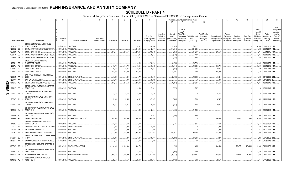# **SCHEDULE D - PART 4**

|              |                             |                |                                                    |             |                                  |                 |               | 8          | 9                  | 10                 |            |              |                   | Change in Book/Adjusted Carrying Value |                  | 16                | 17          | 18          | 19                | 20               | 21                        | 22                         |
|--------------|-----------------------------|----------------|----------------------------------------------------|-------------|----------------------------------|-----------------|---------------|------------|--------------------|--------------------|------------|--------------|-------------------|----------------------------------------|------------------|-------------------|-------------|-------------|-------------------|------------------|---------------------------|----------------------------|
|              |                             |                |                                                    |             |                                  |                 |               |            |                    |                    | 11         | 12           | 13                | 14                                     | 15               |                   |             |             |                   |                  |                           |                            |
|              |                             |                |                                                    |             |                                  |                 |               |            |                    |                    |            |              |                   |                                        |                  |                   |             |             |                   |                  |                           |                            |
|              |                             |                |                                                    |             |                                  |                 |               |            |                    |                    |            |              |                   |                                        |                  |                   |             |             |                   |                  |                           | <b>NAIC</b>                |
|              |                             |                |                                                    |             |                                  |                 |               |            |                    |                    |            |              | Current<br>Year's |                                        |                  |                   |             |             |                   | Bond<br>Interest |                           | Designation<br>and Admini- |
|              |                             |                |                                                    |             |                                  |                 |               |            |                    |                    | Unrealized | Current      | Other-Than-       |                                        | Total Foreign    |                   | Foreign     |             |                   | Stock            | Stated                    | strative                   |
|              |                             |                |                                                    |             |                                  |                 |               |            |                    | Prior Year         | Valuation  | Year's       | Temporary         | Total Change ir                        | Exchange         | Book/Adjusted     | Exchange    | Realized    | <b>Total Gain</b> | <b>Dividends</b> | Contractua                | Symbol/                    |
|              |                             |                |                                                    | Disposal    |                                  | Number of       |               |            |                    | Book/Adjusted      | Increase   | Amortization | Impairment        | <b>B./A.C.V.</b>                       | Change in        | Carrying Value at | Gain (Loss) | Gain (Loss) | (Loss) on         | Received         | Maturity                  | Market                     |
|              | <b>CUSIP</b> Identification |                | Description                                        | Date        | Name of Purchaser                | Shares of Stock | Consideration | Par Value  | <b>Actual Cost</b> | Carrying Value     | (Decrease) | / Accretion  | Recognized        | $(11+12-13)$                           | <b>B./A.C.V.</b> | Disposal Date     | on Disposal | on Disposal | Disposal          | During Year      | Date                      | Indicator (a)              |
|              |                             |                | CFCRE COMMERCIAL MORTGAGE                          |             |                                  |                 |               |            |                    |                    |            |              |                   |                                        |                  |                   |             |             |                   |                  |                           |                            |
|              | 12532C BE                   |                | <b>TRUST 2017-C8</b>                               |             | 09/01/2019. PAYDOWN.             |                 |               |            | .41,827            | .34,874            |            | (3,027)      |                   | (3,027)                                |                  |                   |             |             |                   | .4,514           | 06/01/2050. 1FE           |                            |
|              | 12592K BD                   |                | COMM 2014-UBS5 MORTGAGE TRUST                      |             | 09/01/2019. PAYDOWN.             |                 |               |            | .310,060           | .142,611           |            | (21, 244)    |                   | (21, 244)                              |                  |                   |             |             |                   | .31,535          | 09/01/2047.               | 1FE.                       |
|              | 12592U                      | AQ             | CSMLT 2015-1 TRUST.                                | 09/01/2019  | PAYDOWN.                         |                 | .201,531      | 201,531    | .206,443           | .205,748           |            | (4, 217)     |                   | (4,217)                                |                  | .201,531          |             |             |                   | .4,994           | 05/01/2045.               | 1FM.                       |
|              | 12594M                      | <b>BD</b>      | COMM 2016-COR1 MORTGAGE TRUST                      | 09/01/2019. | PAYDOWN.                         |                 |               |            | .11,055            | .8,337             |            | (749)        |                   | (749)                                  |                  |                   |             |             |                   | .1,077           | 10/01/2049.               | 1FE.                       |
|              | 12595E AE                   |                | COMM 2017-COR2 MORTGAGE TRUST.                     | 09/01/2019. | PAYDOWN.                         |                 |               |            | .4,219             | .3,681             |            | (248)        |                   | (248)                                  |                  |                   |             |             |                   | .379             | 09/01/2050. 1FE.          |                            |
|              |                             |                | CSAIL 2015-C1 COMMERCIAL                           |             |                                  |                 |               |            |                    |                    |            |              |                   |                                        |                  |                   |             |             |                   |                  |                           |                            |
|              | 126281                      | BB             | MORTGAGE TRUST                                     |             | 09/01/2019. PAYDOWN.             |                 |               |            | 101,681            | 70,474             |            | (6, 723)     |                   | (6, 723)                               |                  |                   |             |             |                   | .10,039          | 04/01/2050. 1FE.          |                            |
|              | 12637L                      | AL             | CSMLT 2015-2 TRUST                                 | 09/01/2019  | PAYDOWN.                         |                 | .153,799      | 153,799    | 157,548            | 156,843            |            | (3,044)      |                   | (3,044)                                |                  | .153,799          |             |             |                   | .3,547           | 08/01/2045. 1FM.          |                            |
|              | 12649X                      | BC             | <b>CSMC TRUST 2015-3.</b>                          | 09/01/2019  | PAYDOWN.                         |                 | .30,448       | .30,448    | 30,810             | .30,663            |            | (214)        |                   | (214)                                  |                  | .30,448           |             |             |                   | 799              | 03/01/2045.               | 1FM.                       |
|              | 12653T                      | AA<br>- 9      | CSMC TRUST 2018-J1.                                |             | 09/01/2019. PAYDOWN              |                 | .284,595      | .284,595   | .283,305           |                    |            | .1,290       |                   | 1,290                                  |                  | .284,595          |             |             |                   | .3,378           | 02/01/2048. 1FE.          |                            |
|              | 12665U AA                   | $\overline{2}$ | CVS PASS-THROUGH TRUST SERIES<br>2013              | 09/10/2019. | <b>SINKING PAYMENT</b>           |                 | .43,619       | .43,619    | .46,771            |                    |            |              |                   |                                        |                  | .43,619           |             |             |                   | 1,368            | 01/10/2036. 2FE.          |                            |
|              | 12677# AA                   |                | CVS CAREMARK CORP.                                 | 09/15/2019. | SINKING PAYMENT                  |                 | .5,988        | .5,988     |                    | .46,617            |            | (2,998)      |                   | (2,998)                                |                  |                   |             |             |                   | .218             | 01/15/2040.               |                            |
|              | 16164A                      | AC             | CHASE MORTGAGE FINANCE CORP.                       |             | 09/01/2019. PAYDOWN.             |                 | .275,582      | .275,582   | .5,988             | .5,988<br>.281,865 |            | (6, 284)     |                   | (6, 284)                               |                  | 5,988<br>.275,582 |             |             |                   | .6,854           | 12/01/2045. 1FE.          |                            |
| <b>QE05.</b> |                             |                |                                                    |             |                                  |                 |               |            | .283,091           |                    |            |              |                   |                                        |                  |                   |             |             |                   |                  |                           |                            |
|              | 17291E BB                   |                | CITIGROUP COMMERCIAL MORTGAGE<br><b>TRUST 2016</b> |             | 09/01/2019. PAYDOWN.             |                 |               |            | .10,380            | .7,651             |            | (797)        |                   | (797                                   |                  |                   |             |             |                   |                  | .1,126 12/01/2049. 1FE.   |                            |
|              |                             |                |                                                    |             |                                  |                 |               |            |                    |                    |            |              |                   |                                        |                  |                   |             |             |                   |                  |                           |                            |
| ယ            | 17321L AE                   |                | CITIGROUP MORTGAGE LOAN TRUST<br>2013-J1           |             | 09/01/2019. PAYDOWN              |                 | .31,735       | .31,735    | .31,299            | .31,735            |            |              |                   |                                        |                  | .31,735           |             |             |                   |                  | .735 10/01/2043. 1FM.     |                            |
|              |                             |                | CITIGROUP MORTGAGE LOAN TRUST                      |             |                                  |                 |               |            |                    |                    |            |              |                   |                                        |                  |                   |             |             |                   |                  |                           |                            |
|              | 17323E AN                   |                | 2014-J2                                            |             | 09/01/2019. PAYDOWN.             |                 | .37,478       | .37,478    | 38,321             | .37,997            |            | (518)        |                   | (518)                                  |                  | .37,478           |             |             |                   |                  | .973 11/01/2044. 1FM.     |                            |
|              |                             |                | CITIGROUP MORTGAGE LOAN TRUST                      |             |                                  |                 |               |            |                    |                    |            |              |                   |                                        |                  |                   |             |             |                   |                  |                           |                            |
|              | 17323T AF                   |                | 2015-RP2                                           |             | 09/01/2019. PAYDOWN.             |                 | .29,472       | .29,472    | .30,333            | .30,074            |            | (603)        |                   | (603)                                  |                  | .29,472           |             |             |                   |                  | .837 01/01/2053. 1FM.     |                            |
|              |                             |                | CITIGROUP COMMERCIAL MORTGAGE                      |             |                                  |                 |               |            |                    |                    |            |              |                   |                                        |                  |                   |             |             |                   |                  |                           |                            |
|              | 17325D AJ                   |                | <b>TRUST 2016</b>                                  |             | 09/01/2019. PAYDOWN              |                 |               |            | 14,601             | 12,084             |            | (1,036)      |                   | (1,036)                                |                  |                   |             |             |                   |                  | 1,540 10/01/2049. 1FE.    |                            |
|              |                             |                | CITIGROUP COMMERCIAL MORTGAGE                      |             |                                  |                 |               |            |                    |                    |            |              |                   |                                        |                  |                   |             |             |                   |                  |                           |                            |
|              | 17326D AJ                   |                | <b>TRUST 2017</b>                                  |             | 09/01/2019. PAYDOWN              |                 |               |            | .5,774             | .5,021             |            | (346)        |                   | (346)                                  |                  |                   |             |             |                   | .526             | 09/01/2050. 1FE.          |                            |
|              | 184496 AL                   |                | <b>CLEAN HARBORS INC</b>                           | 06/27/2019. | NON-BROKER TRADE, BO.            |                 | .1,002,990    | 1,000,000  | 1,030,000          | .1,000,000         |            |              |                   |                                        |                  | 1,000,000         |             | 2,990       | .2,990            | .30,038          | 06/01/2021. 3FE.          |                            |
|              |                             |                | <b>COLLEGIATE FUNDING SERVICES</b>                 |             |                                  |                 |               |            |                    |                    |            |              |                   |                                        |                  |                   |             |             |                   |                  |                           |                            |
|              | 19458L BD                   |                | <b>EDUCATION LO</b>                                |             | 09/30/2019. PAYDOWN              |                 | .68,628       | .68,628    | 64,103             |                    |            | .4,525       |                   | .4,525                                 |                  | .68,628           |             |             |                   |                  | 1,514   12/28/2037. 1FE.  |                            |
|              | 22100*                      | AA             | CORVIAS CAMPUS LIVING - 5.3 01JUL50                | 07/01/2019. | <b>SINKING PAYMENT</b>           |                 | .4,298        | .4,298     | .4,298             | .4,298             |            |              |                   |                                        |                  | .4,298            |             |             |                   | .340             | 07/01/2050. 2PL           |                            |
|              | 233046                      | AF             | DB MASTER FINANCE LLC.                             | 08/20/2019. | PAYDOWN.                         |                 | .7,500        | .7,500     | .7,500             | .7,500             |            |              |                   |                                        |                  | .7,500            |             |             |                   | 227              | 11/20/2047.               | 2FE.                       |
|              | 23306L                      | AA             | DBRR RE-REMIC TRUST 2015-FRR1                      |             | 08/01/2019. PAYDOWN              |                 | .3,141,000    | .3,141,000 | .2,983,582         | .3,071,447         |            | .69,553      |                   | .69,553                                |                  | .3,141,000        |             |             |                   | .32,520          | 08/01/2045. 1FM.          |                            |
|              |                             |                | DELTA AIR LINES 2007-1 CLASS B PASS                |             |                                  |                 |               |            |                    |                    |            |              |                   |                                        |                  |                   |             |             |                   |                  |                           |                            |
|              | 247367 BJ                   |                | <b>THRO</b>                                        | 08/10/2019. | <b>SINKING PAYMENT</b>           |                 | .52,395       | .52,395    | .59,076            | .55,631            |            | (3,236)      |                   | (3,236)                                |                  | .52,395           |             |             |                   |                  | .4,203 08/10/2022. 2FE.   |                            |
|              | 25755T AK                   |                | DOMINO'S PIZZA MASTER ISSUER LLC                   |             | 07/25/2019. PAYDOWN.             |                 | .7,500        | .7,500     | .7,490             | .7,490             |            | .10          |                   | 10                                     |                  | .7,500            |             |             |                   |                  | .243 07/25/2048. 2FE.     |                            |
|              |                             |                | ENTERPRISE PRODUCTS OPERATING                      |             |                                  |                 |               |            |                    |                    |            |              |                   |                                        |                  |                   |             |             |                   |                  |                           |                            |
|              | 29379V BW                   |                | <b>LLC</b>                                         |             | 08/12/2019. BANC/AMERICA SECUR.  |                 | .3,164,070    | .3,000,000 | .2,993,760         |                    |            | (95)         |                   | (95)                                   |                  | .2,993,665        |             | 170,405     | 170,405           |                  | .12,950 01/31/2050. 2FE.  |                            |
|              |                             |                | CITIGROUP COMMERCIAL MORTGAGE                      |             |                                  |                 |               |            |                    |                    |            |              |                   |                                        |                  |                   |             |             |                   |                  |                           |                            |
|              | 29429C AJ                   |                | <b>TRUST 2016</b>                                  |             | 09/01/2019. PAYDOWN              |                 |               |            | 15,739             | 11,477             |            | (959)        |                   | (959)                                  |                  |                   |             |             |                   | 1,459            | 04/01/2049. 1FE.          |                            |
|              | 33803W AB                   |                | FISHERS LANE ASSOCIATES LLC.                       |             | 08/09/2019. RAYMOND JAMES & ASSO |                 | 3,908,125     | .3,250,000 | .3,885,603         | .3,851,005         |            | (10, 721)    |                   | (10, 721)                              |                  | .3,840,284        |             | 67,841      | .67,841           | .122,624         | 08/05/2040. 1FE.          |                            |
|              |                             |                | GMAC COMMERCIAL MORTGAGE                           |             |                                  |                 |               |            |                    |                    |            |              |                   |                                        |                  |                   |             |             |                   |                  |                           |                            |
|              | 36186X AD                   | - 9            | ASSET CORP                                         |             | 09/10/2019. PAYDOWN              |                 | .22,505       | .22,505    | .23,105            | .23,107            |            | (602)        |                   | (602)                                  |                  | .22,505           |             |             |                   |                  | .777   07/10/2050.   1FE. |                            |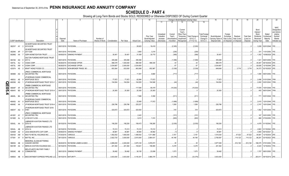# **SCHEDULE D - PART 4**

|                         |                             |           |                                                                  |             | -5                                |                 |               |            |                    | 10                    |            |               |             | Change in Book/Adjusted Carrying Value |                      | 16                | 17          |             | 19                | 20          | 21                          | 22            |
|-------------------------|-----------------------------|-----------|------------------------------------------------------------------|-------------|-----------------------------------|-----------------|---------------|------------|--------------------|-----------------------|------------|---------------|-------------|----------------------------------------|----------------------|-------------------|-------------|-------------|-------------------|-------------|-----------------------------|---------------|
|                         |                             |           |                                                                  |             |                                   |                 |               |            |                    |                       | 11         | 12            | 13          | 14                                     | 15                   |                   |             |             |                   |             |                             |               |
|                         |                             |           |                                                                  |             |                                   |                 |               |            |                    |                       |            |               |             |                                        |                      |                   |             |             |                   |             |                             |               |
|                         |                             |           |                                                                  |             |                                   |                 |               |            |                    |                       |            |               |             |                                        |                      |                   |             |             |                   |             |                             | <b>NAIC</b>   |
|                         |                             |           |                                                                  |             |                                   |                 |               |            |                    |                       |            |               | Current     |                                        |                      |                   |             |             |                   | Bond        |                             | Designation   |
|                         |                             |           |                                                                  |             |                                   |                 |               |            |                    |                       |            |               | Year's      |                                        |                      |                   |             |             |                   | Interest /  |                             | and Admini-   |
|                         |                             |           |                                                                  |             |                                   |                 |               |            |                    |                       | Unrealized | Current       | Other-Than- |                                        | <b>Total Foreigr</b> |                   | Foreign     |             |                   | Stock       | Stated                      | strative      |
|                         |                             |           |                                                                  |             |                                   |                 |               |            |                    | Prior Year            | Valuation  | Year's        | Temporary   | Total Change i                         | Exchange             | Book/Adjusted     | Exchange    | Realized    | <b>Total Gain</b> | Dividends   | Contractua                  | Symbol/       |
|                         |                             |           |                                                                  | Disposal    |                                   | Number of       |               |            |                    | Book/Adjusted         | Increase   | Amortization) | Impairment  | <b>B./A.C.V.</b>                       | Change in            | Carrying Value at | Gain (Loss) | Gain (Loss) | (Loss) on         | Received    | Maturity                    | Market        |
|                         | <b>CUSIP Identification</b> |           | Description                                                      | Date        | Name of Purchaser                 | Shares of Stock | Consideration | Par Value  | <b>Actual Cost</b> | <b>Carrying Value</b> | (Decrease) | / Accretion   | Recognized  | $(11+12-13)$                           | <b>B./A.C.V.</b>     | Disposal Date     | on Disposal | on Disposal | Disposal          | During Year | Date                        | Indicator (a) |
|                         |                             |           | <b>GS MORTGAGE SECURITIES TRUST</b>                              |             |                                   |                 |               |            |                    |                       |            |               |             |                                        |                      |                   |             |             |                   |             |                             |               |
|                         | 36251F AY 2                 |           | 2015-GC28                                                        |             | 09/01/2019. PAYDOWN.              |                 |               |            | .29,923            | .16,419               |            | (2,305)       |             | (2,305)                                |                      |                   |             |             |                   |             | .3,209 02/01/2048. 1FE.     |               |
|                         |                             |           | GS MORTGAGE SECURITIES TRUST                                     |             |                                   |                 |               |            |                    |                       |            |               |             |                                        |                      |                   |             |             |                   |             |                             |               |
|                         | 36254K AP                   |           | 2017-GS8                                                         |             | 09/01/2019. PAYDOWN.              |                 |               |            | 3,660              | .3,219                |            | (226)         |             | (226)                                  |                      |                   |             |             |                   | .331        | 11/01/2050.                 | 1FE.          |
|                         | 36298G AA                   |           | <b>GSPA MONETIZATION TRUST.</b>                                  |             | 09/09/2019. SINKING PAYMENT       |                 | 30,401        | .30,401    | .31,009            | .30,770               |            | (368)         |             | (368)                                  |                      | .30,401           |             |             |                   |             | .1,302   10/09/2029. 2FE.   |               |
|                         |                             |           | <b>GALTON FUNDING MORTGAGE TRUST</b>                             |             |                                   |                 |               |            |                    |                       |            |               |             |                                        |                      |                   |             |             |                   |             |                             |               |
|                         | 36418A AQ                   |           | 2017-2<br>$\cap$                                                 |             | 09/01/2019. PAYDOWN.              |                 | .305,266      | .305,266   | .306,366           |                       |            | (1,099)       |             | (1,099)                                |                      | .305,266          |             |             |                   | .1,321      | 06/01/2059. 1FE             |               |
|                         | 40573L                      | AU        | CIGNA CORP.                                                      | 08/28/2019. | <b>EXCHANGE OFFER</b>             |                 | .998,378      | 1,000,000  | .998,390           | .998,335              |            | .43           |             | .43                                    |                      | .998,378          |             |             |                   | .45,467     | 08/15/2038. 2FE.            |               |
|                         | 40573L AW                   |           | CIGNA CORP.                                                      | 08/28/2019. | <b>EXCHANGE OFFER</b>             |                 | .2,034,667    | .2,000,000 | .2,034,600         |                       |            | .67           |             | .67                                    |                      | .2,034,667        |             |             |                   | .92,828     | 12/15/2048. 2FE.            |               |
|                         | 423074 AS                   |           | KRAFT HEINZ FOODS CO.                                            |             | 09/26/2019. NON-BROKER TRADE, BO  |                 | .653,364      | .633,000   | .663,068           | .652,987              |            | (3,339)       |             | (3,339)                                |                      | .649,648          |             | 3,716       | .3,716            |             | .34,373 02/15/2025. 2FE.    |               |
|                         |                             |           |                                                                  |             |                                   |                 |               |            |                    |                       |            |               |             |                                        |                      |                   |             |             |                   |             |                             |               |
|                         |                             |           | <b>JPMCC COMMERCIAL MORTGAGE</b>                                 |             |                                   |                 |               |            |                    |                       |            |               |             |                                        |                      |                   |             |             |                   |             |                             |               |
|                         | 465968 AG                   |           | <b>SECURITIES TRU</b><br>- 0                                     |             | 09/01/2019. PAYDOWN               |                 |               |            | .11,501            | .9,680                |            | (717)         |             | (717)                                  |                      |                   |             |             |                   |             | .1,095 09/01/2050. 1FE.     |               |
|                         |                             |           | <b>JP MORGAN CHASE COMMERCIAL</b>                                |             |                                   |                 |               |            |                    |                       |            |               |             |                                        |                      |                   |             |             |                   |             |                             |               |
|                         | 46630J                      | AE        | MORTGAGE SECU<br>- 9                                             |             | 09/01/2019. PAYDOWN.              |                 | .77,872       | 77,872     | .62,894            | 77,872                |            |               |             |                                        |                      | 77,872            |             |             |                   |             | .2,498 01/01/2049.          | 1FM.          |
| C                       | 46639G                      | AG        | JP MORGAN MORTGAGE TRUST 2013-1                                  | 09/01/2019. | PAYDOWN.                          |                 | .104,504      | 104,504    | .104,505           | 104,548               |            | (44)          |             | (44)                                   |                      | .104,504          |             |             |                   | .2,450      | 03/01/2043. 1FM.            |               |
| m                       |                             |           | JPMBB COMMERCIAL MORTGAGE                                        |             |                                   |                 |               |            |                    |                       |            |               |             |                                        |                      |                   |             |             |                   |             |                             |               |
|                         | 46644F                      | AF        | <b>SECURITIES TRU</b>                                            | 09/01/2019. | PAYDOWN.                          |                 |               |            | 117,095            | .95,479               |            | (15,534)      |             | (15, 534)                              |                      |                   |             |             |                   |             | 17,978   10/01/2048.   1FE. |               |
| $\overline{\mathbf{S}}$ | 46644V                      | <b>BS</b> | JP MORGAN MORTGAGE TRUST 2015-4                                  |             | 09/01/2019. PAYDOWN.              |                 | 20,383        | .20,383    | .20,383            | .20,383               |            |               |             |                                        |                      | .20,383           |             |             |                   | .493        | 06/01/2045. 1FM.            |               |
| 4                       |                             |           | JPMBB COMMERCIAL MORTGAGE                                        |             |                                   |                 |               |            |                    |                       |            |               |             |                                        |                      |                   |             |             |                   |             |                             |               |
|                         | 46645L BA                   |           | <b>SECURITIES TRU</b>                                            |             | 09/01/2019. PAYDOWN.              |                 |               |            | .7,686             | .5,359                |            | (511)         |             | (511)                                  |                      |                   |             |             |                   |             | .771 03/01/2049. 1FE.       |               |
|                         |                             |           |                                                                  |             |                                   |                 |               |            |                    |                       |            |               |             |                                        |                      |                   |             |             |                   |             |                             |               |
|                         | 46645U AV                   |           | <b>JP MORGAN CHASE COMMERCIAL</b><br><b>MORTGAGE SECU</b><br>- 9 | 09/01/2019. | PAYDOWN.                          |                 |               |            | .22,665            | .17,972               |            | (1,699)       |             | (1,699)                                |                      |                   |             |             |                   |             | .2,415   12/01/2049.   1FE  |               |
|                         |                             | AA        |                                                                  |             |                                   |                 |               |            |                    |                       |            |               |             |                                        |                      |                   |             |             |                   |             |                             |               |
|                         | 46649C                      |           | JP MORGAN MORTGAGE TRUST 2018-4                                  | 09/01/2019. | PAYDOWN.                          |                 | .226,786      | .226,786   | 225,227            |                       |            | 1,559         |             | .1,559                                 |                      | .226,786          |             |             |                   |             | 2,747   10/01/2048.   1FE.  |               |
|                         |                             |           | JP MORGAN MORTGAGE TRUST 2019-                                   |             |                                   |                 |               |            |                    |                       |            |               |             |                                        |                      |                   |             |             |                   |             |                             |               |
|                         | 46651F AQ 4                 |           | HYB1                                                             |             | 09/01/2019. PAYDOWN.              |                 | .424,872      | .424,872   | .424,554           |                       |            | .318          |             | .318                                   |                      | 424,872           |             |             |                   |             | .1,062   10/01/2049.   1FE. |               |
|                         |                             |           | JPMCC COMMERCIAL MORTGAGE                                        |             |                                   |                 |               |            |                    |                       |            |               |             |                                        |                      |                   |             |             |                   |             |                             |               |
|                         | 48128Y AY                   |           | SECURITIES TRU<br>- 7                                            |             | 09/01/2019. PAYDOWN               |                 |               |            | .2,422             |                       |            | (101)         |             | (101)                                  |                      |                   |             |             |                   |             | .167 03/01/2052.            | 1FE.          |
|                         | 50190D AL                   |           | LCCM 2017-LC26.<br>- 0                                           |             | 09/01/2019. PAYDOWN.              |                 |               |            | .9,010             | .7,474                |            | (600)         |             | (600)                                  |                      |                   |             |             |                   |             | .868 07/03/2050. 1FE.       |               |
|                         |                             |           | ABRADOR AVIATION FINANCE LTD                                     |             |                                   |                 |               |            |                    |                       |            |               |             |                                        |                      |                   |             |             |                   |             |                             |               |
|                         | 50543L AA 0                 |           | 2016-1A                                                          |             | 09/15/2019. PAYDOWN.              |                 | 156,250       | 156,250    | 158,472            | 158,285               |            | (2,035)       |             | (2,035)                                |                      | 156,250           |             |             |                   |             | .4,479 01/15/2042. 1FE.     |               |
|                         |                             |           | <b>ABRADOR AVIATION FINANCE LTD</b>                              |             |                                   |                 |               |            |                    |                       |            |               |             |                                        |                      |                   |             |             |                   |             |                             |               |
|                         | 50543L                      | AB        | 2016-1A<br>-8                                                    |             | 09/15/2019. PAYDOWN.              |                 | 70,313        | 70,313     | .70,310            | 70,310                |            |               |             |                                        |                      | .70,313           |             |             |                   |             | 2,663 01/15/2042. 2FE.      |               |
|                         | 52465#                      | AZ        | LEGG MASON MTG CAP CORP.                                         | 09/08/2019. | <b>SINKING PAYMENT</b>            |                 | .48,981       | 48,981     | 48,983             | .48,982               |            |               |             | (1                                     |                      | .48,981           |             |             |                   |             | .4,950 06/10/2021.          |               |
|                         | 55616X                      | AM        | MACY'S RETAIL HOLDINGS INC                                       | 07/24/2019. | <b>VARIOUS.</b>                   |                 | 1,562,052     | 1,650,000  | .1,499,042         | .1,511,869            |            | .3,161        |             | .3,161                                 |                      | .1,515,030        |             | .47,022     | .47,022           | .45,581     | 12/15/2034. 2FE.            |               |
|                         | 577081                      | AY        | <b>MATTEL INC</b>                                                |             | VARIOUS.                          |                 | .2,822,720    | .3,000,000 |                    | .2,664,431            |            | 44,166        |             | .44,166                                |                      | .2,708,597        |             | 114,123     | .114,123          |             | .86,291 03/15/2023. 4FE.    |               |
|                         |                             |           |                                                                  | 08/13/2019. |                                   |                 |               |            | 2,610,000          |                       |            |               |             |                                        |                      |                   |             |             |                   |             |                             |               |
|                         |                             |           | <b>MEMORIAL SLOAN-KETTERING</b>                                  |             |                                   |                 |               |            |                    |                       |            |               |             |                                        |                      |                   |             |             |                   |             |                             |               |
|                         | 586054                      | AB        | CANCER CENTER                                                    |             | 08/20/2019. RAYMOND JAMES & ASSO. |                 | .4,889,200    | .4,000,000 | 3,975,120          | .3,976,973            |            | .35           |             | .35                                    |                      | .3,977,008        |             | 912,192     | .912,192          |             | 188,375 07/01/2052.         | 1FE.          |
|                         | 59010R AA                   |           | MERLIN AVIATION HOLDINGS DAC.<br>- 2                             |             | 09/15/2019. PAYDOWN.              |                 | .201,364      | .201,364   | .193,621           | 196,085               |            | 5,278         |             | .5,278                                 |                      | .201,364          |             |             |                   | 6,323       | 12/15/2032. 1FE.            |               |
|                         |                             |           | <b>MID-ATLANTIC MILITARY FAMILY</b>                              |             |                                   |                 |               |            |                    |                       |            |               |             |                                        |                      |                   |             |             |                   |             |                             |               |
|                         | 59524E AB                   |           | <b>COMMUNITIES</b><br>-8                                         |             | 08/01/2019. SINKING PAYMENT       |                 | .39.492       | .39,492    | .38,150            | .23,099               |            | .1.073        |             | .1,073                                 |                      | .39,492           |             |             |                   |             | 1.707 08/01/2050. 1FE.      |               |
|                         |                             |           |                                                                  |             |                                   |                 |               |            |                    |                       |            |               |             |                                        |                      |                   |             |             |                   |             |                             |               |
|                         | 59565A                      | AB        | 6 MIDCONTINENT EXPRESS PIPELINE LLC                              |             | 09/15/2019. MATURITY.             |                 | .3.933.000    | 3.933.000  | 4,145,351          | .3.966.378            |            | (33, 378)     |             | (33.378)                               |                      | .3.933.000        |             |             |                   |             | 263,511 09/15/2019. 2FE.    |               |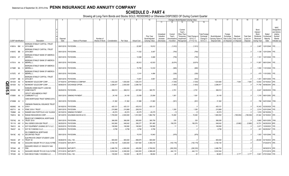# **SCHEDULE D - PART 4**

|             |                             |          | $\overline{2}$                     |                      | -5                             |                 |               | -8         | 9                  | 10             |            |              |                       | Change in Book/Adjusted Carrying Value |                      | 16                          | 17          | 18          | 19                | 20                  | 21                         | 22                      |
|-------------|-----------------------------|----------|------------------------------------|----------------------|--------------------------------|-----------------|---------------|------------|--------------------|----------------|------------|--------------|-----------------------|----------------------------------------|----------------------|-----------------------------|-------------|-------------|-------------------|---------------------|----------------------------|-------------------------|
|             |                             |          |                                    |                      |                                |                 |               |            |                    |                | 11         | 12           | 13                    | 14                                     | 15                   |                             |             |             |                   |                     |                            |                         |
|             |                             |          |                                    |                      |                                |                 |               |            |                    |                |            |              |                       |                                        |                      |                             |             |             |                   |                     |                            |                         |
|             |                             |          |                                    |                      |                                |                 |               |            |                    |                |            |              |                       |                                        |                      |                             |             |             |                   |                     |                            | <b>NAIC</b>             |
|             |                             |          |                                    |                      |                                |                 |               |            |                    |                |            |              | Current               |                                        |                      |                             |             |             |                   | Bond                |                            | Designation             |
|             |                             |          |                                    |                      |                                |                 |               |            |                    |                | Unrealized | Current      | Year's<br>Other-Than- |                                        | <b>Total Foreign</b> |                             | Foreign     |             |                   | Interest /<br>Stock | Stated                     | and Admini-<br>strative |
|             |                             |          |                                    |                      |                                |                 |               |            |                    | Prior Year     | Valuation  | Year's       | Temporary             | Total Change i                         | Exchange             | Book/Adjusted               | Exchange    | Realized    | <b>Total Gain</b> | <b>Dividends</b>    | Contractua                 | Symbol/                 |
|             |                             |          |                                    | Disposal             |                                | Number of       |               |            |                    | Book/Adjusted  | Increase   | Amortization | Impairment            | B./A.C.V.                              | Change in            | Carrying Value at           | Gain (Loss) | Gain (Loss) | (Loss) on         | Received            | Maturity                   | Market                  |
|             | <b>CUSIP Identification</b> |          | Description                        | Date                 | Name of Purchaser              | Shares of Stock | Consideration | Par Value  | <b>Actual Cost</b> | Carrying Value | (Decrease) | / Accretion  | Recognized            | $(11+12-13)$                           | <b>B./A.C.V.</b>     | Disposal Date   on Disposal |             | on Disposal | Disposal          | During Year         | Date                       | Indicator (a)           |
|             |                             |          | MORGAN STANLEY CAPITAL I TRUST     |                      |                                |                 |               |            |                    |                |            |              |                       |                                        |                      |                             |             |             |                   |                     |                            |                         |
|             | 61691A BM                   |          | 2015-UBS8                          |                      | 09/01/2019. PAYDOWN            |                 |               |            | .22,997            | .19,912        |            | (1,812)      |                       | (1,812)                                |                      |                             |             |             |                   |                     | 2,487   12/01/2048.   1FE  |                         |
|             |                             |          | MORGAN STANLEY CAPITAL I TRUST     |                      |                                |                 |               |            |                    |                |            |              |                       |                                        |                      |                             |             |             |                   |                     |                            |                         |
|             | 61691E BB                   |          | 2016-UBS1                          |                      | 09/01/2019. PAYDOWN            |                 |               |            | .11,032            | .8,407         |            | (764)        |                       | (764                                   |                      |                             |             |             |                   |                     | 1,128 12/01/2049. 1FE      |                         |
|             |                             |          | MORGAN STANLEY BANK OF AMERICA     |                      |                                |                 |               |            |                    |                |            |              |                       |                                        |                      |                             |             |             |                   |                     |                            |                         |
|             | 61691G AT                   |          | <b>MERRILL L</b>                   |                      | 09/01/2019. PAYDOWN            |                 |               |            | 12,089             | .9,469         |            | (755)        |                       | (755)                                  |                      |                             |             |             |                   |                     | 1,161   12/01/2049.   1FE  |                         |
|             |                             |          | MORGAN STANLEY BANK OF AMERICA     |                      |                                |                 |               |            |                    |                |            |              |                       |                                        |                      |                             |             |             |                   |                     |                            |                         |
|             | 61761A AA                   |          | <b>MERRILL L</b>                   |                      | 09/01/2019. PAYDOWN.           |                 |               |            | .85,812            | .42,933        |            | (6,674)      |                       | (6,674)                                |                      |                             |             |             |                   |                     |                            |                         |
|             |                             |          | MORGAN STANLEY BANK OF AMERICA     |                      |                                |                 |               |            |                    |                |            |              |                       |                                        |                      |                             |             |             |                   |                     |                            |                         |
|             | 61766R BA                   |          | <b>MERRILL L</b>                   |                      | 09/01/2019. PAYDOWN            |                 |               |            | .15,789            | 12,233         |            | (985)        |                       | (985)                                  |                      |                             |             |             |                   |                     | .1,550   11/01/2049.   1FE |                         |
|             |                             |          | MORGAN STANLEY BANK OF AMERICA     |                      |                                |                 |               |            |                    |                |            |              |                       |                                        |                      |                             |             |             |                   |                     |                            |                         |
|             | 61767E AF                   |          | <b>MERRILL L</b>                   |                      | 09/01/2019. PAYDOWN.           |                 |               |            | .5,141             | .4,484         |            | (326)        |                       | (326)                                  |                      |                             |             |             |                   |                     | .475   11/01/2052.   1FE.  |                         |
|             |                             |          | MORGAN STANLEY CAPITAL I TRUST     |                      |                                |                 |               |            |                    |                |            |              |                       |                                        |                      |                             |             |             |                   |                     |                            |                         |
|             | 61767F BB                   |          | 2016-UB11                          |                      | 09/01/2019. PAYDOWN            |                 |               |            | .13,601            | .9,951         |            | .(933)       |                       | (933)                                  |                      |                             |             |             |                   |                     | 1,351   08/01/2049.   1FE  |                         |
|             | 651639                      | AS<br>-5 | NEWMONT GOLDCORP CORP.             | 07/16/2019.          | JEFFERIES & COMPANY            |                 | 1,032,220     | .1,000,000 | .1,026,210         |                |            | (1,530)      |                       | (1,530)                                |                      | .1,024,680                  |             | ,7,540      | .7,540            |                     | .12,642   03/15/2023. 2FE. |                         |
| <b>QE05</b> | 651639                      | AU       | NEWMONT GOLDCORP CORP.             | 08/06/2019.          | <b>EXCHANGE OFFER</b>          |                 | .2,296,817    | .2,000,000 | .2,298,720         |                |            | (1,903)      |                       | (1,903)                                |                      | .2,296,817                  |             |             |                   | 71,758              | 06/09/2044. 2FE.           |                         |
|             |                             |          | NOMURA HOME EQUITY LOAN INC        |                      |                                |                 |               |            |                    |                |            |              |                       |                                        |                      |                             |             |             |                   |                     |                            |                         |
|             | 65536H BE                   |          | <b>HOME EQUITY</b>                 |                      | 09/25/2019. PAYDOWN            |                 | .368,512      | .368,512   | 247,824            | 365,751        |            | .2,761       |                       | .2,761                                 |                      | .368,512                    |             |             |                   |                     | .8,047 09/25/2035. 1FM.    |                         |
|             |                             |          | OFFUTT AFB AMERICA FIRST           |                      |                                |                 |               |            |                    |                |            |              |                       |                                        |                      |                             |             |             |                   |                     |                            |                         |
|             | 67085K AA                   |          | <b>COMMUNITY LLC</b>               |                      | 09/01/2019. SINKING PAYMENT    |                 | .24,145       | .24,145    | 23,058             | .23,084        |            | .1,061       |                       | .1,061                                 |                      | .24,145                     |             |             |                   |                     | .1,318 09/01/2050. 2FE     |                         |
|             |                             |          | OAKS MORTGAGE TRUST SERIES 2015-   |                      |                                |                 |               |            |                    |                |            |              |                       |                                        |                      |                             |             |             |                   |                     |                            |                         |
|             | 67389M AV 3                 |          |                                    |                      | 09/01/2019. PAYDOWN            |                 | .31,362       | .31,362    | .31,888            | .31,863        |            | (501)        |                       | (501                                   |                      | .31,362                     |             |             |                   |                     | 798 04/01/2046. 1FM.       |                         |
|             |                             |          | ONEMAIN FINANCIAL ISSUANCE TRUST   |                      |                                |                 |               |            |                    |                |            |              |                       |                                        |                      |                             |             |             |                   |                     |                            |                         |
|             | 68268G AA                   |          | 2016-1                             |                      | 09/18/2019. PAYDOWN.           |                 | .425,121      | 425,121    | .425,012           | .425,121       |            |              |                       |                                        |                      | .425,121                    |             |             |                   | .10,343             | 02/20/2029.                | 1FE.                    |
|             | 69371V                      | AA       | PSMC 2018-1 TRUST.                 | 09/01/2019.          | PAYDOWN.                       |                 | .210,868      | .210,868   | .209,518           |                |            | .1,350       |                       | 1,350                                  |                      | 210,868                     |             |             |                   | .2,514              | 02/01/2048.                |                         |
|             | 75086#                      | AA       | RAINIER GSA PORTFOLIO 4.82 15JUN36 | 09/15/2019           | <b>SINKING PAYMENT</b>         |                 | .45,274       | .45,274    | .45,275            | .45,275        |            |              |                       |                                        |                      | 45,274                      |             |             |                   | 1,819               | 06/15/2036.                |                         |
|             | 75281A BA                   |          | RANGE RESOURCES CORP.              |                      | 08/14/2019. GOLDMAN SACHS & CO |                 | 1,705,000     | .2,000,000 | .1,812,500         | 1,884,792      |            | .15,260      |                       | .15,260                                |                      | 1,900,052                   |             | (195,052)   | (195,052)         | .91,944             | 03/15/2023. 3FE.           |                         |
|             |                             |          | READYCAP COMMERCIAL MORTGAGE       |                      |                                |                 |               |            |                    |                |            |              |                       |                                        |                      |                             |             |             |                   |                     |                            |                         |
|             | 75574Q                      | AA       | <b>TRUST 2015-</b>                 |                      | 09/01/2019. PAYDOWN            |                 | .366,095      | .366,095   | .365,650           | 365,759        |            | .335         |                       | 335                                    |                      | .366,095                    |             |             |                   | .9,860              | 06/01/2055. 1FM.           |                         |
|             | 761118 AW                   |          | RALI SERIES 2005-QS9 TRUST.        | 08/25/2019           | PAYDOWN.                       |                 | .542,060      | .548,042   | .356,277           | 391,465        |            | 156,576      |                       | 156,576                                |                      | .548,042                    |             | (5,982)     | (5,982)           | .10,751             | 06/25/2035. 6FE.           |                         |
|             | 784012 AA                   |          | SCF EQUIPMENT LEASING 2017-2 LLC.  | 09/20/2019.          | PAYDOWN.                       |                 | 108,580       | 108,580    | 108,563            | 108,569        |            | .11          |                       |                                        |                      | .108,580                    |             |             |                   | .2,471              | 12/20/2023. 1FE.           |                         |
|             | 784037 AA                   |          | SCF RC FUNDING II LLC.             |                      | 09/25/2019. PAYDOWN.           |                 | .8,799        | .8,799     | .8,798             | .8,799         |            |              |                       |                                        |                      | .8,799                      |             |             |                   | 241                 | 06/25/2047. 1FE.           |                         |
|             |                             |          | SG COMMERCIAL MORTGAGE             |                      |                                |                 |               |            |                    |                |            |              |                       |                                        |                      |                             |             |             |                   |                     |                            |                         |
|             | 78419C AG                   |          | SECURITIES TRUST                   |                      | 09/01/2019. PAYDOWN.           |                 |               |            | .15,019            | .10,943        |            | (979)        |                       | (979)                                  |                      |                             |             |             |                   |                     | .1,503 10/01/2048. 1FE.    |                         |
|             |                             |          | SLM PRIVATE CREDIT STUDENT LOAN    |                      |                                |                 |               |            |                    |                |            |              |                       |                                        |                      |                             |             |             |                   |                     |                            |                         |
|             | 78443C AP                   |          | TRUST <sub>20</sub>                | 09/26/2019.          | <b>CALL 100.</b>               |                 | .900,000      | 900,000    | .898,875           | 900,000        |            |              |                       |                                        |                      | .900,000                    |             |             |                   | 29,540              | 03/15/2033. 2FE.           |                         |
|             | 787048 AB                   |          | SAGUARO ISSUER TR 0.01 24JUL19 FRN | 07/24/2019.          | <b>MATURITY</b>                |                 | .4,166,140    | .5,800,000 | 1,947,550          | 4,359,318      |            | (193,178)    |                       | (193, 178)                             |                      | .4,166,140                  |             |             |                   |                     | 07/24/2019. 3FE.           |                         |
|             |                             |          | SAGUARO ISSUE 0.01 30AUG19 144A    |                      |                                |                 |               |            |                    |                |            |              |                       |                                        |                      |                             |             |             |                   |                     |                            |                         |
|             | 787048 AE                   |          | <b>FRN</b>                         |                      | 08/30/2019. MATURITY           |                 | .2,486,750    | .4,060,000 | .459,290           | .2,769,002     |            | (282, 252)   |                       | (282, 252)                             |                      | .2,486,750                  |             |             |                   |                     | 08/30/2019. 2FE.           |                         |
|             | 787048                      | AL       | SAGUARO ISSUER TR 0.00 31JUL19 FRN | 07/31/2019.          | <b>MATURITY</b>                |                 | .5,032,544    | .6,380,000 | 1,840,053          | 4,588,429      |            | .444,115     |                       | .444,115                               |                      | 5,032,544                   |             |             |                   |                     | 07/31/2019. 2FE.           |                         |
|             | 797426 AG                   | -8       | SAN DIEGO FAMILY HOUSING LLC       | 07/01/2019. CALL 100 |                                |                 | 100,000       | 100,000    | 96,374             | .96,804        |            | 20           |                       | .20                                    |                      | .96,823                     |             | .3.177      | .3.177            | .5.941              | 07/01/2048. 1FE.           |                         |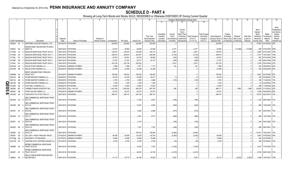# **SCHEDULE D - PART 4**

|     |                             |           |              |                                                          |             | 5                           |                 |               |           |                    | 10             |            |               | Change in Book/Adjusted Carrying Value |                  |                  | 16                | 17          | 18                      | 19                       | 20                          | 21                          | $\overline{22}$                                       |
|-----|-----------------------------|-----------|--------------|----------------------------------------------------------|-------------|-----------------------------|-----------------|---------------|-----------|--------------------|----------------|------------|---------------|----------------------------------------|------------------|------------------|-------------------|-------------|-------------------------|--------------------------|-----------------------------|-----------------------------|-------------------------------------------------------|
|     |                             |           |              |                                                          |             |                             |                 |               |           |                    |                | 11         | 12            | 13                                     | 14               | 15               |                   |             |                         |                          |                             |                             |                                                       |
|     |                             |           |              |                                                          |             |                             |                 |               |           |                    |                | Unrealized | Current       | Current<br>Year's<br>Other-Than-       |                  | Total Foreign    |                   | Foreign     |                         |                          | Bond<br>Interest /<br>Stock | Stated                      | <b>NAIC</b><br>Designation<br>and Admini-<br>strative |
|     |                             |           |              |                                                          |             |                             |                 |               |           |                    | Prior Year     | Valuation  | Year's        | Temporary                              | Total Change i   | Exchange         | Book/Adjusted     | Exchange    | Realized                | <b>Total Gain</b>        | Dividends                   | Contractua                  | Symbol/                                               |
|     |                             |           |              |                                                          | Disposal    |                             | Number of       |               |           |                    | Book/Adjusted  | Increase   | Amortization) | Impairment                             | <b>B./A.C.V.</b> | Change in        | Carrying Value at | Gain (Loss) | Gain (Loss)             | (Loss) on                | Received                    | Maturity                    | Market                                                |
|     | <b>CUSIP Identification</b> |           |              | Description                                              | Date        | Name of Purchaser           | Shares of Stock | Consideration | Par Value | <b>Actual Cost</b> | Carrying Value | (Decrease) | / Accretion   | Recognized                             | $(11+12-13)$     | <b>B./A.C.V.</b> | Disposal Date     |             | on Disposal on Disposal | Disposal                 | During Year                 | Date                        | Indicator (a)                                         |
|     | 80306A AC                   |           |              | SAPPHIRE AVIATION FINANCE I LTD.                         |             | 09/15/2019. PAYDOWN.        |                 | .225,893      | .225,893  | .225,892           | .225,890       |            |               |                                        |                  |                  | 225,893           |             |                         |                          |                             | .10,593 03/15/2040. 3FE.    |                                                       |
|     |                             |           |              | SAXON ASSET SECURITIES TR 2000-2                         |             |                             |                 |               |           |                    |                |            |               |                                        |                  |                  |                   |             |                         |                          |                             |                             |                                                       |
|     | 805564 GA                   |           |              | <b>MORT LN</b>                                           | 09/01/2019  | PAYDOWN.                    |                 | .22,474       | .35,562   | .28,805            | 33,285         |            | .2,277        |                                        | .2,277           |                  | .35,562           |             | (13,088)                | (13,088)                 | .949                        | 07/01/2030.                 | 4FM.                                                  |
|     | 81745D AJ                   |           |              | SEQUOIA MORTGAGE TRUST 2013-9.                           | 09/01/2019  | PAYDOWN.                    |                 | .129,072      | 129,072   | 124,836            | 126,110        |            | .2,961        |                                        | .2,961           |                  | .129,072          |             |                         | $\overline{\mathcal{L}}$ | 2,982                       | 07/01/2043.                 | 1FM.                                                  |
|     | 81746G AA                   |           |              | SEQUOIA MORTGAGE TRUST 2017-7                            | 09/01/20    | PAYDOWN.                    |                 | .259,815      | 259,815   | 264,970            | .264,556       |            | (4,742)       |                                        | (4,742)          |                  | .259,815          |             |                         |                          | .6,157                      | 10/01/2047.                 | 1FM.                                                  |
|     | 81746L CC                   |           |              | SEQUOIA MORTGAGE TRUST 2015-3                            | 09/01/201   | PAYDOWN.                    |                 | .26,361       | .26,361   | .26,722            | .26,662        |            | (302)         |                                        | (302)            |                  | 26,361            |             |                         |                          |                             | .652 07/01/2045.            | 1FM.                                                  |
|     | 81746P CB                   |           |              | SEQUOIA MORTGAGE TRUST 2016-1                            | 09/01/20    | PAYDOWN.                    |                 | .21,537       | 21,537    | .22,217            | .22,127        |            | (590)         |                                        | (590             |                  | .21,537           |             |                         |                          |                             | 549 06/01/2046.             | 1FM.                                                  |
|     | 81746V                      | AU        |              | SEQUOIA MORTGAGE TRUST 2018-3.                           | 09/01/201   | PAYDOWN.                    |                 | 233,136       | 233,136   | 230,222            |                |            | .2,914        |                                        | .2,914           |                  | .233,136          |             |                         |                          |                             | .2,784 03/01/2048.          | 1FE.                                                  |
|     | 83416W AA                   |           |              | SOLAR STAR FUNDING LLC                                   | 06/30/2019  | SINKING PAYMENT             |                 | .7,868        | 7,868     | .7,671             | 7,713          |            | .154          |                                        | .154             |                  | .7,868            |             |                         |                          | .200                        | 06/30/2035. 2FE.            |                                                       |
|     | 83416W AB                   |           | - q          | SOLAR STAR FUNDING LLC.                                  |             | 06/30/2019. SINKING PAYMENT |                 | 24,288        | .24,288   | 24,288             | .24,288        |            |               |                                        |                  |                  | 24,288            |             |                         |                          |                             | 480 06/30/2035. 2FE.        |                                                       |
|     |                             |           |              | SPIRIT AIRLINES PASS THROUGH                             |             |                             |                 |               |           |                    |                |            |               |                                        |                  |                  |                   |             |                         |                          |                             |                             |                                                       |
|     | 84859M                      | AA        |              | <b>TRUST 2017-</b>                                       | 08/15/2019  | <b>SINKING PAYMENT</b>      |                 | 180,552       | 180,552   | 180,552            | 180,552        |            |               |                                        |                  |                  | .180,552          |             |                         |                          | .6,861                      | 02/15/2026. 2FE.            |                                                       |
|     | 86212U                      | AB        |              | STORE MASTER FUNDING LLC.                                | 09/20/20    | PAYDOWN.                    |                 | .25,476       | .25,476   | .25,468            | .25,477        |            |               |                                        | (1)              |                  | 25,476            |             |                         |                          | .790                        | 03/20/2043. 1FE.            |                                                       |
|     | 86213A                      | AB        |              | STORE MASTER FUNDING LLC.                                | 09/20/201   | PAYDOWN.                    |                 | .4,783        | .4,783    | .4,956             | .4,886         |            | (103)         |                                        | (103)            |                  | .4,783            |             |                         | $\cdot$ . C              |                             | 166 11/20/2043.             | 1FE.                                                  |
| Q   | 86213B                      | AB        |              | STORE MASTER FUNDING LLC.                                | 09/20/20    | PAYDOWN.                    |                 | .1,250        | 1,250     | 1,249              | .1,250         |            |               |                                        |                  |                  | .1,250            |             |                         |                          | .42                         | 04/20/2044.                 | 1FE.                                                  |
| m   | 87342R                      | AE        |              | ACO BELL FUNDING LLC.                                    | 08/25/2019  | PAYDOWN.                    |                 | .10,000       | 10,000    | .10,000            | .10,000        |            |               |                                        |                  |                  | .10,000           |             |                         |                          | .366                        | 11/25/2048. 2FE.            |                                                       |
|     | 883556                      | <b>BC</b> |              | HERMO FISHER SCIENTIFIC INC.                             | 09/27/20    | CALL 104.318.               |                 | 1,043,180     | 1,000,000 | .994,750           | .997,742       |            | 369           |                                        | .369             |                  | .998,111          |             | 1,889                   | .1,889                   | .80,980                     | 01/15/2023. 2FE.            |                                                       |
| 05. | 89054X                      | AB        |              | <b>TOPAZ SOLAR FARMS LLC.</b>                            | 09/30/2019  | <b>SINKING PAYMENT</b>      |                 | .63,272       | 63,272    | .63,272            | 63,272         |            |               |                                        |                  |                  | 63,272            |             |                         |                          | .3,085                      | 09/30/2039. 5FE.            |                                                       |
| တ   | 891098 AA                   |           |              | TORO MTG FTG TR 2017-RE 4.0.                             |             | 09/01/2019. PAYDOWN.        |                 | .399,147      | .399,147  | 403,139            | 399,147        |            |               |                                        |                  |                  | .399,147          |             |                         |                          |                             |                             |                                                       |
|     |                             |           |              | UBS COMMERCIAL MORTGAGE TRUST                            |             |                             |                 |               |           |                    |                |            |               |                                        |                  |                  |                   |             |                         |                          |                             |                             |                                                       |
|     | 90276G AU                   |           |              | 2017-C3                                                  |             | 09/01/2019. PAYDOWN.        |                 |               |           | .11,256            | .9,927         |            | (796)         |                                        | (796             |                  |                   |             |                         |                          |                             | 1,102 08/01/2050. 1FE.      |                                                       |
|     |                             |           |              | <b>JBS COMMERCIAL MORTGAGE TRUST</b>                     |             |                             |                 |               |           |                    |                |            |               |                                        |                  |                  |                   |             |                         |                          |                             |                             |                                                       |
|     | 90276R BF                   |           |              | 2017-C4                                                  |             | 09/01/2019. PAYDOWN.        |                 |               |           | 10,281             | .9,004         |            | (636)         |                                        | (636             |                  |                   |             |                         | ſ                        |                             | .960   10/01/2050.   1FE.   |                                                       |
|     |                             |           |              | UBS COMMERCIAL MORTGAGE TRUST                            |             |                             |                 |               |           |                    |                |            |               |                                        |                  |                  |                   |             |                         |                          |                             |                             |                                                       |
|     | 90276V AF                   |           |              | 2018-C8                                                  |             | 09/01/2019. PAYDOWN.        |                 |               |           | .9,226             | .8,566         |            | (573)         |                                        | (573)            |                  |                   |             |                         | . . (                    |                             | .847   02/01/2051.   1FE.   |                                                       |
|     |                             |           |              | UBS COMMERCIAL MORTGAGE TRUST                            |             |                             |                 |               |           |                    |                |            |               |                                        |                  |                  |                   |             |                         |                          |                             |                             |                                                       |
|     | 90276W AT                   |           |              | 2017-C7                                                  |             | 09/01/2019. PAYDOWN.        |                 |               |           | .9,381             | .8,417         |            | (608)         |                                        | . (608)          |                  |                   |             |                         |                          |                             | 898   12/01/2050.   1FE.    |                                                       |
|     |                             |           |              | <b>JBS COMMERCIAL MORTGAGE TRUST</b>                     |             |                             |                 |               |           |                    |                |            |               |                                        |                  |                  |                   |             |                         |                          |                             |                             |                                                       |
|     | 90276Y AF                   |           |              | 2019-C16                                                 |             | 09/01/2019. PAYDOWN.        |                 |               |           | .5,103             |                |            | (156)         |                                        | (156)            |                  |                   |             |                         |                          |                             | .244   04/01/2052. 1FE.     |                                                       |
|     |                             |           |              | <b>JBS COMMERCIAL MORTGAGE TRUST</b>                     |             |                             |                 |               |           |                    |                |            |               |                                        |                  |                  |                   |             |                         |                          |                             |                             |                                                       |
|     | 90353D BA                   |           |              | 2018-C12                                                 |             | 09/01/2019. PAYDOWN.        |                 |               |           | .7,537             | 7,307          |            | (438)         |                                        | (438)            |                  |                   |             |                         |                          |                             | 699   08/01/2051.   1FE.    |                                                       |
|     |                             |           |              | UBS COMMERCIAL MORTGAGE TRUST                            |             |                             |                 |               |           |                    |                |            |               |                                        |                  |                  |                   |             |                         |                          |                             |                             |                                                       |
|     | 90353K AZ                   |           |              | 2018-C13                                                 | 09/01/2019. | PAYDOWN.                    |                 |               |           | 158,418            | 155,964        |            | (9,583)       |                                        | (9,583)          |                  |                   |             |                         | (                        |                             | .32,701 10/01/2051.         | 1FE.                                                  |
|     | 909287                      | AA        |              | JAL 2007-1 PASS THROUGH TRUST                            | 07/02/2019  | SINKING PAYMENT             |                 | 58,490        | .58,490   | .63,378            | .60,752        |            | (2, 262)      |                                        | (2,262)          |                  | .58,490           |             |                         |                          | 3,881                       | 07/02/2022.                 | 3FE.                                                  |
|     | 91474@ AA                   |           |              | UNIVERSITY OF MICHIGAN.                                  | 09/15/2019  | <b>SINKING PAYMENT</b>      |                 | 19,098        | 19,098    | 19,098             | 19,098         |            |               |                                        |                  |                  | 19,098            |             |                         |                          |                             | 450 06/15/2039.             |                                                       |
|     | 92211M AC                   |           |              | VANTAGE DATA CENTERS ISSUER LLO                          |             | 09/15/2019. PAYDOWN.        |                 | .8,750        | .8,750    | .8,789             | .8,785         |            | (35)          |                                        | (35)             |                  | .8,750            |             |                         |                          |                             | .238 02/16/2043. 1FE.       |                                                       |
|     | 92930R AF                   |           |              | WFRBS COMMERCIAL MORTGAGE<br>TRUST 2012-C9               |             | 09/01/2019. PAYDOWN.        |                 |               |           | 13,203             | .7,481         |            | (1,202)       |                                        | (1,202)          |                  |                   |             |                         | - 0                      |                             | 2,451 11/01/2045. 1FE.      |                                                       |
|     | 92936T AF                   |           |              | <b><i>NFRBS COMMERCIAL MORTGAGE</i></b><br>TRUST 2012-C7 |             | 09/01/2019. PAYDOWN.        |                 |               |           | 49,976             | 24,700         |            | (4, 472)      |                                        | (4, 472)         |                  |                   |             |                         | - 0                      |                             | 6,793 06/01/2045. 1FE.      |                                                       |
|     |                             |           |              | <b><i>NELLS FARGO MORTGAGE BACKED</i></b>                |             |                             |                 |               |           |                    |                |            |               |                                        |                  |                  |                   |             |                         |                          |                             |                             |                                                       |
|     | 949834 AA                   |           | $\mathbf{3}$ | <b>SECURITIES 2</b>                                      |             | 09/01/2019. PAYDOWN.        |                 | .41,112       | .43,715   | 40,168             | .35,863        |            | .7,853        |                                        | 7,853            |                  | .43.715           |             | (2,603)                 | (2,603)                  |                             | .1,686   10/01/2037.   1FM. |                                                       |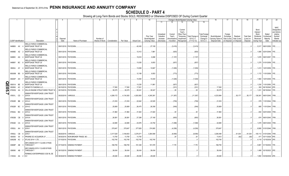# **SCHEDULE D - PART 4**

|             |                             |        | $\overline{2}$                                            |             | -5                          |                 |               | -8         | 9                  | 10                          |                                     |                                    |                                                            | Change in Book/Adjusted Carrying Value |                                               | 16                                 | 17                                 | 18                      | 19                             | 20                                                          | 21                                | 22                                                                         |
|-------------|-----------------------------|--------|-----------------------------------------------------------|-------------|-----------------------------|-----------------|---------------|------------|--------------------|-----------------------------|-------------------------------------|------------------------------------|------------------------------------------------------------|----------------------------------------|-----------------------------------------------|------------------------------------|------------------------------------|-------------------------|--------------------------------|-------------------------------------------------------------|-----------------------------------|----------------------------------------------------------------------------|
|             |                             |        |                                                           |             |                             |                 |               |            |                    |                             | 11                                  | 12                                 | 13                                                         | 14                                     | 15                                            |                                    |                                    |                         |                                |                                                             |                                   |                                                                            |
|             |                             |        |                                                           | Disposal    |                             | Number of       |               |            |                    | Prior Year<br>Book/Adjusted | Unrealized<br>Valuation<br>Increase | Current<br>Year's<br>Amortization) | Current<br>Year's<br>Other-Than<br>Temporary<br>Impairment | Total Change in<br><b>B./A.C.V.</b>    | <b>Total Foreign</b><br>Exchange<br>Change in | Book/Adjusted<br>Carrying Value at | Foreign<br>Exchange<br>Gain (Loss) | Realized<br>Gain (Loss) | <b>Total Gain</b><br>(Loss) on | Bond<br>Interest /<br>Stock<br><b>Dividends</b><br>Received | Stated<br>Contractual<br>Maturity | <b>NAIC</b><br>Designation<br>and Admini-<br>strative<br>Symbol/<br>Market |
|             | <b>CUSIP Identification</b> |        | Description                                               | Date        | Name of Purchaser           | Shares of Stock | Consideration | Par Value  | <b>Actual Cost</b> | Carrying Value              | (Decrease)                          | / Accretion                        | Recognized                                                 | $(11+12-13)$                           | <b>B./A.C.V.</b>                              | Disposal Date                      | on Disposal                        | on Disposal             | Disposal                       | During Year                                                 | Date                              | Indicator (a)                                                              |
|             | 94988X AX                   |        | <b>WELLS FARGO COMMERCIAL</b><br>MORTGAGE TRUST 20        |             | 09/01/2019. PAYDOWN         |                 |               |            | .42,430            | .27,109                     |                                     | (3, 419)                           |                                                            | (3, 419)                               |                                               |                                    |                                    |                         |                                |                                                             | 5,317   08/01/2050.   1FE         |                                                                            |
|             | 94989D AZ                   |        | <b><i>NELLS FARGO COMMERCIAL</i></b><br>MORTGAGE TRUST 20 |             | 09/01/2019. PAYDOWN         |                 |               |            | 12,412             | .7,861                      |                                     | (825)                              |                                                            | (825)                                  |                                               |                                    |                                    |                         |                                |                                                             | .1,085 02/01/2048. 1FE.           |                                                                            |
|             | 94989V AG                   |        | <b>WELLS FARGO COMMERCIAL</b><br>MORTGAGE TRUST 20        |             | 09/01/2019. PAYDOWN         |                 |               |            | 15,618             | .9,288                      |                                     | (1, 157)                           |                                                            | (1, 157)                               |                                               |                                    |                                    |                         |                                |                                                             | .1,676 09/01/2057. 1FE.           |                                                                            |
|             | 94989Y BC                   |        | <b>WELLS FARGO COMMERCIAL</b><br>MORTGAGE TRUST 20        |             | 09/01/2019. PAYDOWN.        |                 |               |            | 13,035             | .9,053                      |                                     | (837)                              |                                                            | (837)                                  |                                               |                                    |                                    |                         |                                |                                                             | 1,275 01/01/2059. 1FE.            |                                                                            |
|             | 95000J AY                   |        | <b>WELLS FARGO COMMERCIAL</b><br>MORTGAGE TRUST 20        |             | 09/01/2019. PAYDOWN.        |                 |               |            | .13,838            | .10,667                     |                                     | (1,009)                            |                                                            | (1,009)                                |                                               |                                    |                                    |                         |                                |                                                             |                                   |                                                                            |
|             | 95000M BS                   |        | <b>WELLS FARGO COMMERCIAL</b><br>MORTGAGE TRUST 20        |             | 09/01/2019. PAYDOWN.        |                 |               |            | 12,158             | .9,553                      |                                     | (773)                              |                                                            | (773)                                  |                                               |                                    |                                    |                         |                                |                                                             | 1,172   11/01/2059. 1FE.          |                                                                            |
|             | 95000P AH                   |        | <b>WELLS FARGO COMMERCIAL</b><br><b>MORTGAGE TRUST 20</b> |             | 09/01/2019. PAYDOWN.        |                 |               |            | .14,050            | .10,440                     |                                     | (1,029)                            |                                                            | (1,029)                                |                                               |                                    |                                    |                         |                                | .1,560                                                      | 12/01/2049. 1FE.                  |                                                                            |
| <b>S030</b> | 95001A                      | BE     | <b>WELLS FARGO COMMERCIAL</b><br><b>MORTGAGE TRUST 20</b> |             | 09/01/2019. PAYDOWN.        |                 |               |            | .13,235            | .11,861                     |                                     | (827)                              |                                                            | (827)                                  |                                               |                                    |                                    |                         |                                | 1,230                                                       | 11/01/2050. 1FE.                  |                                                                            |
|             | 95058X                      | AC     | WENDY'S FUNDING LLC.                                      | 09/15/2019. | PAYDOWN.                    |                 | .17,500       | .17,500    | 17,831             |                             |                                     | (331)                              |                                                            | (331)                                  |                                               | .17,500                            |                                    |                         |                                | .393                                                        | 06/15/2045. 2FE.                  |                                                                            |
|             | 97063Q                      | AA     | WILLIS ENGINE STRUCTURED TRUST I<br>- 0                   |             | 09/15/2019. PAYDOWN.        |                 | .39,375       | .39,375    | 39,341             | .39,347                     |                                     | .28                                |                                                            | .28                                    |                                               | .39,375                            |                                    |                         |                                | .1,231                                                      | 08/15/2042. 1FE.                  |                                                                            |
|             | 97651L CD                   |        | WINWATER MORTGAGE LOAN TRUST<br>2015-4                    | 09/20/2019. | VARIOUS.                    |                 | .4,289,172    | .4,134,383 | .4,263,583         | 4,245,381                   |                                     | (11, 387)                          |                                                            | (11, 387)                              |                                               | 4,233,994                          |                                    | .55,177                 | .55,177                        | .126,381                                                    | 06/01/2045. 1FM.                  |                                                                            |
|             | 97652R BB                   |        | WINWATER MORTGAGE LOAN TRUST<br>2014-3                    |             | 09/01/2019. PAYDOWN.        |                 | .21,816       | .21,816    | .22,642            | .22,525                     |                                     | (709)                              |                                                            | (709)                                  |                                               | .21,816                            |                                    |                         |                                |                                                             | .579   11/01/2044.   1FM.         |                                                                            |
|             | 97652R BC                   |        | WINWATER MORTGAGE LOAN TRUST<br>2014-3                    |             | 09/01/2019. PAYDOWN.        |                 | .25,809       | .25.809    | .26,475            | .26,358                     |                                     | (549)                              |                                                            | (549)                                  |                                               | 25,809                             |                                    |                         |                                | .685                                                        | 11/01/2044. 1FM.                  |                                                                            |
|             | 97652U BG                   |        | WINWATER MORTGAGE LOAN TRUST<br>2015-2                    |             | 09/01/2019. PAYDOWN.        |                 | .31,964       | .31,964    | .31,924            | .31,924                     |                                     | 40                                 |                                                            | 40                                     |                                               | .31,964                            |                                    |                         |                                |                                                             | .834 02/01/2045. 1FM.             |                                                                            |
|             | 97653B CB                   |        | WINWATER MORTGAGE LOAN TRUST<br>2015-A                    |             | 09/01/2019. PAYDOWN.        |                 | .26,581       | .26,581    | .27,299            | .27,180                     |                                     | (600)                              |                                                            | (600)                                  |                                               | 26,581                             |                                    |                         |                                |                                                             | .674   06/01/2045.   1FM.         |                                                                            |
|             | 97654D CA                   |        | WINWATER MORTGAGE LOAN TRUST<br>2015-5                    |             | 09/01/2019. PAYDOWN.        |                 | .42,695       | .42,695    | .43,976            | .43,794                     |                                     | (1,098)                            |                                                            | (1,098)                                |                                               | .42,695                            |                                    |                         |                                |                                                             |                                   |                                                                            |
|             | 97655J AH                   |        | WINWATER MORTGAGE LOAN TRUST<br>2016-1                    |             | 09/01/2019. PAYDOWN.        |                 | .370,647      | 370,647    | .377,828           | 374,905                     |                                     | (4,258)                            |                                                            | (4,258)                                |                                               | .370,647                           |                                    |                         |                                |                                                             | .8,580 01/01/2046. 1FM.           |                                                                            |
|             | 97655J CB                   |        | WINWATER MORTGAGE LOAN TRUST<br>2016-1                    | 09/20/2019  | VARIOUS.                    |                 | .3,317,529    | .3,184,653 | .3,276,571         | .3,264,589                  |                                     | (8,090)                            |                                                            | (8,090)                                |                                               | 3,256,499                          |                                    | 61,030                  | .61,030                        |                                                             | .100,113 01/01/2046. 1FM.         |                                                                            |
|             | 000000                      | $00\,$ | PRAIRIE ECI ACQUIROR LP.                                  | 09/30/2019  | NON-BROKER TRADE, BO.       |                 | 13,750        | .13,750    | 13,793             |                             |                                     | .20                                |                                                            | .20                                    |                                               | 13,812                             |                                    | (62)                    | (62)                           | .471                                                        | 03/11/2026. 4FE.                  |                                                                            |
|             | G0620B AC                   |        | ATLAS 2014-1 LTD                                          |             | 07/15/2019. PAYDOWN.        |                 | 102,745       | 102,745    | 102,745            | .102,745                    |                                     |                                    |                                                            |                                        |                                               | .102,745                           |                                    |                         |                                |                                                             | 4,119   12/15/2039. 2FE.          |                                                                            |
|             | 00908P AB                   |        | AIR CANADA 2017-1 CLASS A PASS<br>THROUGH T               |             | 07/15/2019. SINKING PAYMENT |                 | .168,755      | 168,755    | 161,338            | 161,579                     |                                     | .7.176                             |                                                            | .7,176                                 |                                               | .168,755                           |                                    |                         |                                | .5.991                                                      | 01/15/2030. 1FE.                  |                                                                            |
|             | 009090 AB                   |        | AIR CANADA 2015-1 CLASS B PASS<br>THROUGH T               |             | 09/15/2019. SINKING PAYMENT |                 | .38,434       | .38,434    | .38,434            | .38,434                     |                                     |                                    |                                                            |                                        |                                               | .38,434                            |                                    |                         |                                |                                                             | .1,489 03/15/2023. 2FE.           |                                                                            |
|             | 31503A AA                   |        | FERMACA ENTERPRISES S DE RL DE<br><b>CV</b>               |             | 09/30/2019. SINKING PAYMENT |                 | .29.026       | .29.026    | .29.026            | .29.026                     |                                     |                                    |                                                            |                                        |                                               | .29.026                            |                                    |                         | $\Omega$                       |                                                             | .1,850 03/30/2038. 2FE.           |                                                                            |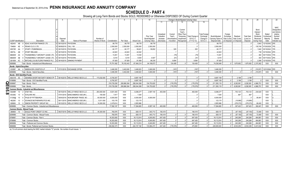# **SCHEDULE D - PART 4**

Showing all Long-Term Bonds and Stocks SOLD, REDEEMED or Otherwise DISPOSED OF During Current Quarter

|                    |                                     |                                                       |             |                                  |                        |               |             |                    |                             |                       |                        | Change in Book/Adjusted Carrying Value                               |                       |                                    | 17                      |                         |                                | -20                   | 21                       | 22                |
|--------------------|-------------------------------------|-------------------------------------------------------|-------------|----------------------------------|------------------------|---------------|-------------|--------------------|-----------------------------|-----------------------|------------------------|----------------------------------------------------------------------|-----------------------|------------------------------------|-------------------------|-------------------------|--------------------------------|-----------------------|--------------------------|-------------------|
|                    |                                     |                                                       |             |                                  |                        |               |             |                    |                             | 11                    | 12                     | 13.                                                                  | 15                    |                                    |                         |                         |                                |                       |                          |                   |
|                    |                                     |                                                       |             |                                  |                        |               |             |                    |                             |                       |                        |                                                                      |                       |                                    |                         |                         |                                |                       |                          |                   |
|                    |                                     |                                                       |             |                                  |                        |               |             |                    |                             |                       |                        |                                                                      |                       |                                    |                         |                         |                                |                       |                          | <b>NAIC</b>       |
|                    |                                     |                                                       |             |                                  |                        |               |             |                    |                             |                       |                        | Current                                                              |                       |                                    |                         |                         |                                | Bond                  |                          | Designation       |
|                    |                                     |                                                       |             |                                  |                        |               |             |                    |                             |                       |                        | Year's                                                               |                       |                                    |                         |                         |                                | Interest              |                          | and Admini-       |
|                    |                                     |                                                       |             |                                  |                        |               |             |                    |                             | Unrealized            | Current                | Other-Than-                                                          | <b>Total Foreign</b>  |                                    | Foreign                 |                         |                                | Stock                 | Stated                   | strative          |
|                    |                                     |                                                       | Disposal    |                                  | Number of              |               |             |                    | Prior Year<br>Book/Adjusted | Valuation<br>Increase | Year's<br>Amortization | Temporary<br><b>Total Change</b> i<br><b>B./A.C.V.</b><br>Impairment | Exchange<br>Change in | Book/Adjusted<br>Carrying Value at | Exchange<br>Gain (Loss) | Realized<br>Gain (Loss) | <b>Total Gain</b><br>(Loss) on | Dividends<br>Received | Contractua<br>Maturity   | Symbol/<br>Market |
|                    | <b>CUSIP</b> Identification         | Description                                           | Date        | Name of Purchaser                | <b>Shares of Stock</b> | Consideration | Par Value   | <b>Actual Cost</b> | <b>Carrying Value</b>       | (Decrease             | / Accretion            | $(11+12-13)$<br>Recognized                                           | B.A.C.V.              | Disposal Date                      | on Disposal             | on Disposal             | Disposal                       | During Year           | Date                     | Indicator (a)     |
| 48244X             | AB                                  | KDAC AVIATION FINANCE LTD.                            | 09/15/2019. | PAYDOWN.                         |                        | .99,778       | 99,778      | .99,778            | 99,778                      |                       |                        |                                                                      |                       | .99,778                            |                         |                         |                                | .3.943                | 12/15/2042.              | 2FE.              |
| 70469X             | AE                                  | PEAKS CLO 2 LTD                                       | 08/09/2019  | CALL 100.                        |                        | .2,550,000    | .2,550,000  | .2,550,000         | .2,550,000                  |                       |                        |                                                                      |                       | .2,550,000                         |                         |                         |                                | .135,749              | 07/20/2029.              | 1FF               |
| 85572R             | AA                                  | <b>START LTD/BERMUDA</b>                              | 09/15/2019  | <b>PAYDOWN</b>                   |                        | .60,177       | .60,177     | .59,621            | .59,652                     |                       | 525                    | .525                                                                 |                       | .60, 177                           |                         |                         |                                | 1.640                 | 05/15/2043.              | 1FF               |
| 85573L             | AB                                  | START IRELAND.                                        | 09/15/2019  | PAYDOWN                          |                        | .44,643       | .44,643     | .44,642            |                             |                       |                        |                                                                      |                       | .44.643                            |                         |                         |                                | 739                   | 03/15/2044.              |                   |
| 88606W             | AA                                  | THUNDERBOLT AIRCRAFT LEASE LTD                        | 09/15/2019  | <b>PAYDOWN</b>                   |                        | .13,451       | .13,451     | 13,530             |                             |                       | (79)                   | (79)                                                                 |                       | .13,451                            |                         |                         |                                | 364                   | 05/17/2032.              |                   |
| 88606W             |                                     | <b>THUNDERBOLT AIRCRAFT LEASE LTD</b>                 | 09/15/2019. | <b>PAYDOWN</b>                   |                        | 9,416         | .9,416      | 9,509              | 9,507                       |                       | (91)                   | (91)                                                                 |                       | .9,416                             |                         |                         |                                | 393                   | 05/17/2032. 2FE          |                   |
| G6160K             | AC                                  | 5 MITCHELLS & BUTLERS FINANCE PLC.                    |             | 09/16/2019. SINKING PAYMENT      |                        | .97.929       | .97.929     | .81.959            | 88.235                      |                       | .9.694                 | .9.694                                                               |                       | .97.929                            |                         |                         |                                | .2.266                | 12/15/2030. 1FE.         |                   |
| 3899999            |                                     | Total - Bonds - Industrial and Miscellaneous          |             |                                  |                        | .75.751.082   | 78.193.443  | .67.484.214        | 64.108.673                  |                       | 124.408                | 124,408                                                              |                       | 74.036.949                         |                         | .1.670.952              | 1.670.952                      | 2.370.362             | <b>XXX</b>               | <b>XXX</b>        |
|                    | <b>Bonds - Hybrid Securities</b>    |                                                       |             |                                  |                        |               |             |                    |                             |                       |                        |                                                                      |                       |                                    |                         |                         |                                |                       |                          |                   |
| 03350F             |                                     | AA 4 ANDEAVOR LOGISTICS LP.                           |             | 07/31/2019. EXCHANGE OFFER       |                        | 3.406.355     | .3,402,000  | 3,406,523          | .3,000,000                  |                       | (167)                  | (167)                                                                |                       | 3.406.355                          |                         |                         |                                |                       | 210,973 12/31/2049. 3FE. |                   |
| 4899999            |                                     | Total - Bonds - Hybrid Securities.                    |             |                                  |                        | .3.406.355    | 3.402.000   | .3.406.523         | .3.000.000                  |                       | (167)                  | (167)                                                                |                       | 3.406.355                          |                         |                         |                                | 210.973               | XXX                      | <b>XXX</b>        |
|                    | <b>Bonds - SVO Identified Funds</b> |                                                       |             |                                  |                        |               |             |                    |                             |                       |                        |                                                                      |                       |                                    |                         |                         |                                |                       |                          |                   |
|                    | 46431W 50                           | 7 ISHARES SHORT MATURITY BOND ETF.                    |             | 08/16/2019. WELLS FARGO SECS LLC | 173.032.000            | .8,700,357    |             | .8,697,159         |                             |                       |                        |                                                                      |                       | .8.697.159                         |                         | .3,198                  | .3,198                         |                       |                          |                   |
| 8199999            |                                     | Total - Bonds - SVO Identified Funds                  |             |                                  |                        | .8.700.357    |             | .8.697.159         |                             |                       |                        |                                                                      |                       | .8.697.159                         |                         | .3.198                  | 3.198                          |                       | <b>XXX</b>               | XXX               |
| n.<br>8399997      |                                     | Total - Bonds - Part 4                                |             |                                  |                        | 219.729.290   | 208.866.364 | .206.044.368       | 124.753.620                 |                       | (176, 576)             | (176, 576)                                                           |                       | .211.393.119                       |                         | 8.292.991               | .8,292,991                     | 4.966.751             | <b>XXX</b>               | XXX               |
| <b>TI</b> 8399999. |                                     | Total - Bonds                                         |             |                                  |                        | 219.729.290   | 208.866.364 | 206.044.368        | .124.753.620                |                       | (176.576)              | (176.576)                                                            |                       | 211.393.119                        |                         | 8.292.991               | 8.292.991                      | 4.966.751             | <b>XXX</b>               | <b>XXX</b>        |
| 0                  |                                     | Common Stocks - Industrial and Miscellaneous          |             |                                  |                        |               |             |                    |                             |                       |                        |                                                                      |                       |                                    |                         |                         |                                |                       |                          |                   |
| 00206R             | 10                                  | <b>AT&amp;T INC</b>                                   | 08/15/2019. | <b>WELLS FARGO SECS LLC</b>      | .263,000.000           | .9,001,400    | XXX         | .8,298,277         | .2,597,140                  | .463,008              |                        | .463,008                                                             |                       | .8,298,277                         |                         | 703,123                 | .703,123                       | 230,520               | <b>XXX</b>               |                   |
| သ<br>05338G        | 10                                  | <b>AVALARA INC</b>                                    | 07/01/2019  | <b>BANC/AMERICA SECUR.I</b>      | .105.000               | .7.917        | <b>XXX</b>  | 7,250              |                             |                       |                        |                                                                      |                       | .7.250                             |                         | .667                    | .667                           |                       | <b>XXX</b>               |                   |
| 31338@             | 10                                  | FHLB OF PITTSBURGH.                                   | 09/04/2019  | NON-BROKER TRADE, BO             | .60,000.000            | .6,000,000    | <b>XXX</b>  | 6,000,000          | .6,000,000                  |                       |                        |                                                                      |                       | 6,000,000                          |                         |                         |                                | .95,481               | <b>XXX</b>               |                   |
| 462260             | 10                                  | <b>IOVANCE BIOTHERAPEUTICS INC</b>                    | 09/11/2019  | <b>BANC/AMERICA SECUR.L</b>      | .5,011.000             | .103,176      | <b>XXX</b>  | .123,170           |                             |                       |                        |                                                                      |                       | .123,170                           |                         | .(19,995                | (19,995)                       |                       | <b>XXX</b>               |                   |
| 828806             | 10 <sup>1</sup>                     | 9 SIMON PROPERTY GROUP INC                            | 09/10/2019. | <b>WELLS FARGO SECS LLC</b>      | .16,000.000            | .2,479,614    | XXX         | 2,855,986          |                             |                       |                        |                                                                      |                       | .2,855,986                         |                         | (376,372                | .(376,372                      | 66,400                | XXX                      |                   |
| 9099999            |                                     | Total - Common Stocks - Industrial and Miscellaneous. |             |                                  |                        | 17,592,107    | XXX         | .17,284,683        | .8,597,140                  | .463,008              |                        | 463.008                                                              |                       | 17,284,683                         |                         | 307,423                 | .307,423                       | 392,401               | <b>XXX</b>               | XXX               |
|                    |                                     | <b>Common Stocks - Mutual Funds</b>                   |             |                                  |                        |               |             |                    |                             |                       |                        |                                                                      |                       |                                    |                         |                         |                                |                       |                          |                   |
| 269808             | 10                                  | EAGLE POINT CREDIT CO INC                             |             | 08/27/2019. WELLS FARGO SECS LLC | .45.300.000            | .760.976      | <b>XXX</b>  | .828.131           | .643.713                    | .184.418              |                        | 184.418                                                              |                       | .828.131                           |                         | (67.155)                | (67, 155)                      | .72.480               | <b>XXX</b>               |                   |
| 9299999            |                                     | Total - Common Stocks - Mutual Funds                  |             |                                  |                        | .760,976      | <b>XXX</b>  | .828.131           | 643.713                     | .184,418              | $\Omega$               | 184,418                                                              | $\sqrt{ }$            | .828,131                           |                         | (67, 155)               | (67, 155)                      | 72,480                | <b>XXX</b>               | XXX               |
| 9799997            |                                     | Total - Common Stocks - Part 4                        |             |                                  |                        | .18,353,083   | <b>XXX</b>  | .18,112,814        | .9,240,853                  | .647.426              | - 0                    | .647,426<br>$\sqrt{ }$                                               | $\ldots 0$            | .18,112,814                        |                         | 240,268                 | 240,268                        | 464,881               | <b>XXX</b>               | XXX               |
| 9799999.           |                                     | Total - Common Stocks.                                |             |                                  |                        | .18,353,083   | <b>XXX</b>  | .18,112,814        | .9,240,853                  | .647.426              | - 0                    | .647,426                                                             | - 0                   | 18,112,814                         |                         | 240,268                 | 240,268                        | 464,881               | <b>XXX</b>               | XXX               |
| 9899999            |                                     | Total - Preferred and Common Stocks                   |             |                                  |                        | .18,353,083   | XXX         | .18,112,814        | .9,240,853                  | .647.426              |                        | .647,426                                                             |                       | 18,112,814                         |                         | 240.268                 | 240,268                        | .464,881              | <b>XXX</b>               | XXX               |
| 9999999.           |                                     | Total - Bonds, Preferred and Common Stocks.           |             |                                  |                        | .238.082.373  | <b>XXX</b>  | 224,157,182        | 133.994.473                 | .647.426              | (176, 576)             | 470.850                                                              |                       | .229.505.933                       |                         | 8.533.259               | 8,533,259                      | .5,431,632            | <b>XXX</b>               | <b>XXX</b>        |

(a) For all common stock bearing the NAIC market indicator "U" provide: the number of such issues: 1.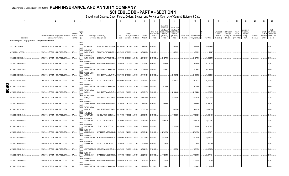## Statement as of September 30, 2019 of the **PENN INSURANCE AND ANNUITY COMPANY SCHEDULE DB - PART A - SECTION 1**

|        | $\overline{1}$                                                    | $\mathcal{L}$                                                              | $\overline{3}$                              | $\mathbf{A}$                                                                         | $\overline{5}$                                                           | 6                        |                                      | $\mathsf{R}$           | $\mathsf{Q}$                               | 10                                                   | 11                                                                                              | 12                                                                                             | 13                            | 14                                | 16                      | 17                                  | 18                                                                      | 19                                                   | 20                                                       | 21                    | 22               | 23                                                                                       |
|--------|-------------------------------------------------------------------|----------------------------------------------------------------------------|---------------------------------------------|--------------------------------------------------------------------------------------|--------------------------------------------------------------------------|--------------------------|--------------------------------------|------------------------|--------------------------------------------|------------------------------------------------------|-------------------------------------------------------------------------------------------------|------------------------------------------------------------------------------------------------|-------------------------------|-----------------------------------|-------------------------|-------------------------------------|-------------------------------------------------------------------------|------------------------------------------------------|----------------------------------------------------------|-----------------------|------------------|------------------------------------------------------------------------------------------|
|        | Description                                                       | Description of Item(s) Hedged, Used for Income<br>Generation or Replicated | Schedule<br>/ Exhibit Risk(s)<br>Identifier | Type(s)<br>of<br>(a)                                                                 | Exchange, Counterparty<br>or Central Clearinghouse                       | Trade<br>Date            | Date of<br>Maturity or<br>Expiration | Number of<br>Contracts | Notional<br>Amount                         | Strike Price,<br>Rate of Index<br>Received<br>(Paid) | Cumulative<br>Prior Year(s)<br>Initial Cost of<br>Undiscounted<br>Premium<br>(Received)<br>Paid | <b>Current Year</b><br>Initial Cost of<br><b>Jndiscounted</b><br>Premium<br>(Received)<br>Paid | <b>Current Year</b><br>Income | Book/Adjusted<br>Carrying Value e | Fair Value              | Valuation<br>Increase<br>(Decrease) | Unrealized   Total Foreign<br>Exchange<br>Change in<br><b>B./A.C.V.</b> | Current<br>Year's<br>(Amortization)<br>) / Accretion | Adjustment<br>to Carrying<br>Value of<br>Hedged<br>Items | Potential<br>Exposure | Credit<br>Entity | Hedge<br>Effectiveness<br>Quality of at Inception<br>Reference and at Year-<br>end $(b)$ |
|        | Purchased Options - Hedging Effective - Call Options and Warrants |                                                                            |                                             |                                                                                      |                                                                          |                          |                                      |                        |                                            |                                                      |                                                                                                 |                                                                                                |                               |                                   |                         |                                     |                                                                         |                                                      |                                                          |                       |                  |                                                                                          |
|        | SPX C 2674 01/16/20                                               | EMBEDDED OPTION IN IUL PRODUCTS                                            | N/A                                         | <b>EQUIT</b><br>Y/INDE<br>EQUIT                                                      | CITIBANK N.A E57ODZWZ7FF32TWEFA76                                        |                          | 01/18/2019 01/16/2020                | 13,655                 | 36,513,470 2674.000                        |                                                      |                                                                                                 | 2,449,707                                                                                      |                               | .2,449,707                        | .4,642,863              |                                     |                                                                         |                                                      |                                                          |                       |                  | 95/94.                                                                                   |
|        | SPX US 2890 03/17/20.                                             | EMBEDDED OPTION IN IUL PRODUCTS                                            | N/A                                         | Y/INDE<br><b>BARCLAYS</b><br>EQUIT                                                   | BANK NEW YO G5GSEF7VJP5I7OUK5573                                         |                          | 03/19/2019 03/17/2020                | 9,912                  | 28,645,680                                 | 2890.000.                                            |                                                                                                 | 1,406,116                                                                                      |                               | 1,406,116                         | .1,911,047              |                                     |                                                                         |                                                      |                                                          |                       |                  | 96/97.                                                                                   |
|        | SPX US C 2398 12/23/19.                                           | EMBEDDED OPTION IN IUL PRODUCTS                                            | N/A                                         | Y/INDE<br><b>BARCLAYS</b><br><b>BANK NEW YO</b><br>EQUIT<br>Y/INDE<br><b>GOLDMAN</b> | G5GSEF7VJP5I7OUK5573                                                     | 12/26/2018               | 12/23/2019                           | .11,322                | 27,150,156 2398.000.                       |                                                      | 2,427,437                                                                                       |                                                                                                |                               | .2,427,437                        | .6,639,043              |                                     |                                                                         |                                                      |                                                          |                       |                  | 97/95.                                                                                   |
|        | SPX US C 2465 12/23/19.<br>SPX US C 2528 12/26/19.                | EMBEDDED OPTION IN IUL PRODUCTS                                            | N/A<br>N/A                                  | EQUIT<br>Y/INDE<br>GOLDMAN                                                           | SACHS INTERN W22LROWP2IHZNBB6K528.<br>SACHS INTERN W22LROWP2IHZNBB6K528. | 12/24/2018<br>12/28/2018 | 12/23/2019<br>12/26/2019             | 9,816<br>.10,381       | 24,196,440 2465.000<br>26,243,168 2528.000 |                                                      | .1,595,100<br>1,904,914                                                                         |                                                                                                |                               | .1,595,100<br>.1,904,914          | 5,124,295<br>.4,811,470 |                                     |                                                                         |                                                      |                                                          |                       |                  | 92/97.<br>99/96.                                                                         |
|        | SPX US C 2535 12/30/19.                                           | EMBEDDED OPTION IN IUL PRODUCTS.<br>EMBEDDED OPTION IN IUL PRODUCTS.       | N/A                                         | X<br>EQUIT<br>Y/INDE<br>WELLS FARGO<br>BANK, N.                                      | KB1H1DSPRFMYMCUFXT09.                                                    | 01/02/2019               | 12/30/2019                           | 13,468                 | 34,141,380                                 | 2535.000.                                            |                                                                                                 | 2,473,129                                                                                      |                               | 2,473,129                         | 6,173,364               |                                     |                                                                         |                                                      |                                                          |                       |                  | 97/96.                                                                                   |
|        | SPX US C 2552 01/02/20                                            | EMBEDDED OPTION IN IUL PRODUCTS.                                           | N/A                                         | EQUIT<br>Y/INDE<br>CANADIAN<br><b>IMPERIAL BA</b><br>EQUIT                           | 2IGI19DL77OX0HC3ZE78                                                     |                          | 01/04/2019 01/02/2020                | 14,538                 | 37,100,976 2552.000.                       |                                                      |                                                                                                 | 2,591,253                                                                                      |                               | 2,591,253                         | 6,445,922               |                                     |                                                                         |                                                      |                                                          |                       |                  | 97/96.                                                                                   |
| ┍<br>U | SPX US C 2562 12/19/19                                            | EMBEDDED OPTION IN IUL PRODUCTS.                                           | N/A                                         | Y/INDE<br><b>GOLDMAN</b><br>EQUIT                                                    | SACHS INTERN W22LROWP2IHZNBB6K528.                                       |                          | 12/21/2018 12/19/2019                | 12,934                 | 33,136,908                                 | 2562.000.                                            | 1,835,981                                                                                       |                                                                                                |                               | 1,835,981                         | 5,571,854               |                                     |                                                                         |                                                      |                                                          |                       |                  | 95/95.                                                                                   |
|        | SPX US C 2583 01/06/20.                                           | EMBEDDED OPTION IN IUL PRODUCTS                                            | N/A                                         | Y/INDE<br><b>WELLS FARGO</b><br>BANK, N.<br>EQUIT<br>Y/INDE<br><b>WELLS FARGO</b>    | KB1H1DSPRFMYMCUFXT09.                                                    | 01/07/2019 01/06/2020    |                                      | 11,991                 | 30,972,753 2583.000                        |                                                      |                                                                                                 | .2,164,495                                                                                     |                               | .2,164,495                        | .4,997,304              |                                     |                                                                         |                                                      |                                                          |                       |                  | 100/97.                                                                                  |
|        | SPX US C 2601 01/06/20.<br>SPX US C 2615 12/16/19.                | EMBEDDED OPTION IN IUL PRODUCTS<br>EMBEDDED OPTION IN IUL PRODUCTS         | N/A<br>N/A                                  | BANK, N.<br>EQUIT<br>Y/INDE<br>GOLDMAN<br>SACHS INTERN                               | KB1H1DSPRFMYMCUFXT09.<br>W22LROWP2IHZNBB6K528.                           | 12/18/2018               | 01/08/2019 01/06/2020<br>12/16/2019  | 13,291<br>13,802       | 34,569,891<br>36,092,230                   | 2601.000.<br>2615.000.                               | 2,463,657                                                                                       | 2,337,621                                                                                      |                               | .2,337,621<br>2,463,657           | 5,322,936<br>5,257,211  |                                     |                                                                         |                                                      |                                                          |                       |                  | 97/96.<br>97/96.                                                                         |
|        | SPX US C 2637 01/09/20.                                           | EMBEDDED OPTION IN IUL PRODUCTS                                            | N/A                                         | EQUIT<br>Y/INDE<br><b>WELLS FARGO</b><br>BANK, N.<br>$\times$                        | KB1H1DSPRFMYMCUFXT09.                                                    |                          | 01/11/2019 01/09/2020                | 9,999                  | 26,367,363 2637.000                        |                                                      |                                                                                                 | .1,640,836                                                                                     |                               | .1,640,836                        | 3,692,576               |                                     |                                                                         |                                                      |                                                          |                       |                  | 98/98.                                                                                   |
|        | SPX US C 2638 01/13/20.                                           | EMBEDDED OPTION IN IUL PRODUCTS.                                           | N/A                                         | EQUIT<br>Y/INDE<br>CANADIAN<br><b>IMPERIAL BA</b><br>X<br>EQUIT                      | 2IGI19DL77OX0HC3ZE78.                                                    |                          | 01/15/2019 01/13/2020                | .10,474                | 27,630,412 2638.000                        |                                                      |                                                                                                 | 1,706,948                                                                                      |                               | 1,706,948                         | 3,878,435               |                                     |                                                                         |                                                      |                                                          |                       |                  | 96/95.                                                                                   |
|        | SPX US C 2689 12/09/19.                                           | EMBEDDED OPTION IN IUL PRODUCTS.                                           | N/A                                         | Y/INDE<br>CANADIAN<br><b>IMPERIAL BA</b><br>EQUIT                                    | 2IGI19DL77OX0HC3ZE78.                                                    | 12/11/2018               | 12/09/2019                           | .12,642                | 33,994,338                                 | 2689.000.                                            | 2,217,028                                                                                       |                                                                                                |                               | 2,217,028                         | 3,932,341               |                                     |                                                                         |                                                      |                                                          |                       |                  | 98/97.                                                                                   |
|        | SPX US C 2692 01/21/20                                            | EMBEDDED OPTION IN IUL PRODUCTS.                                           | N/A                                         | Y/INDE<br>CANADIAN<br><b>IMPERIAL BA</b><br>EQUIT<br>Y/INDE<br><b>BANK OF</b>        | 2IGI19DL77OX0HC3ZE78.                                                    |                          | 1/23/2019 01/21/2020                 | 20,808                 | 56,015,136 2692.000.                       |                                                      |                                                                                                 | 3,125,154                                                                                      |                               | 3,125,154                         | 6,796,467               |                                     |                                                                         |                                                      |                                                          |                       |                  | 97/96.                                                                                   |
|        | SPX US C 2693 11/22/19.                                           | EMBEDDED OPTION IN IUL PRODUCTS                                            | N/A                                         | AMERICA, N.A<br>EQUIT<br>Y/INDE<br><b>GOLDMAN</b>                                    | B4TYDEB6GKMZO031MB27.                                                    | 11/26/2018               | 11/22/2019                           | 14,839                 | 39,961,427                                 | 2693.000.                                            | 2,742,989                                                                                       |                                                                                                |                               | 2,742,989                         | 4,456,07                |                                     |                                                                         |                                                      |                                                          |                       |                  | 97/96.<br>97/96.                                                                         |
|        | SPX US C 2694 10/28/19.<br>SPX US C 2699 12/12/19.                | EMBEDDED OPTION IN IUL PRODUCTS.<br>EMBEDDED OPTION IN IUL PRODUCTS        | N/A<br>N/A                                  | EQUIT<br>Y/INDE<br>CANADIAN<br>IMPERIAL BA                                           | SACHS INTERN W22LROWP2IHZNBB6K528<br>2IGI19DL77OX0HC3ZE78.               | 10/30/2018<br>12/14/2018 | 10/28/2019<br>12/12/2019             | .12,528<br>,7,907      | 33,750,432<br>21,340,993                   | 2694.000.<br>2699.000.                               | 2,221,590<br>1,205,264                                                                          |                                                                                                |                               | .2,221,590<br>1,205,264           | 3,647,327<br>2,399,180  |                                     |                                                                         |                                                      |                                                          |                       |                  | 96/96.                                                                                   |
|        | SPX US C 2700 01/24/20.                                           | EMBEDDED OPTION IN IUL PRODUCTS                                            | N/A                                         | EQUIT<br>Y/INDE<br>$\mathsf{X}$<br>EQUIT                                             | SUNTRUST BANK IYDOJBGJWY9T8XKCSX06.                                      |                          | 01/28/2019 01/24/2020                | 10,386                 | 28,042,200 2700.000.                       |                                                      |                                                                                                 | .1,592,901                                                                                     |                               | .1,592,901                        | 3,335,053               |                                     |                                                                         |                                                      |                                                          |                       |                  | 95/94.                                                                                   |
|        | SPX US C 2727 11/25/19                                            | EMBEDDED OPTION IN IUL PRODUCTS                                            | N/A                                         | Y/INDE<br><b>BANK OF</b><br>AMERICA, N.A<br>EQUIT                                    | B4TYDEB6GKMZO031MB27.                                                    |                          | 11/27/2018 11/25/2019                | .10,357                | 28,243,539 2727.000                        |                                                      | 1,790,104                                                                                       |                                                                                                |                               | 1,790,104                         | 2,807,161               |                                     |                                                                         |                                                      |                                                          |                       |                  | 97/95.                                                                                   |
|        | SPX US C 2735 10/24/19.                                           | EMBEDDED OPTION IN IUL PRODUCTS                                            | N/A                                         | Y/INDE<br>GOLDMAN<br>EQUIT<br>Y/INDE<br><b>GOLDMAN</b>                               | SACHS INTERN W22LROWP2IHZNBB6K528.                                       |                          | 10/29/2018 10/24/2019                | 12,913                 | 35,317,055 2735.000                        |                                                      | 2,120,960                                                                                       |                                                                                                |                               | 2,120,960                         | 3,222,256               |                                     |                                                                         |                                                      |                                                          |                       |                  | 94/94.                                                                                   |
|        | SPX US C 2751 12/05/19.                                           | EMBEDDED OPTION IN IUL PRODUCTS                                            | N/A.                                        | SACHS INTERN<br>$\mathsf{X}$                                                         | W22LROWP2IHZNBB6K528                                                     |                          | 12/07/2018 12/05/2019                | 8,335                  | 22,929,585 2751.000.                       |                                                      | .1,214,410                                                                                      |                                                                                                |                               | 1,214,410                         | 2,119,614               |                                     |                                                                         |                                                      |                                                          |                       |                  | 96/96.                                                                                   |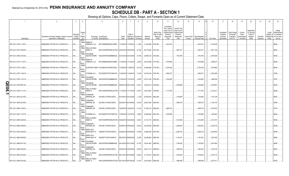# **SCHEDULE DB - PART A - SECTION 1**

|   |                         | $\overline{2}$                                                             | $\mathbf{3}$           | $\overline{4}$                           | 5                                                                                     | 6             |                                 | 8                     | 9                        | 10 <sup>1</sup>                                      | 11                                                                                              | 12                                                                                      | 13     | 14                                                    | 16           | 17                                                | 18                                                                | 19                                                  | 20                                                              | 21                    | 22                             | 23                                                                          |
|---|-------------------------|----------------------------------------------------------------------------|------------------------|------------------------------------------|---------------------------------------------------------------------------------------|---------------|---------------------------------|-----------------------|--------------------------|------------------------------------------------------|-------------------------------------------------------------------------------------------------|-----------------------------------------------------------------------------------------|--------|-------------------------------------------------------|--------------|---------------------------------------------------|-------------------------------------------------------------------|-----------------------------------------------------|-----------------------------------------------------------------|-----------------------|--------------------------------|-----------------------------------------------------------------------------|
|   | Description             | Description of Item(s) Hedged, Used for Income<br>Generation or Replicated | Schedule<br>Identifier | Type(s<br>of<br>/ Exhibit Risk(s)<br>(a) | Exchange, Counterparty<br>or Central Clearinghouse                                    | Trade<br>Date | Date of<br>Expiration Contracts | Maturity or Number of | Notional<br>Amount       | Strike Price,<br>Rate of Index<br>Received<br>(Paid) | Cumulative<br>Prior Year(s)<br>Initial Cost of<br>Undiscounted<br>Premium<br>(Received)<br>Paid | <b>Current Year</b><br>Initial Cost of<br>Jndiscounted<br>Premium<br>(Received)<br>Paid | Income | Current Year   Book/Adjusted<br><b>Carrying Value</b> | Fair Value   | Unrealized<br>Valuation<br>Increase<br>(Decrease) | <b>Total Foreign</b><br>Exchange<br>Change in<br><b>B./A.C.V.</b> | Current<br>Year's<br>(Amortization<br>) / Accretion | <b>\djustment</b><br>to Carrying<br>Value of<br>Hedged<br>ltems | Potential<br>Exposure | Credit<br>Quality of<br>Entity | Hedge<br>Effectiveness<br>at Inception<br>Reference and at Year-<br>end (b) |
|   |                         |                                                                            |                        | <b>EQUIT</b>                             | Y/INDE BANK OF                                                                        |               |                                 |                       |                          |                                                      |                                                                                                 |                                                                                         |        |                                                       |              |                                                   |                                                                   |                                                     |                                                                 |                       |                                |                                                                             |
|   | SPX US C 2756 11/18/19. | EMBEDDED OPTION IN IUL PRODUCTS.                                           | N/A                    | <b>EQUIT</b>                             | AMERICA, N.A B4TYDEB6GKMZO031MB27                                                     |               | 11/20/2018 11/18/2019 11,366    |                       | 31,324,696 2756.000      |                                                      | 1,623,974                                                                                       |                                                                                         |        | 1,623,974                                             | 2,746,326    |                                                   |                                                                   |                                                     |                                                                 |                       |                                | 96/96.                                                                      |
|   | SPX US C 2761 02/03/20. | EMBEDDED OPTION IN IUL PRODUCTS.                                           | $N/A$                  | <b>EQUIT</b>                             | Y/INDE WELLS FARGO<br>BANK, N.<br>KB1H1DSPRFMYMCUFXT09. 02/04/2019 02/03/2020         |               |                                 | 10,784                | 29,774,624 2761.000      |                                                      |                                                                                                 | 1,697,617                                                                               |        | 1,697,617                                             | 2,971,159    |                                                   |                                                                   |                                                     |                                                                 |                       |                                | 96/97.                                                                      |
|   | SPX US C 2763 02/10/20. | EMBEDDED OPTION IN IUL PRODUCTS.                                           | N/A                    | Y/INDE<br><b>EQUIT</b>                   | GOLDMAN<br>SACHS INTERN<br>W22LROWP2IHZNBB6K528                                       |               | 02/12/2019 02/10/2020           | 10,748                | 29,696,724 2763.000      |                                                      |                                                                                                 | 1,792,766                                                                               |        | 1,792,766                                             | 2,970,936    |                                                   |                                                                   |                                                     |                                                                 |                       |                                | 95/95.                                                                      |
|   | SPX US C 2774 11/13/19. | EMBEDDED OPTION IN IUL PRODUCTS.                                           | N/A.                   | Y/INDE<br><b>EQUIT</b>                   | <b>BANK OF</b><br>AMERICA, N.A B4TYDEB6GKMZO031MB27 11/16/2018 11/13/2019             |               |                                 | 8,920                 | 24,744,080 2774.000      |                                                      | 1,576,699                                                                                       |                                                                                         |        | 1,576,699                                             | 1,995,537    |                                                   |                                                                   |                                                     |                                                                 |                       |                                | 96/95.                                                                      |
|   | SPX US C 2776 11/29/19. | EMBEDDED OPTION IN IUL PRODUCTS                                            | N/A                    | Y/INDE<br>ΙX.<br>EQUIT                   | SUNTRUST BANK IYDOJBGJWY9T8XKCSX06                                                    |               | 11/29/2018 11/29/2019           | $\dots$ 15,140        | .42,028,640   2776.000   |                                                      | $\dots$ 2,755,329                                                                               |                                                                                         |        | 2,755,329                                             | 3,478,882    |                                                   |                                                                   |                                                     |                                                                 |                       |                                | 98/95.                                                                      |
|   | SPX US C 2787 11/04/19. | EMBEDDED OPTION IN IUL PRODUCTS.                                           | N/A                    | Y/INDE<br>ΙX<br>EQUIT                    | CITIBANK N.A E57ODZWZ7FF32TWEFA76                                                     |               | 11/06/2018 11/04/2019           | 11,032                | 30,746,184 2787.000      |                                                      | 1,895,077                                                                                       |                                                                                         |        | 1,895,077                                             | 2,293,369    |                                                   |                                                                   |                                                     |                                                                 |                       |                                | 97/96.                                                                      |
|   | SPX US C 2795 11/01/19. | EMBEDDED OPTION IN IUL PRODUCTS                                            | N/A                    | Y/INDE<br>EQUIT                          | <b>GOLDMAN</b><br>SACHS INTERN W22LROWP2IHZNBB6K528                                   |               | 11/02/2018 11/01/2019           | 8,555                 | 23,911,225 2795.000      |                                                      | 1,334,580                                                                                       |                                                                                         |        | 1,334,580                                             | 1,698,538    |                                                   |                                                                   |                                                     |                                                                 |                       |                                | 97/97.                                                                      |
| т | SPX US C 2799 06/01/20. | EMBEDDED OPTION IN IUL PRODUCTS.                                           | $N/A$                  | Y/INDE<br><b>EQUIT</b>                   | GOLDMAN<br>SACHS INTERN W22LROWP2IHZNBB6K528                                          |               | 06/04/2019 06/01/2020           | 12,481                | 34,934,319 2799.000      |                                                      |                                                                                                 | 2,209,886                                                                               |        | 2,209,886                                             | 3,579,481    |                                                   |                                                                   |                                                     |                                                                 |                       |                                | 95/95.                                                                      |
|   | SPX US C 2799 11/11/19. | EMBEDDED OPTION IN IUL PRODUCTS                                            | N/A                    | Y/INDE<br>EQUIT                          | <b>WELLS FARGO</b><br>BANK, N.<br>KB1H1DSPRFMYMCUFXT09. 11/13/2018 11/11/2019  10,937 |               |                                 |                       | 30,612,663 2799.000      |                                                      | 1,717,765                                                                                       |                                                                                         |        | 1,717,765                                             | 2,192,161    |                                                   |                                                                   |                                                     |                                                                 |                       |                                | 95/96.                                                                      |
|   | SPX US C 2802 02/13/20. | EMBEDDED OPTION IN IUL PRODUCTS.                                           | N/A                    | Y/INDE<br><b>EQUIT</b>                   | CANADIAN<br><b>IMPERIAL BA</b><br>2IGI19DL77OX0HC3ZE78.                               |               | 02/15/2019 02/13/2020           | 7,138                 | 20,000,676 2802.000      |                                                      |                                                                                                 | 1,106,890                                                                               |        | 1,106,890                                             | .1,761,708   |                                                   |                                                                   |                                                     |                                                                 |                       |                                | 96/97.                                                                      |
|   | SPX US C 2835 02/18/20. | EMBEDDED OPTION IN IUL PRODUCTS.                                           | N/A                    | Y/INDE<br><b>EQUIT</b>                   | CANADIAN<br><b>IMPERIAL BA</b><br>2IGI19DL77OX0HC3ZE78.                               |               | 02/20/2019 02/18/2020 13,976    |                       | 39,621,960   2835.000    |                                                      |                                                                                                 | 1,985,570                                                                               |        | 1,985,570                                             | .3, 126, 144 |                                                   |                                                                   |                                                     |                                                                 |                       |                                | 94/95.                                                                      |
|   | SPX US C 2846 12/02/19. | EMBEDDED OPTION IN IUL PRODUCTS.                                           | N/A                    | Y/INDE<br><b>EQUIT</b>                   | CANADIAN<br><b>IMPERIAL BA</b><br>2IGI19DL77OX0HC3ZE78.                               |               | 12/04/2018 12/02/2019 13,142    |                       | 37,402,132 2846.000      |                                                      | 1,966,700                                                                                       |                                                                                         |        | 1,966,700                                             | 2,276,302    |                                                   |                                                                   |                                                     |                                                                 |                       |                                | 97/97.                                                                      |
|   | SPX US C 2847 11/07/19. | EMBEDDED OPTION IN IUL PRODUCTS.                                           | N/A.                   | Y/INDE<br>EQUIT                          | CITIBANK N.A<br>E57ODZWZ7FF32TWEFA76                                                  |               | 11/09/2018 11/07/2019           | 8,950                 | 25,480,650 2847.000      |                                                      | 1,305,895                                                                                       |                                                                                         |        | 1,305,895                                             | .1,400,903   |                                                   |                                                                   |                                                     |                                                                 |                       |                                | 96/94.                                                                      |
|   | SPX US C 2855 03/23/20. | EMBEDDED OPTION IN IUL PRODUCTS.                                           | N/A                    | Y/INDE<br><b>EQUIT</b>                   | <b>WELLS FARGO</b><br>BANK, N.<br>KB1H1DSPRFMYMCUFXT09.                               |               | 03/26/2019 03/23/2020           | 10,933                | 31,213,715 2855.000      |                                                      |                                                                                                 | 1,612,508                                                                               |        | 1,612,508                                             | 2,413,727    |                                                   |                                                                   |                                                     |                                                                 |                       |                                | 94/95.                                                                      |
|   | SPX US C 2865 05/26/20. | EMBEDDED OPTION IN IUL PRODUCTS.                                           | N/A                    | Y/INDE<br><b>EQUIT</b>                   | CANADIAN<br><b>IMPERIAL BA</b><br>2IGI19DL77OX0HC3ZE78                                |               | 05/29/2019 05/26/2020           | 18,303                | 52,438,095   2865.000    |                                                      |                                                                                                 | 2,484,632                                                                               |        | 2,484,632                                             | .4,335,319   |                                                   |                                                                   |                                                     |                                                                 |                       |                                | 94/95.                                                                      |
|   | SPX US C 2870 03/30/20. | EMBEDDED OPTION IN IUL PRODUCTS.                                           | N/A                    | Y/INDE<br><b>EQUIT</b>                   | <b>BARCLAYS</b><br><b>BANK NEW YO</b><br>G5GSEF7VJP5I7OUK5573                         |               | 03/29/2019 03/30/2020           | 15,290                | .43,882,300   2870.000   |                                                      |                                                                                                 | 2,285,702                                                                               |        | 2,285,702                                             | .3,249,464   |                                                   |                                                                   |                                                     |                                                                 |                       |                                | 95/96.                                                                      |
|   | SPX US C 2880 06/05/20. | EMBEDDED OPTION IN IUL PRODUCTS.                                           | N/A                    | Y/INDE<br><b>EQUIT</b>                   | <b>BARCLAYS</b><br><b>BANK NEW YO</b><br>G5GSEF7VJP5I7OUK5573                         |               | 06/07/2019 06/05/2020           | 6,976                 | 20,090,880 2880.000.     |                                                      |                                                                                                 | 1,197,291                                                                               |        | 1,197,291                                             | 1,597,500    |                                                   |                                                                   |                                                     |                                                                 |                       |                                | 95/95.                                                                      |
|   | SPX US C 2896 05/11/20. | EMBEDDED OPTION IN IUL PRODUCTS.                                           | N/A                    | Y/INDE<br><b>EQUIT</b>                   | GOLDMAN<br>SACHS INTERN<br>W22LROWP2IHZNBB6K528                                       |               | 05/14/2019 05/11/2020 12,100    |                       | 35,041,600   2896.000.   |                                                      |                                                                                                 | 1,746,030                                                                               |        | 1,746,030                                             | 2,547,994    |                                                   |                                                                   |                                                     |                                                                 |                       |                                | 96/96.                                                                      |
|   | SPX US C 2899 03/20/20. | EMBEDDED OPTION IN IUL PRODUCTS.                                           | N/A                    | Y/INDE<br><b>EQUIT</b>                   | CANADIAN<br><b>IMPERIAL BA</b><br>2IGI19DL77OX0HC3ZE78                                |               | 03/22/2019 03/20/2020           | 10,028                | 29,071,172 2899.000      |                                                      |                                                                                                 | 1,380,254                                                                               |        | 1,380,254                                             | .1,875,276   |                                                   |                                                                   |                                                     |                                                                 |                       |                                | 96/97.                                                                      |
|   | SPX US C 2902 05/18/20. | EMBEDDED OPTION IN IUL PRODUCTS.                                           | N/A                    | Y/INDE<br><b>EQUIT</b>                   | <b>WELLS FARGO</b><br>BANK, N.<br>KB1H1DSPRFMYMCUFXT09. 05/21/2019 05/18/2020  10.935 |               |                                 |                       | $31,733,370$   2902.000  |                                                      |                                                                                                 | 1,678,632                                                                               |        | 1,678,632                                             | .2,278,174   |                                                   |                                                                   |                                                     |                                                                 |                       |                                | 95/96.                                                                      |
|   | SPX US C 2909 05/15/20. | EMBEDDED OPTION IN IUL PRODUCTS.                                           | N/A                    | Y/INDE<br>l X                            | <b>WELLS FARGO</b><br>BANK, N.<br>KB1H1DSPRFMYMCUFXT09. 05/17/2019 05/15/2020  11,007 |               |                                 |                       | $32,019,363$   2909.000. |                                                      |                                                                                                 | 1,696,949                                                                               |        | .1,696,949                                            | .2,227,471   |                                                   |                                                                   |                                                     |                                                                 |                       |                                | 93/93.                                                                      |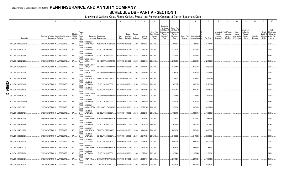# Statement as of September 30, 2019 of the **PENN INSURANCE AND ANNUITY COMPANY SCHEDULE DB - PART A - SECTION 1**

|   | $\overline{1}$            | $\overline{2}$                                                             | $\mathbf{3}$                                | $\Delta$                  | $\overline{5}$                                                               | 6             |                                      | 8                         | 9                        | 10                                                   | 11                                                                                              | 12                                                                                      | 13                     | 14                              | 16          | 17                                                | 18                                                         | 19                                               | 20                                                       | 21                    | 22                             | 23                                                                          |
|---|---------------------------|----------------------------------------------------------------------------|---------------------------------------------|---------------------------|------------------------------------------------------------------------------|---------------|--------------------------------------|---------------------------|--------------------------|------------------------------------------------------|-------------------------------------------------------------------------------------------------|-----------------------------------------------------------------------------------------|------------------------|---------------------------------|-------------|---------------------------------------------------|------------------------------------------------------------|--------------------------------------------------|----------------------------------------------------------|-----------------------|--------------------------------|-----------------------------------------------------------------------------|
|   | Description               | Description of Item(s) Hedged, Used for Income<br>Generation or Replicated | Schedule<br>/ Exhibit Risk(s)<br>Identifier | Type(s)<br>of<br>(a)      | Exchange, Counterparty<br>or Central Clearinghouse                           | Trade<br>Date | Date of<br>Maturity or<br>Expiration | Number<br>of<br>Contracts | Notional<br>Amount       | Strike Price,<br>Rate of Index<br>Received<br>(Paid) | Cumulative<br>Prior Year(s)<br>Initial Cost of<br>Undiscounted<br>Premium<br>(Received)<br>Paid | <b>Current Year</b><br>Initial Cost of<br>Jndiscounted<br>Premium<br>(Received)<br>Paid | Current Year<br>Income | Book/Adjusted<br>Carrying Value | Fair Value  | Unrealized<br>Valuation<br>Increase<br>(Decrease) | <b>Total Foreign</b><br>Exchange<br>Change in<br>B./A.C.V. | Current<br>Year's<br>Amortization<br>/ Accretion | Adjustment<br>to Carrying<br>Value of<br>Hedged<br>Items | Potential<br>Exposure | Credit<br>Quality of<br>Entity | Hedge<br>Effectiveness<br>at Inception<br>Reference and at Year-<br>end (b) |
|   |                           |                                                                            |                                             | <b>EQUIT</b><br>Y/INDE    | <b>GOLDMAN</b>                                                               |               |                                      |                           |                          |                                                      |                                                                                                 |                                                                                         |                        |                                 |             |                                                   |                                                            |                                                  |                                                          |                       |                                |                                                                             |
|   | SPX US C 2919 05/21/2020. | EMBEDDED OPTION IN IUL PRODUCTS.                                           | N/A                                         | EQUIT                     | SACHS INTERN<br>W22LROWP2IHZNBB6K528.                                        | 05/23/2019    | 05/21/2020                           | 7,339                     | 21,422,541               | 2919.000.                                            |                                                                                                 | 918,843                                                                                 |                        | 918,843                         | .1,448,445  |                                                   |                                                            |                                                  |                                                          |                       |                                | 95/96.                                                                      |
|   |                           |                                                                            |                                             | Y/INDE                    | CANADIAN                                                                     |               |                                      |                           |                          |                                                      |                                                                                                 |                                                                                         |                        |                                 |             |                                                   |                                                            |                                                  |                                                          |                       |                                |                                                                             |
|   | SPX US C 2922 8/14/2020.  | EMBEDDED OPTION IN IUL PRODUCTS.                                           | $N/A$                                       | <b>EQUIT</b>              | <b>MPERIAL BA</b><br>2IGI19DL77OX0HC3ZE78.                                   |               | 08/16/2019 08/14/2020                | .7,735                    | 22,601,670               | 2922.000.                                            |                                                                                                 | 1,305,281                                                                               |                        | 1,305,281                       | 1,726,350   |                                                   |                                                            |                                                  |                                                          |                       |                                | 95/95.                                                                      |
|   | SPX US C 2925 04/01/20.   | EMBEDDED OPTION IN IUL PRODUCTS.                                           | N/A.                                        | Y/INDE                    | CANADIAN<br><b>MPERIAL BA</b><br>2IGI19DL77OX0HC3ZE78.                       | 04/02/2019    | 04/01/2020                           | .11,245                   | .32,891,625              | 2925.000.                                            |                                                                                                 | .1,535,842                                                                              |                        | 1,535,842                       | .1,960,602  |                                                   |                                                            |                                                  |                                                          |                       |                                | 94/94.                                                                      |
|   |                           |                                                                            |                                             | EQUIT                     |                                                                              |               |                                      |                           |                          |                                                      |                                                                                                 |                                                                                         |                        |                                 |             |                                                   |                                                            |                                                  |                                                          |                       |                                |                                                                             |
|   | SPX US C 2928 8/24/2020   | EMBEDDED OPTION IN IUL PRODUCTS.                                           | N/A                                         | Y/INDE                    | <b>WELLS FARGO</b><br>BANK, N.<br>KB1H1DSPRFMYMCUFXT09 08/27/2019            |               | 08/24/2020                           | 12,039                    | 35,250,192               | 2928.000.                                            |                                                                                                 | 2,008,587                                                                               |                        | 2,008,587                       | 2,672,005   |                                                   |                                                            |                                                  |                                                          |                       |                                | 94/94.                                                                      |
|   |                           |                                                                            |                                             | EQUIT<br>Y/INDE           | <b>WELLS FARGO</b>                                                           |               |                                      |                           |                          |                                                      |                                                                                                 |                                                                                         |                        |                                 |             |                                                   |                                                            |                                                  |                                                          |                       |                                |                                                                             |
|   | SPX US C 2932 04/03/20    | EMBEDDED OPTION IN IUL PRODUCTS.                                           | N/A                                         | EQUIT                     | BANK, N.<br>KB1H1DSPRFMYMCUFXT09 04/05/2019                                  |               | 04/03/2020                           | .9,372                    | 27,478,704               | 2932.000.                                            |                                                                                                 | 1,421,170                                                                               |                        | 1,421,170                       | .1,595,262  |                                                   |                                                            |                                                  |                                                          |                       |                                | 94/95.                                                                      |
|   |                           |                                                                            |                                             | Y/INDE                    | <b>WELLS FARGO</b>                                                           |               |                                      |                           |                          |                                                      |                                                                                                 |                                                                                         |                        |                                 |             |                                                   |                                                            |                                                  |                                                          |                       |                                |                                                                             |
|   | SPX US C 2940 05/07/20    | EMBEDDED OPTION IN IUL PRODUCTS                                            | N/A                                         | EQUIT                     | BANK, N.<br>KB1H1DSPRFMYMCUFXT09 05/09/2019 05/07/2020                       |               |                                      | 8,218                     | 24,160,920               | 2940.000.                                            |                                                                                                 | 1,181,009                                                                               |                        | 1,181,009                       | 1,471,633   |                                                   |                                                            |                                                  |                                                          |                       |                                | 93/93.                                                                      |
|   | SPX US C 2941 04/09/20.   | EMBEDDED OPTION IN IUL PRODUCTS                                            | N/A                                         | Y/INDE                    | <b>BARCLAYS</b><br>BANK NEW YO<br>G5GSEF7VJP5I7OUK5573                       |               | 04/12/2019 04/09/2020                | .8,537                    | 25,107,317               | 2941.000.                                            |                                                                                                 | 1,279,611                                                                               |                        | 1,279,611                       | .1,422,649  |                                                   |                                                            |                                                  |                                                          |                       |                                | 96/97.                                                                      |
|   |                           |                                                                            |                                             | EQUIT<br>Y/INDE           | CANADIAN                                                                     |               |                                      |                           |                          |                                                      |                                                                                                 |                                                                                         |                        |                                 |             |                                                   |                                                            |                                                  |                                                          |                       |                                |                                                                             |
| П | SPX US C 2941 06/08/20    | EMBEDDED OPTION IN IUL PRODUCTS                                            | N/A                                         |                           | IMPERIAL BA<br>2IGI19DL77OX0HC3ZE78.                                         |               | 06/11/2019 06/08/2020                | 11,523                    | $33,889,143$   2941.000  |                                                      |                                                                                                 | 1,692,959                                                                               |                        | 1,692,959                       | 2,172,613   |                                                   |                                                            |                                                  |                                                          |                       |                                | 94/94.                                                                      |
| 5 |                           |                                                                            |                                             | <b>EQUIT</b><br>Y/INDE    | CANADIAN                                                                     |               |                                      |                           |                          |                                                      |                                                                                                 |                                                                                         |                        |                                 |             |                                                   |                                                            |                                                  |                                                          |                       |                                |                                                                             |
|   | SPX US C 2942 06/12/20.   | EMBEDDED OPTION IN IUL PRODUCTS.                                           | N/A.                                        | <b>EQUIT</b>              | IMPERIAL BA<br>2IGI19DL77OX0HC3ZE78.                                         |               | 06/14/2019 06/12/2020                | 0.8,400                   | $24,712,800$   2942.000. |                                                      |                                                                                                 | 1,175,412                                                                               |                        | 1, 175, 412                     | 1,584,206   |                                                   |                                                            |                                                  |                                                          |                       |                                | 96/96.                                                                      |
|   | SPX US C 2942 8/28/2020.  | EMBEDDED OPTION IN IUL PRODUCTS.                                           | $N/A$                                       | Y/INDE                    | <b>WELLS FARGO</b><br>BANK, N.<br>KB1H1DSPRFMYMCUFXT09 08/29/2019 08/28/2020 |               |                                      | .12,022                   | $35,368,724$   2942.000  |                                                      |                                                                                                 | 2,212,529                                                                               |                        | 2,212,529                       | 0.2,571,775 |                                                   |                                                            |                                                  |                                                          |                       |                                | 94/94.                                                                      |
|   |                           |                                                                            |                                             | <b>EQUIT</b>              |                                                                              |               |                                      |                           |                          |                                                      |                                                                                                 |                                                                                         |                        |                                 |             |                                                   |                                                            |                                                  |                                                          |                       |                                |                                                                             |
|   | SPX US C 2946 06/15/2020  | EMBEDDED OPTION IN IUL PRODUCTS.                                           | N/A                                         | Y/INDE                    | CANADIAN<br>IMPERIAL BA<br>2IGI19DL77OX0HC3ZE78.                             | 06/18/2019    | 06/15/2020                           | 13,57'                    | 39,980,166               | 2946.000.                                            |                                                                                                 | 2,142,589                                                                               |                        | 2,142,589                       | 2,538,743   |                                                   |                                                            |                                                  |                                                          |                       |                                | 94/94.                                                                      |
|   |                           |                                                                            |                                             | <b>EQUIT</b><br>Y/INDE    | goldman                                                                      |               |                                      |                           |                          |                                                      |                                                                                                 |                                                                                         |                        |                                 |             |                                                   |                                                            |                                                  |                                                          |                       |                                |                                                                             |
|   | SPX US C 2951 8/10/2020.  | EMBEDDED OPTION IN IUL PRODUCTS.                                           | N/A                                         | <b>EQUIT</b>              | SACHS INTERN W22LROWP2IHZNBB6K528                                            |               | 08/13/2019 08/10/2020                | 11,114                    | 32,797,414 2951.000      |                                                      |                                                                                                 | 1,933,836                                                                               |                        | 1,933,836                       | 2,261,296   |                                                   |                                                            |                                                  |                                                          |                       |                                | 94/94.                                                                      |
|   | SPX US C 2953 04/07/20.   | EMBEDDED OPTION IN IUL PRODUCTS.                                           | N/A                                         | Y/INDE                    | CANADIAN<br><b>MPERIAL BA</b><br>2IGI19DL77OX0HC3ZE78.                       |               | 04/09/2019 04/07/2020                | .10,438                   | 30,823,414 2953.000      |                                                      |                                                                                                 | .1,355,166                                                                              |                        | 1,355,166                       | 1,650,653   |                                                   |                                                            |                                                  |                                                          |                       |                                | 94/95.                                                                      |
|   |                           |                                                                            |                                             | EQUIT                     |                                                                              |               |                                      |                           |                          |                                                      |                                                                                                 |                                                                                         |                        |                                 |             |                                                   |                                                            |                                                  |                                                          |                       |                                |                                                                             |
|   | SPX US C 2954 08/07/20.   | EMBEDDED OPTION IN IUL PRODUCTS.                                           | N/A                                         | Y/INDE                    | <b>GOLDMAN</b><br>SACHS INTERN<br>W22LROWP2IHZNBB6K528.                      | 08/09/2019    | 08/07/2020                           | 7,793                     | $23,020,522$   2954.000  |                                                      |                                                                                                 | 1,295,976                                                                               |                        | 1,295,976                       | .1,561,388  |                                                   |                                                            |                                                  |                                                          |                       |                                | 95/95.                                                                      |
|   |                           |                                                                            |                                             | EQUIT<br>Y/INDE           | CANADIAN                                                                     |               |                                      |                           |                          |                                                      |                                                                                                 |                                                                                         |                        |                                 |             |                                                   |                                                            |                                                  |                                                          |                       |                                |                                                                             |
|   | SPX US C 2964 04/13/20.   | EMBEDDED OPTION IN IUL PRODUCTS.                                           | N/A                                         | EQUIT                     | <b>MPERIAL BA</b><br>2IGI19DL77OX0HC3ZE78.                                   | 04/16/2019    | 04/13/2020                           | .10,635                   | $31,522,140$ 2964.000.   |                                                      |                                                                                                 | 1,461,249                                                                               |                        | 1,461,249                       | .1,631,954  |                                                   |                                                            |                                                  |                                                          |                       |                                | 92/95.                                                                      |
|   |                           |                                                                            |                                             | Y/INDE                    | <b>BARCLAYS</b>                                                              |               |                                      |                           |                          |                                                      |                                                                                                 |                                                                                         |                        |                                 |             |                                                   |                                                            |                                                  |                                                          |                       |                                | 97/97.                                                                      |
|   | SPX US C 2964 9/1/2020.   | EMBEDDED OPTION IN IUL PRODUCTS.                                           | N/A                                         | EQUIT                     | BANK NEW YO<br>G5GSEF7VJP5I7OUK5573                                          |               | 09/04/2019 09/01/2020                | .13,974                   | .41,418,936 2964.000     |                                                      |                                                                                                 | 2,500,368                                                                               |                        | $\dots$ 2,500,368               | 2,807,914   |                                                   |                                                            |                                                  |                                                          |                       |                                |                                                                             |
|   | SPX US C 2965 04/20/20.   | EMBEDDED OPTION IN IUL PRODUCTS.                                           | N/A.                                        | Y/INDE                    | CANADIAN<br>IMPERIAL BA<br>2IGI19DL77OX0HC3ZE78.                             | 04/23/2019    | 04/20/2020                           | 21,071                    | 62,475,515 2965.000      |                                                      |                                                                                                 | 3,172,028                                                                               |                        | ,3,172,028                      | 3,286,991   |                                                   |                                                            |                                                  |                                                          |                       |                                | 96/96.                                                                      |
|   |                           |                                                                            |                                             | <b>EQUIT</b><br>Y/INDE    | CANADIAN                                                                     |               |                                      |                           |                          |                                                      |                                                                                                 |                                                                                         |                        |                                 |             |                                                   |                                                            |                                                  |                                                          |                       |                                |                                                                             |
|   | SPX US C 2974 8/17/2020.  | EMBEDDED OPTION IN IUL PRODUCTS.                                           | $N/A$                                       | EQUIT                     | IMPERIAL BA<br>2IGI19DL77OX0HC3ZE78.                                         | 08/20/2019    | 08/17/2020                           | 10,371                    | $30,843,354$   2974.000  |                                                      |                                                                                                 | 1,546,938                                                                               |                        | 1,546,938                       | 1,976,702   |                                                   |                                                            |                                                  |                                                          |                       |                                | 94/95.                                                                      |
|   |                           |                                                                            |                                             | Y/INDE                    | GOLDMAN                                                                      |               |                                      |                           |                          |                                                      |                                                                                                 |                                                                                         |                        |                                 |             |                                                   |                                                            |                                                  |                                                          |                       |                                |                                                                             |
|   | SPX US C 2974 8/21/2020.  | EMBEDDED OPTION IN IUL PRODUCTS.                                           | N/A                                         | EQUIT                     | SACHS INTERN W22LROWP2IHZNBB6K528.                                           |               | 08/23/2019 08/21/2020                | .12,484                   | $37,127,416$ 2974.000.   |                                                      |                                                                                                 | 1,676,227                                                                               |                        | 1,676,227                       | 2,388,394   |                                                   |                                                            |                                                  |                                                          |                       |                                | 95/96.                                                                      |
|   | SPX US C 2977 06/26/20.   | EMBEDDED OPTION IN IUL PRODUCTS.                                           | N/A                                         | Y/INDE                    | CANADIAN<br>MPERIAL BA<br>2IGI19DL77OX0HC3ZE78.                              |               | 06/28/2019 06/26/2020                | .6636                     | .19,755,372 2977.000     |                                                      |                                                                                                 | 985,446                                                                                 |                        | 985,446                         | 1,133,811   |                                                   |                                                            |                                                  |                                                          |                       |                                | 95/95.                                                                      |
|   |                           |                                                                            |                                             | EQUIT<br>Y/INDE           |                                                                              |               |                                      |                           |                          |                                                      |                                                                                                 |                                                                                         |                        |                                 |             |                                                   |                                                            |                                                  |                                                          |                       |                                |                                                                             |
|   | SPX US C 2981 05/01/20    | EMBEDDED OPTION IN IUL PRODUCTS.                                           | N/A                                         | <b>EQUIT</b>              | CITIBANK N.A E57ODZWZ7FF32TWEFA76                                            |               | 05/03/2019 05/01/2020                | 13,045                    | $38,887,145$ 2981.000.   |                                                      |                                                                                                 | .2,044,543                                                                              |                        | 2,044,543                       | .1,961,593  |                                                   |                                                            |                                                  |                                                          |                       |                                | 95/95.                                                                      |
|   |                           |                                                                            |                                             | Y/INDE                    |                                                                              |               |                                      |                           |                          |                                                      |                                                                                                 |                                                                                         |                        |                                 |             |                                                   |                                                            |                                                  |                                                          |                       |                                |                                                                             |
|   | SPX US C 2988 04/24/20.   | EMBEDDED OPTION IN IUL PRODUCTS.                                           | N/A                                         | $\boldsymbol{\mathsf{x}}$ | CITIBANK N.A E57ODZWZ7FF32TWEFA76 04/26/2019 04/24/2020                      |               |                                      | 8,303                     | $24,809,364$   2988.000. |                                                      |                                                                                                 | .1,137,926                                                                              |                        | .1,137,926                      | 1,187,614   |                                                   |                                                            |                                                  |                                                          |                       |                                | 93/93.                                                                      |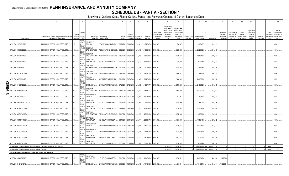**SCHEDULE DB - PART A - SECTION 1**

|   |                                                                                 | $\overline{2}$                                                             | $\mathbf{3}$                      | $\Lambda$                                                                         | $\overline{5}$                                     | 6             |                                                        | -8               | <b>g</b>                           | 10                                                   | 11                                                                                              | 12                                                                                      | 13                     | 14                              | 16                       | 17                                               | 18                                                                | 19                                                  | 20                                                       | 21                    | 22                                          | 23                                                               |
|---|---------------------------------------------------------------------------------|----------------------------------------------------------------------------|-----------------------------------|-----------------------------------------------------------------------------------|----------------------------------------------------|---------------|--------------------------------------------------------|------------------|------------------------------------|------------------------------------------------------|-------------------------------------------------------------------------------------------------|-----------------------------------------------------------------------------------------|------------------------|---------------------------------|--------------------------|--------------------------------------------------|-------------------------------------------------------------------|-----------------------------------------------------|----------------------------------------------------------|-----------------------|---------------------------------------------|------------------------------------------------------------------|
|   | Description                                                                     | Description of Item(s) Hedged, Used for Income<br>Generation or Replicated | Schedul<br>/ Exhibit<br>dentifier | Type(s<br>of<br>Risk(s)<br>(a)                                                    | Exchange, Counterparty<br>or Central Clearinghouse | Trade<br>Date | Date of<br>Maturity or Number<br>Expiration Contracts  |                  | Notional<br>Amount                 | Strike Price,<br>Rate of Index<br>Received<br>(Paid) | Cumulative<br>Prior Year(s)<br>Initial Cost of<br>Undiscounted<br>Premium<br>(Received)<br>Paid | <b>Current Year</b><br>Initial Cost of<br>Undiscounted<br>Premium<br>(Received)<br>Paid | Current Year<br>Income | Book/Adjusted<br>Carrying Value | Fair Value               | Unrealized<br>Valuation<br>Increase<br>(Decrease | <b>Total Foreign</b><br>Exchange<br>Change in<br><b>B./A.C.V.</b> | Current<br>Year's<br>(Amortizatior<br>) / Accretion | Adjustment<br>to Carrying<br>Value of<br>Hedged<br>Items | Potential<br>Exposure | Credit<br>Quality of<br>Reference<br>Entity | Hedge<br>Effectiveness<br>at Inception<br>and at Year-<br>end(b) |
|   | SPX US C 2993 06/19/20.                                                         | EMBEDDED OPTION IN IUL PRODUCTS.                                           | N/A                               | <b>EQUIT</b><br>Y/INDE<br><b>DEUTSCHE</b><br><b>BANK SA</b><br><b>EQUIT</b>       | 7LTWFZYICNSX8D621K86                               |               | 06/21/2019 06/19/2020                                  | 6,601            | 19,756,793                         | 2993.000.                                            |                                                                                                 | 982,427                                                                                 |                        | .982,427                        | .1,042,69                |                                                  |                                                                   |                                                     |                                                          |                       |                                             | 93/93.                                                           |
|   | SPX US C 3006 06/22/20.                                                         | EMBEDDED OPTION IN IUL PRODUCTS                                            | N/A.                              | Y/INDE<br><b>GOLDMAN</b><br><b>SACHS INTERN</b><br>EQUIT                          | W22LROWP2IHZNBB6K528.                              |               | 06/25/2019 06/22/2020                                  | 16,609           | .49,926,654                        | 3006.000.                                            |                                                                                                 | 2,220,623                                                                               |                        | 2,220,623                       | .2,510,240               |                                                  |                                                                   |                                                     |                                                          |                       |                                             | 94/94.                                                           |
|   | SPX US C 3013 8/3/2020.                                                         | EMBEDDED OPTION IN IUL PRODUCTS                                            | N/A.                              | Y/INDE<br><b>GOLDMAN</b><br>SACHS INTERN<br>EQUIT                                 | W22LROWP2IHZNBB6K528.                              |               | 08/02/2019 08/03/2020                                  | 7,929            | 23,890,077                         | 3013.000.                                            |                                                                                                 | 1,083,101                                                                               |                        | 1,083,101                       | .1,290,847               |                                                  |                                                                   |                                                     |                                                          |                       |                                             | 95/95.                                                           |
|   | SPX US C 3025 9/8/2020.                                                         | EMBEDDED OPTION IN IUL PRODUCTS                                            | N/A.                              | Y/INDE<br>CANADIAN<br><b>IMPERIAL BA</b><br>EQUIT<br>Y/INDE<br><b>GOLDMAN</b>     | 2IGI19DL77OX0HC3ZE78.                              |               | 09/09/2019 09/08/2020                                  | 6,143            | 18,582,575                         | 3025.000.                                            |                                                                                                 | 979,440                                                                                 |                        | 979,440                         | .1,015,977               |                                                  |                                                                   |                                                     |                                                          |                       |                                             | 94/94                                                            |
|   | SPX US C 3035 07/07/20.                                                         | EMBEDDED OPTION IN IUL PRODUCTS                                            | N/A.                              | SACHS INTERN<br>EQUIT<br>Y/INDE<br>GOLDMAN                                        | W22LROWP2IHZNBB6K528.                              |               | 07/09/2019 07/07/2020                                  | 8,936            | 27,120,760                         | 3035.000.                                            |                                                                                                 | 1,244,338                                                                               |                        | 1,244,338                       | .1,249,218               |                                                  |                                                                   |                                                     |                                                          |                       |                                             | 94/95.                                                           |
|   | SPX US C 3035 9/24/2020                                                         | EMBEDDED OPTION IN IUL PRODUCTS                                            | N/A                               | SACHS INTERN<br><b>EQUIT</b><br>Y/INDE<br><b>BANK OF</b>                          | W22LROWP2IHZNBB6K528.                              |               | 09/27/2019 09/24/2020                                  | 8,136            | 24,692,760                         | 3035.000.                                            |                                                                                                 | 1,299,075                                                                               |                        | 1,299,075                       | .1,334,432               |                                                  |                                                                   |                                                     |                                                          |                       |                                             | 93/94                                                            |
|   | SPX US C 3038 9/8/2020.<br>SPX US C 3043 07/20/20.                              | EMBEDDED OPTION IN IUL PRODUCTS<br>EMBEDDED OPTION IN IUL PRODUCTS         | N/A<br>N/A.                       | AMERICA, N.A<br><b>EQUIT</b><br>Y/INDE<br>CITIBANK N.A.,                          | B4TYDEB6GKMZO031MB27.<br>E57ODZWZ7FF32TWEFA76.     |               | 09/10/2019 09/08/2020<br>07/23/2019 07/20/2020         | 16,860<br>13,925 | 51,220,680<br>42,373,775           | 3038.000.<br>3043.000.                               |                                                                                                 | 2,462,909<br>2,130,525                                                                  |                        | 2,462,909<br>2,130,525          | .2,659,790<br>.1,949,689 |                                                  |                                                                   |                                                     |                                                          |                       |                                             | 97/97<br>95/95.                                                  |
| m | SPX US C 3051 07/10/2020                                                        | EMBEDDED OPTION IN IUL PRODUCTS.                                           | N/A.                              | <b>EQUIT</b><br>Y/INDE<br>GOLDMAN<br>SACHS INTERN                                 | W22LROWP2IHZNBB6K528.                              |               | 07/12/2019 07/10/2020                                  | 8,012            | 24,444,612                         | 3051.000.                                            |                                                                                                 | , 1, 173, 758                                                                           |                        | 1,173,758                       | .1,053,467               |                                                  |                                                                   |                                                     |                                                          |                       |                                             | 94/94.                                                           |
|   | SPX US C 3052 07/06/20.                                                         | EMBEDDED OPTION IN IUL PRODUCTS.                                           | N/A.                              | <b>EQUIT</b><br>Y/INDE<br><b>WELLS FARGO</b><br>BANK, N.                          | KB1H1DSPRFMYMCUFXT09.                              |               | 07/08/2019 07/06/2020                                  | 5,989            | .18,278,428                        | 3052.000.                                            |                                                                                                 | 759,824                                                                                 |                        | .759,824                        | 776,313                  |                                                  |                                                                   |                                                     |                                                          |                       |                                             | 94/94.                                                           |
|   | SPX US C 3052 07/17/2020 OTC                                                    | EMBEDDED OPTION IN IUL PRODUCTS                                            | N/A.                              | <b>EQUIT</b><br>Y/INDE<br>CANADIAN<br><b>MPERIAL BA</b><br><b>EQUIT</b>           | 2IGI19DL77OX0HC3ZE78.                              |               | 07/19/2019 07/17/2020                                  | 9,009            | 27,495,468                         | 3052.000.                                            |                                                                                                 | 1,287,206                                                                               |                        | 1,287,206                       | .1,203,716               |                                                  |                                                                   |                                                     |                                                          |                       |                                             | 93/94.                                                           |
|   | SPX US C 3052 9/21/2020.                                                        | EMBEDDED OPTION IN IUL PRODUCTS                                            | N/A.                              | Y/INDE<br>CANADIAN<br><b>MPERIAL BA</b><br><b>EQUIT</b>                           | 2IGI19DL77OX0HC3ZE78.                              |               | 09/24/2019 09/21/2020                                  | 15,395           | .46,985,540                        | 3052.000.                                            |                                                                                                 | 2,306,479                                                                               |                        | 2,306,479                       | .2,357,409               |                                                  |                                                                   |                                                     |                                                          |                       |                                             | 93/93.                                                           |
|   | SPX US C 3058 9/14/2020.                                                        | EMBEDDED OPTION IN IUL PRODUCTS.                                           | N/A.                              | Y/INDE<br><b>GOLDMAN</b><br>SACHS INTERN<br><b>EQUIT</b>                          | W22LROWP2IHZNBB6K528.                              |               | 09/17/2019 09/14/2020                                  | 8,373            | 25,604,634                         | 3058.000.                                            |                                                                                                 | 1,358,938                                                                               |                        | 1,358,938                       | .1,236,043               |                                                  |                                                                   |                                                     |                                                          |                       |                                             | 94/93.                                                           |
|   | SPX US C 3061 9/14/2020.                                                        | EMBEDDED OPTION IN IUL PRODUCTS                                            | N/A                               | Y/INDE<br>CANADIAN<br><b>IMPERIAL BA</b><br>EQUIT<br>Y/INDE<br><b>WELLS FARGO</b> | 2IGI19DL77OX0HC3ZE78.                              |               | 09/16/2019 09/14/2020                                  | 8,701            | .26,633,761                        | 3061.000.                                            |                                                                                                 | 1,352,483                                                                               |                        | 1,352,483                       | .1,269,762               |                                                  |                                                                   |                                                     |                                                          |                       |                                             | 94/93.                                                           |
|   | SPX US C 3066 9/17/2020.                                                        | EMBEDDED OPTION IN IUL PRODUCTS                                            | N/A                               | BANK, N.<br><b>EQUIT</b><br>Y/INDE<br><b>WELLS FARGO</b>                          | KB1H1DSPRFMYMCUFXT09.                              |               | 09/20/2019 09/17/2020                                  | 8,024            | 24,601,584                         | 3066.000.                                            |                                                                                                 | 1,229,197                                                                               |                        | 1,229,197                       | 1,154,587                |                                                  |                                                                   |                                                     |                                                          |                       |                                             | 95/94                                                            |
|   | SPX US C 3073 7/24/2020.                                                        | EMBEDDED OPTION IN IUL PRODUCTS                                            | N/A                               | BANK, N.<br><b>EQUIT</b><br><b>BARCLAYS</b><br>Y/INDE                             | KB1H1DSPRFMYMCUFXT09.                              |               | 07/26/2019 07/24/2020                                  | 8,834            | 27,146,882                         | 3073.000.                                            |                                                                                                 | 1,262,820                                                                               |                        | 1,262,820                       | 1,100,636                |                                                  |                                                                   |                                                     |                                                          |                       |                                             | 96/95.                                                           |
|   | SPX US C 3074 7/13/2020.<br>SPX US C 3082 7/28/2020                             | EMBEDDED OPTION IN IUL PRODUCTS<br>EMBEDDED OPTION IN IUL PRODUCTS         | N/A.<br>N/A                       | BANK NEW YO<br><b>EQUIT</b><br>CANADIAN<br>Y/INDE<br><b>IMPERIAL BA</b>           | G5GSEF7VJP5I7OUK5573<br>2IGI19DL77OX0HC3ZE78.      |               | 07/16/2019 07/13/2020  10,781<br>07/30/2019 07/28/2020 | .12.402          | 33,140,794<br>38,222,964 3082.000. | 3074.000.                                            |                                                                                                 | 1,419,103<br>1,657,899                                                                  |                        | 1,419,103<br>1,657,899          | 1,293,889<br>.1,504,294  |                                                  |                                                                   |                                                     |                                                          |                       |                                             | 94/94.<br>94/94                                                  |
|   | 0019999999. Total-Purchased Options-Hedging Effective-Call Options and Warrants |                                                                            |                                   |                                                                                   |                                                    |               |                                                        |                  |                                    |                                                      | .37,915,453                                                                                     | 106,556,567                                                                             |                        | .144,472,020<br>XX              | 219,215,754              | $\Omega$                                         |                                                                   |                                                     |                                                          |                       | XXX                                         | XXX                                                              |
|   | 0079999999. Total-Purchased Options-Hedging Effective.                          |                                                                            |                                   |                                                                                   |                                                    |               |                                                        |                  |                                    |                                                      | .37,915,453                                                                                     | .106,556,567                                                                            |                        | 144,472,020 XX                  | 219,215,754              | $\sqrt{2}$                                       |                                                                   |                                                     |                                                          |                       | <b>XXX</b>                                  | <b>XXX</b>                                                       |
|   | Purchased Options - Hedging Other - Call Options and Warrants                   |                                                                            |                                   |                                                                                   |                                                    |               |                                                        |                  |                                    |                                                      |                                                                                                 |                                                                                         |                        |                                 |                          |                                                  |                                                                   |                                                     |                                                          |                       |                                             |                                                                  |
|   | SPX C US 2824 03/09/20.                                                         | EMBEDDED OPTION IN IUL PRODUCTS                                            | N/A                               | EQUIT<br>Y/INDE<br>CANADIAN<br><b>MPERIAL BA</b><br>EQUIT<br>Y/INDE               | 2IGI19DL77OX0HC3ZE78.                              |               | 03/12/2019 03/09/2020 10,420                           |                  | $29,426,080$   2824.000.           |                                                      |                                                                                                 | 1,563,521                                                                               |                        | 2,493,434                       | 2,493,434                | 929,913                                          |                                                                   |                                                     |                                                          |                       |                                             |                                                                  |
|   | SPX US C 2545 12/16/19.                                                         | EMBEDDED OPTION IN IUL PRODUCTS                                            | N/A.                              | CITIBANK N.A                                                                      | E57ODZWZ7FF32TWEFA76 01/09/2019 12/16/2019         |               |                                                        | 4,365            | $11,108,925$   2545.000            |                                                      |                                                                                                 | .943.364                                                                                |                        | 1.945.944                       | .1,945,944               | 1,002,581                                        |                                                                   |                                                     |                                                          |                       |                                             |                                                                  |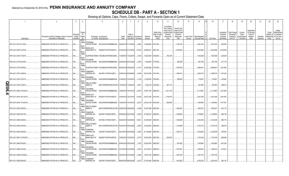**SCHEDULE DB - PART A - SECTION 1**

|                           | $\overline{2}$                                                             | $\overline{3}$                     | $\Delta$                                                                             | 5                                                  | 6             |                                                          | -8    | -9                       | 10 <sup>10</sup>                                     | 11                                                                                              | 12                                                                                      | 13     | 14                                               | 16          | 17                                                | 18                                                         | 19                                                  | 20                                                              | 21                    | 22                             | 23                                                                          |
|---------------------------|----------------------------------------------------------------------------|------------------------------------|--------------------------------------------------------------------------------------|----------------------------------------------------|---------------|----------------------------------------------------------|-------|--------------------------|------------------------------------------------------|-------------------------------------------------------------------------------------------------|-----------------------------------------------------------------------------------------|--------|--------------------------------------------------|-------------|---------------------------------------------------|------------------------------------------------------------|-----------------------------------------------------|-----------------------------------------------------------------|-----------------------|--------------------------------|-----------------------------------------------------------------------------|
| Description               | Description of Item(s) Hedged, Used for Income<br>Generation or Replicated | Schedul<br>/ Exhibit<br>Identifier | Type(s<br>of<br>Risk(s)<br>(a)                                                       | Exchange, Counterparty<br>or Central Clearinghouse | Trade<br>Date | Date of<br>Maturity or Number of<br>Expiration Contracts |       | Notional<br>Amount       | Strike Price,<br>Rate of Index<br>Received<br>(Paid) | Cumulative<br>Prior Year(s)<br>Initial Cost of<br>Undiscounted<br>Premium<br>(Received)<br>Paid | <b>Current Year</b><br>Initial Cost of<br>Undiscounted<br>Premium<br>(Received)<br>Paid | Income | Current Year   Book/Adjusted<br>Carrying Value e | Fair Value  | Unrealized<br>Valuation<br>Increase<br>(Decrease) | <b>Total Foreign</b><br>Exchange<br>Change in<br>B./A.C.V. | Current<br>Year's<br>(Amortization<br>) / Accretion | <b>\diustment</b><br>to Carrying<br>Value of<br>Hedged<br>Items | Potential<br>Exposure | Credit<br>Quality of<br>Entity | Hedge<br>Effectiveness<br>at Inception<br>Reference and at Year-<br>end (b) |
|                           |                                                                            |                                    | equit<br>Y/INDE<br>GOLDMAN                                                           |                                                    |               |                                                          |       |                          |                                                      |                                                                                                 |                                                                                         |        |                                                  |             |                                                   |                                                            |                                                     |                                                                 |                       |                                |                                                                             |
| SPX US C 2615 01/15/20.   | EMBEDDED OPTION IN IUL PRODUCTS.                                           | N/A                                | <b>EQUIT</b>                                                                         | SACHS INTERN W22LROWP2IHZNBB6K528                  |               | 02/26/2019 01/15/2020                                    | 6,084 | 15,909,660               | 2615.000.                                            |                                                                                                 | .1,728,160                                                                              |        | 2,381,242                                        | .2,381,242  | 653,082                                           |                                                            |                                                     |                                                                 |                       |                                |                                                                             |
| SPX US C 2697 01/27/20.   | EMBEDDED OPTION IN IUL PRODUCTS.                                           | N/A                                | Y/INDE<br>BARCLAYS<br><b>EQUIT</b>                                                   | BANK NEW YO G5GSEF7VJP5I7OUK5573                   |               |                                                          |       | .49,956,531              | 2697.000.                                            |                                                                                                 | 2,793,083                                                                               |        | 6,023,892                                        | .6,023,892  | 3,230,809                                         |                                                            |                                                     |                                                                 |                       |                                |                                                                             |
| SPX US C 2729 11/22/19.   | EMBEDDED OPTION IN IUL PRODUCTS.                                           | N/A                                | Y/INDE                                                                               | SUNTRUST BANK IYDOJBGJWY9T8XKCSX06.                |               | 1/29/2018 11/22/2019 3,746                               |       | .10,222,834              | 2729.000.                                            | 782,165                                                                                         |                                                                                         |        | 1,002,369                                        | .1,002,369  | 220,205                                           |                                                            |                                                     |                                                                 |                       |                                |                                                                             |
| SPX US C 2775 02/14/20.   | EMBEDDED OPTION IN IUL PRODUCTS                                            | N/A.                               | <b>EQUIT</b><br>Y/INDE<br>Goldman<br><b>EQUIT</b>                                    | SACHS INTERN W22LROWP2IHZNBB6K528                  |               | 02/26/2019 02/14/2020                                    | 2,544 | 7,059,600                | 2775.000.                                            |                                                                                                 | 464,026                                                                                 |        | 681,799                                          | .681,799    | 217,773                                           |                                                            |                                                     |                                                                 |                       |                                |                                                                             |
| SPX US C 2779 02/04/20.   | EMBEDDED OPTION IN IUL PRODUCTS                                            | N/A.                               | Y/INDE                                                                               | SUNTRUST BANK IYDOJBGJWY9T8XKCSX06                 |               | 02/05/2019 02/04/2020 11,077                             |       | 30,782,983 2779.000.     |                                                      |                                                                                                 | 1,676,504                                                                               |        | 2,898,391                                        | .2,898,391  | 1,221,887                                         |                                                            |                                                     |                                                                 |                       |                                |                                                                             |
| SPX US C 2781 02/06/20.   | EMBEDDED OPTION IN IUL PRODUCTS                                            | N/A                                | <b>EQUIT</b><br>Y/INDE<br>CANADIAN<br>IMPERIAL BA<br>EQUIT                           | 2IGI19DL77OX0HC3ZE78.                              |               | 02/08/2019 02/06/2020                                    | 9,464 | 26,319,384               | 2781.000.                                            |                                                                                                 | 1,269,312                                                                               |        | 2,466,754                                        | .2,466,754  | .1,197,442                                        |                                                            |                                                     |                                                                 |                       |                                |                                                                             |
| SPX US C 2793 10/15/19.   | EMBEDDED OPTION IN IUL PRODUCTS                                            | N/A                                | Y/INDE<br>GOLDMAN<br><b>EQUIT</b>                                                    | SACHS INTERN W22LROWP2IHZNBB6K528.                 |               | 01/09/2019 10/15/2019 4,128                              |       | 11,529,504               | 2793.000.                                            |                                                                                                 | 299,280                                                                                 |        | 779,267                                          | .779,267    | 479,987                                           |                                                            |                                                     |                                                                 |                       |                                |                                                                             |
| SPX US C 2799 11/29/19.   | EMBEDDED OPTION IN IUL PRODUCTS                                            | N/A                                | Y/INDE<br><b>NELLS FARGO</b><br>BANK, N.<br><b>EQUIT</b>                             | KB1H1DSPRFMYMCUFXT09.                              |               | 12/03/2018 11/29/2019 2,651                              |       | 7,420,149 2799.000       |                                                      | .487,174                                                                                        |                                                                                         |        | .557,064                                         | .557,064    | 399,014                                           |                                                            |                                                     |                                                                 |                       |                                |                                                                             |
| SPX US C 2806 10/14/2019. | EMBEDDED OPTION IN IUL PRODUCTS                                            | N/A                                | Y/INDE<br>GOLDMAN                                                                    | SACHS INTERN W22LROWP2IHZNBB6K528.                 |               | 10/26/2018 10/14/2019 12,032                             |       | 33,761,792 2806.000      |                                                      | 1,331,100                                                                                       |                                                                                         |        | 2,113,963                                        | .2,113,963  | .1,521,805                                        |                                                            |                                                     |                                                                 |                       |                                |                                                                             |
| SPX US C 2815 10/21/2019. | EMBEDDED OPTION IN IUL PRODUCTS                                            | N/A                                | EQUIT<br>Y/INDE<br><b>BARCLAYS</b><br>EQUIT                                          | BANK NEW YO G5GSEF7VJP5I7OUK5573                   |               | 10/26/2018 10/21/2019  15,246                            |       | .42,917,490   2815.000   |                                                      | .1,742,618                                                                                      |                                                                                         |        | 2,631,556                                        | .2,631,556  | 1,891,957                                         |                                                            |                                                     |                                                                 |                       |                                |                                                                             |
| SPX US C 2816 10/14/2019  | EMBEDDED OPTION IN IUL PRODUCTS.                                           | N/A                                | Y/INDE<br>GOLDMAN<br><b>EQUIT</b>                                                    | SACHS INTERN W22LROWP2IHZNBB6K528.                 |               | 10/26/2018 10/14/2019                                    | 9,021 | 25,403,136 2816.000      |                                                      | .956,948                                                                                        |                                                                                         |        | 1,499,584                                        | 1,499,584   | 1,077,651                                         |                                                            |                                                     |                                                                 |                       |                                |                                                                             |
| SPX US C 2823 03/06/20.   | EMBEDDED OPTION IN IUL PRODUCTS.                                           | N/A                                | Y/INDE<br><b>WELLS FARGO</b><br>BANK, N.<br><b>EQUIT</b>                             | KB1H1DSPRFMYMCUFXT09.                              |               | 03/08/2019 03/06/2020                                    | 8,226 | 23,221,998               | 2823.000.                                            |                                                                                                 | 1,049,391                                                                               |        | 1,963,527                                        | .1,963,527  | 914,137                                           |                                                            |                                                     |                                                                 |                       |                                |                                                                             |
| SPX US C 2838 02/21/20.   | EMBEDDED OPTION IN IUL PRODUCTS.                                           | N/A                                | Y/INDE<br>CANADIAN<br><b>IMPERIAL BA</b><br><b>EQUIT</b>                             | 2IGI19DL77OX0HC3ZE78.                              |               | 02/25/2019 02/21/2020 9,653                              |       | 27,395,214               | 2838.000.                                            |                                                                                                 | 1,453,645                                                                               |        | 2,139,803                                        | .2,139,803  | 686,158                                           |                                                            |                                                     |                                                                 |                       |                                |                                                                             |
| SPX US C 2848 02/28/20.   | EMBEDDED OPTION IN IUL PRODUCTS.                                           | N/A                                | Y/INDE<br>CANADIAN<br>IMPERIAL BA<br><b>EQUIT</b>                                    | 2IGI19DL77OX0HC3ZE78.                              |               | 02/28/2019 02/28/2020  10,621                            |       | 30,248,608               | 2848.000.                                            |                                                                                                 | 1,446,686                                                                               |        | 2,303,458                                        | .2,303,458  | 856,772                                           |                                                            |                                                     |                                                                 |                       |                                |                                                                             |
| SPX US C 2849 03/03/20.   | EMBEDDED OPTION IN IUL PRODUCTS                                            | N/A.                               | Y/INDE<br><b>WELLS FARGO</b><br>BANK, N.<br><b>EQUIT</b>                             | KB1H1DSPRFMYMCUFXT09.                              |               | 03/05/2019 03/03/2020                                    | 9,650 | 27,492,850               | 2849.000.                                            |                                                                                                 | 1,315,585                                                                               |        | , 2, 105, 154                                    | 2, 105, 154 | 789,570                                           |                                                            |                                                     |                                                                 |                       |                                |                                                                             |
| SPX US C 2852 02/24/20.   | EMBEDDED OPTION IN IUL PRODUCTS.                                           | N/A.                               | Y/INDE<br>CANADIAN<br><b>MPERIAL BA</b><br><b>EQUIT</b>                              | 2IGI19DL77OX0HC3ZE78.                              |               | 02/27/2019 02/24/2020                                    | 9,505 | 27,108,260               | 2852.000.                                            |                                                                                                 | 1,228,141                                                                               |        | 2,018,638                                        | .2,018,638  | 790,497                                           |                                                            |                                                     |                                                                 |                       |                                |                                                                             |
| SPX US C 2857 10/16/2019. | EMBEDDED OPTION IN IUL PRODUCTS                                            | N/A                                | <b>BARCLAYS</b><br>Y/INDE<br>BANK NEW YO<br>EQUIT                                    | G5GSEF7VJP5I7OUK5573                               |               | 10/26/2018 10/16/2019                                    | 8,772 | 25,061,604               | 2857.000                                             | .835,972                                                                                        |                                                                                         |        | 1,142,190                                        | .1,142,190  | 806,956                                           |                                                            |                                                     |                                                                 |                       |                                |                                                                             |
| SPX US C 2860 03/02/20.   | EMBEDDED OPTION IN IUL PRODUCTS.                                           | N/A                                | Y/INDE<br><b>GOLDMAN</b><br>SACHS INTERN<br><b>EQUIT</b><br>Y/INDE<br><b>GOLDMAN</b> | W22LROWP2IHZNBB6K528                               |               | 03/04/2019 03/02/2020                                    | 7,323 | 20,943,780               | 2860.000.                                            |                                                                                                 | 931,852                                                                                 |        | 1,532,884                                        | .1,532,884  | 601,032                                           |                                                            |                                                     |                                                                 |                       |                                |                                                                             |
| SPX US C 2866 03/16/20.   | EMBEDDED OPTION IN IUL PRODUCTS.                                           | N/A                                | SACHS INTERN<br><b>EQUIT</b><br>Y/INDE<br><b>GOLDMAN</b>                             | W22LROWP2IHZNBB6K528                               |               | 03/18/2019 03/16/2020                                    | 8,979 | .25,733,814              | 2866.000.                                            |                                                                                                 | 1,367,681                                                                               |        | .1,885,942                                       | 1,885,942   | 518,261                                           |                                                            |                                                     |                                                                 |                       |                                |                                                                             |
| SPX US C 2889 5/15/2020   | EMBEDDED OPTION IN IUL PRODUCTS                                            | N/A                                | <b>EQUIT</b><br>Y/INDE<br>CANADIAN                                                   | SACHS INTERN W22LROWP2IHZNBB6K528.                 |               | 09/30/2019 05/15/2020                                    | 6,494 | .18,761,166 2889.000     |                                                      |                                                                                                 | 1,397,184                                                                               |        | 1,397,184                                        | .1,397,184  |                                                   |                                                            |                                                     |                                                                 |                       |                                |                                                                             |
| SPX US C 2928 08/04/20.   | EMBEDDED OPTION IN IUL PRODUCTS                                            |                                    | <b>IMPERIAL BA</b>                                                                   | 2IGI19DL77OX0HC3ZE78                               |               | 08/06/2019 08/04/2020                                    | 9,227 | $27,016,656$   2928.000. |                                                      |                                                                                                 | .1,442,826                                                                              |        | .2,003,023                                       | .2,003,023  | 560,197                                           |                                                            |                                                     |                                                                 |                       |                                |                                                                             |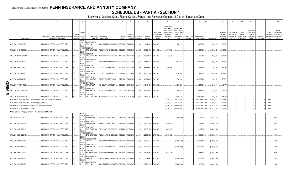# **SCHEDULE DB - PART A - SECTION 1**

|        |                                                                             | $\overline{2}$                                                             | $\mathbf{3}$           |                                           | $\overline{5}$                                                                        | $\epsilon$    |                               | 8                                             | q                        | 10 <sup>1</sup>                                      | 11                                                                                              | 12                                                                                      | 13              | 14                                             | 16          | 17                                                | 18                                                         | 19                                                  | 20                                                       | 21                    | 22                             | 23                                                                            |
|--------|-----------------------------------------------------------------------------|----------------------------------------------------------------------------|------------------------|-------------------------------------------|---------------------------------------------------------------------------------------|---------------|-------------------------------|-----------------------------------------------|--------------------------|------------------------------------------------------|-------------------------------------------------------------------------------------------------|-----------------------------------------------------------------------------------------|-----------------|------------------------------------------------|-------------|---------------------------------------------------|------------------------------------------------------------|-----------------------------------------------------|----------------------------------------------------------|-----------------------|--------------------------------|-------------------------------------------------------------------------------|
|        | Description                                                                 | Description of Item(s) Hedged, Used for Income<br>Generation or Replicated | Schedule<br>Identifier | Type(s)<br>of<br>/ Exhibit Risk(s)<br>(a) | Exchange, Counterparty<br>or Central Clearinghouse                                    | Trade<br>Date | Date of                       | Maturity or Number of<br>Expiration Contracts | Notional<br>Amount       | Strike Price.<br>Rate of Index<br>Received<br>(Paid) | Cumulative<br>Prior Year(s)<br>Initial Cost of<br>Undiscounted<br>Premium<br>(Received)<br>Paid | <b>Current Year</b><br>Initial Cost of<br>Undiscounted<br>Premium<br>(Received)<br>Paid | Income          | Current Year   Book/Adjusted<br>Carrying Value | Fair Value  | Unrealized<br>Valuation<br>Increase<br>(Decrease) | <b>Total Foreign</b><br>Exchange<br>Change in<br>B./A.C.V. | Current<br>Year's<br>(Amortization<br>) / Accretion | Adjustment<br>to Carrying<br>Value of<br>Hedged<br>Items | Potential<br>Exposure | Credit<br>Quality of<br>Entity | Hedge<br>Effectiveness<br>at Inception<br>Reference and at Year-<br>end $(b)$ |
|        |                                                                             |                                                                            |                        | <b>EQUIT</b>                              | Y/INDE   WELLS FARGO                                                                  |               |                               |                                               |                          |                                                      |                                                                                                 |                                                                                         |                 |                                                |             |                                                   |                                                            |                                                     |                                                          |                       |                                |                                                                               |
|        | SPX US C 2935 04/15/20.                                                     | EMBEDDED OPTION IN IUL PRODUCTS.                                           | N/A                    | <b>EQUIT</b>                              | BANK, N.<br>KB1H1DSPRFMYMCUFXT09. 05/06/2019 04/15/2020                               |               |                               | 4,649                                         | .13,644,815 2935.000     |                                                      |                                                                                                 | 754,207                                                                                 |                 | .806,765                                       | 806,765     | .52,557                                           |                                                            |                                                     |                                                          |                       |                                |                                                                               |
|        | SPX US C 2941 10/8/2019.                                                    | EMBEDDED OPTION IN IUL PRODUCTS.                                           | N/A                    | Y/INDE                                    | <b>GOLDMAN</b><br>SACHS INTERN W22LROWP2IHZNBB6K528                                   |               | 10/26/2018 10/08/2019         | 12,680                                        | 37,291,880 2941.000      |                                                      | 727,705                                                                                         |                                                                                         |                 | .631,758                                       | .631,758    | 345,793                                           |                                                            |                                                     |                                                          |                       |                                |                                                                               |
|        | SPX US C 2947 10/7/2019.                                                    | EMBEDDED OPTION IN IUL PRODUCTS.                                           | N/A                    | <b>EQUIT</b><br>Y/INDE<br><b>EQUIT</b>    | <b>GOLDMAN</b><br>SACHS INTERN W22LROWP2IHZNBB6K528                                   |               | 10/26/2018 10/07/2019         | 10,157                                        | 29,932,679 2947.000      |                                                      | 561,377                                                                                         |                                                                                         |                 | .442,732                                       | 442,732     | .223,622                                          |                                                            |                                                     |                                                          |                       |                                |                                                                               |
|        | SPX US C 2976 05/05/20.                                                     | EMBEDDED OPTION IN IUL PRODUCTS.                                           | N/A                    | Y/INDE<br>l X<br>EQUIT                    | <b>WELLS FARGO</b><br>BANK, N.<br>KB1H1DSPRFMYMCUFXT09. 05/06/2019 05/05/2020  11,474 |               |                               |                                               | 34,146,624 2976.000      |                                                      |                                                                                                 | 1,766,422                                                                               |                 | 1,782,980                                      | .1,782,980  | .16,558                                           |                                                            |                                                     |                                                          |                       |                                |                                                                               |
|        | SPX US C 2983 10/01/19.                                                     | EMBEDDED OPTION IN IUL PRODUCTS                                            | N/A                    | Y/INDE<br><b>EQUIT</b><br>Y/INDE          | CANADIAN<br><b>IMPERIAL BA</b><br>2IGI19DL77OX0HC3ZE78.<br>CANADIAN                   |               | 10/04/2018 10/01/2019 17,258  |                                               | 51,480,614 2983.000      |                                                      | 2,240,261                                                                                       |                                                                                         |                 | .95,979                                        | .95,979     | (2, 144, 282)                                     |                                                            |                                                     |                                                          |                       |                                |                                                                               |
|        | SPX US C 2995 07/01/20.                                                     | EMBEDDED OPTION IN IUL PRODUCTS.                                           | N/A                    | EQUIT<br>Y/INDE                           | <b>IMPERIAL BA</b><br>2IGI19DL77OX0HC3ZE78<br><b>BARCLAYS</b>                         |               | 06/28/2019 07/01/2020 20,388  |                                               | 61,062,060   2995.000    |                                                      |                                                                                                 | 2,838,010                                                                               |                 | 3,291,766                                      | 3,291,766   | .453,757                                          |                                                            |                                                     |                                                          |                       |                                |                                                                               |
|        | SPX US C 3001 04/28/20.                                                     | EMBEDDED OPTION IN IUL PRODUCTS.                                           | N/A                    | EQUIT                                     | <b>BANK NEW YO</b><br>G5GSEF7VJP5I7OUK5573                                            |               | 04/30/2019 04/28/2020         | 16,500                                        | .49,516,500 3001.000     |                                                      |                                                                                                 | 2,331,120                                                                               |                 | 2,258,293                                      | .2,258,293  | (72, 827)                                         |                                                            |                                                     |                                                          |                       |                                |                                                                               |
| m<br>∍ | SPX US C 3017 9/14/2020                                                     | EMBEDDED OPTION IN IUL PRODUCTS.                                           | N/A                    | Y/INDE<br>EQUIT<br>Y/INDE                 | CANADIAN<br><b>IMPERIAL BA</b><br>2IGI19DL77OX0HC3ZE78<br>CANADIAN                    |               | 09/26/2019 09/14/2020         | 3,451                                         | .10,411,667 3017.000     |                                                      |                                                                                                 | .595,228                                                                                |                 | .591,751                                       | .591,751    | (3, 477)                                          |                                                            |                                                     |                                                          |                       |                                |                                                                               |
|        | SPX US C 3023 7/15/2020.                                                    | EMBEDDED OPTION IN IUL PRODUCTS                                            | N/A                    | EQUIT                                     | <b>IMPERIAL BA</b><br>2IGI19DL77OX0HC3ZE78.                                           |               | 09/26/2019 07/15/2020         | 3,881                                         | .11,732,263 3023.000     |                                                      |                                                                                                 | .584,711                                                                                |                 | .581,062                                       | .581,062    | (3,650)                                           |                                                            |                                                     |                                                          |                       |                                |                                                                               |
| ת      | SPX US C 3037 9/28/2020                                                     | EMBEDDED OPTION IN IUL PRODUCTS.                                           |                        | Y/INDE                                    | <b>GOLDMAN</b><br><b>SACHS INTERN</b><br>W22LROWP2IHZNBB6K528.                        |               | 09/27/2019 09/28/2020         | 11.469                                        | .34.831.353 3037.000.    |                                                      |                                                                                                 | .1.833.549                                                                              |                 | 1,888,449                                      | .1,888,449  | .54.900                                           |                                                            |                                                     |                                                          |                       |                                |                                                                               |
|        | 0089999999. Total-Purchased Options-Hedging Other-Call Options and Warrants |                                                                            |                        |                                           |                                                                                       |               |                               |                                               |                          |                                                      | .9,665,320                                                                                      | 33,073,488                                                                              |                 | .58,338,597                                    | 58,338,597  | 19,490,637                                        |                                                            |                                                     |                                                          |                       | <b>XXX</b>                     | XXX                                                                           |
|        | 0149999999. Total-Purchased Options-Hedging Other                           |                                                                            |                        |                                           |                                                                                       |               |                               |                                               |                          |                                                      | .9,665,320                                                                                      | 33,073,488                                                                              |                 | .58,338,597                                    | 58,338,597  | 19,490,637                                        |                                                            |                                                     |                                                          |                       | XXX                            | XXX                                                                           |
|        | 0369999999. Total-Purchased Options-Call Options and Warrants.              |                                                                            |                        |                                           |                                                                                       |               |                               |                                               |                          |                                                      | .47,580,773                                                                                     | 139,630,055                                                                             | .0 <sub>1</sub> | 202,810,617                                    | 277,554,351 | 19,490,637                                        |                                                            |                                                     |                                                          |                       | <b>XXX</b>                     | XXX                                                                           |
|        | 0429999999. Total-Purchased Options.                                        |                                                                            |                        |                                           |                                                                                       |               |                               |                                               |                          |                                                      |                                                                                                 | .47,580,773 .139,630,055                                                                |                 | $.0$ 202,810,617                               | 277,554,351 | .19,490,637                                       |                                                            |                                                     |                                                          | $\overline{0}$        | <b>XXX</b>                     | XXX                                                                           |
|        | Written Options - Hedging Effective - Call Options and Warrants             |                                                                            |                        |                                           |                                                                                       |               |                               |                                               |                          |                                                      |                                                                                                 |                                                                                         |                 |                                                |             |                                                   |                                                            |                                                     |                                                          |                       |                                |                                                                               |
|        | SPX US 3114 03/17/20.                                                       | EMBEDDED OPTION IN IUL PRODUCTS.                                           | N/A                    | <b>EQUIT</b><br>Y/INDE<br>EQUIT           | <b>BARCLAYS</b><br>BANK NEW YO G5GSEF7VJP5I7OUK5573                                   |               | 03/19/2019 03/17/2020         | 9,912                                         | 30,865,968 3114.000      |                                                      |                                                                                                 | (426,216)                                                                               |                 | (426, 216)                                     | (567, 327)  |                                                   |                                                            |                                                     |                                                          |                       |                                | 96/97.                                                                        |
|        | SPX US C 2588 12/23/19.                                                     | EMBEDDED OPTION IN IUL PRODUCTS.                                           | N/A                    | Y/INDE<br>EQUIT                           | <b>BARCLAYS</b><br><b>BANK NEW YO</b><br>G5GSEF7VJP5I7OUK5573                         |               | 12/26/2018 12/23/2019 11,322  |                                               | $.29,301,336$   2588.000 |                                                      | (1,358,640)                                                                                     |                                                                                         |                 | (1,358,640)                                    | (4,606,927) |                                                   |                                                            |                                                     |                                                          |                       |                                | )7/95.                                                                        |
|        | SPX US C 2654 12/23/19.                                                     | EMBEDDED OPTION IN IUL PRODUCTS.                                           | N/A                    | Y/INDE<br>EQUIT<br>Y/INDE                 | GOLDMAN<br>SACHS INTERN W22LROWP2IHZNBB6K528.<br><b>GOLDMAN</b>                       |               | 12/24/2018 12/23/2019         | 9,816                                         | 26,051,664               | 2654.000.                                            | (817,059)                                                                                       |                                                                                         |                 | (817,059)                                      | (3,407,698) |                                                   |                                                            |                                                     |                                                          |                       |                                | 92/97.                                                                        |
|        | SPX US C 2725 12/26/19.                                                     | EMBEDDED OPTION IN IUL PRODUCTS                                            | N/A                    | EQUIT<br>Y/INDE                           | SACHS INTERN W22LROWP2IHZNBB6K528<br><b>WELLS FARGO</b>                               |               | 12/28/2018 12/26/2019 10,381  |                                               | 28,288,225 2725.000      |                                                      | (979,603)                                                                                       |                                                                                         |                 | (979,603                                       | (2,972,741  |                                                   |                                                            |                                                     |                                                          |                       |                                | 99/96.                                                                        |
|        | SPX US C 2734 12/30/19.                                                     | EMBEDDED OPTION IN IUL PRODUCTS.                                           | N/A                    | EQUIT<br>Y/INDE                           | BANK, N.<br>KB1H1DSPRFMYMCUFXT09. 01/02/2019 12/30/2019<br>CANADIAN                   |               |                               | 13,468                                        | .36,821,512   2734.000   |                                                      |                                                                                                 | (1,225,588)                                                                             |                 | (1,225,588)                                    | (3,780,943) |                                                   |                                                            |                                                     |                                                          |                       |                                | 97/96.                                                                        |
|        | SPX US C 2752 01/02/20.                                                     | EMBEDDED OPTION IN IUL PRODUCTS.                                           | N/A                    | EQUIT<br>Y/INDE                           | <b>IMPERIAL BA</b><br>2IGI19DL77OX0HC3ZE78<br><b>GOLDMAN</b>                          |               | 01/04/2019 01/02/2020  14,538 |                                               | .40,008,576 2752.000     |                                                      |                                                                                                 | (1,235,730)                                                                             |                 | , (1, 235, 730)                                | (3,879,903) |                                                   |                                                            |                                                     |                                                          |                       |                                | 17/96.                                                                        |
|        | SPX US C 2765 12/19/19.                                                     | EMBEDDED OPTION IN IUL PRODUCTS.                                           | N/A                    | EQUIT<br>Y/INDE                           | SACHS INTERN W22LROWP2IHZNBB6K528<br><b>WELLS FARGO</b>                               |               | 12/21/2018 12/19/2019         | 12,934                                        | 35,762,510 2765.000      |                                                      | (843,876)                                                                                       |                                                                                         |                 | . (843, 876)                                   | (3,230,836) |                                                   |                                                            |                                                     |                                                          |                       |                                | 95/95.                                                                        |
|        | SPX US C 2781 01/06/20.                                                     | EMBEDDED OPTION IN IUL PRODUCTS                                            | N/A                    | EQUIT<br>Y/INDE<br>$\mathsf{I} \times$    | BANK, N.<br>KB1H1DSPRFMYMCUFXT09. 01/07/2019 01/06/2020  11,991<br><b>WELLS FARGO</b> |               |                               |                                               | 33,346,971               | 2781.000.                                            |                                                                                                 | (1,055,208                                                                              |                 | (1,055,208)                                    | (2,940,218) |                                                   |                                                            |                                                     |                                                          |                       |                                | 100/97                                                                        |
|        | SPX US C 2805 01/06/20.                                                     | EMBEDDED OPTION IN IUL PRODUCTS.                                           | N/A                    |                                           | BANK, N.<br>KB1H1DSPRFMYMCUFXT09. 01/08/2019 01/06/2020  13,291                       |               |                               |                                               | 37,281,255 2805.000.     |                                                      |                                                                                                 | (1, 103, 153)                                                                           |                 | (1, 103, 153)                                  | (3,000,225) |                                                   |                                                            |                                                     |                                                          |                       |                                | 97/96                                                                         |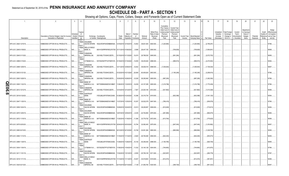# Statement as of September 30, 2019 of the **PENN INSURANCE AND ANNUITY COMPANY SCHEDULE DB - PART A - SECTION 1**

|   | $\overline{1}$          | $\overline{2}$                                                             | $\mathbf{3}$                                | $\Delta$                                                | $\overline{5}$                                     | 6             |                                      | 8                         | 9                       | 10                                                   | 11                                                                                              | 12                                                                                      | 13                     | 14                              | 16          | 17                                                | 18                                                        | 19                                               | 20                                                       | 21                    | 22                             | 23                                                                          |
|---|-------------------------|----------------------------------------------------------------------------|---------------------------------------------|---------------------------------------------------------|----------------------------------------------------|---------------|--------------------------------------|---------------------------|-------------------------|------------------------------------------------------|-------------------------------------------------------------------------------------------------|-----------------------------------------------------------------------------------------|------------------------|---------------------------------|-------------|---------------------------------------------------|-----------------------------------------------------------|--------------------------------------------------|----------------------------------------------------------|-----------------------|--------------------------------|-----------------------------------------------------------------------------|
|   | Description             | Description of Item(s) Hedged, Used for Income<br>Generation or Replicated | Schedule<br>/ Exhibit Risk(s)<br>Identifier | Type(s)<br>of<br>(a)                                    | Exchange, Counterparty<br>or Central Clearinghouse | Trade<br>Date | Date of<br>Maturity or<br>Expiration | Number<br>of<br>Contracts | Notional<br>Amount      | Strike Price,<br>Rate of Index<br>Received<br>(Paid) | Cumulative<br>Prior Year(s)<br>Initial Cost of<br>Undiscounted<br>Premium<br>(Received)<br>Paid | <b>Current Year</b><br>Initial Cost of<br>Jndiscounted<br>Premium<br>(Received)<br>Paid | Current Year<br>Income | Book/Adjusted<br>Carrying Value | Fair Value  | Unrealized<br>Valuation<br>Increase<br>(Decrease) | <b>Total Foreign</b><br>Exchange<br>Change in<br>B.A.C.V. | Current<br>Year's<br>Amortization<br>/ Accretion | Adjustment<br>to Carrying<br>Value of<br>Hedged<br>Items | Potential<br>Exposure | Credit<br>Quality of<br>Entity | Hedge<br>Effectiveness<br>at Inception<br>Reference and at Year-<br>end (b) |
|   |                         |                                                                            |                                             | <b>EQUIT</b><br>Y/INDE<br><b>GOLDMAN</b>                |                                                    |               |                                      |                           |                         |                                                      |                                                                                                 |                                                                                         |                        |                                 |             |                                                   |                                                           |                                                  |                                                          |                       |                                |                                                                             |
|   | SPX US C 2820 12/16/19. | EMBEDDED OPTION IN IUL PRODUCTS.                                           | N/A                                         |                                                         | SACHS INTERN W22LROWP2IHZNBB6K528.                 | 12/18/2018    | 12/16/2019                           | 13,802                    | .38,921,640             | 2820.000.                                            | (1,225,894)                                                                                     |                                                                                         |                        | (1,225,894)                     | (2,796,281) |                                                   |                                                           |                                                  |                                                          |                       |                                | 97/96.                                                                      |
|   |                         |                                                                            |                                             | EQUIT<br>Y/INDE                                         | <b>WELLS FARGO</b>                                 |               |                                      |                           |                         |                                                      |                                                                                                 |                                                                                         |                        |                                 |             |                                                   |                                                           |                                                  |                                                          |                       |                                |                                                                             |
|   | SPX US C 2845 01/09/20. | EMBEDDED OPTION IN IUL PRODUCTS.                                           | $N/A$                                       | Bank, N.                                                | KB1H1DSPRFMYMCUFXT09 01/11/2019 01/09/2020         |               |                                      | 9,999                     | $28,447,155$   2845.000 |                                                      |                                                                                                 | (709,929)                                                                               |                        | (709,929)                       | (1,954,941  |                                                   |                                                           |                                                  |                                                          |                       |                                | 98/98.                                                                      |
|   | SPX US C 2845 01/13/20. | EMBEDDED OPTION IN IUL PRODUCTS.                                           | N/A                                         | <b>EQUIT</b><br>Y/INDE<br>CANADIAN<br><b>MPERIAL BA</b> | 2IGI19DL77OX0HC3ZE78.                              | 01/15/2019    | 01/13/2020                           | .10,474                   | 29,798,530              | 2845.000.                                            |                                                                                                 |                                                                                         |                        |                                 |             |                                                   |                                                           |                                                  |                                                          |                       |                                | 96/95.                                                                      |
|   |                         |                                                                            |                                             | EQUIT                                                   |                                                    |               |                                      |                           |                         |                                                      |                                                                                                 | (691,284)                                                                               |                        | (691,284)                       | (2,072,753) |                                                   |                                                           |                                                  |                                                          |                       |                                |                                                                             |
|   | SPX US C 2888 01/16/20  | EMBEDDED OPTION IN IUL PRODUCTS.                                           | N/A                                         | Y/INDE<br>X                                             | CITIBANK N.A E57ODZWZ7FF32TWEFA76                  | 01/18/2019    | 01/16/2020                           | 13,655                    | 39,435,640              | 2888.000.                                            |                                                                                                 | (996,815)                                                                               |                        | (996,815)                       | (2,274,563) |                                                   |                                                           |                                                  |                                                          |                       |                                | 95/94                                                                       |
|   |                         |                                                                            |                                             | EQUIT                                                   |                                                    |               |                                      |                           |                         |                                                      |                                                                                                 |                                                                                         |                        |                                 |             |                                                   |                                                           |                                                  |                                                          |                       |                                |                                                                             |
|   | SPX US C 2898 12/09/19  | EMBEDDED OPTION IN IUL PRODUCTS.                                           | N/A                                         | Y/INDE<br>CANADIAN<br>IMPERIAL BA                       | 2IGI19DL77OX0HC3ZE78.                              | 12/11/2018    | 12/09/2019                           | .12,642                   | 36,636,516              | 2898.000.                                            | (1,036,644)                                                                                     |                                                                                         |                        | (1,036,644)                     | (1,726,024) |                                                   |                                                           |                                                  |                                                          |                       |                                | 98/97                                                                       |
|   |                         |                                                                            |                                             | EQUIT<br>Y/INDE<br>CANADIAN                             |                                                    |               |                                      |                           |                         |                                                      |                                                                                                 |                                                                                         |                        |                                 |             |                                                   |                                                           |                                                  |                                                          |                       |                                |                                                                             |
|   | SPX US C 2903 01/21/20. | EMBEDDED OPTION IN IUL PRODUCTS                                            | N/A                                         | <b>MPERIAL BA</b>                                       | 2IGI19DL77OX0HC3ZE78.                              |               | 1/23/2019 01/21/2020                 | 20,808                    | 60,405,624 2903.000     |                                                      |                                                                                                 | (1, 165, 248)                                                                           |                        | (1, 165, 248)                   | (3,289,615) |                                                   |                                                           |                                                  |                                                          |                       |                                | 97/96.                                                                      |
|   |                         |                                                                            |                                             | EQUIT<br>Y/INDE<br>CANADIAN                             |                                                    |               |                                      |                           |                         |                                                      |                                                                                                 |                                                                                         |                        |                                 |             |                                                   |                                                           |                                                  |                                                          |                       |                                |                                                                             |
|   | SPX US C 2905 10/28/19. | EMBEDDED OPTION IN IUL PRODUCTS                                            | N/A                                         | <b>MPERIAL BA</b>                                       | 2IGI19DL77OX0HC3ZE78.                              | 10/30/2018    | 10/28/2019                           | .12,528                   | 36,393,840              | 2905.000.                                            | (987,206)                                                                                       |                                                                                         |                        | (987, 206)                      | (1,262,393) |                                                   |                                                           |                                                  |                                                          |                       |                                | 97/96.                                                                      |
|   |                         |                                                                            |                                             | EQUIT<br>Y/INDE<br><b>BANK OF</b>                       |                                                    |               |                                      |                           |                         |                                                      |                                                                                                 |                                                                                         |                        |                                 |             |                                                   |                                                           |                                                  |                                                          |                       |                                |                                                                             |
| П | SPX US C 2905 11/22/19  | EMBEDDED OPTION IN IUL PRODUCTS                                            | N/A                                         |                                                         | AMERICA, N.A<br>B4TYDEB6GKMZO031MB27               | 1/26/2018     | 11/22/2019                           | 14,839                    | .43,107,295 2905.000    |                                                      | (1,216,798)                                                                                     |                                                                                         |                        | (1,216,798)                     | (1,770,438) |                                                   |                                                           |                                                  |                                                          |                       |                                | 97/96.                                                                      |
| 0 |                         |                                                                            |                                             | <b>EQUIT</b><br>Y/INDE<br>CANADIAN                      |                                                    |               |                                      |                           |                         |                                                      |                                                                                                 |                                                                                         |                        |                                 |             |                                                   |                                                           |                                                  |                                                          |                       |                                |                                                                             |
|   | SPX US C 2912 12/12/19. | EMBEDDED OPTION IN IUL PRODUCTS.                                           | N/A.                                        | IMPERIAL BA<br><b>EQUIT</b>                             | 2IGI19DL77OX0HC3ZE78.                              | 12/14/2018    | 12/12/2019                           | 7,907                     | 23,025,184              | 2912.000.                                            | (521,862)                                                                                       |                                                                                         |                        | (521,862)                       | (1,013,328) |                                                   |                                                           |                                                  |                                                          |                       |                                | 96/96.                                                                      |
|   |                         |                                                                            |                                             | Y/INDE<br><b>SUNTRUST</b>                               |                                                    |               |                                      |                           |                         |                                                      |                                                                                                 |                                                                                         |                        |                                 |             |                                                   |                                                           |                                                  |                                                          |                       |                                |                                                                             |
|   | SPX US C 2919 01/24/20. | EMBEDDED OPTION IN IUL PRODUCTS.                                           | $N/A$                                       | <b>BANK</b><br><b>EQUIT</b>                             | IYDOJBGJWY9T8XKCSX06                               |               | 01/28/2019 01/24/2020                | .10,386                   | $30,316,734$   2919.000 |                                                      |                                                                                                 | (602, 388)                                                                              |                        | (602,388)                       | (1,541,125) |                                                   |                                                           |                                                  |                                                          |                       |                                | 95/94.                                                                      |
|   |                         |                                                                            |                                             | Y/INDE<br><b>BANK OF</b>                                |                                                    |               |                                      |                           |                         |                                                      |                                                                                                 |                                                                                         |                        |                                 |             |                                                   |                                                           |                                                  |                                                          |                       |                                |                                                                             |
|   | SPX US C 2947 11/25/19. | EMBEDDED OPTION IN IUL PRODUCTS.                                           | N/A                                         | <b>EQUIT</b>                                            | AMERICA, N.A<br>B4TYDEB6GKMZO031MB27.              | 1/27/2018     | 1/25/2019                            | 10,357                    | 30,522,079              | 2947.000.                                            | (766,418)                                                                                       |                                                                                         |                        | (766,418)                       | (939, 578)  |                                                   |                                                           |                                                  |                                                          |                       |                                | 97/95.                                                                      |
|   | SPX US C 2959 10/24/19. | EMBEDDED OPTION IN IUL PRODUCTS.                                           |                                             | Y/INDE<br>goldman                                       |                                                    |               | 10/24/2019                           | 12,913                    | 38,209,567              | 2959.000.                                            |                                                                                                 |                                                                                         |                        |                                 |             |                                                   |                                                           |                                                  |                                                          |                       |                                | 94/94.                                                                      |
|   |                         |                                                                            | N/A                                         | <b>EQUIT</b>                                            | SACHS INTERN W22LROWP2IHZNBB6K528                  | 10/29/2018    |                                      |                           |                         |                                                      | (812,628)                                                                                       |                                                                                         |                        | (812,628)                       | (715,813)   |                                                   |                                                           |                                                  |                                                          |                       |                                |                                                                             |
|   | SPX US C 2970 12/05/19. | EMBEDDED OPTION IN IUL PRODUCTS.                                           | N/A                                         | Y/INDE<br><b>GOLDMAN</b>                                | SACHS INTERN W22LROWP2IHZNBB6K528.                 | 12/07/2018    | 12/05/2019                           | .8,335                    | 24,754,950              | 2970.000.                                            | (481, 888)                                                                                      |                                                                                         |                        | (481, 888)                      | (684, 675)  |                                                   |                                                           |                                                  |                                                          |                       |                                | 96/96.                                                                      |
|   |                         |                                                                            |                                             | EQUIT                                                   |                                                    |               |                                      |                           |                         |                                                      |                                                                                                 |                                                                                         |                        |                                 |             |                                                   |                                                           |                                                  |                                                          |                       |                                |                                                                             |
|   | SPX US C 2972 11/18/19. | EMBEDDED OPTION IN IUL PRODUCTS.                                           | N/A                                         | Y/INDE<br><b>BANK OF</b>                                | AMERICA, N.A<br>B4TYDEB6GKMZO031MB27.              | 1/20/2018     | 11/18/2019                           | 11,366                    | 33,779,752 2972.000     |                                                      | (613,764)                                                                                       |                                                                                         |                        | (613, 764)                      | (775, 625)  |                                                   |                                                           |                                                  |                                                          |                       |                                | 96/96.                                                                      |
|   |                         |                                                                            |                                             | EQUIT<br>Y/INDE                                         | <i>N</i> ELLS FARGO                                |               |                                      |                           |                         |                                                      |                                                                                                 |                                                                                         |                        |                                 |             |                                                   |                                                           |                                                  |                                                          |                       |                                |                                                                             |
|   | SPX US C 2975 02/03/20. | EMBEDDED OPTION IN IUL PRODUCTS.                                           | N/A                                         | Bank, N.                                                | KB1H1DSPRFMYMCUFXT09                               | 02/04/2019    | 02/03/2020                           | 10,784                    | 32,082,400 2975.000     |                                                      |                                                                                                 | (647,040)                                                                               |                        | (647,040)                       | (1,253,892) |                                                   |                                                           |                                                  |                                                          |                       |                                | 96/97.                                                                      |
|   |                         |                                                                            |                                             | EQUIT<br>Y/INDE<br><b>GOLDMAN</b>                       |                                                    |               |                                      |                           |                         |                                                      |                                                                                                 |                                                                                         |                        |                                 |             |                                                   |                                                           |                                                  |                                                          |                       |                                |                                                                             |
|   | SPX US C 2983 02/10/20. | EMBEDDED OPTION IN IUL PRODUCTS.                                           | N/A                                         |                                                         | SACHS INTERN<br>W22LROWP2IHZNBB6K528.              | 02/12/2019    | 02/10/2020                           | 10,748                    | 32,061,284 2983.000     |                                                      |                                                                                                 | (666,994)                                                                               |                        | (666,994)                       | (1,228,764) |                                                   |                                                           |                                                  |                                                          |                       |                                | 95/95.                                                                      |
|   |                         |                                                                            |                                             | EQUIT<br>Y/INDE<br><b>BANK OF</b>                       |                                                    |               |                                      |                           |                         |                                                      |                                                                                                 |                                                                                         |                        |                                 |             |                                                   |                                                           |                                                  |                                                          |                       |                                |                                                                             |
|   | SPX US C 2994 11/13/19. | EMBEDDED OPTION IN IUL PRODUCTS.                                           | N/A.                                        | <b>EQUIT</b>                                            | AMERICA, N.A<br>B4TYDEB6GKMZO031MB27.              | 11/16/2018    | 11/13/2019                           | 0.8,920                   | $26,706,480$ 2994.000.  |                                                      | (642,240)                                                                                       |                                                                                         |                        | (642,240)                       | (453,073)   |                                                   |                                                           |                                                  |                                                          |                       |                                | 96/95.                                                                      |
|   |                         |                                                                            |                                             | Y/INDE<br>SUNTRUST                                      |                                                    |               |                                      |                           |                         |                                                      |                                                                                                 |                                                                                         |                        |                                 |             |                                                   |                                                           |                                                  |                                                          |                       |                                |                                                                             |
|   | SPX US C 2996 11/29/19. | EMBEDDED OPTION IN IUL PRODUCTS.                                           | N/A                                         | <b>BANK</b><br>X<br>EQUIT                               | IYDOJBGJWY9T8XKCSX06.                              | 1/29/2018     | 11/29/2019                           | 15,140                    | .45,359,440   2996.000  |                                                      | (1, 165, 780)                                                                                   |                                                                                         |                        | (1, 165, 780)                   | (926, 749)  |                                                   |                                                           |                                                  |                                                          |                       |                                | 98/95.                                                                      |
|   |                         |                                                                            |                                             | Y/INDE                                                  |                                                    |               |                                      |                           |                         |                                                      |                                                                                                 |                                                                                         |                        |                                 |             |                                                   |                                                           |                                                  |                                                          |                       |                                |                                                                             |
|   | SPX US C 3004 11/04/19  | EMBEDDED OPTION IN IUL PRODUCTS.                                           | N/A                                         | Χ<br>EQUIT                                              | CITIBANK N.A E57ODZWZ7FF32TWEFA76                  | 1/06/2018     | 11/04/2019                           | 11,032                    | $33,140,128$ 3004.000.  |                                                      | (744,660)                                                                                       |                                                                                         |                        | .(744,660)                      | (413,970)   |                                                   |                                                           |                                                  |                                                          |                       |                                | 97/96.                                                                      |
|   |                         | EMBEDDED OPTION IN IUL PRODUCTS.                                           |                                             | Y/INDE<br>GOLDMAN                                       |                                                    |               |                                      | 0.8,555                   |                         |                                                      |                                                                                                 |                                                                                         |                        |                                 |             |                                                   |                                                           |                                                  |                                                          |                       |                                | 97/97.                                                                      |
|   | SPX US C 3011 11/01/19. |                                                                            | N/A                                         | EQUIT                                                   | SACHS INTERN W22LROWP2IHZNBB6K528.                 |               | 11/02/2018 11/01/2019                |                           | $25,759,105$ 3011.000   |                                                      | (523, 587)                                                                                      |                                                                                         |                        | (523, 587)                      | (265,778)   |                                                   |                                                           |                                                  |                                                          |                       |                                |                                                                             |
|   | SPX US C 3019 11/11/19. | EMBEDDED OPTION IN IUL PRODUCTS                                            | N/A                                         | Y/INDE<br>BANK, N.                                      | <b>NELLS FARGO</b><br>KB1H1DSPRFMYMCUFXT09         |               | 11/13/2018 11/11/2019                | 10,937                    | 33,018,803 3019.000     |                                                      | (612, 472)                                                                                      |                                                                                         |                        | (612, 472)                      | (381, 951)  |                                                   |                                                           |                                                  |                                                          |                       |                                | 95/96.                                                                      |
|   |                         |                                                                            |                                             | EQUIT                                                   |                                                    |               |                                      |                           |                         |                                                      |                                                                                                 |                                                                                         |                        |                                 |             |                                                   |                                                           |                                                  |                                                          |                       |                                |                                                                             |
|   | SPX US C 3020 02/13/20. | EMBEDDED OPTION IN IUL PRODUCTS.                                           | N/A                                         | Y/INDE<br>CANADIAN<br>IMPERIAL BA                       | 2IGI19DL77OX0HC3ZE78                               |               | 02/15/2019 02/13/2020                | ,7,138                    | $21,556,760$ 3020.000.  |                                                      |                                                                                                 | (399, 728)                                                                              |                        | (399, 728)                      | (661, 323)  |                                                   |                                                           |                                                  |                                                          |                       |                                | 96/97                                                                       |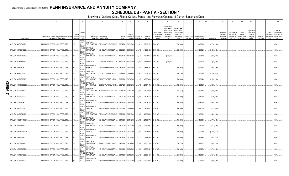# **SCHEDULE DB - PART A - SECTION 1**

|   |                          | $\overline{2}$                                                             | $\mathbf{3}$           | $\overline{4}$                           | 5                                                                                     | 6             |                                                          | 8             | 9                       | 10 <sup>1</sup>                                      | 11                                                                                              | 12                                                                                     | 13     | 14                                             | 16          | 17                                                | 18                                                                | 19                                                  | 20                                                      | 21                    | 22                             | 23                                                                            |
|---|--------------------------|----------------------------------------------------------------------------|------------------------|------------------------------------------|---------------------------------------------------------------------------------------|---------------|----------------------------------------------------------|---------------|-------------------------|------------------------------------------------------|-------------------------------------------------------------------------------------------------|----------------------------------------------------------------------------------------|--------|------------------------------------------------|-------------|---------------------------------------------------|-------------------------------------------------------------------|-----------------------------------------------------|---------------------------------------------------------|-----------------------|--------------------------------|-------------------------------------------------------------------------------|
|   | Description              | Description of Item(s) Hedged, Used for Income<br>Generation or Replicated | Schedule<br>Identifier | Type(s<br>of<br>/ Exhibit Risk(s)<br>(a) | Exchange, Counterparty<br>or Central Clearinghouse                                    | Trade<br>Date | Date of<br>Maturity or Number of<br>Expiration Contracts |               | Notional<br>Amount      | Strike Price.<br>Rate of Index<br>Received<br>(Paid) | Cumulative<br>Prior Year(s)<br>Initial Cost of<br>Undiscounted<br>Premium<br>(Received)<br>Paid | <b>Current Year</b><br>Initial Cost o<br>Undiscounted<br>Premium<br>(Received)<br>Paid | Income | Current Year   Book/Adjusted<br>Carrying Value | Fair Value  | Unrealized<br>Valuation<br>Increase<br>(Decrease) | <b>Total Foreign</b><br>Exchange<br>Change in<br><b>B./A.C.V.</b> | Current<br>Year's<br>(Amortization<br>) / Accretion | Adiustmen<br>to Carrying<br>Value of<br>Hedged<br>Items | Potential<br>Exposure | Credit<br>Quality of<br>Entity | Hedge<br>Effectiveness<br>at Inception<br>Reference and at Year-<br>end $(b)$ |
|   |                          |                                                                            |                        | <b>EQUIT</b>                             | Y/INDE GOLDMAN                                                                        |               |                                                          |               |                         |                                                      |                                                                                                 |                                                                                        |        |                                                |             |                                                   |                                                                   |                                                     |                                                         |                       |                                |                                                                               |
|   | SPX US C 3020 06/01/20.  | EMBEDDED OPTION IN IUL PRODUCTS.                                           | N/A                    | <b>EQUIT</b>                             | SACHS INTERN W22LROWP2IHZNBB6K528                                                     |               | 06/04/2019 06/01/2020 12,481                             |               | 37,692,620 3020.000     |                                                      |                                                                                                 | . (847, 834)                                                                           |        | (847,834)                                      | (1,705,196) |                                                   |                                                                   |                                                     |                                                         |                       |                                | 95/95.                                                                        |
|   | SPX US C 3057 02/18/20.  | EMBEDDED OPTION IN IUL PRODUCTS.                                           | N/A                    | Y/INDE<br>EQUIT                          | CANADIAN<br><b>IMPERIAL BA</b><br>2IGI19DL77OX0HC3ZE78.                               |               | 02/20/2019 02/18/2020                                    | 13,976        | .42,724,632 3057.000    |                                                      |                                                                                                 | (628,920                                                                               |        | (628, 920)                                     | (1,038,735) |                                                   |                                                                   |                                                     |                                                         |                       |                                | 94/95.                                                                        |
|   | SPX US C 3068 12/02/19.  | EMBEDDED OPTION IN IUL PRODUCTS.                                           | N/A                    | Y/INDE<br><b>EQUIT</b>                   | CANADIAN<br>IMPERIAL BA<br>2IGI19DL77OX0HC3ZE78.                                      |               | 12/04/2018 12/02/2019                                    | 13,142        | .40,319,656 3068.000    |                                                      | (722,810)                                                                                       |                                                                                        |        | (722,810)                                      | (350, 961)  |                                                   |                                                                   |                                                     |                                                         |                       |                                | 97/97.                                                                        |
|   | SPX US C 3074 11/07/19.  | EMBEDDED OPTION IN IUL PRODUCTS.                                           | N/A                    | Y/INDE<br>EQUIT                          | CITIBANK N.A E57ODZWZ7FF32TWEFA76                                                     |               | 11/09/2018 11/07/2019                                    | 8,950         | 27,512,300 3074.000     |                                                      | (420,650)                                                                                       |                                                                                        |        | (420, 650)                                     | (94,808)    |                                                   |                                                                   |                                                     |                                                         |                       |                                | 96/94.                                                                        |
|   | SPX US C 3081 03/23/20.  | EMBEDDED OPTION IN IUL PRODUCTS                                            | N/A                    | Y/INDE<br><b>EQUIT</b>                   | <b>WELLS FARGO</b><br>BANK, N.<br>KB1H1DSPRFMYMCUFXT09. 03/26/2019 03/23/2020         |               |                                                          | 10,933        | 33,684,573 3081.000     |                                                      |                                                                                                 | (502, 918)                                                                             |        | . (502, 918)                                   | (815, 955)  |                                                   |                                                                   |                                                     |                                                         |                       |                                | 94/95.                                                                        |
|   | SPX US C 3092 05/26/20.  | EMBEDDED OPTION IN IUL PRODUCTS                                            | N/A                    | Y/INDE<br>EQUIT                          | CANADIAN<br><b>IMPERIAL BA</b><br>2IGI19DL77OX0HC3ZE78.                               |               | 05/29/2019 05/26/2020                                    | 18,303        | .56,592,876 3092.000    |                                                      |                                                                                                 | (768,726)                                                                              |        | (768,726)                                      | (1,734,361  |                                                   |                                                                   |                                                     |                                                         |                       |                                | 94/95                                                                         |
|   | SPX US C 3097 03/30/20.  | EMBEDDED OPTION IN IUL PRODUCTS                                            | N/A                    | Y/INDE<br>EQUIT                          | <b>BARCLAYS</b><br>BANK NEW YO G5GSEF7VJP5I7OUK5573                                   |               | 03/29/2019 03/30/2020  15,290                            |               | .47,353,130 3097.000    |                                                      |                                                                                                 | (703, 340)                                                                             |        | (703, 340)                                     | (1,078,818) |                                                   |                                                                   |                                                     |                                                         |                       |                                | 95/96.                                                                        |
| П | SPX US C 3107 06/05/2020 | EMBEDDED OPTION IN IUL PRODUCTS.                                           | N/A                    | Y/INDE<br><b>EQUIT</b>                   | <b>BARCLAYS</b><br>BANK NEW YO G5GSEF7VJP5I7OUK5573                                   |               | 06/07/2019 06/05/2020                                    | 6,976         | 21,674,432 3107.000     |                                                      |                                                                                                 | (425, 536)                                                                             |        | (425, 536)                                     | (627,711    |                                                   |                                                                   |                                                     |                                                         |                       |                                | 95/95.                                                                        |
| 3 | SPX US C 3123 05/11/20.  | EMBEDDED OPTION IN IUL PRODUCTS.                                           | N/A                    | Y/INDE                                   | <b>GOLDMAN</b><br>SACHS INTERN W22LROWP2IHZNBB6K528                                   |               | 05/14/2019 05/11/2020 12,100                             |               | 37,788,300 3123.000     |                                                      |                                                                                                 | . (548, 644)                                                                           |        | . (548, 644)                                   | (908,598).  |                                                   |                                                                   |                                                     |                                                         |                       |                                | 96/96.                                                                        |
|   | SPX US C 3126 03/20/20.  | EMBEDDED OPTION IN IUL PRODUCTS.                                           | N/A                    | EQUIT<br>Y/INDE<br><b>EQUIT</b>          | CANADIAN<br><b>IMPERIAL BA</b><br>2IGI19DL77OX0HC3ZE78                                |               | 03/22/2019 03/20/2020                                    | 10,028        | 31,347,528 3126.000     |                                                      |                                                                                                 | (461,288)                                                                              |        | (461,288)                                      | (529, 908)  |                                                   |                                                                   |                                                     |                                                         |                       |                                | 96/97.                                                                        |
|   | SPX US C 3131 05/18/20.  | EMBEDDED OPTION IN IUL PRODUCTS.                                           | N/A                    | Y/INDE<br>l X<br><b>EQUIT</b>            | <b>WELLS FARGO</b><br>BANK, N.<br>KB1H1DSPRFMYMCUFXT09. 05/21/2019 05/18/2020         |               |                                                          | 10,935        | 34,237,485 3131.000     |                                                      |                                                                                                 | (503,010                                                                               |        | (503,010)                                      | (801,934).  |                                                   |                                                                   |                                                     |                                                         |                       |                                | 95/96.                                                                        |
|   | SPX US C 3146 05/15/20.  | EMBEDDED OPTION IN IUL PRODUCTS.                                           | $N/A$                  | Y/INDE<br><b>EQUIT</b>                   | <b>WELLS FARGO</b><br>BANK, N.<br>KB1H1DSPRFMYMCUFXT09. 05/17/2019 05/15/2020  11,007 |               |                                                          |               | 34,628,022 3146.000     |                                                      |                                                                                                 | (484, 308)                                                                             |        | (484,308)                                      | (722, 740)  |                                                   |                                                                   |                                                     |                                                         |                       |                                | 93/93.                                                                        |
|   | SPX US C 3147 05/21/20.  | EMBEDDED OPTION IN IUL PRODUCTS.                                           | N/A.                   | Y/INDE<br><b>EQUIT</b>                   | <b>GOLDMAN</b><br>SACHS INTERN<br>W22LROWP2IHZNBB6K528                                |               | 05/23/2019 05/21/2020                                    | 7,339         | 23,095,833              | 3147.000.                                            |                                                                                                 | (260, 901)                                                                             |        | (260,901)                                      | (491, 196)  |                                                   |                                                                   |                                                     |                                                         |                       |                                | 95/96.                                                                        |
|   | SPX US C 3152 8/14/2020. | EMBEDDED OPTION IN IUL PRODUCTS.                                           | N/A                    | Y/INDE<br>EQUIT                          | CANADIAN<br><b>IMPERIAL BA</b><br>2IGI19DL77OX0HC3ZE78                                |               | 08/16/2019 08/14/2020                                    | $\dots$ 7,735 | 24,380,720 3152.000     |                                                      |                                                                                                 | (456, 365)                                                                             |        | (456,365)                                      | (703,008).  |                                                   |                                                                   |                                                     |                                                         |                       |                                | 95/95.                                                                        |
|   | SPX US C 3157 04/01/20.  | EMBEDDED OPTION IN IUL PRODUCTS.                                           | N/A                    | Y/INDE<br><b>EQUIT</b>                   | CANADIAN<br><b>IMPERIAL BA</b><br>2IGI19DL77OX0HC3ZE78.                               |               | 04/02/2019 04/01/2020 11,245                             |               | 35,500,465 3157.000     |                                                      |                                                                                                 | (427,310                                                                               |        | (427,310)                                      | (514, 078)  |                                                   |                                                                   |                                                     |                                                         |                       |                                | 94/94.                                                                        |
|   | SPX US C 3158 8/24/2020. | EMBEDDED OPTION IN IUL PRODUCTS.                                           | N/A                    | Y/INDE<br><b>EQUIT</b>                   | <b>WELLS FARGO</b><br>BANK, N.<br>KB1H1DSPRFMYMCUFXT09. 08/27/2019 08/24/2020         |               |                                                          | 12,039        | 38,019,162 3158.000     |                                                      |                                                                                                 | (722, 340)                                                                             |        | (722, 340)                                     | (1,093,027) |                                                   |                                                                   |                                                     |                                                         |                       |                                | 94/94.                                                                        |
|   | SPX US C 3163 04/03/20.  | EMBEDDED OPTION IN IUL PRODUCTS.                                           | N/A                    | Y/INDE<br><b>EQUIT</b>                   | <b>WELLS FARGO</b><br>BANK, N.<br>KB1H1DSPRFMYMCUFXT09. 04/05/2019 04/03/2020         |               |                                                          | 9,372         | 29,643,636 3163.000.    |                                                      |                                                                                                 | (449, 856)                                                                             |        | (449,856)                                      | .(414,147   |                                                   |                                                                   |                                                     |                                                         |                       |                                | 94/95.                                                                        |
|   | SPX US C 3170 04/09/20.  | EMBEDDED OPTION IN IUL PRODUCTS.                                           | N/A                    | Y/INDE<br><b>EQUIT</b>                   | <b>BARCLAYS</b><br><b>BANK NEW YO</b><br>G5GSEF7VJP5I7OUK5573                         |               | 04/12/2019 04/09/2020                                    | 8,537         | 27,062,290 3170.000     |                                                      |                                                                                                 | (392, 702)                                                                             |        | (392, 702)                                     | (374, 772)  |                                                   |                                                                   |                                                     |                                                         |                       |                                | 96/97                                                                         |
|   | SPX US C 3173 06/08/20.  | EMBEDDED OPTION IN IUL PRODUCTS.                                           | N/A                    | Y/INDE<br><b>EQUIT</b>                   | CANADIAN<br><b>IMPERIAL BA</b><br>2IGI19DL77OX0HC3ZE78.                               |               | 06/11/2019 06/08/2020 11,523                             |               | 36,562,479 3173.000     |                                                      |                                                                                                 | (530,058)                                                                              |        | (530,058)                                      | (705,668).  |                                                   |                                                                   |                                                     |                                                         |                       |                                | 94/94.                                                                        |
|   | SPX US C 3174 06/12/20.  | EMBEDDED OPTION IN IUL PRODUCTS.                                           | N/A                    | Y/INDE<br><b>EQUIT</b>                   | CANADIAN<br><b>IMPERIAL BA</b><br>2IGI19DL77OX0HC3ZE78                                |               | 06/14/2019 06/12/2020                                    | 8,400         | $0.26,661,600$ 3174.000 |                                                      |                                                                                                 | (352,800                                                                               |        | (352, 800)                                     | (517, 163)  |                                                   |                                                                   |                                                     |                                                         |                       |                                | 96/96.                                                                        |
|   | SPX US C 3175 05/07/20.  | EMBEDDED OPTION IN IUL PRODUCTS.                                           |                        | Y/INDE<br>l X                            | <b>WELLS FARGO</b><br>BANK, N.<br>KB1H1DSPRFMYMCUFXT09. 05/09/2019 05/07/2020         |               |                                                          | 8,218         | $26,092,150$ 3175.000.  |                                                      |                                                                                                 | (378,028)                                                                              |        | (378, 028)                                     | (425, 415)  |                                                   |                                                                   |                                                     |                                                         |                       |                                | 93/93.                                                                        |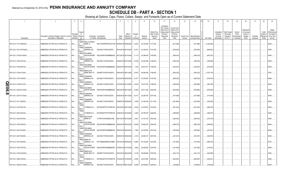# Statement as of September 30, 2019 of the **PENN INSURANCE AND ANNUITY COMPANY SCHEDULE DB - PART A - SECTION 1**

|         |                           | $\overline{2}$                                                             | $\mathbf{3}$                                | $\overline{4}$            |                                                                              | 6                     |                                      | -8                        | 9                      | 10                                                   | 11                                                                                              | 12                                                                                      | 13                     | 14                                     | 16         |             | 17                                                | 18                                                                | 19                                                  | 20                                                       | 21                    | 22                                          | 23                                                                |
|---------|---------------------------|----------------------------------------------------------------------------|---------------------------------------------|---------------------------|------------------------------------------------------------------------------|-----------------------|--------------------------------------|---------------------------|------------------------|------------------------------------------------------|-------------------------------------------------------------------------------------------------|-----------------------------------------------------------------------------------------|------------------------|----------------------------------------|------------|-------------|---------------------------------------------------|-------------------------------------------------------------------|-----------------------------------------------------|----------------------------------------------------------|-----------------------|---------------------------------------------|-------------------------------------------------------------------|
|         | Description               | Description of Item(s) Hedged, Used for Income<br>Generation or Replicated | Schedule<br>/ Exhibit Risk(s)<br>Identifier | Type(s<br>of<br>(a)       | Exchange, Counterparty<br>or Central Clearinghouse                           | Trade<br>Date         | Date of<br>Maturity or<br>Expiration | Number<br>of<br>Contracts | Notional<br>Amount     | Strike Price,<br>Rate of Index<br>Received<br>(Paid) | Cumulative<br>Prior Year(s)<br>Initial Cost of<br>Undiscounted<br>Premium<br>(Received)<br>Paid | <b>Current Year</b><br>Initial Cost of<br>Jndiscounted<br>Premium<br>(Received)<br>Paid | Current Year<br>Income | Book/Adjusted<br><b>Carrying Value</b> | Fair Value |             | Unrealized<br>Valuation<br>Increase<br>(Decrease) | <b>Total Foreign</b><br>Exchange<br>Change in<br><b>B./A.C.V.</b> | Current<br>Year's<br>(Amortization<br>) / Accretion | Adjustment<br>to Carrying<br>Value of<br>Hedged<br>Items | Potential<br>Exposure | Credit<br>Quality of<br>Reference<br>Entity | Hedge<br>Effectiveness<br>at Inception<br>and at Year-<br>end (b) |
|         |                           |                                                                            |                                             | <b>EQUI</b>               |                                                                              |                       |                                      |                           |                        |                                                      |                                                                                                 |                                                                                         |                        |                                        |            |             |                                                   |                                                                   |                                                     |                                                          |                       |                                             |                                                                   |
|         | SPX US C 3177 8/28/2020.  | EMBEDDED OPTION IN IUL PRODUCTS.                                           | $N/A$                                       | Y/INDE<br>EQUIT           | <b>WELLS FARGO</b><br>BANK, N.<br>KB1H1DSPRFMYMCUFXT09 08/29/2019 08/28/2020 |                       |                                      | .12,022                   | 38,193,894             | 3177.000.                                            |                                                                                                 | (817,496)                                                                               |                        | (817, 496)                             |            | (1,004,385) |                                                   |                                                                   |                                                     |                                                          |                       |                                             | 94/94.                                                            |
|         | SPX US C 3181 06/15/2020. | EMBEDDED OPTION IN IUL PRODUCTS.                                           | N/A                                         | Y/INDE<br>EQUIT           | CANADIAN<br><b>IMPERIAL BA</b><br>2IGI19DL77OX0HC3ZE78.                      |                       | 06/18/2019 06/15/2020                | 13,571                    | .43,169,351 3181.000   |                                                      |                                                                                                 | (678,550)                                                                               |                        | (678, 550)                             |            | (809, 953)  |                                                   |                                                                   |                                                     |                                                          |                       |                                             | 94/94.                                                            |
|         | SPX US C 3184 8/10/2020.  | EMBEDDED OPTION IN IUL PRODUCTS.                                           | N/A                                         | Y/INDE<br>EQUIT           | <b>GOLDMAN</b><br>SACHS INTERN W22LROWP2IHZNBB6K528.                         |                       | 08/13/2019 08/10/2020                | 11,114                    | 35,386,976 3184.000    |                                                      |                                                                                                 | (680,619)                                                                               |                        | (680, 619)                             |            | (847, 367)  |                                                   |                                                                   |                                                     |                                                          |                       |                                             | 94/94.                                                            |
|         | SPX US C 3186 04/07/20    | EMBEDDED OPTION IN IUL PRODUCTS.                                           | $N/A$                                       | Y/INDE<br>EQUIT           | CANADIAN<br><b>IMPERIAL BA</b><br>2IGI19DL77OX0HC3ZE78.                      |                       | 04/09/2019 04/07/2020                | 10,438                    | 33,255,468             | 3186.000.                                            |                                                                                                 | (365, 330)                                                                              |                        | (365, 330)                             |            | (395, 598)  |                                                   |                                                                   |                                                     |                                                          |                       |                                             | 94/95.                                                            |
|         | SPX US C 3189 08/07/20.   | EMBEDDED OPTION IN IUL PRODUCTS.                                           | N/A                                         | Y/INDE<br>EQUIT           | <b>GOLDMAN</b><br>SACHS INTERN W22LROWP2IHZNBB6K528.                         |                       | 08/09/2019 08/07/2020                | 7,793                     | 24,851,877             | 3189.000.                                            |                                                                                                 | (434, 557)                                                                              |                        | (434, 557)                             |            | (570, 835)  |                                                   |                                                                   |                                                     |                                                          |                       |                                             | 95/95.                                                            |
|         | SPX US C 3195 9/1/2020    | EMBEDDED OPTION IN IUL PRODUCTS                                            | N/A                                         | Y/INDE<br>EQUIT           | <b>BARCLAYS</b><br>BANK NEW YO G5GSEF7VJP5I7OUK5573                          |                       | 09/04/2019 09/01/2020                | 13,974                    | 44,646,930 3195.000    |                                                      |                                                                                                 | (950, 232)                                                                              |                        | (950, 232)                             |            | (1,079,118) |                                                   |                                                                   |                                                     |                                                          |                       |                                             | 97/97.                                                            |
|         | SPX US C 3197 04/20/20.   | EMBEDDED OPTION IN IUL PRODUCTS                                            | N/A                                         | Y/INDE<br>EQUIT           | CANADIAN<br><b>IMPERIAL BA</b><br>2IGI19DL77OX0HC3ZE78.                      |                       | 04/23/2019 04/20/2020                | 21,07'                    | 67,363,987             | 3197.000.                                            |                                                                                                 | (906, 053)                                                                              |                        | (906, 053)                             |            | .(816,674)  |                                                   |                                                                   |                                                     |                                                          |                       |                                             | 96/96.                                                            |
| г       | SPX US C 3198 04/13/20.   | EMBEDDED OPTION IN IUL PRODUCTS                                            | $N/A$                                       | Y/INDE<br>EQUIT           | CANADIAN<br><b>IMPERIAL BA</b><br>2IGI19DL77OX0HC3ZE78.                      |                       | 04/16/2019 04/13/2020                | 10,635                    | $34,010,730$ 3198.000. |                                                      |                                                                                                 | (393,495)                                                                               |                        | (393, 495)                             |            | (383, 765)  |                                                   |                                                                   |                                                     |                                                          |                       |                                             | 92/95.                                                            |
| 0<br>וס | SPX US C 3205 8/21/2020.  | EMBEDDED OPTION IN IUL PRODUCTS.                                           | $N/A$                                       | Y/INDE<br><b>EQUIT</b>    | <b>GOLDMAN</b><br>SACHS INTERN<br>W22LROWP2IHZNBB6K528.                      |                       | 08/23/2019 08/21/2020                | .12,484                   | 40,011,220 3205.000    |                                                      |                                                                                                 | (520,694)                                                                               |                        | (520, 694)                             |            | (879, 520)  |                                                   |                                                                   |                                                     |                                                          |                       |                                             | 95/96.                                                            |
|         | SPX US C 3207 8/17/2020.  | EMBEDDED OPTION IN IUL PRODUCTS.                                           | N/A                                         | Y/INDE<br>EQUIT           | CANADIAN<br><b>IMPERIAL BA</b><br>2IGI19DL77OX0HC3ZE78.                      |                       | 08/20/2019 08/17/2020                | 10,371                    | 33,259,797 3207.000    |                                                      |                                                                                                 | (477,066)                                                                               |                        | (477,066)                              |            | (715, 039)  |                                                   |                                                                   |                                                     |                                                          |                       |                                             | 94/95.                                                            |
|         | SPX US C 3211 06/26/20.   | EMBEDDED OPTION IN IUL PRODUCTS.                                           | N/A                                         | Y/INDE<br>EQUIT           | CANADIAN<br>IMPERIAL BA<br>2IGI19DL77OX0HC3ZE78.                             |                       | 06/28/2019 06/26/2020                | 6,636                     | 21,308,196 3211.000    |                                                      |                                                                                                 | (291,984)                                                                               |                        | (291,984)                              |            | (345, 259)  |                                                   |                                                                   |                                                     |                                                          |                       |                                             | 95/95.                                                            |
|         | SPX US C 3218 05/01/20.   | EMBEDDED OPTION IN IUL PRODUCTS.                                           | N/A                                         | Y/INDE<br>EQUIT           | CITIBANK N.A E57ODZWZ7FF32TWEFA76                                            |                       | 05/03/2019 05/01/2020                | 13,045                    | 41,978,810 3218.000    |                                                      |                                                                                                 | (621,203)                                                                               |                        | (621, 203)                             |            | (464, 679)  |                                                   |                                                                   |                                                     |                                                          |                       |                                             | 95/95.                                                            |
|         | SPX US C 3226 04/24/20.   | EMBEDDED OPTION IN IUL PRODUCTS.                                           | N/A                                         | Y/INDE<br>EQUIT           | CITIBANK N.A<br>E57ODZWZ7FF32TWEFA76                                         | 04/26/2019 04/24/2020 |                                      | .8,303                    | 26,785,478 3226.000    |                                                      |                                                                                                 | (298,908)                                                                               |                        | (298,908)                              |            | (260, 307)  |                                                   |                                                                   |                                                     |                                                          |                       |                                             | 93/93.                                                            |
|         | SPX US C 3233 06/19/20.   | EMBEDDED OPTION IN IUL PRODUCTS.                                           | N/A                                         | Y/INDE<br>EQUIT           | <b>DEUTSCHE</b><br><b>BANK SA</b><br>7LTWFZYICNSX8D621K86                    |                       | 06/21/2019 06/19/2020                | 6,601                     | $21,341,033$ 3233.000  |                                                      |                                                                                                 | (290,444)                                                                               |                        | (290, 444)                             |            | (279, 105)  |                                                   |                                                                   |                                                     |                                                          |                       |                                             | 93/93.                                                            |
|         | SPX US C 3242 06/22/20.   | EMBEDDED OPTION IN IUL PRODUCTS.                                           | N/A                                         | Y/INDE<br>EQUIT<br>Y/INDE | <b>GOLDMAN</b><br>SACHS INTERN<br>W22LROWP2IHZNBB6K528.                      |                       | 06/25/2019 06/22/2020                | .16,609                   | 53,846,378 3242.000    |                                                      |                                                                                                 | (656, 720)                                                                              |                        | (656, 720)                             |            | (669, 922)  |                                                   |                                                                   |                                                     |                                                          |                       |                                             | 94/94.                                                            |
|         | SPX US C 3247 8/3/2020    | EMBEDDED OPTION IN IUL PRODUCTS.                                           | N/A.,                                       | EQUIT<br>Y/INDE           | <b>GOLDMAN</b><br>SACHS INTERN<br>W22LROWP2IHZNBB6K528.<br>CANADIAN          |                       | 08/02/2019 08/03/2020                | 7,929                     | 25,745,463             | 3247.000.                                            |                                                                                                 | (325,485)                                                                               |                        | (325, 485)                             |            | (407, 501)  |                                                   |                                                                   |                                                     |                                                          |                       |                                             | 95/95.                                                            |
|         | SPX US C 3267 9/8/2020    | EMBEDDED OPTION IN IUL PRODUCTS.                                           | N/A.                                        | EQUIT<br>Y/INDE           | <b>IMPERIAL BA</b><br>2IGI19DL77OX0HC3ZE78.<br><b>BANK OF</b>                |                       | 09/09/2019 09/08/2020                | 6,143                     | 20,069,181             | 3267.000.                                            |                                                                                                 | (301,007)                                                                               |                        | (301,007)                              |            | (322, 676)  |                                                   |                                                                   |                                                     |                                                          |                       |                                             | 94/94.                                                            |
|         | SPX US C 3270 9/8/2020    | EMBEDDED OPTION IN IUL PRODUCTS.                                           | N/A.,                                       | EQUIT<br>Y/INDE           | AMERICA, N.A<br>B4TYDEB6GKMZO031MB27.<br>GOLDMAN                             |                       | 09/10/2019 09/08/2020                | 16,860                    | $55,132,200$ 3270.000. |                                                      |                                                                                                 | (741,840)                                                                               |                        | (741, 840)                             |            | (869, 124)  |                                                   |                                                                   |                                                     |                                                          |                       |                                             | 97/97.                                                            |
|         | SPX US C 3278 07/07/20    | EMBEDDED OPTION IN IUL PRODUCTS.                                           | N/A                                         | EQUIT<br>Y/INDE           | SACHS INTERN W22LROWP2IHZNBB6K528.<br><b>BARCLAYS</b>                        |                       | 07/09/2019 07/07/2020                | 8,936                     | $29,292,208$ 3278.000. |                                                      |                                                                                                 | (341,355)                                                                               |                        | (341, 355)                             |            | (310, 547)  |                                                   |                                                                   |                                                     |                                                          |                       |                                             | 94/95.                                                            |
|         | SPX US C 3278 9/24/2020.  | EMBEDDED OPTION IN IUL PRODUCTS.                                           | N/A                                         | EQUIT<br>Y/INDE           | BANK NEW YO G5GSEF7VJP5I7OUK5573                                             |                       | 09/27/2019 09/24/2020                | 8,136                     | 26,669,808             | 3278.000.                                            |                                                                                                 | (442,110)                                                                               |                        | (442, 110)                             |            | (430, 959)  |                                                   |                                                                   |                                                     |                                                          |                       |                                             | 93/94.                                                            |
|         | SPX US C 3280 07/20/20    | EMBEDDED OPTION IN IUL PRODUCTS                                            | N/A                                         | EQUIT<br>Y/INDE           | CITIBANK N.A E57ODZWZ7FF32TWEFA76<br>CANADIAN                                |                       | 07/23/2019 07/20/2020                | 13,925                    | 45,674,000 3280.000    |                                                      |                                                                                                 | .(654,997)                                                                              |                        | (654, 997)                             |            | (522, 621)  |                                                   |                                                                   |                                                     |                                                          |                       |                                             | 95/95.                                                            |
|         | SPX US C 3290 9/21/2020.  | EMBEDDED OPTION IN IUL PRODUCTS.                                           | $N/A$ .                                     |                           | <b>IMPERIAL BA</b><br>2IGI19DL77OX0HC3ZE78                                   |                       | 09/24/2019 09/21/2020                | .15,395                   | 50,649,550 3290.000.   |                                                      |                                                                                                 | (738,960).                                                                              |                        | (738,960)                              |            | (739, 309)  |                                                   |                                                                   |                                                     |                                                          |                       |                                             | 93/93.                                                            |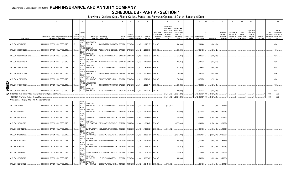# **SCHEDULE DB - PART A - SECTION 1**

|    |                                                                               | $\overline{2}$                                                             | $\mathbf{3}$           | $\overline{4}$                           | $\overline{5}$                                                            | 6             |                              | 8                                             | $\mathbf{q}$           | 10                                                   | 11                                                                                              | 12                                                                                      | 13                     | 14                                     |            | 16            | 17                                                | 18                                                                | 19                                                  | 20                                                      | 21                    | 22                                          | 23                                                                  |
|----|-------------------------------------------------------------------------------|----------------------------------------------------------------------------|------------------------|------------------------------------------|---------------------------------------------------------------------------|---------------|------------------------------|-----------------------------------------------|------------------------|------------------------------------------------------|-------------------------------------------------------------------------------------------------|-----------------------------------------------------------------------------------------|------------------------|----------------------------------------|------------|---------------|---------------------------------------------------|-------------------------------------------------------------------|-----------------------------------------------------|---------------------------------------------------------|-----------------------|---------------------------------------------|---------------------------------------------------------------------|
|    | Description                                                                   | Description of Item(s) Hedged, Used for Income<br>Generation or Replicated | Schedule<br>Identifier | Type(s<br>of<br>/ Exhibit Risk(s)<br>(a) | Exchange, Counterparty<br>or Central Clearinghouse                        | Trade<br>Date | Date of                      | Maturity or Number of<br>Expiration Contracts | Notional<br>Amount     | Strike Price,<br>Rate of Index<br>Received<br>(Paid) | Cumulative<br>Prior Year(s)<br>Initial Cost of<br>Undiscounted<br>Premium<br>(Received)<br>Paid | <b>Current Year</b><br>Initial Cost of<br>Undiscounted<br>Premium<br>(Received)<br>Paid | Current Year<br>Income | Book/Adjusted<br><b>Carrying Value</b> | Fair Value |               | Unrealized<br>Valuation<br>Increase<br>(Decrease) | <b>Total Foreign</b><br>Exchange<br>Change in<br><b>B./A.C.V.</b> | Current<br>Year's<br>(Amortization<br>) / Accretion | Adiustmen<br>to Carrying<br>Value of<br>Hedged<br>Items | Potential<br>Exposure | Credit<br>Quality of<br>Reference<br>Entity | Hedge<br>Effectiveness<br>at Inception<br>and at Year-<br>end $(b)$ |
|    |                                                                               |                                                                            |                        | <b>EQUIT</b>                             | Y/INDE WELLS FARGO                                                        |               |                              |                                               |                        |                                                      |                                                                                                 |                                                                                         |                        |                                        |            |               |                                                   |                                                                   |                                                     |                                                         |                       |                                             |                                                                     |
|    | SPX US C 3293 07/06/20.                                                       | EMBEDDED OPTION IN IUL PRODUCTS.                                           | N/A                    | EQUIT                                    | BANK, N.<br>KB1H1DSPRFMYMCUFXT09.                                         |               | 07/08/2019 07/06/2020        | 5,989                                         | .19,721,777            | 3293.000.                                            |                                                                                                 | (191,648)                                                                               |                        | (191,648)                              |            | (184, 455)    |                                                   |                                                                   |                                                     |                                                         |                       |                                             | 94/94.                                                              |
|    | SPX US C 3293 07/10/2020                                                      | EMBEDDED OPTION IN IUL PRODUCTS.                                           | N/A.                   | Y/INDE                                   | <b>GOLDMAN</b><br>SACHS INTERN<br>W22LROWP2IHZNBB6K528.                   |               | 07/12/2019 07/10/2020        | 8,012                                         |                        | .26,383,516 3293.000                                 |                                                                                                 | (332,458)                                                                               |                        | (332,458)                              |            | (253, 742)    |                                                   |                                                                   |                                                     |                                                         |                       |                                             | 94/94.                                                              |
|    |                                                                               |                                                                            |                        | EQUIT<br>Y/INDE                          | CANADIAN                                                                  |               |                              |                                               |                        |                                                      |                                                                                                 |                                                                                         |                        |                                        |            |               |                                                   |                                                                   |                                                     |                                                         |                       |                                             |                                                                     |
|    | SPX US C 3295 07/17/2020 OTC                                                  | EMBEDDED OPTION IN IUL PRODUCTS.                                           | N/A.                   | EQUIT<br>Y/INDE                          | <b>IMPERIAL BA</b><br>2IGI19DL77OX0HC3ZE78<br>GOLDMAN                     |               | 07/19/2019 07/17/2020        | 0.9,009                                       |                        | 29,684,655 3295.000                                  |                                                                                                 | (351, 351)                                                                              |                        | (351, 351)                             |            | (296, 369)    |                                                   |                                                                   |                                                     |                                                         |                       |                                             | 93/94.                                                              |
|    | SPX US C 3300 9/14/2020                                                       | EMBEDDED OPTION IN IUL PRODUCTS.                                           | N/A.                   | EQUIT                                    | SACHS INTERN<br>W22LROWP2IHZNBB6K528.                                     |               | 09/17/2019 09/14/2020        | 8,373                                         |                        | 27,630,900 3300.000                                  |                                                                                                 | (441, 257)                                                                              |                        | (441,257)                              |            | (365, 867)    |                                                   |                                                                   |                                                     |                                                         |                       |                                             | 94/93.                                                              |
|    | SPX US C 3306 9/14/2020                                                       | EMBEDDED OPTION IN IUL PRODUCTS                                            | N/A.                   | Y/INDE                                   | CANADIAN<br><b>IMPERIAL BA</b><br>2IGI19DL77OX0HC3ZE78                    |               | 09/16/2019 09/14/2020        | 8,701                                         |                        | .28,765,506 3306.000                                 |                                                                                                 | (417, 648)                                                                              |                        | (417,648)                              |            | (366, 159)    |                                                   |                                                                   |                                                     |                                                         |                       |                                             | 94/93.                                                              |
|    |                                                                               |                                                                            |                        | EQUIT<br>Y/INDE                          | <b>WELLS FARGO</b>                                                        |               |                              |                                               |                        |                                                      |                                                                                                 |                                                                                         |                        |                                        |            |               |                                                   |                                                                   |                                                     |                                                         |                       |                                             |                                                                     |
|    | SPX US C 3308 9/17/2020                                                       | EMBEDDED OPTION IN IUL PRODUCTS.                                           | N/A.                   | EQUIT                                    | BANK, N.<br>KB1H1DSPRFMYMCUFXT09. 09/20/2019 09/17/2020                   |               |                              | 8,024                                         | 26,543,392             | 3308.000.                                            |                                                                                                 | (369,104)                                                                               |                        | (369,104)                              |            | (337, 846)    |                                                   |                                                                   |                                                     |                                                         |                       |                                             | 95/94.                                                              |
|    | SPX US C 3315 7/13/2020                                                       | EMBEDDED OPTION IN IUL PRODUCTS.                                           | N/A.                   | Y/INDE                                   | <b>BARCLAYS</b><br><b>BANK NEW YO</b><br>G5GSEF7VJP5I7OUK5573             |               | 07/16/2019 07/13/2020        | 10,781                                        |                        | 35,739,015 3315.000                                  |                                                                                                 | (366, 554)                                                                              |                        | (366,554)                              |            | (297, 316)    |                                                   |                                                                   |                                                     |                                                         |                       |                                             | 94/94.                                                              |
|    |                                                                               |                                                                            |                        | <b>EQUIT</b><br>Y/INDE                   | <b>WELLS FARGO</b>                                                        |               |                              |                                               |                        |                                                      |                                                                                                 |                                                                                         |                        |                                        |            |               |                                                   |                                                                   |                                                     |                                                         |                       |                                             |                                                                     |
| Шi | SPX US C 3315 7/24/2020                                                       | EMBEDDED OPTION IN IUL PRODUCTS.                                           | $N/A$                  | <b>EQUIT</b>                             | BANK, N.<br>KB1H1DSPRFMYMCUFXT09. 07/26/2019 07/24/2020                   |               |                              | 8,834                                         |                        | 29,284,710 3315.000                                  |                                                                                                 | (335,692)                                                                               |                        | (335, 692)                             |            | (264, 609)    |                                                   |                                                                   |                                                     |                                                         |                       |                                             | 96/95.                                                              |
|    | SPX US C 3327 7/28/2020.                                                      | EMBEDDED OPTION IN IUL PRODUCTS                                            | N/A.                   | Y/INDE                                   | CANADIAN<br><b>IMPERIAL BA</b><br>2IGI19DL77OX0HC3ZE78.                   |               | 07/30/2019 07/28/2020        | .12,402                                       | .41,261,454 3327.000.  |                                                      |                                                                                                 | .(409,266                                                                               |                        | (409, 266)                             |            | (350, 925)    |                                                   |                                                                   |                                                     |                                                         |                       |                                             | 94/94                                                               |
|    | 0439999999. Total-Written Options-Hedging Effective-Call Options and Warrants |                                                                            |                        |                                          |                                                                           |               |                              |                                               |                        |                                                      | (16, 494, 479)                                                                                  | .(35,914,288                                                                            | 0                      | .(52,408,767                           |            | (88,279,220)  | $\Omega$                                          |                                                                   |                                                     |                                                         | $\Omega$              | <b>XXX</b>                                  | XXX                                                                 |
|    | 0499999999. Total-Written Options-Hedging Effective                           |                                                                            |                        |                                          |                                                                           |               |                              |                                               |                        |                                                      | (16, 494, 479)                                                                                  | (35,914,288)                                                                            | …o∣                    | (52,408,767                            |            | (88,279,220)  | $\sqrt{ }$                                        |                                                                   |                                                     |                                                         | $\cap$                | <b>XXX</b>                                  | XXX                                                                 |
|    | Written Options - Hedging Other - Call Options and Warrants                   |                                                                            |                        |                                          |                                                                           |               |                              |                                               |                        |                                                      |                                                                                                 |                                                                                         |                        |                                        |            |               |                                                   |                                                                   |                                                     |                                                         |                       |                                             |                                                                     |
|    |                                                                               |                                                                            |                        | <b>EQUIT</b><br>Y/INDE                   | CANADIAN                                                                  |               |                              |                                               |                        |                                                      |                                                                                                 |                                                                                         |                        |                                        |            |               |                                                   |                                                                   |                                                     |                                                         |                       |                                             |                                                                     |
|    | SPX C 3171 10/8/19.                                                           | EMBEDDED OPTION IN IUL PRODUCTS.                                           | N/A                    | <b>EQUIT</b>                             | <b>IMPERIAL BA</b><br>2IGI19DL77OX0HC3ZE78.                               |               | 10/10/2018 10/08/2019        | 12,680                                        |                        | .40,208,280 3171.000.                                | (487,292)                                                                                       |                                                                                         |                        | .(49                                   |            | (49)          | .62,572                                           |                                                                   |                                                     |                                                         |                       |                                             |                                                                     |
|    | SPX C US 3044 03/09/20.                                                       | EMBEDDED OPTION IN IUL PRODUCTS                                            | N/A                    | Y/INDE<br>EQUIT                          | CANADIAN<br><b>IMPERIAL BA</b><br>2IGI19DL77OX0HC3ZE78                    |               | 03/12/2019 03/09/2020 10,420 |                                               | $31,718,480$ 3044.000. |                                                      |                                                                                                 | (479,320)                                                                               |                        | (929,105)                              |            | (929, 105)    | (449,785)                                         |                                                                   |                                                     |                                                         |                       |                                             |                                                                     |
|    |                                                                               |                                                                            |                        | Y/INDE                                   |                                                                           |               |                              |                                               |                        |                                                      |                                                                                                 |                                                                                         |                        |                                        |            |               |                                                   |                                                                   |                                                     |                                                         |                       |                                             |                                                                     |
|    | SPX US C 2668 12/16/19.                                                       | EMBEDDED OPTION IN IUL PRODUCTS.                                           | N/A                    | ΙX.<br>EQUIT<br>Y/INDE                   | CITIBANK N.A E57ODZWZ7FF32TWEFA76 01/09/2019 12/16/2019<br><b>GOLDMAN</b> |               |                              | 4,365                                         |                        | .11,645,820 2668.000                                 |                                                                                                 | (646,020                                                                                |                        | (1,452,994)                            |            | (1,452,994)   | (806, 974)                                        |                                                                   |                                                     |                                                         |                       |                                             |                                                                     |
|    | SPX US C 2768 01/15/20.                                                       | EMBEDDED OPTION IN IUL PRODUCTS.                                           | N/A                    | EQUIT                                    | SACHS INTERN W22LROWP2IHZNBB6K528                                         |               | 02/26/2019 01/15/2020        | 6,084                                         |                        | .16,840,512   2768.000                               |                                                                                                 | (1,075,043)                                                                             |                        | (1,584,096)                            |            | (1,584,096)   | (509, 053)                                        |                                                                   |                                                     |                                                         |                       |                                             |                                                                     |
|    |                                                                               |                                                                            |                        | Y/INDE                                   |                                                                           |               |                              |                                               |                        |                                                      |                                                                                                 |                                                                                         |                        |                                        |            |               |                                                   |                                                                   |                                                     |                                                         |                       |                                             |                                                                     |
|    | SPX US C 2865 11/22/19.                                                       | EMBEDDED OPTION IN IUL PRODUCTS.                                           | N/A                    | X<br>EQUIT<br>Y/INDE                     | SUNTRUST BANK IYDOJBGJWY9T8XKCSX06<br><b>BARCLAYS</b>                     |               | 11/29/2018 11/22/2019        | 3,746                                         |                        | .10,732,290 2865.000                                 | .(494, 472)                                                                                     |                                                                                         |                        | (565,198)                              |            | (565, 198)    | (70, 726)                                         |                                                                   |                                                     |                                                         |                       |                                             |                                                                     |
|    | SPX US C 2910 01/27/20.                                                       | EMBEDDED OPTION IN IUL PRODUCTS.                                           | N/A                    | X<br>EQUIT                               | BANK NEW YO G5GSEF7VJP5I7OUK5573                                          |               | 01/29/2019 01/27/2020        | 18,523                                        |                        | 53,901,930 2910.000                                  |                                                                                                 | (1,018,765)                                                                             |                        | (2,905,121                             |            | (2,905,121)   | (1,886,356)                                       |                                                                   |                                                     |                                                         |                       |                                             |                                                                     |
|    | SPX US C 2911 10/15/19.                                                       | EMBEDDED OPTION IN IUL PRODUCTS.                                           | N/A                    | Y/INDE                                   | <b>GOLDMAN</b><br>SACHS INTERN W22LROWP2IHZNBB6K528                       |               | 01/09/2019 10/15/2019        | 4,128                                         |                        | .12,016,608 2911.000                                 |                                                                                                 | (153,520)                                                                               |                        | (339, 330)                             |            | (339, 330)    | (185,810)                                         |                                                                   |                                                     |                                                         |                       |                                             |                                                                     |
|    |                                                                               |                                                                            |                        | <b>EQUIT</b><br>Y/INDE                   | <b>GOLDMAN</b>                                                            |               |                              |                                               |                        |                                                      |                                                                                                 |                                                                                         |                        |                                        |            |               |                                                   |                                                                   |                                                     |                                                         |                       |                                             |                                                                     |
|    | SPX US C 2938 02/14/20.                                                       | EMBEDDED OPTION IN IUL PRODUCTS.                                           | N/A                    | EQUIT                                    | SACHS INTERN W22LROWP2IHZNBB6K528                                         |               | 02/26/2019 02/14/2020        | 2,544                                         |                        | 7,474,272 2938.000                                   |                                                                                                 | (231,072)                                                                               |                        | (371,128)                              |            | (371, 128)    | (140,056)                                         |                                                                   |                                                     |                                                         |                       |                                             |                                                                     |
|    | SPX US C 2997 02/04/20.                                                       | EMBEDDED OPTION IN IUL PRODUCTS                                            | N/A                    | Y/INDE<br>ΙX.                            | SUNTRUST BANK IYDOJBGJWY9T8XKCSX06                                        |               | 02/05/2019 02/04/2020 11,077 |                                               |                        | 33,197,769 2997.000                                  |                                                                                                 | (620, 312)                                                                              |                        | (1, 138, 420)                          |            | (1, 138, 420) | (518,108)                                         |                                                                   |                                                     |                                                         |                       |                                             |                                                                     |
|    |                                                                               |                                                                            |                        | EQUIT<br>Y/INDE                          | CANADIAN                                                                  |               |                              |                                               |                        |                                                      |                                                                                                 |                                                                                         |                        |                                        |            |               |                                                   |                                                                   |                                                     |                                                         |                       |                                             |                                                                     |
|    | SPX US C 2998 02/06/20.                                                       | EMBEDDED OPTION IN IUL PRODUCTS                                            | N/A                    | EQUIT                                    | <b>IMPERIAL BA</b><br>2IGI19DL77OX0HC3ZE78                                |               | 02/08/2019 02/06/2020        | 9,464                                         |                        | 28,373,072 2998.000                                  |                                                                                                 | (444,808)                                                                               |                        | (974,336                               |            | (974, 336)    | (529, 528)                                        |                                                                   |                                                     |                                                         |                       |                                             |                                                                     |
|    | SPX US C 3029 10/14/2019.                                                     | EMBEDDED OPTION IN IUL PRODUCTS.                                           | N/A.                   | Y/INDE                                   | <b>BARCLAYS</b><br>BANK NEW YO<br>G5GSEF7VJP5I7OUK5573                    |               | 10/16/2018 10/14/2019 12,032 |                                               |                        | 36,444,928 3029.000.                                 | (785,088).                                                                                      |                                                                                         |                        | (95.480)                               |            | (95, 480)     | 61,125                                            |                                                                   |                                                     |                                                         |                       |                                             |                                                                     |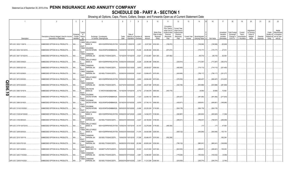**SCHEDULE DB - PART A - SECTION 1**

|         |                           | $\overline{2}$                                                             | $\mathbf{3}$           | $\overline{4}$                           | 5                                                                             | $\epsilon$    |                                 | 8                     | 9                      | 10 <sup>1</sup>                                      | 11                                                                                              | 12                                                                                     | 13     | 14                                             | 16         | 17                                                | 18                                                                | 19                                                  | 20                                                       | 21                    | 22                             | 23                                                                          |
|---------|---------------------------|----------------------------------------------------------------------------|------------------------|------------------------------------------|-------------------------------------------------------------------------------|---------------|---------------------------------|-----------------------|------------------------|------------------------------------------------------|-------------------------------------------------------------------------------------------------|----------------------------------------------------------------------------------------|--------|------------------------------------------------|------------|---------------------------------------------------|-------------------------------------------------------------------|-----------------------------------------------------|----------------------------------------------------------|-----------------------|--------------------------------|-----------------------------------------------------------------------------|
|         | Description               | Description of Item(s) Hedged, Used for Income<br>Generation or Replicated | Schedule<br>Identifier | Type(s<br>of<br>/ Exhibit Risk(s)<br>(a) | Exchange, Counterparty<br>or Central Clearinghouse                            | Trade<br>Date | Date of<br>Expiration Contracts | Maturity or Number of | Notional<br>Amount     | Strike Price.<br>Rate of Index<br>Received<br>(Paid) | Cumulative<br>Prior Year(s)<br>Initial Cost of<br>Undiscounted<br>Premium<br>(Received)<br>Paid | <b>Current Year</b><br>Initial Cost o<br>Undiscounted<br>Premium<br>(Received)<br>Paid | Income | Current Year   Book/Adjusted<br>Carrying Value | Fair Value | Unrealized<br>Valuation<br>Increase<br>(Decrease) | <b>Total Foreign</b><br>Exchange<br>Change in<br><b>B./A.C.V.</b> | Current<br>Year's<br>(Amortization<br>) / Accretion | Adjustment<br>to Carrying<br>Value of<br>Hedged<br>ltems | Potential<br>Exposure | Credit<br>Quality of<br>Entity | Hedge<br>Effectiveness<br>at Inception<br>Reference and at Year-<br>end (b) |
|         | SPX US C 3032 11/29/19.   | EMBEDDED OPTION IN IUL PRODUCTS.                                           | N/A                    | <b>EQUIT</b>                             | Y/INDE WELLS FARGO<br>BANK, N.<br>KB1H1DSPRFMYMCUFXT09. 12/03/2018 11/29/2019 |               |                                 | 2,651                 | $.8,037,832$ 3032.000  |                                                      | (190,872)                                                                                       |                                                                                        |        | (108,568)                                      | (108, 568) | (63, 628)                                         |                                                                   |                                                     |                                                          |                       |                                |                                                                             |
|         | SPX US C 3034 10/21/2019  | EMBEDDED OPTION IN IUL PRODUCTS.                                           | N/A                    | <b>EQUIT</b><br>Y/INDE                   | <b>GOLDMAN</b><br>SACHS INTERN<br>W22LROWP2IHZNBB6K528                        |               | 10/23/2018 10/21/2019           | 15,246                | .46,256,364            | 3034.000.                                            | (873,070)                                                                                       |                                                                                        |        | (175,177)                                      | (175, 177) | 0.27,010                                          |                                                                   |                                                     |                                                          |                       |                                |                                                                             |
|         | SPX US C 3041 10/14/2019  | EMBEDDED OPTION IN IUL PRODUCTS.                                           | N/A                    | <b>EQUIT</b><br>Y/INDE                   | CANADIAN<br><b>IMPERIAL BA</b><br>2IGI19DL77OX0HC3ZE78                        |               | 10/15/2018 10/14/2019           | 9,021                 | 27,432,861 3041.000    |                                                      | (507,882)                                                                                       |                                                                                        |        | .(46,316                                       | .(46,316)  | .62,059                                           |                                                                   |                                                     |                                                          |                       |                                |                                                                             |
|         | SPX US C 3046 03/06/20.   | EMBEDDED OPTION IN IUL PRODUCTS.                                           | N/A                    | <b>EQUIT</b><br>Y/INDE                   | <b>WELLS FARGO</b><br>BANK, N.<br>KB1H1DSPRFMYMCUFXT09. 03/08/2019 03/06/2020 |               |                                 | 8,226                 | 25,056,396 3046.000    |                                                      |                                                                                                 | (320, 814)                                                                             |        | (713,387)                                      | (713, 387) | (392,573)                                         |                                                                   |                                                     |                                                          |                       |                                |                                                                             |
|         | SPX US C 3059 02/21/20.   | EMBEDDED OPTION IN IUL PRODUCTS                                            | N/A                    | EQUIT<br>Y/INDE                          | CANADIAN<br><b>IMPERIAL BA</b><br>2IGI19DL77OX0HC3ZE78.                       |               | 02/25/2019 02/21/2020           | 9,653                 | 29,528,527             | 3059.000.                                            |                                                                                                 | (482, 650)                                                                             |        | (714,113)                                      | (714,113)  | (231,463)                                         |                                                                   |                                                     |                                                          |                       |                                |                                                                             |
|         | SPX US C 3070 02/28/20.   | EMBEDDED OPTION IN IUL PRODUCTS.                                           | N/A                    | EQUIT<br>Y/INDE                          | CANADIAN<br><b>IMPERIAL BA</b><br>2IGI19DL77OX0HC3ZE78                        |               | 02/28/2019 02/28/2020           | 10,621                | 32,606,470 3070.000    |                                                      |                                                                                                 | (424, 840)                                                                             |        | (756, 117)                                     | (756, 117) | (331,277)                                         |                                                                   |                                                     |                                                          |                       |                                |                                                                             |
|         |                           |                                                                            |                        | EQUIT<br>Y/INDE                          | <b>WELLS FARGO</b>                                                            |               |                                 |                       |                        |                                                      |                                                                                                 |                                                                                        |        |                                                |            |                                                   |                                                                   |                                                     |                                                          |                       |                                |                                                                             |
| n       | SPX US C 3073 03/03/20.   | EMBEDDED OPTION IN IUL PRODUCTS                                            | N/A                    | EQUIT<br>Y/INDE                          | BANK, N.<br>KB1H1DSPRFMYMCUFXT09. 03/05/2019 03/03/2020<br>CANADIAN           |               |                                 | 9,650                 | 29,654,450 3073.000    |                                                      |                                                                                                 | (376,350)                                                                              |        | (690,407                                       | (690, 407) | (314,057)                                         |                                                                   |                                                     |                                                          |                       |                                |                                                                             |
| 0<br>တ၊ | SPX US C 3076 02/24/20.   | EMBEDDED OPTION IN IUL PRODUCTS                                            | N/A                    | EQUIT<br>Y/INDE                          | <b>IMPERIAL BA</b><br>2IGI19DL77OX0HC3ZE78.<br><b>DEUTSCHE</b>                |               | 02/27/2019 02/24/2020           | 9,505                 | 29,237,380 3076.000    |                                                      |                                                                                                 | (342,180)                                                                              |        | (633,988                                       | (633,988)  | (291,808)                                         |                                                                   |                                                     |                                                          |                       |                                |                                                                             |
| 0       | SPX US C 3083 10/16/19.   | EMBEDDED OPTION IN IUL PRODUCTS                                            | N/A                    | X<br>EQUIT<br>Y/INDE                     | <b>BANK SA</b><br>7LTWFZYICNSX8D621K86<br>GOLDMAN                             |               | 10/19/2018 10/16/2019           | $\dots 8,772$         | $27,044,076$ 3083.000. |                                                      | (443,775)                                                                                       |                                                                                        |        | (8,595)                                        | (8,595)    | 72,582                                            |                                                                   |                                                     |                                                          |                       |                                |                                                                             |
|         | SPX US C 3084 03/02/20.   | EMBEDDED OPTION IN IUL PRODUCTS.                                           | N/A                    | EQUIT<br>Y/INDE                          | SACHS INTERN W22LROWP2IHZNBB6K528<br>GOLDMAN                                  |               | 03/04/2019 03/02/2020           | 7,323                 | 22,584,132 3084.000    |                                                      |                                                                                                 | (263, 427)                                                                             |        | (481,060)                                      | (481,060)  | (217,633)                                         |                                                                   |                                                     |                                                          |                       |                                |                                                                             |
|         | SPX US C 3090 03/16/20.   | EMBEDDED OPTION IN IUL PRODUCTS                                            | N/A                    | EQUIT<br>Y/INDE                          | SACHS INTERN W22LROWP2IHZNBB6K528<br><b>GOLDMAN</b>                           |               | 03/18/2019 03/16/2020           | 8,979                 | $27,745,110$ 3090.000. |                                                      |                                                                                                 | (439,971                                                                               |        | (608,951                                       | (608, 951) | (168,980)                                         |                                                                   |                                                     |                                                          |                       |                                |                                                                             |
|         | SPX US C 3116 5/15/2020.  | EMBEDDED OPTION IN IUL PRODUCTS.                                           | N/A                    | <b>EQUIT</b><br>Y/INDE                   | SACHS INTERN W22LROWP2IHZNBB6K528 09/30/2019 05/15/2020<br><b>WELLS FARGO</b> |               |                                 | 6,494                 | 20,235,304 3116.000    |                                                      |                                                                                                 | (504,178)                                                                              |        | (504,178)                                      | (504, 178) |                                                   |                                                                   |                                                     |                                                          |                       |                                |                                                                             |
|         | SPX US C 3128 04/15/2020  | EMBEDDED OPTION IN IUL PRODUCTS.                                           | N/A                    | EQUIT<br>Y/INDE                          | BANK, N.<br>KB1H1DSPRFMYMCUFXT09. 05/06/2019 04/15/2020<br>CANADIAN           |               |                                 | 4,649                 | .14,542,072 3128.000   |                                                      |                                                                                                 | (292,887                                                                               |        | (293,923                                       | (293, 923) | (1,036).                                          |                                                                   |                                                     |                                                          |                       |                                |                                                                             |
|         | SPX US C 3159 08/04/20.   | EMBEDDED OPTION IN IUL PRODUCTS.                                           | $N/A$                  | <b>EQUIT</b><br>Y/INDE                   | <b>IMPERIAL BA</b><br>2IGI19DL77OX0HC3ZE78<br><b>WELLS FARGO</b>              |               | 08/06/2019 08/04/2020           | 9,227                 | 29,148,093 3159.000    |                                                      |                                                                                                 | (489,031                                                                               |        | (788,537)                                      | (788, 537) | (299, 506)                                        |                                                                   |                                                     |                                                          |                       |                                |                                                                             |
|         | SPX US C 3178 10/07/2019. | EMBEDDED OPTION IN IUL PRODUCTS.                                           | N/A.                   | <b>EQUIT</b><br>Y/INDE                   | BANK, N.<br>KB1H1DSPRFMYMCUFXT09. 10/08/2018 10/07/2019<br><b>WELLS FARGO</b> |               |                                 | 10,157                | 32,278,946 3178.000    |                                                      | (469,355)                                                                                       |                                                                                        |        | (17)                                           | .(17)      | .47,558                                           |                                                                   |                                                     |                                                          |                       |                                |                                                                             |
|         | SPX US C 3209 05/05/20.   | EMBEDDED OPTION IN IUL PRODUCTS.                                           | N/A.                   | EQUIT<br>Y/INDE                          | BANK, N.<br>KB1H1DSPRFMYMCUFXT09.<br>CANADIAN                                 |               | 05/06/2019 05/05/2020           | 11,474                | .36,820,066 3209.000.  |                                                      |                                                                                                 | (608, 122)                                                                             |        | (454,946)                                      | (454, 946) | .153,176                                          |                                                                   |                                                     |                                                          |                       |                                |                                                                             |
|         | SPX US C 3215 10/01/19.   | EMBEDDED OPTION IN IUL PRODUCTS.                                           | N/A                    | <b>EQUIT</b><br>Y/INDE                   | <b>IMPERIAL BA</b><br>2IGI19DL77OX0HC3ZE78<br>CANADIAN                        |               | 10/04/2018 10/01/2019           | 17,258                | .55,484,470 3215.000   |                                                      | (552, 256)                                                                                      |                                                                                        |        |                                                |            | .552,256                                          |                                                                   |                                                     |                                                          |                       |                                |                                                                             |
|         | SPX US C 3230 07/01/20.   | EMBEDDED OPTION IN IUL PRODUCTS.                                           | N/A                    | <b>EQUIT</b><br>Y/INDE                   | <b>IMPERIAL BA</b><br>2IGI19DL77OX0HC3ZE78<br><b>BARCLAYS</b>                 |               | 06/28/2019 07/01/2020 20,388    |                       | .65,853,240 3230.000   |                                                      |                                                                                                 | (795,132)                                                                              |        | (965,041)                                      | (965,041)  | (169,909).                                        |                                                                   |                                                     |                                                          |                       |                                |                                                                             |
|         | SPX US C 3237 04/28/20.   | EMBEDDED OPTION IN IUL PRODUCTS.                                           | N/A                    | <b>EQUIT</b>                             | BANK NEW YO<br>G5GSEF7VJP5I7OUK5573                                           |               | 04/30/2019 04/28/2020           | 16,500                | 53,410,500 3237.000    |                                                      |                                                                                                 | (643,500)                                                                              |        | (488,461                                       | (488, 461) | 155,039                                           |                                                                   |                                                     |                                                          |                       |                                |                                                                             |
|         | SPX US C 3243 7/15/2020.  | EMBEDDED OPTION IN IUL PRODUCTS.                                           | N/A.                   | Y/INDE<br><b>EQUIT</b>                   | CANADIAN<br>IMPERIAL BA<br>2IGI19DL77OX0HC3ZE78                               |               | 09/26/2019 07/15/2020           | 3,881                 | .12,586,083 3243.000   |                                                      |                                                                                                 | (178,526)                                                                              |        | (183,532)                                      | (183, 532) | (5,006)                                           |                                                                   |                                                     |                                                          |                       |                                |                                                                             |
|         | SPX US C 3249 9/14/2020   | EMBEDDED OPTION IN IUL PRODUCTS.                                           |                        | Y/INDE<br>$\sf X$                        | CANADIAN<br><b>IMPERIAL BA</b><br>2IGI19DL77OX0HC3ZE78                        |               | 09/26/2019 09/14/2020           | 3,451                 | 11,212,299 3249.000.   |                                                      |                                                                                                 | (203, 609)                                                                             |        | (206, 374)                                     | (206, 374) | (2,765)                                           |                                                                   |                                                     |                                                          |                       |                                |                                                                             |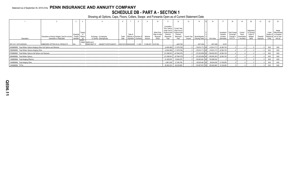**SCHEDULE DB - PART A - SECTION 1**

|                                                                           |                                                                            |                                            |                |                                                                         |       |                                                                |  |                       |                                                      |                                                                                | 12                                                                                             |        |                                                  |                                            |                                                   |                                                          | 19                                                | 20                                                      | 21                    | 22               |                                                                                        |
|---------------------------------------------------------------------------|----------------------------------------------------------------------------|--------------------------------------------|----------------|-------------------------------------------------------------------------|-------|----------------------------------------------------------------|--|-----------------------|------------------------------------------------------|--------------------------------------------------------------------------------|------------------------------------------------------------------------------------------------|--------|--------------------------------------------------|--------------------------------------------|---------------------------------------------------|----------------------------------------------------------|---------------------------------------------------|---------------------------------------------------------|-----------------------|------------------|----------------------------------------------------------------------------------------|
| Description                                                               | Description of Item(s) Hedged, Used for Income<br>Generation or Replicated | Schedul<br>/ Exhibit Risk(s)<br>Identifier | Type(s)<br>(a) | Exchange, Counterparty<br>or Central Clearinghouse                      | Trade | Date of<br>Maturity or Number<br>Date   Expiration   Contracts |  | Notional<br>Amount    | Strike Price,<br>Rate of Index<br>Received<br>(Paid) | Cumulative<br>Initial Cost of<br>Undiscounted<br>Premium<br>(Received)<br>Paid | Prior Year(s) Current Year<br>Initial Cost of<br>Undiscounted<br>Premium<br>(Received)<br>Paid | Income | Current Year   Book/Adjusted<br>Carrving Value e | Fair Value                                 | Unrealized<br>Valuation<br>Increase<br>(Decrease) | <b>Total Foreign</b><br>Exchange<br>Change in<br>B.A.C.V | Current<br>Year's<br>(Amortization<br>/ Accretion | Adjustmen<br>to Carrying<br>Value of<br>Hedged<br>Items | Potential<br>Exposure | Credit<br>Entity | Hedge<br>Effectiveness<br>Quality of at Inception<br>Reference and at Year-<br>end (b) |
|                                                                           |                                                                            |                                            |                | Y/INDE BARCLAYS                                                         |       |                                                                |  |                       |                                                      |                                                                                |                                                                                                |        |                                                  |                                            |                                                   |                                                          |                                                   |                                                         |                       |                  |                                                                                        |
| SPX US C 3275 9/28/2020                                                   | <b>EMBEDDED OPTION IN IUL PRODUCTS</b>                                     |                                            |                | G5GSEF7VJP5I7OUK5573 09/27/2019 09/28/2020 11,469<br><b>BANK NEW YO</b> |       |                                                                |  | $37,560,975$ 3275.000 |                                                      |                                                                                | (645,705)                                                                                      |        | $(637, 226)$ .                                   | (637, 226)                                 | .8,479                                            |                                                          |                                                   |                                                         |                       |                  |                                                                                        |
| 0509999999. Total-Written Options-Hedging Other-Call Options and Warrants |                                                                            |                                            |                |                                                                         |       |                                                                |  |                       |                                                      |                                                                                | $(4,804,062)$ (11,679,782)                                                                     |        | . (6,384,181). [(19,814,171) XX (19,814,171)     |                                            |                                                   |                                                          |                                                   |                                                         |                       | <b>XXX</b>       | <b>XXX</b>                                                                             |
| 0569999999. Total-Written Options-Hedging Other                           |                                                                            |                                            |                |                                                                         |       |                                                                |  |                       |                                                      |                                                                                | $(4,804,062)$ (11,679,782)                                                                     |        | $(19,814,171)$ XX $(19,814,171)$ $(6,384,181)$   |                                            |                                                   |                                                          |                                                   |                                                         |                       | <b>XXX</b>       | XXX                                                                                    |
| 0789999999. Total-Written Options-Call Options and Warrants               |                                                                            |                                            |                |                                                                         |       |                                                                |  |                       |                                                      |                                                                                | $(21, 298, 541)$ (47,594,070)                                                                  |        |                                                  | (6,384,181)   (72,222,938) XX (72,222,938) |                                                   |                                                          |                                                   |                                                         |                       | XXX              | XXX                                                                                    |
| 0849999999. Total-Written Options                                         |                                                                            |                                            |                |                                                                         |       |                                                                |  |                       |                                                      |                                                                                | $(21, 298, 541)$ (47,594,070)                                                                  |        |                                                  | (108,093,391) XX (72,222,938).             | (6,384,181)                                       |                                                          |                                                   |                                                         |                       | <b>XXX</b>       | XXX                                                                                    |
| 1399999999. Total-Hedging Effective.                                      |                                                                            |                                            |                |                                                                         |       |                                                                |  |                       |                                                      |                                                                                | 70,642,279                                                                                     |        | .92,063,253 XX                                   | 130,936,534                                |                                                   |                                                          |                                                   |                                                         |                       | <b>XXX</b>       | XXX                                                                                    |
|                                                                           |                                                                            |                                            |                |                                                                         |       |                                                                |  |                       |                                                      | 21,420,974<br>4,861,258                                                        |                                                                                                |        |                                                  |                                            |                                                   |                                                          |                                                   |                                                         |                       |                  |                                                                                        |
| 1409999999. Total-Hedging Other                                           |                                                                            |                                            |                |                                                                         |       |                                                                |  |                       |                                                      |                                                                                | 21,393,706                                                                                     |        | .38,524,426 XX                                   | 38,524,426                                 | .13,106,456                                       |                                                          |                                                   |                                                         |                       | XXX              | XXX                                                                                    |
| 1449999999. TOTAL                                                         |                                                                            |                                            |                |                                                                         |       |                                                                |  |                       |                                                      | .26,282,232                                                                    | 92,035,985                                                                                     |        | .130,587,679 XX 169,460,960 .13,106,456          |                                            |                                                   |                                                          |                                                   |                                                         |                       | XXX              | <b>XXX</b>                                                                             |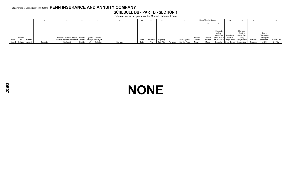# **SCHEDULE DB - PART B - SECTION 1**

Futures Contracts Open as of the Current Statement Date

|        |                  |          |             |                                                                      |                        |       |             |            |            |                |            | <b>Highly Effective Hedges</b> |                          | 18         |                                              |           | 21                     |              |
|--------|------------------|----------|-------------|----------------------------------------------------------------------|------------------------|-------|-------------|------------|------------|----------------|------------|--------------------------------|--------------------------|------------|----------------------------------------------|-----------|------------------------|--------------|
|        |                  |          |             |                                                                      |                        |       |             |            |            |                |            |                                |                          |            |                                              |           |                        |              |
|        |                  |          |             |                                                                      |                        |       |             |            |            |                |            |                                |                          |            |                                              |           |                        |              |
|        |                  |          |             |                                                                      |                        |       |             |            |            |                |            |                                |                          |            |                                              |           |                        |              |
|        |                  |          |             |                                                                      |                        |       |             |            |            |                |            |                                | Change in                |            | Change in                                    |           |                        |              |
|        |                  |          |             |                                                                      |                        |       |             |            |            |                |            |                                | Variation<br>Margin Gain | Cumulative | Variation<br>Margin Gain                     |           | Hedge<br>Effectiveness |              |
|        | Number           |          |             | Description of Item(s) Hedged, Schedule Type(s)                      | Date of                |       |             |            |            |                | Cumulative | Deferred                       | (Loss) Used to           | Variation  | (Loss)                                       |           | at Inception           |              |
| Ticker | of               | Notional |             | Used for Income Generation or   / Exhibit   of Risk(s)   Maturity or |                        | Trade | Transaction | Reporting  |            | Book/Adjusted  | Variation  | Variation                      |                          |            | Adjust Basis of Margin for All Recognized in | Potential | and at Year-           | Value of One |
|        | Symbol Contracts | Amount   | Description | Replicated<br>Identifier                                             | Exchange<br>Expiration | Date  | Price       | Date Price | Fair Value | Carrying Value | Margin     | Margin                         |                          |            | Hedged Item   Other Hedges   Current Year    | Exposure  | end (b)                | $(1)$ Point  |

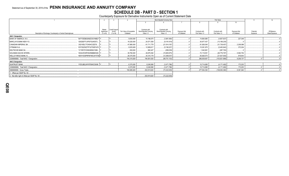# **SCHEDULE DB - PART D - SECTION 1**

Counterparty Exposure for Derivative Instruments Open as of Current Statement Date

|                                                                |                     |                                |                          |                                          | Book Adjusted Carrying Value             |               |                | Fair Value     |               | 11        | 12             |
|----------------------------------------------------------------|---------------------|--------------------------------|--------------------------|------------------------------------------|------------------------------------------|---------------|----------------|----------------|---------------|-----------|----------------|
|                                                                |                     |                                |                          |                                          |                                          |               |                |                | 10            |           |                |
|                                                                |                     |                                |                          |                                          |                                          |               |                |                |               |           |                |
|                                                                |                     |                                |                          |                                          |                                          |               |                |                |               |           |                |
|                                                                | Master<br>Agreement | <b>Credit Support</b><br>Annex | Fair Value of Acceptable | Contracts with<br>Book/Adjusted Carrying | Contracts with<br>Book/Adjusted Carrying | Exposure Net  | Contracts with | Contracts with | Exposure Net  | Potential | Off-Balance    |
| Description of Exchange, Counterparty or Central Clearinghouse | (Y or N)            | $(Y \text{ or } N)$            | Collateral               | Value $> 0$                              | Value $< 0$                              | of Collateral | Fair Value > 0 | Fair Value < 0 | of Collateral | Exposure  | Sheet Exposure |
| <b>NAIC 1 Designation</b>                                      |                     |                                |                          |                                          |                                          |               |                |                |               |           |                |
| <b>BANK OF AMERICA, N.A.</b><br>B4TYDEB6GKMZO031MB27           |                     |                                | 9,630,000                | 10,196,675                               | (3,981,060)                              |               | 14,664,885     | (4,807,837)    | .227,048      |           |                |
| <b>BARCLAYS BANK NEW YO.</b><br>G5GSEF7VJP5I7OUK5573.          |                     |                                | .18,320,000              | 24,571,559                               | (9, 191, 618)                            |               | .30,977,437    | (13,189,235)   |               |           |                |
| 2IGI19DL77OX0HC3ZE78<br>CANADIAN IMPERIAL BA.                  |                     |                                | .47,880,000              | .61,711,779                              | (21, 914, 197)                           |               | .81,826,545    | (31, 738, 457) | .2.208.088    |           |                |
| CITIBANK N.A.<br>E57ODZWZ7FF32TWEFA76                          |                     |                                | 9,525,829                | 12,909,617                               | (5, 190, 227)                            |               | .15,381,975    | (5,483,942)    | 372,204       |           |                |
| DEUTSCHE BANK SA.<br>7LTWFZYICNSX8D621K86                      |                     |                                | .830,000                 | .982.427                                 | (299, 039)                               |               | .1,042,691     | (287,700)      |               |           |                |
| <b>GOLDMAN SACHS INTERN</b><br>W22LROWP2IHZNBB6K528.           |                     |                                | .39,760,000              | .49,879,394                              | (15,805,975)                             |               | .72,119,551    | (26,776,797)   | 5,582,754     |           |                |
| <b>WELLS FARGO BANK, N.</b><br>KB1H1DSPRFMYMCUFXT09 Y          |                     |                                | .28,370,000              | 34,310,179                               | (12,369,037)                             |               | .50,826,573    | (21,637,930)   | .818,643      |           |                |
| 0299999999. Total NAIC 1 Designation.                          |                     |                                | .154,315,829             | 194,561,630                              | (68, 751, 153)                           |               | .266,839,657   | (103,921,898)  | .9,208,737    |           |                |
| <b>NAIC 2 Designation</b>                                      |                     |                                |                          |                                          |                                          |               |                |                |               |           |                |
| IYDOJBGJWY9T8XKCSX06. Y<br><b>SUNTRUST BANK.</b>               |                     |                                | 6,370,000                | .8,248,990                               | (3,471,786)                              |               | 10,714,695     | (4, 171, 492)  | .173,203      |           |                |
| 0399999999. Total NAIC 2 Designation.                          |                     |                                | 6,370,000                | .8,248,990                               | (3,471,786)                              |               | .10,714,695    | (4, 171, 492)  | .173,203      |           |                |
| 0999999999. Gross Totals                                       |                     |                                | 160,685,829              | .202,810,620                             | (72, 222, 939)                           |               | .277,554,352   | (108,093,390)  | .9,381,940    |           |                |
| 1. Offset per SSAP No. 64.                                     |                     |                                |                          |                                          |                                          |               |                |                |               |           |                |
| 2. Net after right of offset per SSAP No. 64.                  |                     |                                |                          | .202,810,620                             | (72, 222, 939)                           |               |                |                |               |           |                |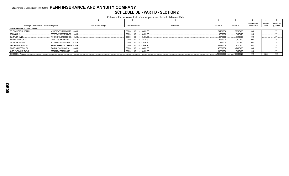# Statement as of September 30, 2019 of the PENN INSURANCE AND ANNUITY COMPANY **SCHEDULE DB - PART D - SECTION 2**

Collateral for Derivative Instruments Open as of Current Statement Date

|                                               |                                                 |                       |                             |              |              |              | Book/Adjusted  | Maturity | Type of Margir |
|-----------------------------------------------|-------------------------------------------------|-----------------------|-----------------------------|--------------|--------------|--------------|----------------|----------|----------------|
|                                               | Exchange, Counterparty or Central Clearinghouse | Type of Asset Pledged | <b>CUSIP</b> Identification | Description  | Fair Value   | Par Value    | Carrying Value | Date     | (I, V or IV)   |
| <b>Collateral Pledged to Reporting Entity</b> |                                                 |                       |                             |              |              |              |                |          |                |
| <b>GOLDMAN SACHS INTERN</b>                   | W22LROWP2IHZNBB6K528 CASH.                      |                       | 000000 00 0 CASHUSD         |              | .39.760.000  | 39.760.000   | XXX            |          |                |
| CITIBANK N.A                                  | E57ODZWZ7FF32TWEFA76 CASH.                      |                       | 000000                      | 00 0 CASHUSD | .9.525.829   | .9.525.829   | <b>XXX</b>     |          |                |
| <b>SUNTRUST BANK</b>                          | IYDOJBGJWY9T8XKCSX06 CASH.                      |                       | 000000                      | 00 0 CASHUSD | .6.370.000   | .6,370,000   | <b>XXX</b>     |          |                |
| BANK OF AMERICA, N.A.,                        | B4TYDEB6GKMZO031MB27lCASH.                      |                       | 000000 00 0 CASHUSD         |              | .9,630,000   | .9.630.000   | <b>XXX</b>     |          |                |
| <b>DEUTSCHE BANK SA</b>                       | 7LTWFZYICNSX8D621K86 CASH.                      |                       | 000000 00 0 CASHUSD         |              | .830,000     | .830.000     | XXX            |          |                |
| <b>WELLS FARGO BANK, N.,</b>                  | . KB1H1DSPRFMYMCUFXT09. CASH.                   |                       | 000000                      | 00 0 CASHUSD | .28.370.000  | 28.370.000   | <b>XXX</b>     |          |                |
| CANADIAN IMPERIAL BA                          | 2IGI19DL77OX0HC3ZE78<br>I CASH.                 |                       | 000000                      | 00 0 CASHUSD | .47.880.000  | .47.880.000  | <b>XXX</b>     |          |                |
| <b>BARCLAYS BANK NEW YO</b>                   | G5GSEF7VJP5I7OUK5573 CASH                       |                       | 000000 00 0 CASHUSD         |              | 18,320,000   | .18,320,000  | XXX            |          |                |
| 0299999999. Totals                            |                                                 |                       |                             |              | .160,685,829 | .160,685,829 | XXX            | XXX      | <b>XXX</b>     |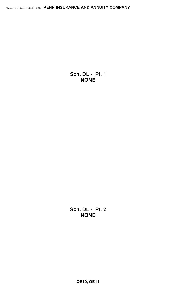**Sch. DL - Pt. 1 NONE**

**Sch. DL - Pt. 2 NONE**

**QE10, QE11**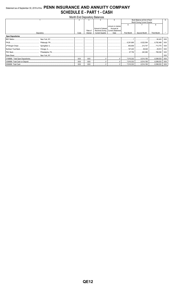# Statement as of September 30, 2019 of the PENN INSURANCE AND ANNUITY COMPANY **SCHEDULE E - PART 1 - CASH**

| <b>Month End Depository Balances</b> |            |            |            |                        |                                     |                             |                              |             |            |  |  |  |
|--------------------------------------|------------|------------|------------|------------------------|-------------------------------------|-----------------------------|------------------------------|-------------|------------|--|--|--|
|                                      |            |            |            |                        |                                     | Book Balance at End of Each |                              |             |            |  |  |  |
|                                      |            |            |            |                        |                                     |                             | Month During Current Quarter |             |            |  |  |  |
|                                      |            |            |            |                        |                                     | 6                           |                              |             |            |  |  |  |
|                                      |            |            |            | Amount of Interest     | Amount of Interest<br>Accrued at    |                             |                              |             |            |  |  |  |
|                                      |            |            | Rate of    |                        | Received During   Current Statement |                             |                              |             |            |  |  |  |
|                                      | Depository | Code       | Interest   | <b>Current Quarter</b> | Date                                | First Month                 | Second Month                 | Third Month |            |  |  |  |
| <b>Open Depositories</b>             |            |            |            |                        |                                     |                             |                              |             |            |  |  |  |
|                                      |            |            |            |                        |                                     |                             |                              | 84,443      | <b>XXX</b> |  |  |  |
|                                      |            |            |            |                        |                                     |                             |                              | 6,782,469   | XXX        |  |  |  |
|                                      |            |            |            |                        |                                     |                             |                              |             | XXX        |  |  |  |
|                                      |            |            |            |                        |                                     |                             |                              |             | XXX        |  |  |  |
|                                      |            |            |            |                        |                                     |                             |                              | 789,036     | <b>XXX</b> |  |  |  |
|                                      |            |            |            |                        |                                     |                             |                              |             | <b>XXX</b> |  |  |  |
|                                      |            | XXX        | XXX        |                        |                                     |                             |                              |             | XXX        |  |  |  |
|                                      |            | XXX        | <b>XXX</b> |                        |                                     |                             |                              |             | XXX        |  |  |  |
|                                      |            | <b>XXX</b> | <b>XXX</b> |                        |                                     |                             |                              |             | XXX        |  |  |  |